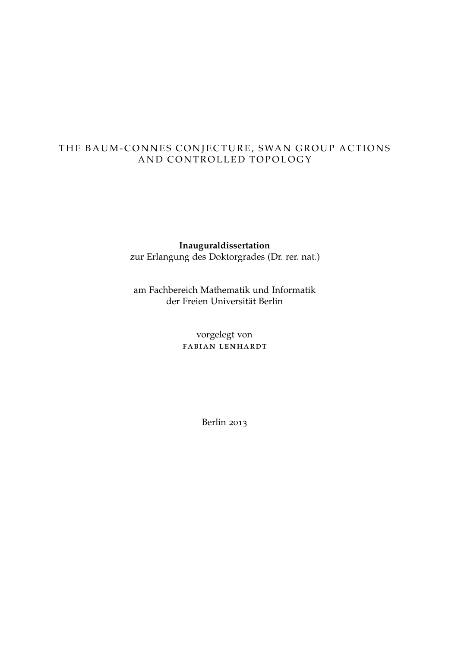# THE BAUM-CONNES CONJECTURE, SWAN GROUP ACTIONS AND CONTROLLED TOPOLOGY

### **Inauguraldissertation**

zur Erlangung des Doktorgrades (Dr. rer. nat.)

am Fachbereich Mathematik und Informatik der Freien Universität Berlin

> vorgelegt von fabian lenhardt

> > Berlin 2013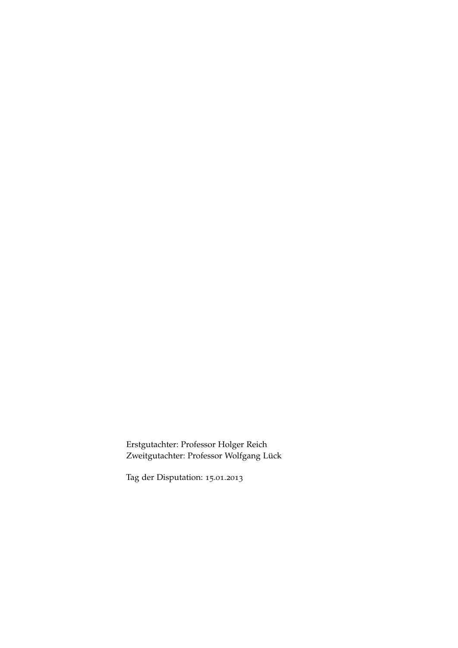Erstgutachter: Professor Holger Reich Zweitgutachter: Professor Wolfgang Lück

Tag der Disputation: 15.01.2013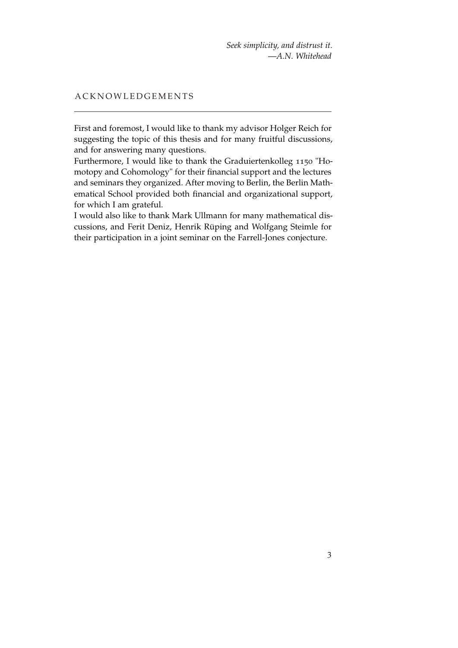*Seek simplicity, and distrust it.* —*A.N. Whitehead*

### A C K N O W L E D G E M E N T S

First and foremost, I would like to thank my advisor Holger Reich for suggesting the topic of this thesis and for many fruitful discussions, and for answering many questions.

Furthermore, I would like to thank the Graduiertenkolleg 1150 "Homotopy and Cohomology" for their financial support and the lectures and seminars they organized. After moving to Berlin, the Berlin Mathematical School provided both financial and organizational support, for which I am grateful.

I would also like to thank Mark Ullmann for many mathematical discussions, and Ferit Deniz, Henrik Rüping and Wolfgang Steimle for their participation in a joint seminar on the Farrell-Jones conjecture.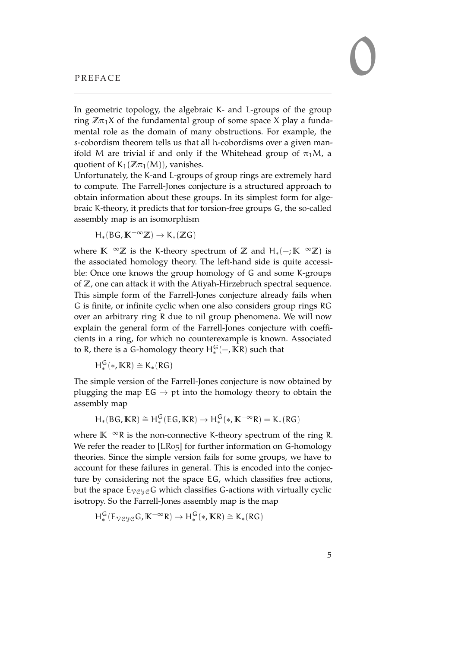<span id="page-4-0"></span>In geometric topology, the algebraic K- and L-groups of the group ring  $\mathbb{Z}\pi_1X$  of the fundamental group of some space X play a fundamental role as the domain of many obstructions. For example, the s-cobordism theorem tells us that all h-cobordisms over a given manifold M are trivial if and only if the Whitehead group of  $\pi_1M$ , a quotient of  $K_1(\mathbb{Z}\pi_1(M))$ , vanishes.

Unfortunately, the K-and L-groups of group rings are extremely hard to compute. The Farrell-Jones conjecture is a structured approach to obtain information about these groups. In its simplest form for algebraic K-theory, it predicts that for torsion-free groups G, the so-called assembly map is an isomorphism

$$
H_*(BG,K^{-\infty} \mathbb{Z}) \to K_*(\mathbb{Z} G)
$$

where **K**−∞**Z** is the K-theory spectrum of **Z** and H∗(−; **K**−∞**Z**) is the associated homology theory. The left-hand side is quite accessible: Once one knows the group homology of G and some K-groups of **Z**, one can attack it with the Atiyah-Hirzebruch spectral sequence. This simple form of the Farrell-Jones conjecture already fails when G is finite, or infinite cyclic when one also considers group rings RG over an arbitrary ring R due to nil group phenomena. We will now explain the general form of the Farrell-Jones conjecture with coefficients in a ring, for which no counterexample is known. Associated to R, there is a G-homology theory  $H_*^G(-, K_R)$  such that

$$
H^G_\ast(\ast, \mathbb{K} R) \cong K_\ast(RG)
$$

The simple version of the Farrell-Jones conjecture is now obtained by plugging the map  $EG \rightarrow pt$  into the homology theory to obtain the assembly map

$$
H_*(BG, \mathbb{K}R) \cong H^G_*(EG, \mathbb{K}R) \to H^G_*(*, \mathbb{K}^{-\infty}R) = K_*(RG)
$$

where **K**−∞R is the non-connective K-theory spectrum of the ring R. We refer the reader to [\[LR](#page-152-0)05] for further information on G-homology theories. Since the simple version fails for some groups, we have to account for these failures in general. This is encoded into the conjecture by considering not the space EG, which classifies free actions, but the space  $E_{VCyc}G$  which classifies G-actions with virtually cyclic isotropy. So the Farrell-Jones assembly map is the map

$$
H^G_*(E_{\mathcal{V}\mathcal{C}\mathcal{Y}\mathcal{C}}G, K^{-\infty}R) \to H^G_*(*, KR) \cong K_*(RG)
$$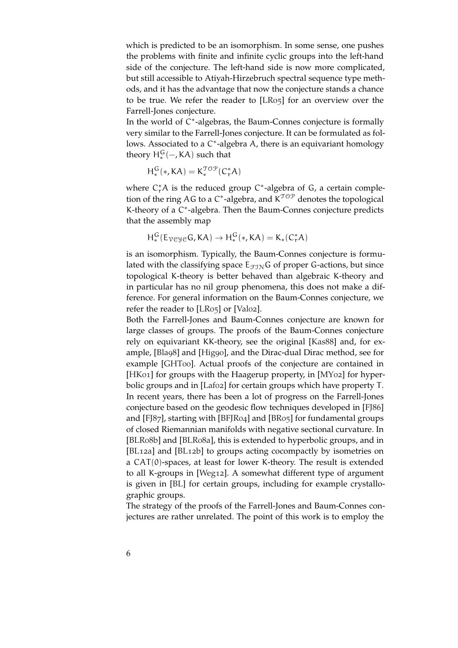which is predicted to be an isomorphism. In some sense, one pushes the problems with finite and infinite cyclic groups into the left-hand side of the conjecture. The left-hand side is now more complicated, but still accessible to Atiyah-Hirzebruch spectral sequence type methods, and it has the advantage that now the conjecture stands a chance to be true. We refer the reader to [\[LR](#page-152-0)05] for an overview over the Farrell-Jones conjecture.

In the world of C\*-algebras, the Baum-Connes conjecture is formally very similar to the Farrell-Jones conjecture. It can be formulated as follows. Associated to a C<sup>\*</sup>-algebra A, there is an equivariant homology theory  $H_*^G(-, KA)$  such that

$$
H^G_*(*,KA) = K^{\mathfrak{TOP}}_*(C^*_rA)
$$

where  $C_r^*A$  is the reduced group  $C^*$ -algebra of G, a certain completion of the ring AG to a C<sup>\*</sup>-algebra, and  $K^{TOP}$  denotes the topological K-theory of a C\*-algebra. Then the Baum-Connes conjecture predicts that the assembly map

$$
H^G_*(E_{\mathcal V\mathcal C\mathcal Y\mathcal C}G,KA)\to H^G_*(*,KA)=K_*(C_r^*A)
$$

is an isomorphism. Typically, the Baum-Connes conjecture is formulated with the classifying space  $E_{\text{FIN}}G$  of proper G-actions, but since topological K-theory is better behaved than algebraic K-theory and in particular has no nil group phenomena, this does not make a difference. For general information on the Baum-Connes conjecture, we refer the reader to [\[LR](#page-152-0)05] or [\[Val](#page-154-0)02].

Both the Farrell-Jones and Baum-Connes conjecture are known for large classes of groups. The proofs of the Baum-Connes conjecture rely on equivariant KK-theory, see the original [\[Kas](#page-152-1)88] and, for example, [\[Bla](#page-150-0)98] and [\[Hig](#page-152-2)90], and the Dirac-dual Dirac method, see for example [\[GHT](#page-151-0)00]. Actual proofs of the conjecture are contained in [\[HK](#page-152-3)01] for groups with the Haagerup property, in [\[MY](#page-153-0)02] for hyperbolic groups and in [\[Laf](#page-152-4)02] for certain groups which have property T. In recent years, there has been a lot of progress on the Farrell-Jones conjecture based on the geodesic flow techniques developed in [\[FJ](#page-151-1)86] and [\[FJ](#page-151-2)87], starting with [\[BFJR](#page-150-1)04] and [\[BR](#page-151-3)05] for fundamental groups of closed Riemannian manifolds with negative sectional curvature. In [\[BLR](#page-151-4)08b] and [\[BLR](#page-150-2)08a], this is extended to hyperbolic groups, and in [\[BL](#page-150-3)12a] and [\[BL](#page-150-4)12b] to groups acting cocompactly by isometries on a CAT(0)-spaces, at least for lower K-theory. The result is extended to all K-groups in [\[Weg](#page-154-1)12]. A somewhat different type of argument is given in [\[BL\]](#page-150-5) for certain groups, including for example crystallographic groups.

The strategy of the proofs of the Farrell-Jones and Baum-Connes conjectures are rather unrelated. The point of this work is to employ the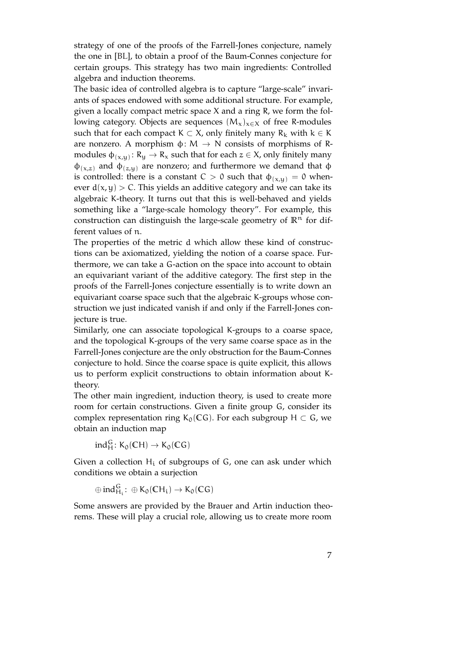strategy of one of the proofs of the Farrell-Jones conjecture, namely the one in [\[BL\]](#page-150-5), to obtain a proof of the Baum-Connes conjecture for certain groups. This strategy has two main ingredients: Controlled algebra and induction theorems.

The basic idea of controlled algebra is to capture "large-scale" invariants of spaces endowed with some additional structure. For example, given a locally compact metric space X and a ring R, we form the following category. Objects are sequences  $(M_x)_{x\in X}$  of free R-modules such that for each compact K  $\subset$  X, only finitely many R<sub>k</sub> with k  $\in$  K are nonzero. A morphism  $\phi \colon M \to N$  consists of morphisms of Rmodules  $\varphi_{(x,y)}\colon R_y\to R_x$  such that for each  $z\in X$ , only finitely many  $\phi_{(x,z)}$  and  $\phi_{(z,u)}$  are nonzero; and furthermore we demand that  $\phi$ is controlled: there is a constant  $C > 0$  such that  $\phi_{(x,y)} = 0$  whenever  $d(x, y) > C$ . This yields an additive category and we can take its algebraic K-theory. It turns out that this is well-behaved and yields something like a "large-scale homology theory". For example, this construction can distinguish the large-scale geometry of  $\mathbb{R}^n$  for different values of n.

The properties of the metric d which allow these kind of constructions can be axiomatized, yielding the notion of a coarse space. Furthermore, we can take a G-action on the space into account to obtain an equivariant variant of the additive category. The first step in the proofs of the Farrell-Jones conjecture essentially is to write down an equivariant coarse space such that the algebraic K-groups whose construction we just indicated vanish if and only if the Farrell-Jones conjecture is true.

Similarly, one can associate topological K-groups to a coarse space, and the topological K-groups of the very same coarse space as in the Farrell-Jones conjecture are the only obstruction for the Baum-Connes conjecture to hold. Since the coarse space is quite explicit, this allows us to perform explicit constructions to obtain information about Ktheory.

The other main ingredient, induction theory, is used to create more room for certain constructions. Given a finite group G, consider its complex representation ring K<sub>0</sub>(CG). For each subgroup H  $\subset$  G, we obtain an induction map

$$
ind_H^G\colon K_0(\mathbb{C} H)\to K_0(\mathbb{C} G)
$$

Given a collection  $H_i$  of subgroups of G, one can ask under which conditions we obtain a surjection

$$
\oplus\, \text{ind}_{H_i}^G\colon \oplus K_0(\mathbb{C} H_i) \to K_0(\mathbb{C} G)
$$

Some answers are provided by the Brauer and Artin induction theorems. These will play a crucial role, allowing us to create more room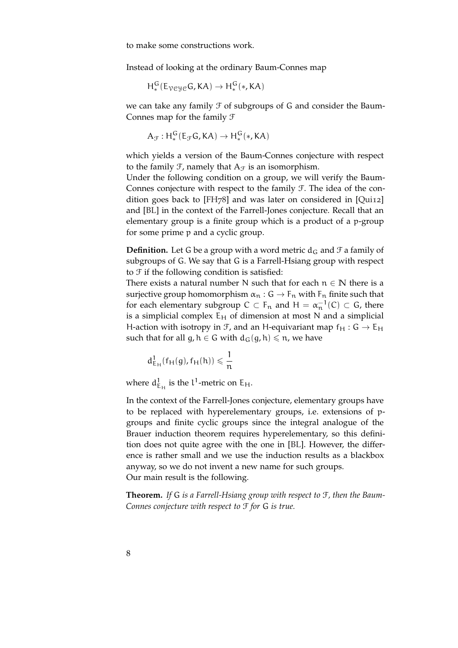to make some constructions work.

Instead of looking at the ordinary Baum-Connes map

$$
H^G_*(E_{\mathcal V\mathcal C\mathcal Y\mathcal C}G,KA)\to H^G_*(*,KA)
$$

we can take any family  $\mathcal F$  of subgroups of G and consider the Baum-Connes map for the family F

$$
A_{\mathcal{F}}: H^G_*(E_{\mathcal{F}}G,KA)\to H^G_*(*,KA)
$$

which yields a version of the Baum-Connes conjecture with respect to the family  $\mathcal{F}$ , namely that  $A_{\mathcal{F}}$  is an isomorphism.

Under the following condition on a group, we will verify the Baum-Connes conjecture with respect to the family F. The idea of the condition goes back to [\[FH](#page-151-5)78] and was later on considered in [\[Qui](#page-153-1)12] and [\[BL\]](#page-150-5) in the context of the Farrell-Jones conjecture. Recall that an elementary group is a finite group which is a product of a p-group for some prime p and a cyclic group.

**Definition.** Let G be a group with a word metric  $d_G$  and  $\mathcal F$  a family of subgroups of G. We say that G is a Farrell-Hsiang group with respect to  $\mathcal F$  if the following condition is satisfied:

There exists a natural number N such that for each  $n \in \mathbb{N}$  there is a surjective group homomorphism  $\alpha_n : G \to F_n$  with  $F_n$  finite such that for each elementary subgroup  $C \subset F_n$  and  $H = \alpha_n^{-1}(C) \subset G$ , there is a simplicial complex  $E_H$  of dimension at most N and a simplicial H-action with isotropy in  $\mathcal{F}$ , and an H-equivariant map  $f_H : G \to E_H$ such that for all  $g, h \in G$  with  $d_G(g, h) \le n$ , we have

$$
d_{E_H}^1(f_H(g), f_H(h)) \leqslant \frac{1}{n}
$$

where  $d_{E_H}^1$  is the  $l^1$ -metric on  $E_H$ .

In the context of the Farrell-Jones conjecture, elementary groups have to be replaced with hyperelementary groups, i.e. extensions of pgroups and finite cyclic groups since the integral analogue of the Brauer induction theorem requires hyperelementary, so this definition does not quite agree with the one in [\[BL\]](#page-150-5). However, the difference is rather small and we use the induction results as a blackbox anyway, so we do not invent a new name for such groups. Our main result is the following.

**Theorem.** *If* G *is a Farrell-Hsiang group with respect to* F*, then the Baum-Connes conjecture with respect to* F *for* G *is true.*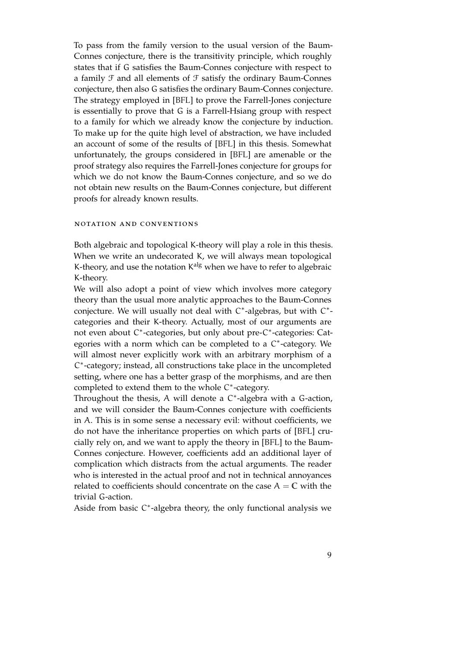To pass from the family version to the usual version of the Baum-Connes conjecture, there is the transitivity principle, which roughly states that if G satisfies the Baum-Connes conjecture with respect to a family  $\mathcal F$  and all elements of  $\mathcal F$  satisfy the ordinary Baum-Connes conjecture, then also G satisfies the ordinary Baum-Connes conjecture. The strategy employed in [\[BFL\]](#page-150-6) to prove the Farrell-Jones conjecture is essentially to prove that G is a Farrell-Hsiang group with respect to a family for which we already know the conjecture by induction. To make up for the quite high level of abstraction, we have included an account of some of the results of [\[BFL\]](#page-150-6) in this thesis. Somewhat unfortunately, the groups considered in [\[BFL\]](#page-150-6) are amenable or the proof strategy also requires the Farrell-Jones conjecture for groups for which we do not know the Baum-Connes conjecture, and so we do not obtain new results on the Baum-Connes conjecture, but different proofs for already known results.

#### notation and conventions

Both algebraic and topological K-theory will play a role in this thesis. When we write an undecorated K, we will always mean topological K-theory, and use the notation K<sup>alg</sup> when we have to refer to algebraic K-theory.

We will also adopt a point of view which involves more category theory than the usual more analytic approaches to the Baum-Connes conjecture. We will usually not deal with C\*-algebras, but with C\*categories and their K-theory. Actually, most of our arguments are not even about C<sup>\*</sup>-categories, but only about pre-C<sup>\*</sup>-categories: Categories with a norm which can be completed to a C<sup>\*</sup>-category. We will almost never explicitly work with an arbitrary morphism of a C ∗ -category; instead, all constructions take place in the uncompleted setting, where one has a better grasp of the morphisms, and are then completed to extend them to the whole C\*-category.

Throughout the thesis, A will denote a C<sup>\*</sup>-algebra with a G-action, and we will consider the Baum-Connes conjecture with coefficients in A. This is in some sense a necessary evil: without coefficients, we do not have the inheritance properties on which parts of [\[BFL\]](#page-150-6) crucially rely on, and we want to apply the theory in [\[BFL\]](#page-150-6) to the Baum-Connes conjecture. However, coefficients add an additional layer of complication which distracts from the actual arguments. The reader who is interested in the actual proof and not in technical annoyances related to coefficients should concentrate on the case  $A = C$  with the trivial G-action.

Aside from basic C\*-algebra theory, the only functional analysis we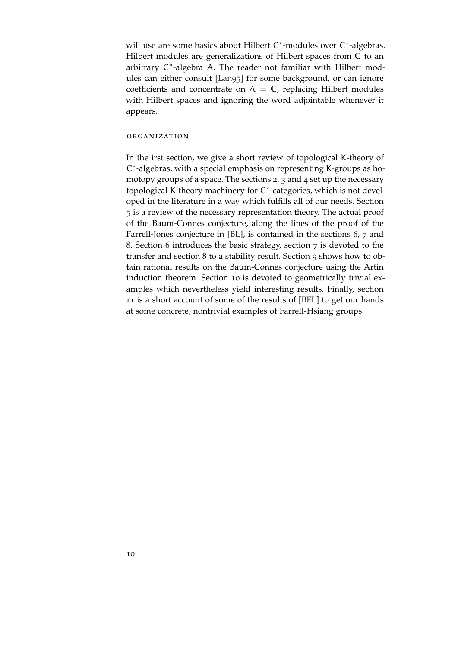will use are some basics about Hilbert C\*-modules over C\*-algebras. Hilbert modules are generalizations of Hilbert spaces from **C** to an arbitrary C\*-algebra A. The reader not familiar with Hilbert modules can either consult [\[Lan](#page-152-5)95] for some background, or can ignore coefficients and concentrate on  $A = C$ , replacing Hilbert modules with Hilbert spaces and ignoring the word adjointable whenever it appears.

#### organization

In the irst section, we give a short review of topological K-theory of C ∗ -algebras, with a special emphasis on representing K-groups as homotopy groups of a space. The sections 2, 3 and 4 set up the necessary topological K-theory machinery for C ∗ -categories, which is not developed in the literature in a way which fulfills all of our needs. Section 5 is a review of the necessary representation theory. The actual proof of the Baum-Connes conjecture, along the lines of the proof of the Farrell-Jones conjecture in [\[BL\]](#page-150-5), is contained in the sections 6, 7 and 8. Section 6 introduces the basic strategy, section 7 is devoted to the transfer and section 8 to a stability result. Section 9 shows how to obtain rational results on the Baum-Connes conjecture using the Artin induction theorem. Section 10 is devoted to geometrically trivial examples which nevertheless yield interesting results. Finally, section 11 is a short account of some of the results of [\[BFL\]](#page-150-6) to get our hands at some concrete, nontrivial examples of Farrell-Hsiang groups.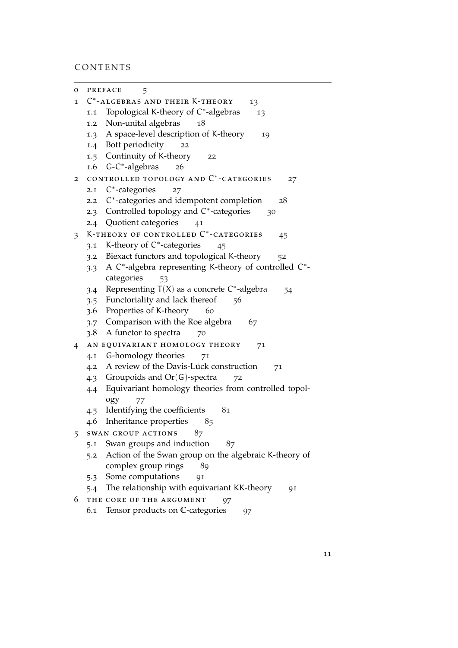# CONTENTS

| о              |                                      | <b>PREFACE</b><br>5                                          |  |
|----------------|--------------------------------------|--------------------------------------------------------------|--|
| 1              | C*-ALGEBRAS AND THEIR K-THEORY<br>13 |                                                              |  |
|                | 1.1                                  | Topological K-theory of C*-algebras<br>13                    |  |
|                | 1.2                                  | Non-unital algebras<br>18                                    |  |
|                | 1.3                                  | A space-level description of K-theory<br>19                  |  |
|                |                                      | 1.4 Bott periodicity<br>22                                   |  |
|                |                                      | 1.5 Continuity of K-theory<br>22                             |  |
|                |                                      | 1.6 G-C*-algebras<br>26                                      |  |
| $\overline{2}$ |                                      | CONTROLLED TOPOLOGY AND C*-CATEGORIES<br>27                  |  |
|                | 2.1                                  | $C^*$ -categories<br>27                                      |  |
|                | 2.2                                  | C*-categories and idempotent completion<br>28                |  |
|                | 2.3                                  | Controlled topology and C*-categories<br>30                  |  |
|                |                                      | 2.4 Quotient categories<br>41                                |  |
| 3              |                                      | K-THEORY OF CONTROLLED C*-CATEGORIES<br>45                   |  |
|                | 3.1                                  | K-theory of C*-categories<br>45                              |  |
|                | 3.2                                  | Biexact functors and topological K-theory<br>52              |  |
|                | 3.3                                  | A $C^*$ -algebra representing K-theory of controlled $C^*$ - |  |
|                |                                      | categories<br>53                                             |  |
|                | 3.4                                  | Representing $T(X)$ as a concrete $C^*$ -algebra<br>54       |  |
|                |                                      | 3.5 Functoriality and lack thereof<br>56                     |  |
|                | 3.6                                  | Properties of K-theory<br>60                                 |  |
|                | 3.7                                  | Comparison with the Roe algebra<br>67                        |  |
|                | 3.8                                  | A functor to spectra<br>70                                   |  |
| $\overline{4}$ |                                      | AN EQUIVARIANT HOMOLOGY THEORY<br>71                         |  |
|                | 4.1                                  | G-homology theories<br>71                                    |  |
|                | 4.2                                  | A review of the Davis-Lück construction<br>71                |  |
|                | 4.3                                  | Groupoids and $Or(G)$ -spectra<br>72                         |  |
|                | 4.4                                  | Equivariant homology theories from controlled topol-         |  |
|                |                                      | ogy<br>77                                                    |  |
|                | 4.5                                  | Identifying the coefficients<br>81                           |  |
|                | 4.6                                  | Inheritance properties<br>85                                 |  |
| 5              |                                      | SWAN GROUP ACTIONS<br>87                                     |  |
|                | 5.1                                  | Swan groups and induction<br>87                              |  |
|                | 5.2                                  | Action of the Swan group on the algebraic K-theory of        |  |
|                |                                      | complex group rings<br>89                                    |  |
|                |                                      | 5.3 Some computations<br>91                                  |  |
|                | 5.4                                  | The relationship with equivariant KK-theory<br>91            |  |
| 6              |                                      | THE CORE OF THE ARGUMENT<br>97                               |  |
|                | 6.1                                  | Tensor products on C-categories<br>97                        |  |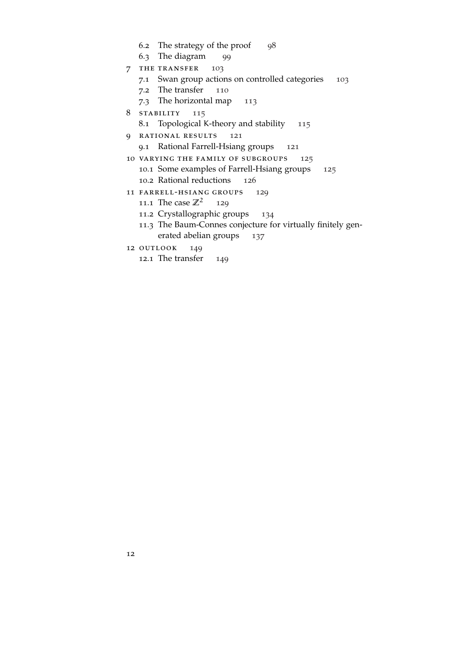- .2 The strategy of the proof [98](#page-96-2)
- .3 The diagram [99](#page-98-0)
- 7 THE TRANSFER [103](#page-102-0)
	- .1 Swan group actions on controlled categories [103](#page-102-1)
	- .2 The transfer [110](#page-109-0)
	- .3 The horizontal map [113](#page-112-0)
- 8 stability [115](#page-114-0)
	- .1 Topological K-theory and stability [115](#page-114-1)
- 9 rational results [121](#page-120-0)
	- .1 Rational Farrell-Hsiang groups [121](#page-120-1)
- 10 varying the family of subgroups [125](#page-124-0) .1 Some examples of Farrell-Hsiang groups [125](#page-124-1)
	- .2 Rational reductions [126](#page-125-0)
- 11 farrell-hsiang groups [129](#page-128-0)
	- 11.1 The case  $\mathbb{Z}^2$  [129](#page-128-1)
	- .2 Crystallographic groups [134](#page-133-0)
	- .3 The Baum-Connes conjecture for virtually finitely gen-erated abelian groups [137](#page-135-0)
- 12 OUTLOOK [149](#page-148-0)
	- .1 The transfer [149](#page-148-1)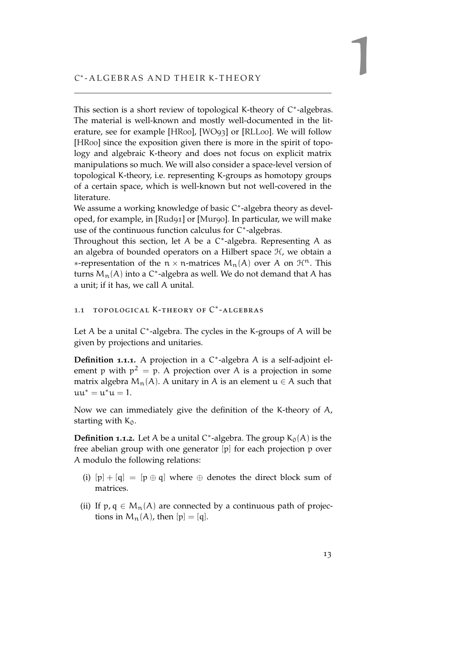<span id="page-12-0"></span>This section is a short review of topological K-theory of C\*-algebras. The material is well-known and mostly well-documented in the literature, see for example [\[HR](#page-152-6)00], [\[WO](#page-154-2)93] or [\[RLL](#page-153-2)00]. We will follow [\[HR](#page-152-6)00] since the exposition given there is more in the spirit of topology and algebraic K-theory and does not focus on explicit matrix manipulations so much. We will also consider a space-level version of topological K-theory, i.e. representing K-groups as homotopy groups of a certain space, which is well-known but not well-covered in the literature.

We assume a working knowledge of basic C<sup>\*</sup>-algebra theory as developed, for example, in [\[Rud](#page-153-3)91] or [\[Mur](#page-153-4)90]. In particular, we will make use of the continuous function calculus for C\*-algebras.

Throughout this section, let A be a C<sup>\*</sup>-algebra. Representing A as an algebra of bounded operators on a Hilbert space  $H$ , we obtain a  $∗$ -representation of the n × n-matrices  $M_n(A)$  over A on  $\mathcal{H}^n$ . This turns  $M_n(A)$  into a C $^*$ -algebra as well. We do not demand that A has a unit; if it has, we call A unital.

### <span id="page-12-1"></span>1.1 TOPOLOGICAL K-THEORY OF C<sup>\*</sup>-ALGEBRAS

Let  $A$  be a unital  $C^*$ -algebra. The cycles in the K-groups of  $A$  will be given by projections and unitaries.

**Definition 1.1.1.** A projection in a C ∗ -algebra A is a self-adjoint element p with  $p^2 = p$ . A projection over A is a projection in some matrix algebra  $M_n(A)$ . A unitary in A is an element  $u \in A$  such that  $uu^* = u^*u = 1.$ 

Now we can immediately give the definition of the K-theory of A, starting with  $K_0$ .

**Definition 1.1.2.** Let A be a unital  $C^*$ -algebra. The group  $K_0(A)$  is the free abelian group with one generator [p] for each projection p over A modulo the following relations:

- (i)  $[p] + [q] = [p \oplus q]$  where  $\oplus$  denotes the direct block sum of matrices.
- (ii) If p, q  $\in M_n(A)$  are connected by a continuous path of projections in  $M_n(A)$ , then  $[p] = [q]$ .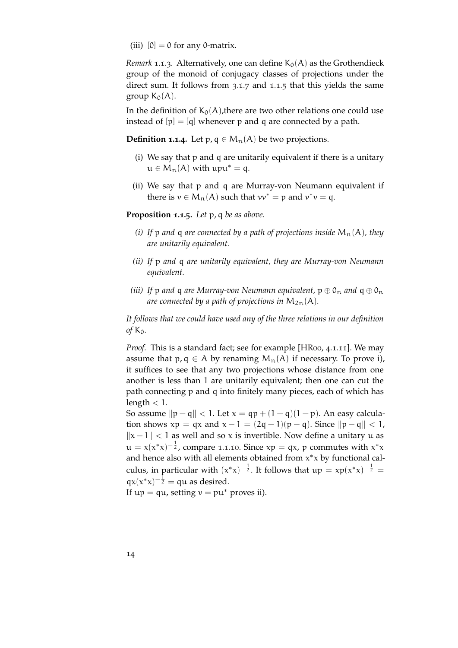(iii)  $[0] = 0$  for any 0-matrix.

*Remark* 1.1.3*.* Alternatively, one can define  $K_0(A)$  as the Grothendieck group of the monoid of conjugacy classes of projections under the direct sum. It follows from [3](#page-47-0).1.7 and [1](#page-13-0).1.5 that this yields the same group  $K_0(A)$ .

In the definition of  $K_0(A)$ , there are two other relations one could use instead of  $[p] = [q]$  whenever p and q are connected by a path.

**Definition 1.1.4.** Let  $p, q \in M_n(A)$  be two projections.

- (i) We say that p and q are unitarily equivalent if there is a unitary  $u \in M_n(A)$  with  $upu^* = q$ .
- (ii) We say that p and q are Murray-von Neumann equivalent if there is  $v \in M_n(A)$  such that  $vv^* = p$  and  $v^*v = q$ .

<span id="page-13-0"></span>**Proposition 1.1.5.** *Let* p, q *be as above.*

- *(i)* If p and q are connected by a path of projections inside  $M_n(A)$ , they *are unitarily equivalent.*
- *(ii) If* p *and* q *are unitarily equivalent, they are Murray-von Neumann equivalent.*
- *(iii) If* p *and* **q** *are Murray-von Neumann equivalent,*  $p \oplus 0_n$  *and*  $q \oplus 0_n$ *are connected by a path of projections in*  $M_{2n}(A)$ *.*

*It follows that we could have used any of the three relations in our definition of*  $K_0$ *.* 

*Proof.* This is a standard fact; see for example [\[HR](#page-152-6)00, 4.1.11]. We may assume that p, q  $\in$  A by renaming  $M_n(A)$  if necessary. To prove i), it suffices to see that any two projections whose distance from one another is less than 1 are unitarily equivalent; then one can cut the path connecting p and q into finitely many pieces, each of which has length  $< 1$ .

So assume  $\|p - q\| < 1$ . Let  $x = qp + (1 - q)(1 - p)$ . An easy calculation shows  $xp = qx$  and  $x - 1 = (2q - 1)(p - q)$ . Since  $||p - q|| < 1$ ,  $||x - 1||$  < 1 as well and so x is invertible. Now define a unitary u as  $\mathfrak{u} = \mathfrak{x}(\mathfrak{x}^*\mathfrak{x})^{-\frac{1}{2}}$ , compare 1.1.[10](#page-16-0). Since  $\mathfrak{xp} = \mathfrak{qx}$ , p commutes with  $\mathfrak{x}^*\mathfrak{x}$ and hence also with all elements obtained from  $x^*x$  by functional calculus, in particular with  $(x^*x)^{-\frac{1}{2}}$ . It follows that  $\mu p = xp(x^*x)^{-\frac{1}{2}} =$  $qx(x^*x)^{-\frac{1}{2}} = qu$  as desired.

If  $up = qu$ , setting  $v = pu^*$  proves ii).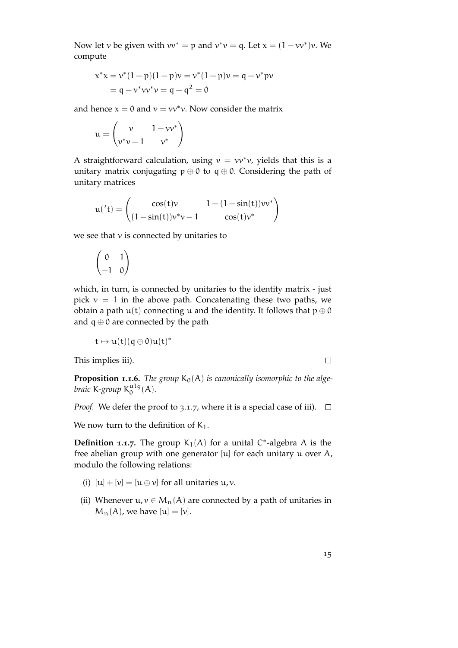Now let v be given with  $vv^* = p$  and  $v^*v = q$ . Let  $x = (1 - vv^*)v$ . We compute

$$
x^*x = v^*(1-p)(1-p)v = v^*(1-p)v = q - v^*pv
$$
  
= q - v^\*vv^\*v = q - q<sup>2</sup> = 0

and hence  $x = 0$  and  $v = vv^*v$ . Now consider the matrix

$$
\mathbf{u} = \begin{pmatrix} \mathbf{v} & 1 - \mathbf{v}\mathbf{v}^* \\ \mathbf{v}^* \mathbf{v} - 1 & \mathbf{v}^* \end{pmatrix}
$$

A straightforward calculation, using  $v = vv^*v$ , yields that this is a unitary matrix conjugating  $p \oplus 0$  to  $q \oplus 0$ . Considering the path of unitary matrices

$$
u('t) = \begin{pmatrix} \cos(t)v & 1 - (1 - \sin(t))vv^* \\ (1 - \sin(t))v^*v - 1 & \cos(t)v^* \end{pmatrix}
$$

we see that  $v$  is connected by unitaries to

$$
\begin{pmatrix} 0 & 1 \ -1 & 0 \end{pmatrix}
$$

which, in turn, is connected by unitaries to the identity matrix - just pick  $v = 1$  in the above path. Concatenating these two paths, we obtain a path  $u(t)$  connecting u and the identity. It follows that  $p \oplus 0$ and  $q \oplus 0$  are connected by the path

$$
t\mapsto u(t)(q\oplus 0)u(t)^*
$$

This implies iii).

 $\Box$ 

**Proposition 1.1.6.** The group  $K_0(A)$  is canonically isomorphic to the alge*braic* K*-group* K alg  $_{0}^{\mathfrak{aug}}(A).$ 

*Proof.* We defer the proof to [3](#page-47-0).1.7, where it is a special case of iii).  $\Box$ 

We now turn to the definition of  $K_1$ .

**Definition 1.1.7.** The group  $K_1(A)$  for a unital C<sup>\*</sup>-algebra A is the free abelian group with one generator [u] for each unitary u over A, modulo the following relations:

- (i)  $[u] + [v] = [u \oplus v]$  for all unitaries  $u, v$ .
- (ii) Whenever  $u, v \in M_n(A)$  are connected by a path of unitaries in  $M_n(A)$ , we have  $[u] = [v]$ .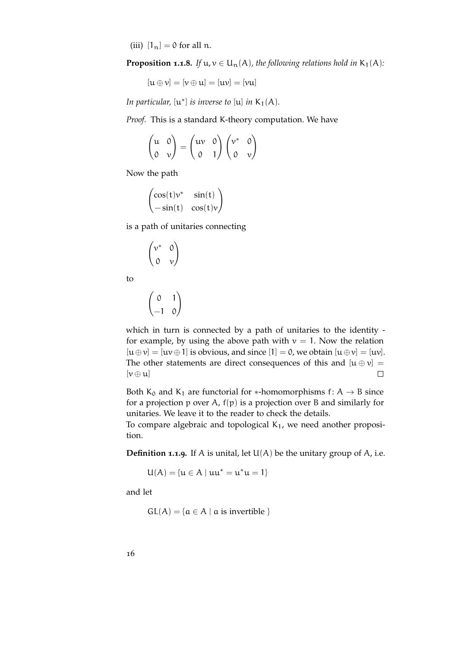(iii)  $[1_n] = 0$  for all n.

<span id="page-15-0"></span>**Proposition 1.1.8.** *If*  $u, v \in U_n(A)$ *, the following relations hold in*  $K_1(A)$ *:* 

$$
[u \oplus v] = [v \oplus u] = [uv] = [vu]
$$

*In particular,*  $[u^*]$  *is inverse to*  $[u]$  *in*  $K_1(A)$ *.* 

*Proof.* This is a standard K-theory computation. We have

$$
\begin{pmatrix} u & 0 \ 0 & v \end{pmatrix} = \begin{pmatrix} uv & 0 \ 0 & 1 \end{pmatrix} \begin{pmatrix} v^* & 0 \ 0 & v \end{pmatrix}
$$

Now the path

$$
\begin{pmatrix}\cos(t)\nu^* & \sin(t) \\ -\sin(t) & \cos(t)\nu\end{pmatrix}
$$

is a path of unitaries connecting

$$
\begin{pmatrix} \nu^* & 0 \\ 0 & \nu \end{pmatrix}
$$

to

$$
\begin{pmatrix} 0 & 1 \ -1 & 0 \end{pmatrix}
$$

which in turn is connected by a path of unitaries to the identity for example, by using the above path with  $v = 1$ . Now the relation  $[u \oplus v] = [uv \oplus 1]$  is obvious, and since  $[1] = 0$ , we obtain  $[u \oplus v] = [uv]$ . The other statements are direct consequences of this and  $[u \oplus v] =$  $[\nu \oplus u]$  $\Box$ 

Both  $K_0$  and  $K_1$  are functorial for \*-homomorphisms f: A  $\rightarrow$  B since for a projection p over A,  $f(p)$  is a projection over B and similarly for unitaries. We leave it to the reader to check the details.

To compare algebraic and topological  $K_1$ , we need another proposition.

**Definition <b>1.1.9**. If A is unital, let  $U(A)$  be the unitary group of A, i.e.

$$
U(A) = \{u \in A \mid uu^* = u^*u = 1\}
$$

and let

 $GL(A) = \{a \in A \mid a \text{ is invertible }\}$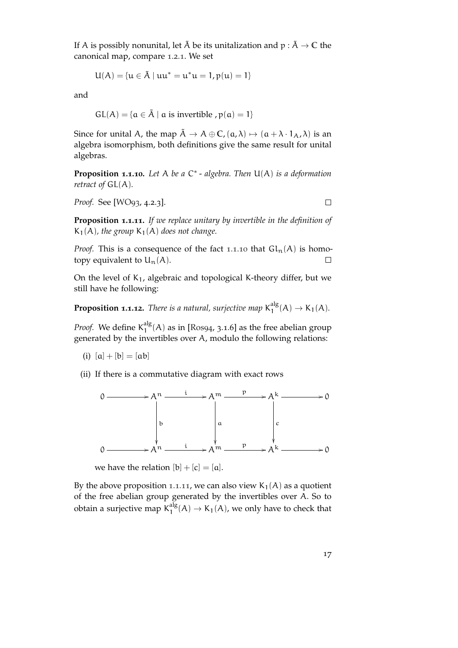If A is possibly nonunital, let  $\tilde{A}$  be its unitalization and  $p : \tilde{A} \to \mathbb{C}$  the canonical map, compare [1](#page-17-1).2.1. We set

$$
U(A) = \{u \in \tilde{A} \mid uu^* = u^*u = 1, p(u) = 1\}
$$

and

$$
GL(A) = \{ \alpha \in \tilde{A} \mid \alpha \text{ is invertible }, p(\alpha) = 1 \}
$$

Since for unital A, the map  $\tilde{A} \to A \oplus C$ ,  $(a, \lambda) \mapsto (a + \lambda \cdot 1_A, \lambda)$  is an algebra isomorphism, both definitions give the same result for unital algebras.

<span id="page-16-0"></span>**Proposition 1.1.10.** *Let* A *be a* C ∗ - *algebra. Then* U(A) *is a deformation retract of* GL(A)*.*

*Proof.* See [\[WO](#page-154-2)93, 4.2.3].

 $\Box$ 

<span id="page-16-1"></span>**Proposition 1.1.11.** *If we replace unitary by invertible in the definition of*  $K_1(A)$ *, the group*  $K_1(A)$  *does not change.* 

*Proof.* This is a consequence of the fact 1.1.[10](#page-16-0) that  $\text{Gl}_n(A)$  is homotopy equivalent to  $U_n(A)$ .  $\Box$ 

On the level of  $K_1$ , algebraic and topological K-theory differ, but we still have he following:

**Proposition 1.1.12.** There is a natural, surjective map  $K_1^{\text{alg}}$  $_{1}^{alg}(A) \to K_{1}(A).$ 

Proof. We define K<sup>alg</sup>  $1^{\text{alg}}_1(A)$  as in [\[Ros](#page-153-5)94, 3.1.6] as the free abelian group generated by the invertibles over A, modulo the following relations:

(i)  $[a] + [b] = [ab]$ 

(ii) If there is a commutative diagram with exact rows



we have the relation  $[b] + [c] = [a]$ .

By the above proposition 1.1.[11](#page-16-1), we can also view  $K_1(A)$  as a quotient of the free abelian group generated by the invertibles over A. So to obtain a surjective map  $\mathsf{K}^\text{alg}_1$  $_{1}^{aug}(A) \rightarrow K_{1}(A)$ , we only have to check that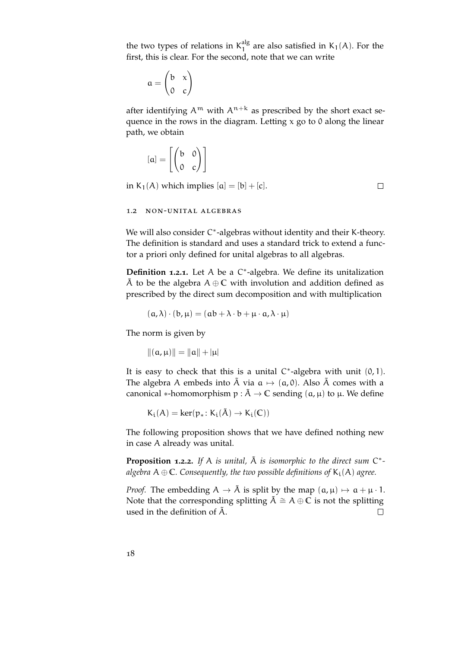the two types of relations in  $K_1^{\text{alg}}$  $_1^{\text{aug}}$  are also satisfied in K<sub>1</sub>(A). For the first, this is clear. For the second, note that we can write

$$
a = \begin{pmatrix} b & x \\ 0 & c \end{pmatrix}
$$

after identifying  $A^m$  with  $A^{n+k}$  as prescribed by the short exact sequence in the rows in the diagram. Letting  $x$  go to 0 along the linear path, we obtain

$$
[\mathfrak{a}] = \left[ \begin{pmatrix} \mathfrak{b} & \mathfrak{0} \\ \mathfrak{0} & \mathfrak{c} \end{pmatrix} \right]
$$

in  $K_1(A)$  which implies  $[a] = [b] + [c]$ .

 $\Box$ 

#### <span id="page-17-0"></span>1.2 non-unital algebras

We will also consider C\*-algebras without identity and their K-theory. The definition is standard and uses a standard trick to extend a functor a priori only defined for unital algebras to all algebras.

<span id="page-17-1"></span>**Definition 1.2.1.** Let A be a C ∗ -algebra. We define its unitalization  $\tilde{A}$  to be the algebra  $A \oplus C$  with involution and addition defined as prescribed by the direct sum decomposition and with multiplication

$$
(\mathfrak{a}, \lambda) \cdot (\mathfrak{b}, \mu) = (\mathfrak{a}\mathfrak{b} + \lambda \cdot \mathfrak{b} + \mu \cdot \mathfrak{a}, \lambda \cdot \mu)
$$

The norm is given by

 $\|(a, \mu)\| = \|a\| + |\mu|$ 

It is easy to check that this is a unital  $C^*$ -algebra with unit  $(0, 1)$ . The algebra A embeds into  $\tilde{A}$  via  $\alpha \mapsto (\alpha, 0)$ . Also  $\tilde{A}$  comes with a canonical \*-homomorphism  $p : \tilde{A} \to \mathbb{C}$  sending  $(a, \mu)$  to  $\mu$ . We define

 $K_i(A) = \text{ker}(p_*; K_i(\tilde{A}) \rightarrow K_i(\mathbb{C}))$ 

The following proposition shows that we have defined nothing new in case A already was unital.

**Proposition 1.2.2.** If A is unital,  $\tilde{A}$  is isomorphic to the direct sum C<sup>\*</sup>*algebra*  $A \oplus \mathbb{C}$ *. Consequently, the two possible definitions of*  $K_i(A)$  *agree.* 

*Proof.* The embedding  $A \rightarrow \tilde{A}$  is split by the map  $(a, \mu) \mapsto a + \mu \cdot 1$ . Note that the corresponding splitting  $\tilde{A} \cong A \oplus \mathbb{C}$  is not the splitting used in the definition of  $\tilde{A}$ .  $\Box$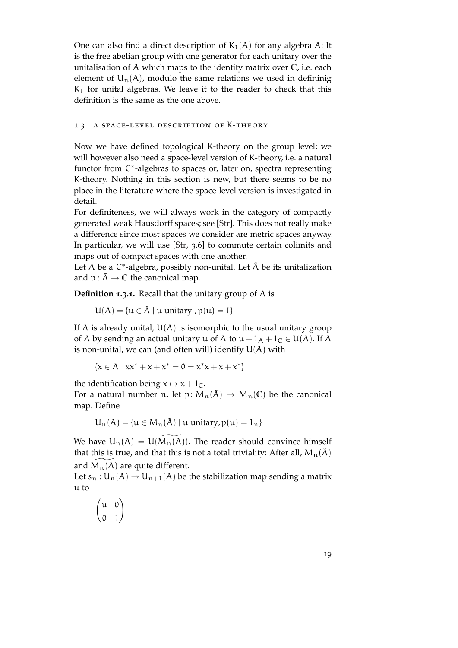One can also find a direct description of  $K_1(A)$  for any algebra A: It is the free abelian group with one generator for each unitary over the unitalisation of A which maps to the identity matrix over **C**, i.e. each element of  $U_n(A)$ , modulo the same relations we used in defininig  $K<sub>1</sub>$  for unital algebras. We leave it to the reader to check that this definition is the same as the one above.

#### <span id="page-18-0"></span>1.3 a space-level description of K-theory

Now we have defined topological K-theory on the group level; we will however also need a space-level version of K-theory, i.e. a natural functor from C\*-algebras to spaces or, later on, spectra representing K-theory. Nothing in this section is new, but there seems to be no place in the literature where the space-level version is investigated in detail.

For definiteness, we will always work in the category of compactly generated weak Hausdorff spaces; see [\[Str\]](#page-153-6). This does not really make a difference since most spaces we consider are metric spaces anyway. In particular, we will use [\[Str,](#page-153-6) 3.6] to commute certain colimits and maps out of compact spaces with one another.

Let A be a  $C^*$ -algebra, possibly non-unital. Let  $\tilde{A}$  be its unitalization and  $p : \tilde{A} \to \mathbb{C}$  the canonical map.

**Definition 1.3.1.** Recall that the unitary group of A is

$$
U(A)=\{u\in \tilde{A}\mid u\text{ unitary },p(u)=1\}
$$

If A is already unital,  $U(A)$  is isomorphic to the usual unitary group of A by sending an actual unitary u of A to  $u - 1_A + 1_C \in U(A)$ . If A is non-unital, we can (and often will) identify  $U(A)$  with

$$
\{x \in A \mid xx^* + x + x^* = 0 = x^*x + x + x^*\}
$$

the identification being  $x \mapsto x + 1_C$ .

For a natural number n, let p:  $M_n(\tilde{A}) \to M_n(\mathbb{C})$  be the canonical map. Define

$$
U_n(A) = \{u \in M_n(\tilde{A}) \mid u \text{ unitary}, p(u) = 1_n\}
$$

We have  $U_n(A) = U(M_n(A))$ . The reader should convince himself that this is true, and that this is not a total triviality: After all,  $M_n(\tilde{A})$ and  $M_n(A)$  are quite different.

Let  $s_n : U_n(A) \to U_{n+1}(A)$  be the stabilization map sending a matrix u to

$$
\begin{pmatrix} u & 0 \\ 0 & 1 \end{pmatrix}
$$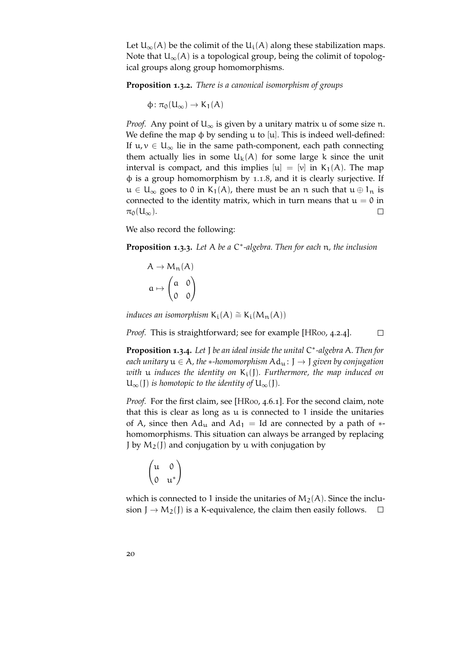Let  $U_{\infty}(A)$  be the colimit of the  $U_i(A)$  along these stabilization maps. Note that  $U_{\infty}(A)$  is a topological group, being the colimit of topological groups along group homomorphisms.

**Proposition 1.3.2.** *There is a canonical isomorphism of groups*

 $\phi: \pi_0(U_\infty) \to K_1(A)$ 

*Proof.* Any point of  $U_{\infty}$  is given by a unitary matrix u of some size n. We define the map  $\phi$  by sending u to [u]. This is indeed well-defined: If  $u, v \in U_{\infty}$  lie in the same path-component, each path connecting them actually lies in some  $U_k(A)$  for some large k since the unit interval is compact, and this implies  $[u] = [v]$  in  $K_1(A)$ . The map φ is a group homomorphism by [1](#page-15-0).1.8, and it is clearly surjective. If  $u \in U_{\infty}$  goes to 0 in K<sub>1</sub>(A), there must be an n such that  $u \oplus 1_n$  is connected to the identity matrix, which in turn means that  $u = 0$  in  $\pi_0(U_\infty)$ .  $\Box$ 

We also record the following:

**Proposition 1.3.3.** *Let* A *be a* C ∗ *-algebra. Then for each* n*, the inclusion*

$$
A \to M_n(A)
$$

$$
a \mapsto \begin{pmatrix} a & 0 \\ 0 & 0 \end{pmatrix}
$$

*induces an isomorphism*  $K_i(A) \cong K_i(M_n(A))$ 

*Proof.* This is straightforward; see for example [\[HR](#page-152-6)00, 4.2.4].  $\Box$ 

**Proposition 1.3.4.** *Let* J *be an ideal inside the unital* C ∗ *-algebra* A*. Then for each unitary*  $u \in A$ , the  $*$ -homomorphism  $Ad_u : J \to J$  given by conjugation *with* u *induces the identity on* Ki(J)*. Furthermore, the map induced on*  $U_{\infty}(I)$  *is homotopic to the identity of*  $U_{\infty}(I)$ *.* 

*Proof.* For the first claim, see [\[HR](#page-152-6)00, 4.6.1]. For the second claim, note that this is clear as long as  $u$  is connected to 1 inside the unitaries of A, since then  $Ad<sub>u</sub>$  and  $Ad<sub>1</sub> = Id$  are connected by a path of  $*$ homomorphisms. This situation can always be arranged by replacing J by  $M_2$ (J) and conjugation by u with conjugation by

$$
\begin{pmatrix} u & 0 \\ 0 & u^* \end{pmatrix}
$$

which is connected to 1 inside the unitaries of  $M_2(A)$ . Since the inclusion  $J \rightarrow M_2(J)$  is a K-equivalence, the claim then easily follows.  $\Box$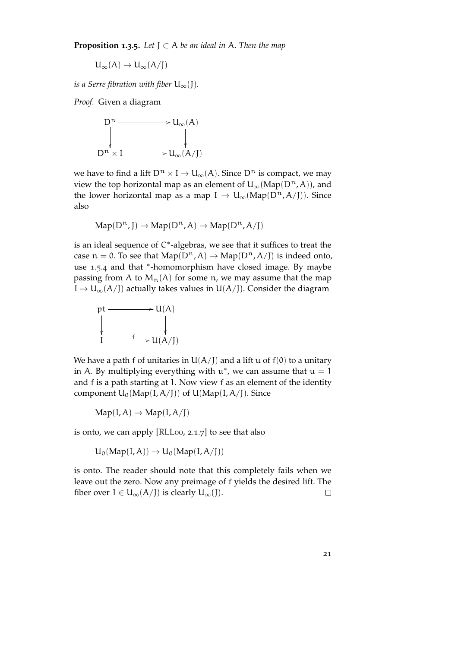**Proposition 1.3.5.** Let  $J \subset A$  be an ideal in A. Then the map

$$
U_\infty(A)\to U_\infty(A/J)
$$

*is a Serre fibration with fiber*  $U_{\infty}(J)$ *.* 

*Proof.* Given a diagram



we have to find a lift  $D^n \times I \to U_\infty(A)$ . Since  $D^n$  is compact, we may view the top horizontal map as an element of  $U_{\infty}(Map(D^n, A))$ , and the lower horizontal map as a map I  $\rightarrow U_{\infty}(\text{Map}(D^n, A/I))$ . Since also

$$
Map(D^n,J)\to Map(D^n,A)\to Map(D^n,A/J)
$$

is an ideal sequence of C<sup>\*</sup>-algebras, we see that it suffices to treat the case  $n = 0$ . To see that  $\text{Map}(D^n, A) \rightarrow \text{Map}(D^n, A/I)$  is indeed onto, use [1](#page-23-0).5.4 and that \*-homomorphism have closed image. By maybe passing from A to  $M_n(A)$  for some n, we may assume that the map  $I \to U_{\infty}(A/I)$  actually takes values in  $U(A/I)$ . Consider the diagram



We have a path f of unitaries in  $U(A/I)$  and a lift u of  $f(0)$  to a unitary in A. By multiplying everything with  $u^*$ , we can assume that  $u = 1$ and f is a path starting at 1. Now view f as an element of the identity component  $U_0(Map(I, A/I))$  of  $U(Map(I, A/I))$ . Since

 $Map(I, A) \rightarrow Map(I, A/I)$ 

is onto, we can apply [\[RLL](#page-153-2)00, 2.1.7] to see that also

 $U_0(Map(I, A)) \rightarrow U_0(Map(I, A/I))$ 

<span id="page-20-0"></span>is onto. The reader should note that this completely fails when we leave out the zero. Now any preimage of f yields the desired lift. The fiber over  $1 \in U_{\infty}(A/I)$  is clearly  $U_{\infty}(I)$ .  $\Box$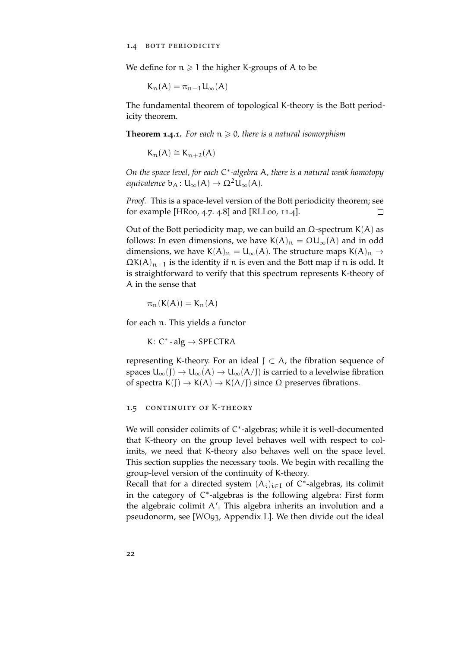We define for  $n \geq 1$  the higher K-groups of A to be

$$
K_n(A) = \pi_{n-1} U_{\infty}(A)
$$

The fundamental theorem of topological K-theory is the Bott periodicity theorem.

**Theorem 1.4.1.** For each  $n \ge 0$ , there is a natural isomorphism

$$
\bar{K}_n(A)\cong \bar{K}_{n+2}(A)
$$

*On the space level, for each* C ∗ *-algebra* A*, there is a natural weak homotopy equivalence*  $b_A: U_\infty(A) \to \Omega^2 U_\infty(A)$ .

*Proof.* This is a space-level version of the Bott periodicity theorem; see for example [\[HR](#page-152-6)00, 4.7. 4.8] and [\[RLL](#page-153-2)00, 11.4].  $\Box$ 

Out of the Bott periodicity map, we can build an  $Ω$ -spectrum K(A) as follows: In even dimensions, we have  $K(A)_n = \Omega U_\infty(A)$  and in odd dimensions, we have  $K(A)_n = U_\infty(A)$ . The structure maps  $K(A)_n \to$  $\Omega K(A)_{n+1}$  is the identity if n is even and the Bott map if n is odd. It is straightforward to verify that this spectrum represents K-theory of A in the sense that

$$
\pi_n(K(A))=K_n(A)
$$

for each n. This yields a functor

K:  $C^*$  - alg  $\rightarrow$  SPECTRA

representing K-theory. For an ideal  $J \subset A$ , the fibration sequence of spaces  $U_{\infty}(J) \to U_{\infty}(A) \to U_{\infty}(A/J)$  is carried to a levelwise fibration of spectra K(J)  $\rightarrow$  K(A)  $\rightarrow$  K(A/J) since  $\Omega$  preserves fibrations.

#### <span id="page-21-0"></span>1.5 continuity of K-theory

We will consider colimits of C<sup>\*</sup>-algebras; while it is well-documented that K-theory on the group level behaves well with respect to colimits, we need that K-theory also behaves well on the space level. This section supplies the necessary tools. We begin with recalling the group-level version of the continuity of K-theory.

Recall that for a directed system  $(A_i)_{i \in I}$  of  $C^*$ -algebras, its colimit in the category of C\*-algebras is the following algebra: First form the algebraic colimit  $A'$ . This algebra inherits an involution and a pseudonorm, see [\[WO](#page-154-2)93, Appendix L]. We then divide out the ideal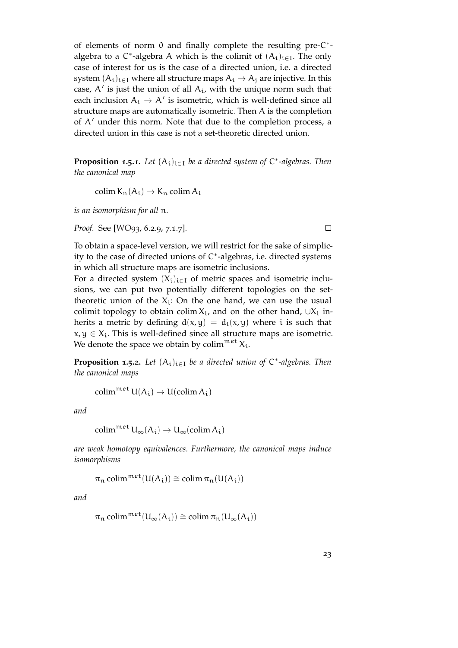of elements of norm 0 and finally complete the resulting pre-C<sup>\*</sup>algebra to a  $C^*$ -algebra A which is the colimit of  $(A_i)_{i\in I}$ . The only case of interest for us is the case of a directed union, i.e. a directed system  $(A_i)_{i\in I}$  where all structure maps  $A_i \rightarrow A_j$  are injective. In this case,  $A'$  is just the union of all  $A_i$ , with the unique norm such that each inclusion  $A_i \rightarrow A'$  is isometric, which is well-defined since all structure maps are automatically isometric. Then A is the completion of  $A'$  under this norm. Note that due to the completion process, a directed union in this case is not a set-theoretic directed union.

**Proposition 1.5.1.** *Let* (Ai)i∈<sup>I</sup> *be a directed system of* C ∗ *-algebras. Then the canonical map*

colim  $K_n(A_i) \rightarrow K_n$  colim  $A_i$ 

*is an isomorphism for all* n*.*

*Proof.* See [\[WO](#page-154-2)93, 6.2.9, 7.1.7].

 $\Box$ 

To obtain a space-level version, we will restrict for the sake of simplicity to the case of directed unions of C ∗ -algebras, i.e. directed systems in which all structure maps are isometric inclusions.

For a directed system  $(X_i)_{i\in I}$  of metric spaces and isometric inclusions, we can put two potentially different topologies on the settheoretic union of the  $X_i$ : On the one hand, we can use the usual colimit topology to obtain colim  $X_i$ , and on the other hand,  $\cup X_i$  inherits a metric by defining  $d(x,y) = d_i(x,y)$  where i is such that  $x, y \in X_i$ . This is well-defined since all structure maps are isometric. We denote the space we obtain by colim<sup>met</sup>  $X_i$ .

<span id="page-22-0"></span>**Proposition 1.5.2.** *Let* (Ai)i∈<sup>I</sup> *be a directed union of* C ∗ *-algebras. Then the canonical maps*

$$
\text{colim}^{\mathfrak{met}}\, \mathsf{U}(\mathsf{A}_i) \to \mathsf{U}(\text{colim}\, \mathsf{A}_i)
$$

*and*

$$
\operatorname{colim}^{\mathfrak{m}\mathfrak{e}\mathfrak{t}} \mathsf{U}_{\infty}(\mathsf{A}_{\mathfrak{i}}) \to \mathsf{U}_{\infty}(\operatorname{colim} \mathsf{A}_{\mathfrak{i}})
$$

*are weak homotopy equivalences. Furthermore, the canonical maps induce isomorphisms*

$$
\pi_n \mathop{\text{colim}}\nolimits^{\mathop{\mathfrak{met}}\nolimits}(U(A_i)) \cong \mathop{\text{colim}}\nolimits \pi_n(U(A_i))
$$

*and*

$$
\pi_n \mathop{\text{\rm colim}}\nolimits^{met}(U_\infty(A_i)) \cong \mathop{\text{\rm colim}}\nolimits \pi_n(U_\infty(A_i))
$$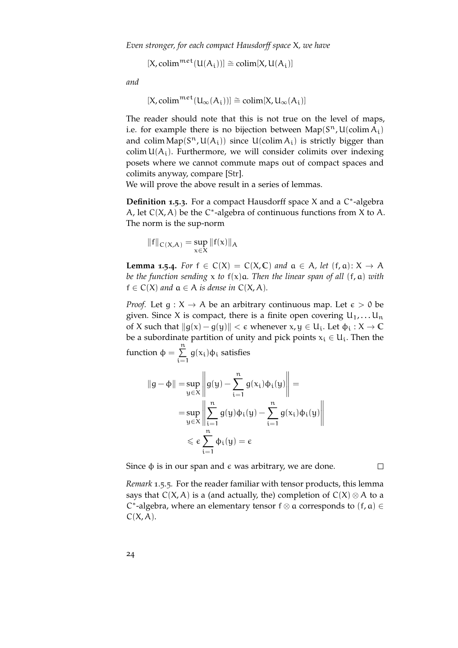$[X, \text{colim}^{\text{met}}(U(A_i))] \cong \text{colim}[X, U(A_i)]$ 

*and*

$$
[X, \text{colim}^{\mathfrak{met}}(U_{\infty}(A_i))] \cong \text{colim}[X, U_{\infty}(A_i)]
$$

The reader should note that this is not true on the level of maps, i.e. for example there is no bijection between  $\text{Map}(S^n, U(\text{colim } A_i))$ and colim  $\text{Map}(S^n, U(A_i))$  since  $U(\text{colim } A_i)$  is strictly bigger than colim  $U(A_i)$ . Furthermore, we will consider colimits over indexing posets where we cannot commute maps out of compact spaces and colimits anyway, compare [\[Str\]](#page-153-6).

We will prove the above result in a series of lemmas.

**Definition 1.5.3.** For a compact Hausdorff space X and a C ∗ -algebra A, let  $C(X, A)$  be the C<sup>\*</sup>-algebra of continuous functions from X to A. The norm is the sup-norm

$$
\left\|f\right\|_{C\left(X,A\right)}=\sup_{x\in X}\left\|f(x)\right\|_{A}
$$

 $i=1$ 

<span id="page-23-0"></span>**Lemma 1.5.4.** *For*  $f \in C(X) = C(X, \mathbb{C})$  *and*  $\alpha \in A$ *, let*  $(f, \alpha): X \to A$ *be the function sending* x *to* f(x)a*. Then the linear span of all* (f, a) *with*  $f \in C(X)$  *and*  $a \in A$  *is dense in*  $C(X, A)$ *.* 

*Proof.* Let  $g: X \to A$  be an arbitrary continuous map. Let  $\epsilon > 0$  be given. Since X is compact, there is a finite open covering  $U_1, \ldots, U_n$ of X such that  $||g(x) - g(y)|| < \epsilon$  whenever  $x, y \in U_i$ . Let  $\phi_i : X \to \mathbb{C}$ be a subordinate partition of unity and pick points  $x_i \in U_i$ . Then the function  $\phi = \sum^{n}$  $g(x_i)φ_i$  satisfies

$$
\|g - \varphi\| = \sup_{y \in X} \left\| g(y) - \sum_{i=1}^{n} g(x_i) \varphi_i(y) \right\| =
$$
  
= 
$$
\sup_{y \in X} \left\| \sum_{i=1}^{n} g(y) \varphi_i(y) - \sum_{i=1}^{n} g(x_i) \varphi_i(y) \right\|
$$
  

$$
\leq \varepsilon \sum_{i=1}^{n} \varphi_i(y) = \varepsilon
$$

Since  $φ$  is in our span and  $ε$  was arbitrary, we are done.

 $\Box$ 

<span id="page-23-1"></span>*Remark* 1.5.5*.* For the reader familiar with tensor products, this lemma says that  $C(X, A)$  is a (and actually, the) completion of  $C(X) \otimes A$  to a C<sup>\*</sup>-algebra, where an elementary tensor  $f \otimes a$  corresponds to  $(f, a) \in$  $C(X, A)$ .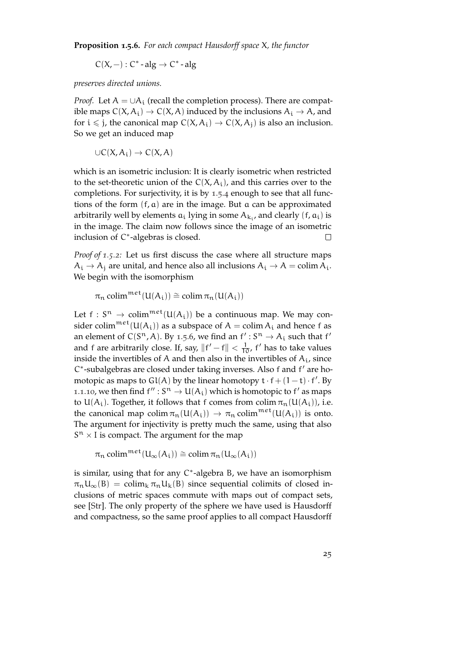**Proposition 1.5.6.** *For each compact Hausdorff space* X*, the functor*

 $C(X, -): C^*$  - alg  $\rightarrow C^*$  - alg

*preserves directed unions.*

*Proof.* Let  $A = \cup A_i$  (recall the completion process). There are compatible maps  $C(X, A_i) \to C(X, A)$  induced by the inclusions  $A_i \to A$ , and for  $i \le j$ , the canonical map  $C(X, A_i) \to C(X, A_j)$  is also an inclusion. So we get an induced map

$$
\cup C(X,A_i) \to C(X,A)
$$

which is an isometric inclusion: It is clearly isometric when restricted to the set-theoretic union of the  $C(X, A_i)$ , and this carries over to the completions. For surjectivity, it is by [1](#page-23-0).5.4 enough to see that all functions of the form (f, a) are in the image. But a can be approximated arbitrarily well by elements  $a_i$  lying in some  $A_{k_i}$ , and clearly  $(f, a_i)$  is in the image. The claim now follows since the image of an isometric inclusion of C ∗ -algebras is closed.  $\Box$ 

*Proof of [1](#page-22-0).5.2:* Let us first discuss the case where all structure maps  $A_i \rightarrow A_j$  are unital, and hence also all inclusions  $A_i \rightarrow A = \text{colim } A_i$ . We begin with the isomorphism

 $\pi_n$  colim<sup>met</sup>(U(A<sub>i</sub>)) ≅ colim  $\pi_n(U(A_i))$ 

Let  $f: S^n \to \text{colim}^{\text{met}}(\mathsf{U}(\mathsf{A}_i))$  be a continuous map. We may consider colim<sup>met</sup>( $U(A_i)$ ) as a subspace of  $A = \text{colim } A_i$  and hence f as an element of  $C(S^n, A)$ . By [1](#page-23-1).5.6, we find an  $f' : S^n \to A_i$  such that  $f'$ and f are arbitrarily close. If, say,  $||f' - f|| < \frac{1}{10}$ , f' has to take values inside the invertibles of A and then also in the invertibles of  $A_i$ , since C\*-subalgebras are closed under taking inverses. Also f and f' are homotopic as maps to  $Gl(A)$  by the linear homotopy  $t \cdot f + (1-t) \cdot f'$ . By 1.1.[10](#page-16-0), we then find  $f'' : S^n \to U(A_i)$  which is homotopic to f' as maps to  $U(A_i)$ . Together, it follows that f comes from colim  $\pi_n(U(A_i))$ , i.e. the canonical map colim  $\pi_n(U(A_i)) \to \pi_n$  colim<sup>met</sup> $(U(A_i))$  is onto. The argument for injectivity is pretty much the same, using that also  $S<sup>n</sup> \times I$  is compact. The argument for the map

 $\pi_n$  colim<sup>met</sup>(U<sub>∞</sub>(A<sub>i</sub>)) ≅ colim  $\pi_n(U_\infty(A_i))$ 

is similar, using that for any C ∗ -algebra B, we have an isomorphism  $\pi_n U_\infty(B) = \text{colim}_k \pi_n U_k(B)$  since sequential colimits of closed inclusions of metric spaces commute with maps out of compact sets, see [\[Str\]](#page-153-6). The only property of the sphere we have used is Hausdorff and compactness, so the same proof applies to all compact Hausdorff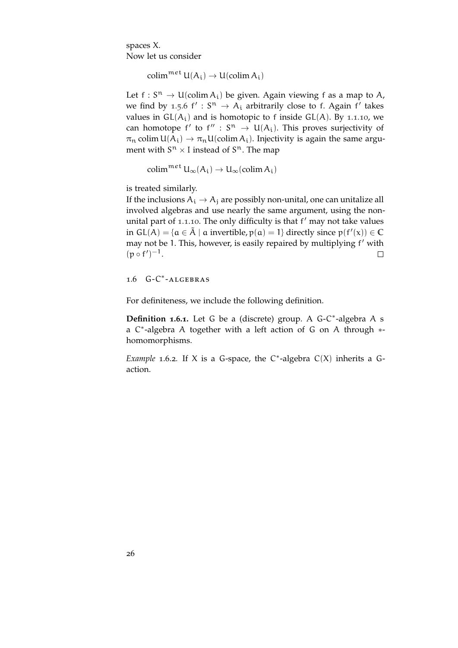spaces X. Now let us consider

 $\text{colim}^{\mathfrak{met}} \mathsf{U}(A_i) \to \mathsf{U}(\text{colim } A_i)$ 

Let  $f: S^n \to U(\text{colim } A_i)$  be given. Again viewing f as a map to A, we find by [1](#page-23-1).5.6  $f' : S^n \to A_i$  arbitrarily close to f. Again f' takes values in  $GL(A_i)$  and is homotopic to f inside  $GL(A)$ . By 1.1.[10](#page-16-0), we can homotope f' to  $f'' : S^n \to U(A_i)$ . This proves surjectivity of  $\pi_n$  colim  $U(A_i) \to \pi_n U$ (colim  $A_i$ ). Injectivity is again the same argument with  $S<sup>n</sup> \times I$  instead of  $S<sup>n</sup>$ . The map

colim $^{\text{met}} \mathsf{U}_{\infty}(\mathsf{A}_{i}) \to \mathsf{U}_{\infty}(\text{colim } \mathsf{A}_{i})$ 

is treated similarly.

If the inclusions  $A_i \rightarrow A_j$  are possibly non-unital, one can unitalize all involved algebras and use nearly the same argument, using the non-unital part of 1.1.[10](#page-16-0). The only difficulty is that f' may not take values in  $GL(A) = \{a \in \tilde{A} \mid a \text{ invertible}, p(a) = 1\}$  directly since  $p(f'(x)) \in \mathbb{C}$ may not be 1. This, however, is easily repaired by multiplying f' with  $(p \circ f')^{-1}.$  $\Box$ 

<span id="page-25-0"></span>1.6 G-C<sup>\*</sup>-ALGEBRAS

For definiteness, we include the following definition.

**Definition 1.6.1.** Let G be a (discrete) group. A G-C ∗ -algebra A s a C<sup>\*</sup>-algebra A together with a left action of G on A through \*homomorphisms.

*Example* 1.6.2. If X is a G-space, the  $C^*$ -algebra  $C(X)$  inherits a Gaction.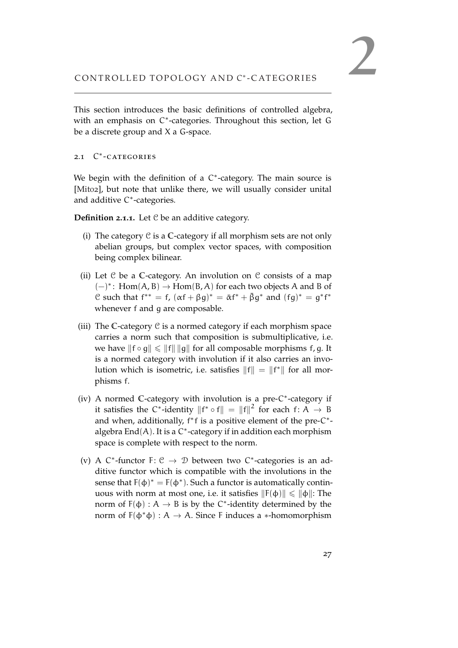<span id="page-26-0"></span>This section introduces the basic definitions of controlled algebra, with an emphasis on C<sup>\*</sup>-categories. Throughout this section, let G be a discrete group and X a G-space.

## <span id="page-26-1"></span>2.1 C<sup>\*</sup>-CATEGORIES

We begin with the definition of a  $C^*$ -category. The main source is [\[Mit](#page-152-7)02], but note that unlike there, we will usually consider unital and additive C<sup>\*</sup>-categories.

**Definition 2.1.1.** Let C be an additive category.

- (i) The category C is a **C**-category if all morphism sets are not only abelian groups, but complex vector spaces, with composition being complex bilinear.
- (ii) Let C be a **C**-category. An involution on C consists of a map (−)<sup>∗</sup> : Hom(A, B) → Hom(B, A) for each two objects A and B of C such that  $f^{**} = f$ ,  $(\alpha f + \beta g)^* = \overline{\alpha} f^* + \overline{\beta} g^*$  and  $(fg)^* = g^* f^*$ whenever f and g are composable.
- (iii) The **C**-category C is a normed category if each morphism space carries a norm such that composition is submultiplicative, i.e. we have  $||f \circ g|| \le ||f|| ||g||$  for all composable morphisms f, g. It is a normed category with involution if it also carries an involution which is isometric, i.e. satisfies  $||f|| = ||f^*||$  for all morphisms f.
- (iv) A normed C-category with involution is a pre-C<sup>\*</sup>-category if it satisfies the C<sup>\*</sup>-identity  $||f^* \circ f|| = ||f||^2$  for each  $f: A \to B$ and when, additionally, f<sup>\*</sup>f is a positive element of the pre-C<sup>\*</sup>algebra  $\text{End}(A)$ . It is a C $^*$ -category if in addition each morphism space is complete with respect to the norm.
- (v) A  $C^*$ -functor F:  $C \rightarrow D$  between two  $C^*$ -categories is an additive functor which is compatible with the involutions in the sense that  $F(\phi)^* = F(\phi^*)$ . Such a functor is automatically continuous with norm at most one, i.e. it satisfies  $\|F(\phi)\| \le \|\phi\|$ : The norm of  $F(\phi) : A \rightarrow B$  is by the C<sup>\*</sup>-identity determined by the norm of  $F(φ * φ) : A → A$ . Since F induces a ∗-homomorphism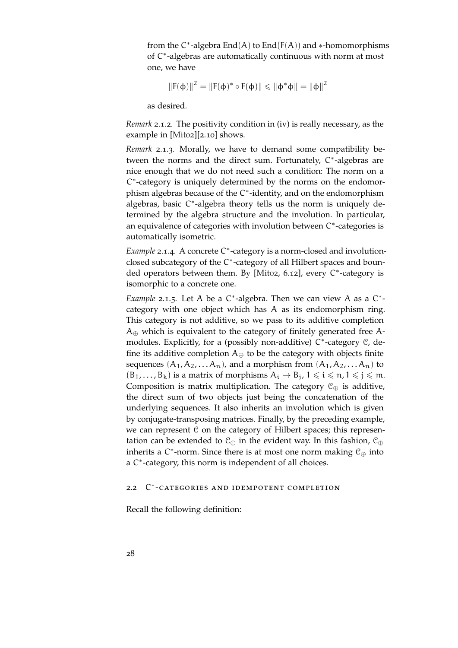from the  $C^*$ -algebra  $End(A)$  to  $End(F(A))$  and  $*$ -homomorphisms of C\*-algebras are automatically continuous with norm at most one, we have

$$
||F(\varphi)||^2 = ||F(\varphi)^* \circ F(\varphi)|| \leq ||\varphi^*\varphi|| = ||\varphi||^2
$$

as desired.

*Remark* 2.1.2*.* The positivity condition in (iv) is really necessary, as the example in [\[Mit](#page-152-7)02][2.10] shows.

*Remark* 2.1.3*.* Morally, we have to demand some compatibility between the norms and the direct sum. Fortunately, C\*-algebras are nice enough that we do not need such a condition: The norm on a C ∗ -category is uniquely determined by the norms on the endomorphism algebras because of the C<sup>\*</sup>-identity, and on the endomorphism algebras, basic C\*-algebra theory tells us the norm is uniquely determined by the algebra structure and the involution. In particular, an equivalence of categories with involution between C\*-categories is automatically isometric.

Example 2.1.4. A concrete C<sup>\*</sup>-category is a norm-closed and involutionclosed subcategory of the C ∗ -category of all Hilbert spaces and boun-ded operators between them. By [\[Mit](#page-152-7)o2, 6.12], every C\*-category is isomorphic to a concrete one.

Example 2.1.5. Let A be a C<sup>\*</sup>-algebra. Then we can view A as a C<sup>\*</sup>category with one object which has A as its endomorphism ring. This category is not additive, so we pass to its additive completion  $A_{\oplus}$  which is equivalent to the category of finitely generated free Amodules. Explicitly, for a (possibly non-additive) C<sup>\*</sup>-category *C*, define its additive completion  $A_{\oplus}$  to be the category with objects finite sequences  $(A_1, A_2, \ldots, A_n)$ , and a morphism from  $(A_1, A_2, \ldots, A_n)$  to  $(B_1, \ldots, B_k)$  is a matrix of morphisms  $A_i \rightarrow B_j$ ,  $1 \leq i \leq n$ ,  $1 \leq j \leq m$ . Composition is matrix multiplication. The category  $\mathcal{C}_{\oplus}$  is additive, the direct sum of two objects just being the concatenation of the underlying sequences. It also inherits an involution which is given by conjugate-transposing matrices. Finally, by the preceding example, we can represent  $C$  on the category of Hilbert spaces; this representation can be extended to  $\mathcal{C}_{\oplus}$  in the evident way. In this fashion,  $\mathcal{C}_{\oplus}$ inherits a C<sup>\*</sup>-norm. Since there is at most one norm making  $\mathcal{C}_{\oplus}$  into a C<sup>\*</sup>-category, this norm is independent of all choices.

### <span id="page-27-0"></span>2.2 C<sup>\*</sup>-CATEGORIES AND IDEMPOTENT COMPLETION

Recall the following definition: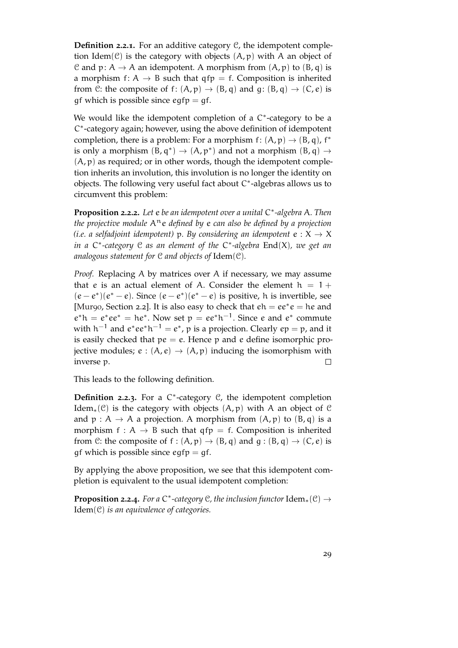**Definition 2.2.1.** For an additive category C, the idempotent completion Idem( $\mathcal{C}$ ) is the category with objects  $(A, p)$  with A an object of C and p:  $A \rightarrow A$  an idempotent. A morphism from  $(A, p)$  to  $(B, q)$  is a morphism  $f: A \rightarrow B$  such that  $qfp = f$ . Composition is inherited from C: the composite of f:  $(A, p) \rightarrow (B, q)$  and  $q: (B, q) \rightarrow (C, e)$  is qf which is possible since  $eqfp = gf$ .

We would like the idempotent completion of a C<sup>\*</sup>-category to be a C ∗ -category again; however, using the above definition of idempotent completion, there is a problem: For a morphism  $f: (A, p) \rightarrow (B, q)$ ,  $f^*$ is only a morphism  $(B, q^*) \to (A, p^*)$  and not a morphism  $(B, q) \to$  $(A, p)$  as required; or in other words, though the idempotent completion inherits an involution, this involution is no longer the identity on objects. The following very useful fact about C ∗ -algebras allows us to circumvent this problem:

**Proposition 2.2.2.** *Let* e *be an idempotent over a unital* C ∗ *-algebra* A*. Then the projective module*  $A<sup>n</sup>e$  *defined by e can also be defined by a projection (i.e. a selfadjoint idempotent)* p. By considering an idempotent  $e: X \rightarrow X$ *in a* C ∗ *-category* C *as an element of the* C ∗ *-algebra* End(X)*, we get an analogous statement for* C *and objects of* Idem(C)*.*

*Proof.* Replacing A by matrices over A if necessary, we may assume that e is an actual element of A. Consider the element  $h = 1 +$  $(e-e^*)(e^*-e)$ . Since  $(e-e^*)(e^*-e)$  is positive, h is invertible, see [\[Mur](#page-153-4)90, Section 2.2]. It is also easy to check that  $eh = ee^*e = he$  and  $e^*h = e^*ee^* = he^*$ . Now set  $p = ee^*h^{-1}$ . Since e and  $e^*$  commute with h $^{-1}$  and  $e^*ee^*h^{-1}=e^*$ ,  $p$  is a projection. Clearly  $ep=p$ , and it is easily checked that  $pe = e$ . Hence p and e define isomorphic projective modules;  $e : (A, e) \rightarrow (A, p)$  inducing the isomorphism with inverse p.  $\Box$ 

This leads to the following definition.

**Definition 2.2.3.** For a C ∗ -category C, the idempotent completion Idem<sub>∗</sub>( $\mathcal{C}$ ) is the category with objects  $(A, p)$  with A an object of  $\mathcal{C}$ and  $p : A \rightarrow A$  a projection. A morphism from  $(A, p)$  to  $(B, q)$  is a morphism  $f : A \rightarrow B$  such that  $qfp = f$ . Composition is inherited from C: the composite of f :  $(A, p) \rightarrow (B, q)$  and  $g : (B, q) \rightarrow (C, e)$  is qf which is possible since  $eqfp = gf$ .

By applying the above proposition, we see that this idempotent completion is equivalent to the usual idempotent completion:

**Proposition 2.2.4.** For a  $C^*$ -category  $C$ , the inclusion functor  $Idem_*(C) \rightarrow$ Idem(C) *is an equivalence of categories.*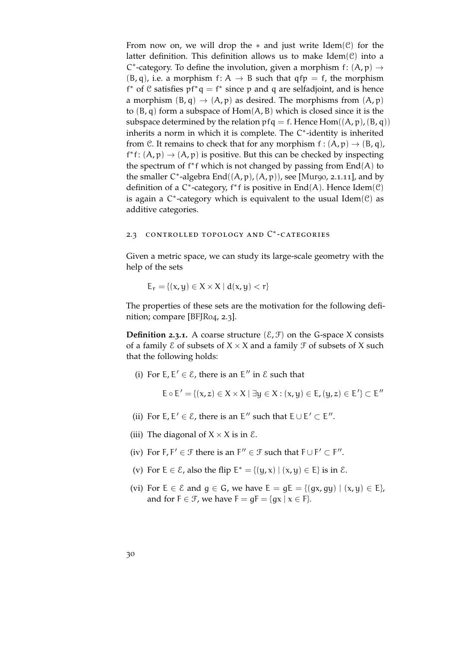From now on, we will drop the  $*$  and just write Idem( $C$ ) for the latter definition. This definition allows us to make  $Idem(\mathcal{C})$  into a C<sup>\*</sup>-category. To define the involution, given a morphism  $f: (A, p) \rightarrow$  $(B, q)$ , i.e. a morphism  $f: A \rightarrow B$  such that  $qfp = f$ , the morphism f<sup>\*</sup> of  $C$  satisfies  $pf^*q = f^*$  since p and q are selfadjoint, and is hence a morphism  $(B, q) \rightarrow (A, p)$  as desired. The morphisms from  $(A, p)$ to  $(B, q)$  form a subspace of  $Hom(A, B)$  which is closed since it is the subspace determined by the relation  $pfq = f$ . Hence  $Hom((A, p), (B, q))$ inherits a norm in which it is complete. The C<sup>\*</sup>-identity is inherited from C. It remains to check that for any morphism  $f : (A, p) \rightarrow (B, q)$ , f<sup>\*</sup>f:  $(A, p) \rightarrow (A, p)$  is positive. But this can be checked by inspecting the spectrum of  $f^*f$  which is not changed by passing from  $End(A)$  to the smaller  $C^*$ -algebra  $End((A, p), (A, p))$ , see [\[Mur](#page-153-4)go, 2.1.11], and by definition of a C<sup>\*</sup>-category, f<sup>\*</sup>f is positive in End(A). Hence Idem(C) is again a  $C^*$ -category which is equivalent to the usual Idem $(C)$  as additive categories.

### <span id="page-29-0"></span>2.3 CONTROLLED TOPOLOGY AND C<sup>\*</sup>-CATEGORIES

Given a metric space, we can study its large-scale geometry with the help of the sets

$$
E_r = \{(x, y) \in X \times X \mid d(x, y) < r\}
$$

The properties of these sets are the motivation for the following definition; compare [\[BFJR](#page-150-1)04, 2.3].

**Definition 2.3.1.** A coarse structure  $(\mathcal{E}, \mathcal{F})$  on the G-space X consists of a family  $\mathcal E$  of subsets of  $X \times X$  and a family  $\mathcal F$  of subsets of X such that the following holds:

(i) For  $E, E' \in \mathcal{E}$ , there is an  $E''$  in  $\mathcal{E}$  such that

$$
E\circ E'=\{(x,z)\in X\times X\mid \exists y\in X: (x,y)\in E, (y,z)\in E'\}\subset E''
$$

- (ii) For  $E, E' \in \mathcal{E}$ , there is an  $E''$  such that  $E \cup E' \subset E''$ .
- (iii) The diagonal of  $X \times X$  is in  $\mathcal{E}$ .
- (iv) For  $F, F' \in \mathcal{F}$  there is an  $F'' \in \mathcal{F}$  such that  $F \cup F' \subset F''$ .
- (v) For  $E \in \mathcal{E}$ , also the flip  $E^* = \{(y, x) | (x, y) \in E\}$  is in  $\mathcal{E}$ .
- (vi) For  $E \in \mathcal{E}$  and  $g \in G$ , we have  $E = gE = \{(gx, gy) | (x, y) \in E\}$ , and for  $F \in \mathcal{F}$ , we have  $F = gF = \{gx \mid x \in F\}$ .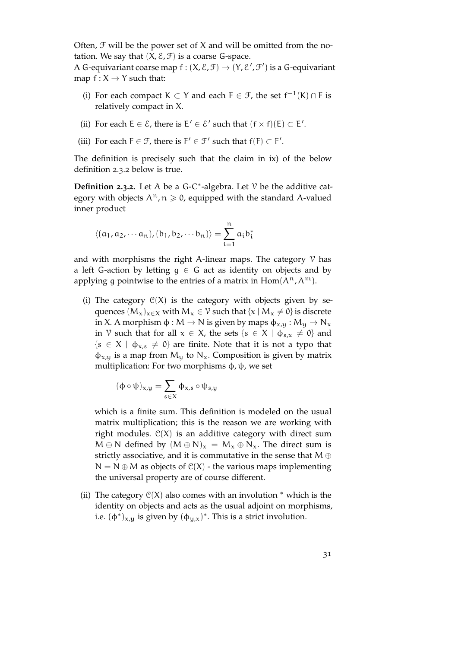Often,  $\mathfrak F$  will be the power set of  $X$  and will be omitted from the notation. We say that  $(X, \mathcal{E}, \mathcal{F})$  is a coarse G-space.

A G-equivariant coarse map  $f : (X, \mathcal{E}, \mathcal{F}) \to (Y, \mathcal{E}', \mathcal{F}')$  is a G-equivariant map  $f: X \rightarrow Y$  such that:

- (i) For each compact K ⊂ Y and each  $F \in \mathcal{F}$ , the set  $f^{-1}(K) \cap F$  is relatively compact in X.
- (ii) For each  $E \in \mathcal{E}$ , there is  $E' \in \mathcal{E}'$  such that  $(f \times f)(E) \subset E'$ .
- (iii) For each  $F \in \mathcal{F}$ , there is  $F' \in \mathcal{F}'$  such that  $f(F) \subset F'$ .

The definition is precisely such that the claim in ix) of the below definition [2](#page-30-0).3.2 below is true.

<span id="page-30-0"></span>**Definition 2.3.2.** Let A be a G-C<sup>\*</sup>-algebra. Let  $\mathcal V$  be the additive category with objects  $A^n$ ,  $n \ge 0$ , equipped with the standard A-valued inner product

$$
\langle (a_1, a_2, \cdots a_n), (b_1, b_2, \cdots b_n) \rangle = \sum_{i=1}^n a_i b_i^*
$$

and with morphisms the right A-linear maps. The category  $\gamma$  has a left G-action by letting  $g \in G$  act as identity on objects and by applying g pointwise to the entries of a matrix in  $Hom(A^n, A^m)$ .

(i) The category  $C(X)$  is the category with objects given by sequences  $(M_x)_{x\in X}$  with  $M_x \in V$  such that  $\{x \mid M_x \neq 0\}$  is discrete in X. A morphism  $\phi : M \to N$  is given by maps  $\phi_{x,y} : M_y \to N_x$ in V such that for all  $x \in X$ , the sets  $\{s \in X \mid \phi_{s,x} \neq 0\}$  and  ${s \in X \mid \varphi_{x,s} \neq 0}$  are finite. Note that it is not a typo that  $\phi_{x,y}$  is a map from M<sub>y</sub> to N<sub>x</sub>. Composition is given by matrix multiplication: For two morphisms  $\phi$ ,  $\psi$ , we set

$$
(\varphi\circ\psi)_{x,y}=\sum_{s\in X}\varphi_{x,s}\circ\psi_{s,y}
$$

which is a finite sum. This definition is modeled on the usual matrix multiplication; this is the reason we are working with right modules.  $C(X)$  is an additive category with direct sum  $M \oplus N$  defined by  $(M \oplus N)_x = M_x \oplus N_x$ . The direct sum is strictly associative, and it is commutative in the sense that  $M \oplus$  $N = N \oplus M$  as objects of  $C(X)$  - the various maps implementing the universal property are of course different.

(ii) The category  $\mathcal{C}(X)$  also comes with an involution  $*$  which is the identity on objects and acts as the usual adjoint on morphisms, i.e.  $(\phi^*)_{x,y}$  is given by  $(\phi_{y,x})^*$ . This is a strict involution.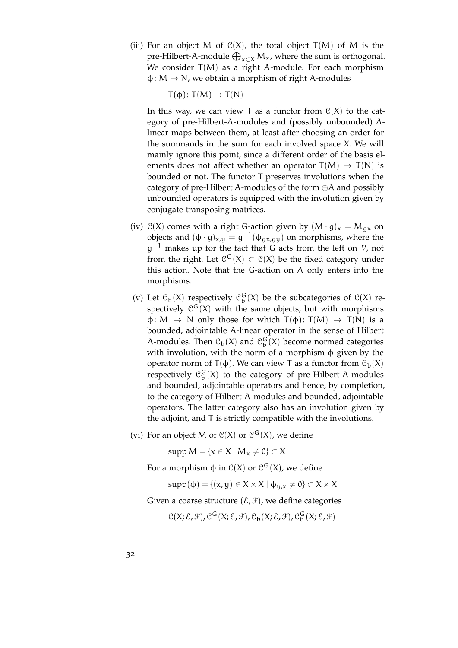(iii) For an object M of  $C(X)$ , the total object  $T(M)$  of M is the pre-Hilbert-A-module  $\bigoplus_{x\in X}M_x$ , where the sum is orthogonal. We consider  $T(M)$  as a right A-module. For each morphism  $\varphi \colon M \to N$ , we obtain a morphism of right A-modules

 $T(\phi)$ :  $T(M) \rightarrow T(N)$ 

In this way, we can view T as a functor from  $\mathcal{C}(X)$  to the category of pre-Hilbert-A-modules and (possibly unbounded) Alinear maps between them, at least after choosing an order for the summands in the sum for each involved space X. We will mainly ignore this point, since a different order of the basis elements does not affect whether an operator  $T(M) \rightarrow T(N)$  is bounded or not. The functor T preserves involutions when the category of pre-Hilbert A-modules of the form ⊕A and possibly unbounded operators is equipped with the involution given by conjugate-transposing matrices.

- (iv)  $C(X)$  comes with a right G-action given by  $(M \cdot g)_x = M_{gx}$  on objects and  $(\phi \cdot g)_{x,y} = g^{-1}(\phi_{gx,gy})$  on morphisms, where the  $g^{-1}$  makes up for the fact that G acts from the left on  $V$ , not from the right. Let  $\mathcal{C}^G(X) \subset \mathcal{C}(X)$  be the fixed category under this action. Note that the G-action on A only enters into the morphisms.
- (v) Let  $\mathcal{C}_{\mathbf{b}}(X)$  respectively  $\mathcal{C}_{\mathbf{b}}^{G}(X)$  be the subcategories of  $\mathcal{C}(X)$  respectively  $\mathcal{C}^{\mathsf{G}}(X)$  with the same objects, but with morphisms  $\varphi \colon M \to N$  only those for which  $T(\varphi) \colon T(M) \to T(N)$  is a bounded, adjointable A-linear operator in the sense of Hilbert A-modules. Then  $\mathcal{C}_{\mathfrak{b}}(X)$  and  $\mathcal{C}_{\mathfrak{b}}^{G}(X)$  become normed categories with involution, with the norm of a morphism φ given by the operator norm of  $T(φ)$ . We can view T as a functor from  $\mathcal{C}_b(X)$ respectively  $\mathfrak{C}^{\mathsf{G}}_{\mathsf{b}}(\mathsf{X})$  to the category of pre-Hilbert-A-modules and bounded, adjointable operators and hence, by completion, to the category of Hilbert-A-modules and bounded, adjointable operators. The latter category also has an involution given by the adjoint, and T is strictly compatible with the involutions.
- (vi) For an object M of  $C(X)$  or  $C^G(X)$ , we define

 $supp M = \{x \in X \mid M_x \neq 0\} \subset X$ 

For a morphism  $\phi$  in  $\mathcal{C}(X)$  or  $\mathcal{C}^{\mathsf{G}}(X)$ , we define

 $supp(\phi) = \{(x, y) \in X \times X \mid \phi_{\mathsf{U},x} \neq 0\} \subset X \times X$ 

Given a coarse structure  $(\mathcal{E}, \mathcal{F})$ , we define categories

 $\mathcal{C}(X; \mathcal{E}, \mathcal{F})$ ,  $\mathcal{C}^{\mathsf{G}}(X; \mathcal{E}, \mathcal{F})$ ,  $\mathcal{C}_{\mathsf{b}}(X; \mathcal{E}, \mathcal{F})$ ,  $\mathcal{C}_{\mathsf{b}}^{\mathsf{G}}(X; \mathcal{E}, \mathcal{F})$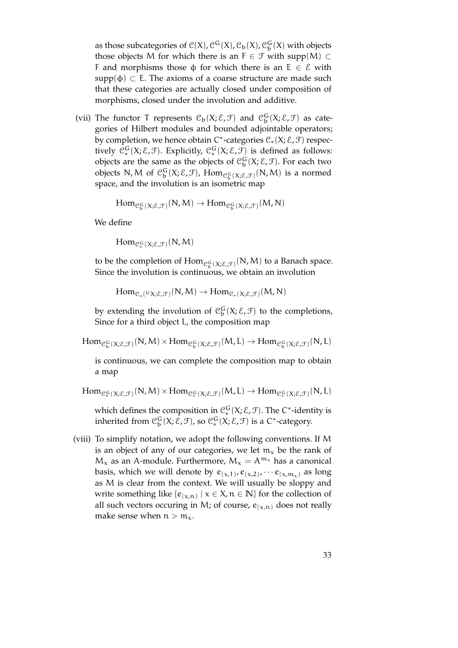as those subcategories of  $\mathcal{C}(X)$ ,  $\mathcal{C}^{\mathsf{G}}(X)$ ,  $\mathcal{C}_{\mathsf{b}}(X)$ ,  $\mathcal{C}_{\mathsf{b}}^{\mathsf{G}}(X)$  with objects those objects M for which there is an  $F \in \mathcal{F}$  with supp(M) ⊂ F and morphisms those  $\phi$  for which there is an E  $\in \mathcal{E}$  with supp( $\phi$ )  $\subset$  E. The axioms of a coarse structure are made such that these categories are actually closed under composition of morphisms, closed under the involution and additive.

(vii) The functor T represents  $\mathcal{C}_b(X;\mathcal{E},\mathcal{F})$  and  $\mathcal{C}_b^G(X;\mathcal{E},\mathcal{F})$  as categories of Hilbert modules and bounded adjointable operators; by completion, we hence obtain C<sup>\*</sup>-categories  $\mathcal{C}_*(X; \mathcal{E}, \mathcal{F})$  respectively  $\mathcal{C}_*^G(X;\mathcal{E},\mathcal{F})$ . Explicitly,  $\mathcal{C}_*^G(X;\mathcal{E},\mathcal{F})$  is defined as follows: objects are the same as the objects of  $\mathcal{C}_b^G(X;\mathcal{E},\mathcal{F})$ . For each two objects N, M of  $\mathcal{C}_b^G(X;\mathcal{E},\mathcal{F})$ ,  $\mathrm{Hom}_{\mathcal{C}_b^G(X;\mathcal{E},\mathcal{F})}(N,M)$  is a normed space, and the involution is an isometric map

 $\text{Hom}_{\mathcal{C}_{\mathfrak{b}}^{\mathbb{G}}(X;\mathcal{E},\mathcal{F})}(\mathsf{N},\mathsf{M})\to \text{Hom}_{\mathcal{C}_{\mathfrak{b}}^{\mathbb{G}}(X;\mathcal{E},\mathcal{F})}(\mathsf{M},\mathsf{N})$ 

We define

 $\mathrm{Hom}_{\mathcal{C}_*^{\mathcal{G}}(X;\mathcal{E},\mathcal{F})}(\mathsf{N},\mathsf{M})$ 

to be the completion of  $\text{Hom}_{\mathfrak{S}^{\mathbb{G}}_b(X;\mathcal{E},\mathcal{F})}(\mathsf{N},\mathsf{M})$  to a Banach space. Since the involution is continuous, we obtain an involution

 $\text{Hom}_{\mathcal{C}_*(G\chi;\mathcal{E},\mathcal{F})}(N,M)\to \text{Hom}_{\mathcal{C}_*(\chi;\mathcal{E},\mathcal{F})}(M,N)$ 

by extending the involution of  $\mathcal{C}_b^G(X;\mathcal{E},\mathcal{F})$  to the completions, Since for a third object L, the composition map

 $\mathrm{Hom}_{\mathcal{C}_{\mathfrak{b}}^{\mathsf{G}}(X;\mathcal{E},\mathcal{F})}(\mathsf{N},\mathsf{M})\times \mathrm{Hom}_{\mathcal{C}_{\mathfrak{b}}^{\mathsf{G}}(X;\mathcal{E},\mathcal{F})}(\mathsf{M},\mathsf{L})\rightarrow \mathrm{Hom}_{\mathcal{C}_{\mathfrak{b}}^{\mathsf{G}}(X;\mathcal{E},\mathcal{F})}(\mathsf{N},\mathsf{L})$ 

is continuous, we can complete the composition map to obtain a map

 $\text{Hom}_{\mathcal{C}_*^{\mathsf{G}}(X;\mathcal{E},\mathcal{F})}(\mathsf{N},\mathsf{M})\times \text{Hom}_{\mathcal{C}_*^{\mathsf{G}}(X;\mathcal{E},\mathcal{F})}(\mathsf{M},\mathsf{L})\to \text{Hom}_{\mathcal{C}_*^{\mathsf{G}}(X;\mathcal{E},\mathcal{F})}(\mathsf{N},\mathsf{L})$ 

which defines the composition in  $\mathfrak{C}_*^G(X;\mathcal{E},\mathcal{F}).$  The C\*-identity is inherited from  $\mathcal{C}_b^G(X;\mathcal{E},\mathcal{F})$ , so  $\mathcal{C}_*^G(X;\mathcal{E},\mathcal{F})$  is a C\*-category.

(viii) To simplify notation, we adopt the following conventions. If M is an object of any of our categories, we let  $m<sub>x</sub>$  be the rank of  $M_x$  as an A-module. Furthermore,  $M_x = A^{m_x}$  has a canonical basis, which we will denote by  $e_{(x,1)}, e_{(x,2)}, \cdots e_{(x,m_x)}$  as long as M is clear from the context. We will usually be sloppy and write something like  $\{e_{(x,n)} \mid x \in X, n \in \mathbb{N}\}$  for the collection of all such vectors occuring in M; of course,  $e_{(x,n)}$  does not really make sense when  $n > m<sub>x</sub>$ .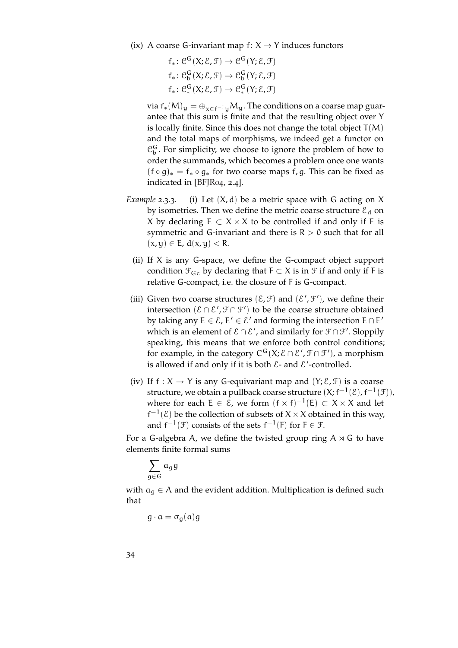(ix) A coarse G-invariant map  $f: X \rightarrow Y$  induces functors

 $f_*: \mathcal{C}^{\mathsf{G}}(\mathsf{X}; \mathcal{E}, \mathcal{F}) \to \mathcal{C}^{\mathsf{G}}(\mathsf{Y}; \mathcal{E}, \mathcal{F})$  $f_*: \mathcal{C}^G_b(X; \mathcal{E}, \mathcal{F}) \to \mathcal{C}^G_b(Y; \mathcal{E}, \mathcal{F})$  $f_*: \mathcal{C}_*^G(X; \mathcal{E}, \mathcal{F}) \to \mathcal{C}_*^G(Y; \mathcal{E}, \mathcal{F})$ 

via f<sub>\*</sub>(M)<sub>y</sub> =  $\bigoplus_{x \in f^{-1}u} M_y$ . The conditions on a coarse map guarantee that this sum is finite and that the resulting object over Y is locally finite. Since this does not change the total object  $T(M)$ and the total maps of morphisms, we indeed get a functor on  $\mathcal{C}_{\mathbf{b}}^{\mathsf{G}}$ . For simplicity, we choose to ignore the problem of how to order the summands, which becomes a problem once one wants  $(f \circ g)_* = f_* \circ g_*$  for two coarse maps f, g. This can be fixed as indicated in [\[BFJR](#page-150-1)04, 2.4].

- *Example* 2.3.3*.* (i) Let (X, d) be a metric space with G acting on X by isometries. Then we define the metric coarse structure  $\varepsilon_d$  on X by declaring  $E \subset X \times X$  to be controlled if and only if E is symmetric and G-invariant and there is  $R > 0$  such that for all  $(x, y) \in E$ ,  $d(x, y) < R$ .
	- (ii) If X is any G-space, we define the G-compact object support condition  $\mathcal{F}_{\mathsf{G}_c}$  by declaring that  $F \subset X$  is in  $\mathcal{F}$  if and only if F is relative G-compact, i.e. the closure of F is G-compact.
- (iii) Given two coarse structures  $(\mathcal{E}, \mathcal{F})$  and  $(\mathcal{E}', \mathcal{F}')$ , we define their intersection  $(\mathcal{E} \cap \mathcal{E}', \mathcal{F} \cap \mathcal{F}')$  to be the coarse structure obtained by taking any  $E \in \mathcal{E}$ ,  $E' \in \mathcal{E}'$  and forming the intersection  $E \cap E'$ which is an element of  $\mathcal{E} \cap \mathcal{E}'$ , and similarly for  $\mathcal{F} \cap \mathcal{F}'$ . Sloppily speaking, this means that we enforce both control conditions; for example, in the category  $C^G(X; E \cap E', \mathcal{F} \cap \mathcal{F}')$ , a morphism is allowed if and only if it is both  $\mathcal{E}$ - and  $\mathcal{E}'$ -controlled.
- (iv) If  $f : X \to Y$  is any G-equivariant map and  $(Y; \mathcal{E}, \mathcal{F})$  is a coarse structure, we obtain a pullback coarse structure  $(\mathsf{X};\mathsf{f}^{-1}(\mathcal{E}),\mathsf{f}^{-1}(\mathcal{F})),$ where for each  $E \in \mathcal{E}$ , we form  $(f \times f)^{-1}(E) \subset X \times X$  and let  $f^{-1}(\mathcal{E})$  be the collection of subsets of  $X \times X$  obtained in this way, and  $f^{-1}(\mathcal{F})$  consists of the sets  $f^{-1}(F)$  for  $F \in \mathcal{F}$ .

For a G-algebra A, we define the twisted group ring  $A \times G$  to have elements finite formal sums

$$
\sum_{g\in G} \mathfrak{a}_g \mathfrak{g}
$$

with  $a_g \in A$  and the evident addition. Multiplication is defined such that

 $g \cdot a = \sigma_q(a)g$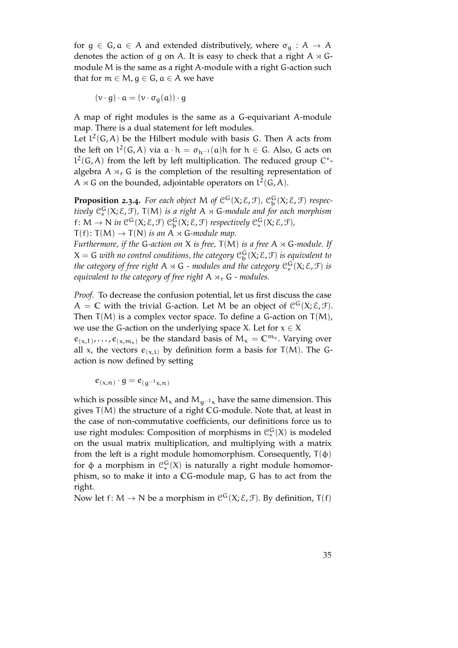for  $g \in G$ ,  $a \in A$  and extended distributively, where  $\sigma_g : A \to A$ denotes the action of g on A. It is easy to check that a right  $A \rtimes G$ module M is the same as a right A-module with a right G-action such that for  $m \in M$ ,  $q \in G$ ,  $a \in A$  we have

$$
(\nu \cdot g) \cdot \alpha = (\nu \cdot \sigma_g(\alpha)) \cdot g
$$

A map of right modules is the same as a G-equivariant A-module map. There is a dual statement for left modules.

Let  $l^2(G, A)$  be the Hilbert module with basis G. Then A acts from the left on  $l^2(G, A)$  via  $a \cdot h = \sigma_{h^{-1}}(a)h$  for  $h \in G$ . Also, G acts on  $l^2(G, A)$  from the left by left multiplication. The reduced group C<sup>\*</sup>algebra  $A \rtimes_{r} G$  is the completion of the resulting representation of A  $\rtimes$  G on the bounded, adjointable operators on  $l^2(G, A)$ .

**Proposition 2.3.4.** For each object M of  $C^G(X; \mathcal{E}, \mathcal{F})$ ,  $C^G_b(X; \mathcal{E}, \mathcal{F})$  respectively  $\mathfrak{C}_*^G(X;\mathcal{E},\mathfrak{F})$ ,  $\mathsf{T}(\mathsf{M})$  *is a right*  $\mathsf{A}\rtimes \mathsf{G}\text{-module}$  and for each morphism f:  $M \to N$  in  $\mathcal{C}^G(X; \mathcal{E}, \mathcal{F})$   $\mathcal{C}_b^G(X; \mathcal{E}, \mathcal{F})$  respectively  $\mathcal{C}_*^G(X; \mathcal{E}, \mathcal{F})$ ,  $T(f)$ :  $T(M) \rightarrow T(N)$  *is an* A  $\rtimes$  G-module map.

*Furthermore, if the G-action on X is free,*  $T(M)$  *is a free*  $A \rtimes G$ *-module. If*  $X = G$  with no control conditions, the category  $\mathcal{C}_b^G(X; \mathcal{E}, \mathcal{F})$  is equivalent to the category of free right  $\mathsf{A} \rtimes \mathsf{G}$  - modules and the category  $\mathcal{C}^{\mathsf{G}}_* (\mathsf{X}; \mathsf{E}, \mathsf{F})$  is *equivalent to the category of free right*  $A \rtimes_r G$  *- modules.* 

*Proof.* To decrease the confusion potential, let us first discuss the case  $A = \mathbb{C}$  with the trivial G-action. Let M be an object of  $\mathcal{C}^{\mathsf{G}}(X; \mathcal{E}, \mathcal{F})$ . Then  $T(M)$  is a complex vector space. To define a G-action on  $T(M)$ , we use the G-action on the underlying space X. Let for  $x \in X$ 

 $e_{(x,1)}, \ldots, e_{(x,m_x)}$  be the standard basis of  $M_x = \mathbb{C}^{m_x}$ . Varying over all x, the vectors  $e_{(x,i)}$  by definition form a basis for T(M). The Gaction is now defined by setting

 $e_{(x,n)} \cdot g = e_{(g^{-1}x,n)}$ 

which is possible since  $M_x$  and  $M_{g^{-1}x}$  have the same dimension. This gives T(M) the structure of a right **C**G-module. Note that, at least in the case of non-commutative coefficients, our definitions force us to use right modules: Composition of morphisms in  $\mathfrak{C}_{*}^{G}(X)$  is modeled on the usual matrix multiplication, and multiplying with a matrix from the left is a right module homomorphism. Consequently,  $T(\phi)$ for φ a morphism in  $\mathcal{C}_*^G(X)$  is naturally a right module homomorphism, so to make it into a **C**G-module map, G has to act from the right.

Now let f: M  $\rightarrow$  N be a morphism in  $\mathcal{C}^G(X;\mathcal{E},\mathcal{F})$ . By definition, T(f)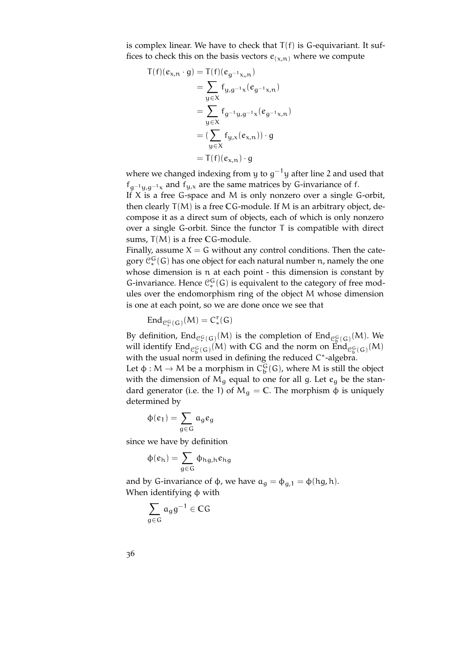is complex linear. We have to check that  $T(f)$  is G-equivariant. It suffices to check this on the basis vectors  $e_{(x,n)}$  where we compute

$$
T(f)(e_{x,n} \cdot g) = T(f)(e_{g^{-1}x,n})
$$
  
=  $\sum_{y \in X} f_{y,g^{-1}x}(e_{g^{-1}x,n})$   
=  $\sum_{y \in X} f_{g^{-1}y,g^{-1}x}(e_{g^{-1}x,n})$   
=  $(\sum_{y \in X} f_{y,x}(e_{x,n})) \cdot g$   
=  $T(f)(e_{x,n}) \cdot g$ 

where we changed indexing from y to  $g^{-1}$ y after line 2 and used that  $f_{g^{-1}y,g^{-1}x}$  and  $f_{y,x}$  are the same matrices by G-invariance of f.

If  $X$  is a free G-space and  $M$  is only nonzero over a single G-orbit, then clearly T(M) is a free **C**G-module. If M is an arbitrary object, decompose it as a direct sum of objects, each of which is only nonzero over a single G-orbit. Since the functor T is compatible with direct sums, T(M) is a free **C**G-module.

Finally, assume  $X = G$  without any control conditions. Then the category  $\mathfrak{C}_*^G(\mathsf{G})$  has one object for each natural number  $\mathfrak n$ , namely the one whose dimension is n at each point - this dimension is constant by G-invariance. Hence  $\mathcal{C}_*^G(G)$  is equivalent to the category of free modules over the endomorphism ring of the object M whose dimension is one at each point, so we are done once we see that

$$
End_{\mathcal{C}_*^G(\,G\,)}(M)=C_*^r(G)
$$

By definition,  $\text{End}_{\mathcal{C}_*^G(G)}(M)$  is the completion of  $\text{End}_{\mathcal{C}_*^G(G)}(M)$ . We will identify  $\text{End}_{\mathcal{C}_{\mathfrak{b}}^{\mathbb{G}}(G)}(M)$  with CG and the norm on  $\text{End}_{\mathcal{C}_{\mathfrak{b}}^{\mathbb{G}}(G)}(M)$ with the usual norm used in defining the reduced C\*-algebra.

Let  $\phi : M \to M$  be a morphism in  $C_b^G(G)$ , where M is still the object with the dimension of  $M<sub>g</sub>$  equal to one for all g. Let  $e<sub>g</sub>$  be the standard generator (i.e. the 1) of  $M<sub>q</sub> = C$ . The morphism  $\phi$  is uniquely determined by

$$
\varphi(\varepsilon_1)=\sum_{g\in G}\alpha_g\varepsilon_g
$$

since we have by definition

$$
\varphi(e_h)=\sum_{g\in G}\varphi_{hg,h}e_{hg}
$$

and by G-invariance of  $\phi$ , we have  $a_g = \phi_{g,1} = \phi(\text{hg}, \text{h}).$ When identifying  $\phi$  with

$$
\sum_{g\in G}\, \alpha_g g^{-1}\in \mathbb{C} G
$$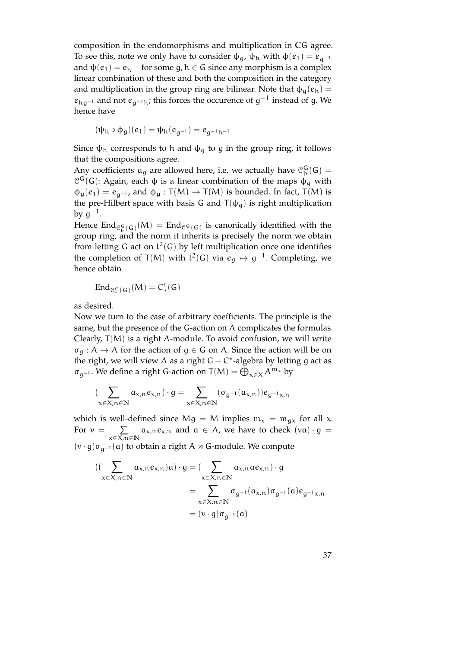composition in the endomorphisms and multiplication in **C**G agree. To see this, note we only have to consider  $\phi_q$ ,  $\psi_h$  with  $\phi(e_1) = e_{q^{-1}}$ and  $\psi(e_1) = e_{h^{-1}}$  for some g,  $h \in G$  since any morphism is a complex linear combination of these and both the composition in the category and multiplication in the group ring are bilinear. Note that  $\phi_{\alpha}(e_h)$  =  $e_{hg^{-1}}$  and not  $e_{g^{-1}h}$ ; this forces the occurence of  $g^{-1}$  instead of g. We hence have

$$
(\psi_h \circ \varphi_g)(e_1) = \psi_h(e_{g^{-1}}) = e_{g^{-1}h^{-1}}
$$

Since  $\psi_h$  corresponds to h and  $\phi_q$  to g in the group ring, it follows that the compositions agree.

Any coefficients  $a_g$  are allowed here, i.e. we actually have  $\mathcal{C}_b^G(G)$  =  $\mathcal{C}^{\mathsf{G}}(\mathsf{G})$ : Again, each  $\phi$  is a linear combination of the maps  $\phi_{g}$  with  $\phi_g(e_1) = e_{g^{-1}}$ , and  $\phi_g : T(M) \to T(M)$  is bounded. In fact,  $T(M)$  is the pre-Hilbert space with basis G and  $T(\phi_g)$  is right multiplication by  $g^{-1}.$ 

Hence  $\text{End}_{\mathcal{C}_{\mathfrak{b}}^{\mathsf{G}}(\mathsf{G})}(M) = \text{End}_{\mathfrak{C}^{\mathsf{G}}(\mathsf{G})}$  is canonically identified with the group ring, and the norm it inherits is precisely the norm we obtain from letting G act on  $l^2(G)$  by left multiplication once one identifies the completion of T(M) with  $l^2(G)$  via  $e_g \mapsto g^{-1}$ . Completing, we hence obtain

$$
End_{\mathcal{C}_*^G(G)}(M)=C_*^r(G)
$$

as desired.

Now we turn to the case of arbitrary coefficients. The principle is the same, but the presence of the G-action on A complicates the formulas. Clearly,  $T(M)$  is a right A-module. To avoid confusion, we will write  $\sigma_{\mathsf{q}} : A \to A$  for the action of  $\mathsf{q} \in \mathsf{G}$  on A. Since the action will be on the right, we will view A as a right  $G - C^*$ -algebra by letting g act as  $\sigma_{g^{-1}}$ . We define a right G-action on T(M) =  $\bigoplus_{x \in X} A^{m_x}$  by

$$
(\sum_{x\in X, n\in \mathbb{N}}\alpha_{x,n}e_{x,n})\cdot g=\sum_{x\in X, n\in \mathbb{N}}(\sigma_{g^{-1}}(\alpha_{x,n}))e_{g^{-1}x,n}
$$

which is well-defined since Mg = M implies  $m_x = m_{gx}$  for all x. For  $v =$  $\overline{y}$ x∈X,n∈**N**  $a_{x,n}e_{x,n}$  and  $a \in A$ , we have to check  $(va) \cdot g =$  $(v \cdot g) \sigma_{q^{-1}}(a)$  to obtain a right A  $\times$  G-module. We compute

$$
\begin{aligned} ((\sum_{x \in X, n \in \mathbb{N}} a_{x,n} e_{x,n})a) \cdot g &= (\sum_{x \in X, n \in \mathbb{N}} a_{x,n} a e_{x,n}) \cdot g \\ &= \sum_{x \in X, n \in \mathbb{N}} \sigma_{g^{-1}}(a_{x,n}) \sigma_{g^{-1}}(a) e_{g^{-1}x,n} \\ &= (\nu \cdot g) \sigma_{g^{-1}}(a) \end{aligned}
$$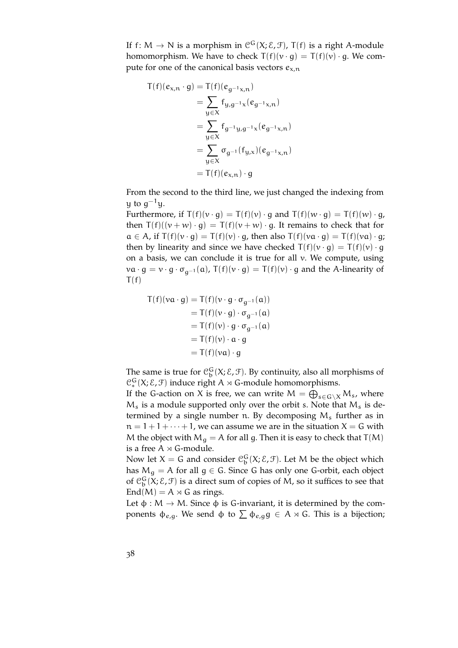If  $f \colon M \to N$  is a morphism in  $\mathcal{C}^G(X; \mathcal{E}, \mathcal{F})$ ,  $T(f)$  is a right A-module homomorphism. We have to check  $T(f)(v \cdot q) = T(f)(v) \cdot q$ . We compute for one of the canonical basis vectors  $e_{x,n}$ 

$$
T(f)(e_{x,n} \cdot g) = T(f)(e_{g^{-1}x,n})
$$
  
\n
$$
= \sum_{y \in X} f_{y,g^{-1}x}(e_{g^{-1}x,n})
$$
  
\n
$$
= \sum_{y \in X} f_{g^{-1}y,g^{-1}x}(e_{g^{-1}x,n})
$$
  
\n
$$
= \sum_{y \in X} \sigma_{g^{-1}}(f_{y,x})(e_{g^{-1}x,n})
$$
  
\n
$$
= T(f)(e_{x,n}) \cdot g
$$

From the second to the third line, we just changed the indexing from  $\mathfrak y$  to  $\mathfrak g^{-1}\mathfrak y.$ 

Furthermore, if  $T(f)(v \cdot g) = T(f)(v) \cdot g$  and  $T(f)(w \cdot g) = T(f)(w) \cdot g$ , then  $T(f)((v + w) \cdot q) = T(f)(v + w) \cdot q$ . It remains to check that for  $a \in A$ , if  $T(f)(v \cdot g) = T(f)(v) \cdot g$ , then also  $T(f)(va \cdot g) = T(f)(va) \cdot g$ ; then by linearity and since we have checked  $T(f)(v \cdot g) = T(f)(v) \cdot g$ on a basis, we can conclude it is true for all v. We compute, using  $va \cdot g = v \cdot g \cdot \sigma_{q^{-1}}(a)$ ,  $T(f)(v \cdot g) = T(f)(v) \cdot g$  and the A-linearity of  $T(f)$ 

$$
T(f)(va \cdot g) = T(f)(v \cdot g \cdot \sigma_{g^{-1}}(a))
$$
  
= T(f)(v \cdot g) \cdot \sigma\_{g^{-1}}(a)  
= T(f)(v) \cdot g \cdot \sigma\_{g^{-1}}(a)  
= T(f)(v) \cdot a \cdot g  
= T(f)(va) \cdot g

The same is true for  $\mathcal{C}_{\mathbf{b}}^{\mathbf{G}}(X;\mathcal{E},\mathcal{F})$ . By continuity, also all morphisms of  $\mathcal{C}_*^G(X;\mathcal{E},\mathcal{F})$  induce right A  $\times$  G-module homomorphisms.

If the G-action on X is free, we can write  $M = \bigoplus_{s \in G \setminus X} M_s$ , where  $M_s$  is a module supported only over the orbit s. Note that  $M_s$  is determined by a single number n. By decomposing  $M_s$  further as in  $n = 1 + 1 + \cdots + 1$ , we can assume we are in the situation  $X = G$  with M the object with  $M_g = A$  for all g. Then it is easy to check that T(M) is a free  $A \rtimes G$ -module.

Now let  $X = G$  and consider  $\mathcal{C}_b^G(X; \mathcal{E}, \mathcal{F})$ . Let M be the object which has  $M_q = A$  for all  $q \in G$ . Since G has only one G-orbit, each object of  $\mathcal{C}_b^G$  (X;  $\mathcal{E}, \mathcal{F}$ ) is a direct sum of copies of M, so it suffices to see that  $End(M) = A \rtimes G$  as rings.

Let  $\phi : M \to M$ . Since  $\phi$  is G-invariant, it is determined by the components  $\phi_{e,q}$ . We send  $\phi$  to  $\Sigma$   $\phi_{e,q}$   $g \in A \rtimes G$ . This is a bijection;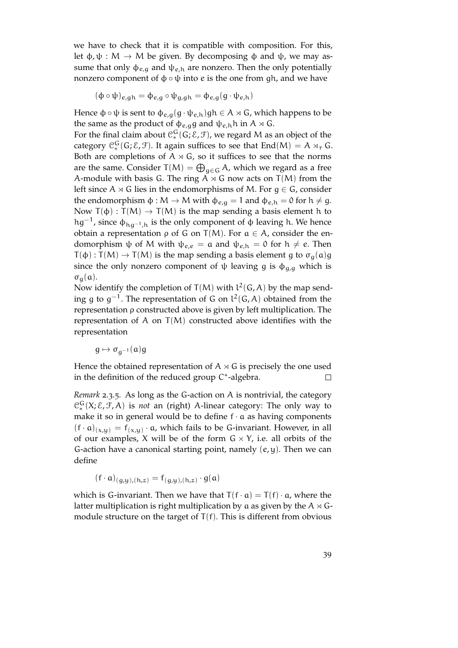we have to check that it is compatible with composition. For this, let  $\phi$ ,  $\psi$  : M  $\rightarrow$  M be given. By decomposing  $\phi$  and  $\psi$ , we may assume that only  $\phi_{e,q}$  and  $\psi_{e,h}$  are nonzero. Then the only potentially nonzero component of  $φ ∘ ψ$  into *e* is the one from gh, and we have

$$
(\varphi \circ \psi)_{e,gh} = \varphi_{e,g} \circ \psi_{g,gh} = \varphi_{e,g}(g \cdot \psi_{e,h})
$$

Hence  $\phi \circ \psi$  is sent to  $\phi_{e,q}(g \cdot \psi_{e,h})$ gh  $\in A \rtimes G$ , which happens to be the same as the product of  $\phi_{e,q}$ g and  $\psi_{e,h}$ h in A  $\times$  G.

For the final claim about  $\mathfrak{C}_*^G(G; \mathcal{E}, \mathcal{F})$ , we regard M as an object of the category  $\mathcal{C}_{*}^{\mathsf{G}}(\mathsf{G}; \mathcal{E}, \mathcal{F})$ . It again suffices to see that  $\text{End}(M) = A \rtimes_{\mathsf{r}} \mathsf{G}$ . Both are completions of  $A \rtimes G$ , so it suffices to see that the norms are the same. Consider  $T(M) = \bigoplus_{g \in G} A$ , which we regard as a free A-module with basis G. The ring  $A \rtimes G$  now acts on  $T(M)$  from the left since A  $\times$  G lies in the endomorphisms of M. For  $g \in G$ , consider the endomorphism  $\phi : M \to M$  with  $\phi_{e,q} = 1$  and  $\phi_{e,h} = 0$  for  $h \neq g$ . Now  $T(\phi) : T(M) \to T(M)$  is the map sending a basis element h to hg<sup>-1</sup>, since  $\phi_{hg^{-1},h}$  is the only component of  $\phi$  leaving h. We hence obtain a representation  $ρ$  of G on T(M). For  $α ∈ A$ , consider the endomorphism  $\psi$  of M with  $\psi_{e,e} = \alpha$  and  $\psi_{e,h} = 0$  for  $h \neq e$ . Then  $T(\phi) : T(M) \to T(M)$  is the map sending a basis element g to  $\sigma_g(\alpha)$ g since the only nonzero component of  $\psi$  leaving g is  $\phi_{g,g}$  which is  $\sigma_{\alpha}(\alpha)$ .

Now identify the completion of  $T(M)$  with  $l^2(G, A)$  by the map sending g to  $g^{-1}$ . The representation of G on  $l^2(G, A)$  obtained from the representation ρ constructed above is given by left multiplication. The representation of A on  $T(M)$  constructed above identifies with the representation

$$
g\mapsto \sigma_{g^{-1}}(\mathfrak{a})g
$$

Hence the obtained representation of  $A \rtimes G$  is precisely the one used in the definition of the reduced group C<sup>\*</sup>-algebra.  $\Box$ 

*Remark* 2.3.5*.* As long as the G-action on A is nontrivial, the category  $\mathcal{C}_*^G(X;\mathcal{E},\mathcal{F},A)$  is *not* an (right) A-linear category: The only way to make it so in general would be to define  $f \cdot a$  as having components  $(f \cdot a)_{(x,y)} = f_{(x,y)} \cdot a$ , which fails to be G-invariant. However, in all of our examples, X will be of the form  $G \times Y$ , i.e. all orbits of the G-action have a canonical starting point, namely  $(e, y)$ . Then we can define

 $(f \cdot a)_{(g,y),(h,z)} = f_{(g,y),(h,z)} \cdot g(a)$ 

which is G-invariant. Then we have that  $T(f \cdot \alpha) = T(f) \cdot \alpha$ , where the latter multiplication is right multiplication by a as given by the  $A \rtimes G$ module structure on the target of  $T(f)$ . This is different from obvious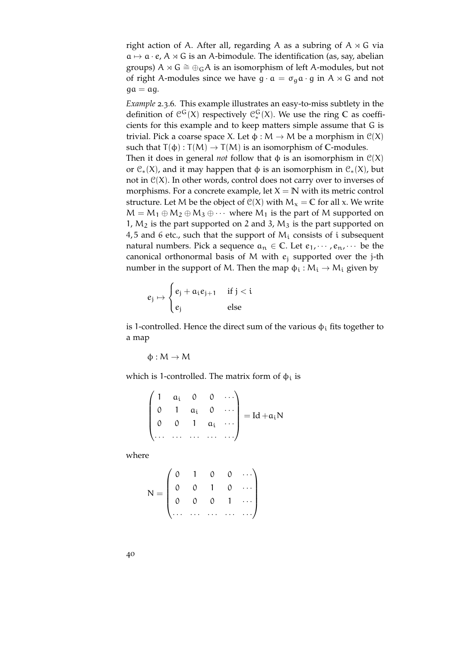right action of A. After all, regarding A as a subring of  $A \rtimes G$  via  $a \mapsto a \cdot e$ , A  $\times$  G is an A-bimodule. The identification (as, say, abelian groups) A  $\rtimes$  G  $\cong \bigoplus_G A$  is an isomorphism of left A-modules, but not of right A-modules since we have  $g \cdot a = \sigma_q a \cdot g$  in  $A \rtimes G$  and not  $qa = aq$ .

<span id="page-39-0"></span>*Example* 2.3.6*.* This example illustrates an easy-to-miss subtlety in the definition of  $\mathcal{C}^{\mathsf{G}}(X)$  respectively  $\mathcal{C}^{\mathsf{G}}_{*}(X)$ . We use the ring C as coefficients for this example and to keep matters simple assume that G is trivial. Pick a coarse space X. Let  $\phi : M \to M$  be a morphism in  $\mathcal{C}(X)$ such that  $T(\phi) : T(M) \to T(M)$  is an isomorphism of C-modules. Then it does in general *not* follow that  $\phi$  is an isomorphism in  $C(X)$ or  $\mathcal{C}_*(X)$ , and it may happen that  $\phi$  is an isomorphism in  $\mathcal{C}_*(X)$ , but not in  $C(X)$ . In other words, control does not carry over to inverses of morphisms. For a concrete example, let  $X = N$  with its metric control structure. Let M be the object of  $C(X)$  with  $M_x = C$  for all x. We write  $M = M_1 \oplus M_2 \oplus M_3 \oplus \cdots$  where  $M_1$  is the part of M supported on 1,  $M_2$  is the part supported on 2 and 3,  $M_3$  is the part supported on 4,5 and 6 etc., such that the support of  $M_i$  consists of i subsequent natural numbers. Pick a sequence  $a_n \in \mathbb{C}$ . Let  $e_1, \dots, e_n, \dots$  be the canonical orthonormal basis of M with  $e_i$  supported over the j-th number in the support of M. Then the map  $\phi_i : M_i \to M_i$  given by

$$
e_j \mapsto \begin{cases} e_j + a_i e_{j+1} & \text{if } j < i \\ e_j & \text{else} \end{cases}
$$

is 1-controlled. Hence the direct sum of the various  $\phi_i$  fits together to a map

$$
\varphi:M\to M
$$

which is 1-controlled. The matrix form of  $\phi_i$  is

$$
\begin{pmatrix} 1 & a_i & 0 & 0 & \cdots \\ 0 & 1 & a_i & 0 & \cdots \\ 0 & 0 & 1 & a_i & \cdots \\ \cdots & \cdots & \cdots & \cdots & \cdots \end{pmatrix} = Id + a_i N
$$

where

$$
N = \begin{pmatrix} 0 & 1 & 0 & 0 & \cdots \\ 0 & 0 & 1 & 0 & \cdots \\ 0 & 0 & 0 & 1 & \cdots \\ \cdots & \cdots & \cdots & \cdots & \cdots \end{pmatrix}
$$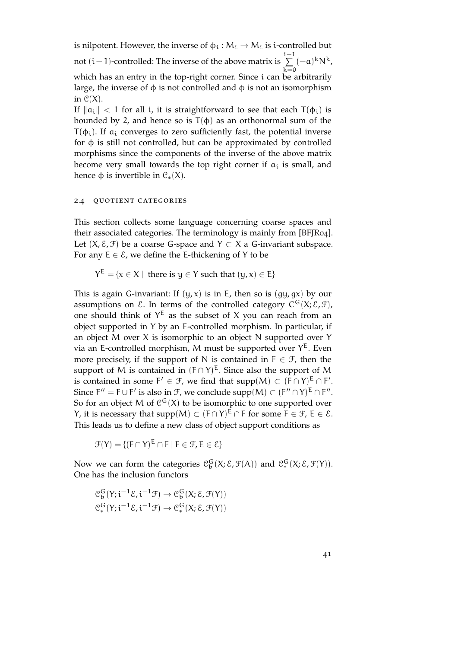is nilpotent. However, the inverse of  $\phi_i : M_i \to M_i$  is i-controlled but not (i − 1)-controlled: The inverse of the above matrix is  $\sum_{i=1}^{i-1}$  $k=0$  $(-a)^k N^k$ , which has an entry in the top-right corner. Since i can be arbitrarily large, the inverse of  $\phi$  is not controlled and  $\phi$  is not an isomorphism in  $C(X)$ .

If  $\|\alpha_i\| < 1$  for all i, it is straightforward to see that each  $T(\phi_i)$  is bounded by 2, and hence so is  $T(\phi)$  as an orthonormal sum of the  $T(\phi_i)$ . If  $a_i$  converges to zero sufficiently fast, the potential inverse for φ is still not controlled, but can be approximated by controlled morphisms since the components of the inverse of the above matrix become very small towards the top right corner if  $a_i$  is small, and hence φ is invertible in  $\mathcal{C}_*(X)$ .

### 2.4 quotient categories

This section collects some language concerning coarse spaces and their associated categories. The terminology is mainly from [\[BFJR](#page-150-0)04]. Let  $(X, \mathcal{E}, \mathcal{F})$  be a coarse G-space and  $Y \subset X$  a G-invariant subspace. For any  $E \in \mathcal{E}$ , we define the E-thickening of Y to be

 $Y^{\mathsf{E}} = \{ \mathsf{x} \in X \mid \text{ there is } y \in Y \text{ such that } (y, \mathsf{x}) \in \mathsf{E} \}$ 

This is again G-invariant: If  $(y, x)$  is in E, then so is  $(gy, gx)$  by our assumptions on  $\mathcal E$ . In terms of the controlled category  $C^G(X;\mathcal E,\mathcal F)$ , one should think of  $Y^E$  as the subset of X you can reach from an object supported in Y by an E-controlled morphism. In particular, if an object M over X is isomorphic to an object N supported over Y via an E-controlled morphism, M must be supported over  $Y^E$ . Even more precisely, if the support of N is contained in  $F \in \mathcal{F}$ , then the support of M is contained in  $(F \cap Y)^E$ . Since also the support of M is contained in some  $F' \in \mathcal{F}$ , we find that supp $(M) \subset (F \cap Y)^E \cap F'.$ Since  $F'' = F \cup F'$  is also in  $\mathcal{F}$ , we conclude supp $(M) \subset (F'' \cap Y)^E \cap F''$ . So for an object M of  $\mathcal{C}^{\mathsf{G}}(X)$  to be isomorphic to one supported over *Y*, it is necessary that supp(M) ⊂  $(F ∩ Y)^E ∩ F$  for some  $F ∈ F$ ,  $E ∈ E$ . This leads us to define a new class of object support conditions as

 $\mathcal{F}(Y) = \{ (F \cap Y)^{\mathsf{E}} \cap F \mid F \in \mathcal{F}, E \in \mathcal{E} \}$ 

Now we can form the categories  $\mathcal{C}_b^G(X;\mathcal{E},\mathcal{F}(A))$  and  $\mathcal{C}_*^G(X;\mathcal{E},\mathcal{F}(Y))$ . One has the inclusion functors

$$
\mathcal{C}_{b}^{G}(Y; i^{-1}\mathcal{E}, i^{-1}\mathcal{F}) \to \mathcal{C}_{b}^{G}(X; \mathcal{E}, \mathcal{F}(Y))
$$

$$
\mathcal{C}_{*}^{G}(Y; i^{-1}\mathcal{E}, i^{-1}\mathcal{F}) \to \mathcal{C}_{*}^{G}(X; \mathcal{E}, \mathcal{F}(Y))
$$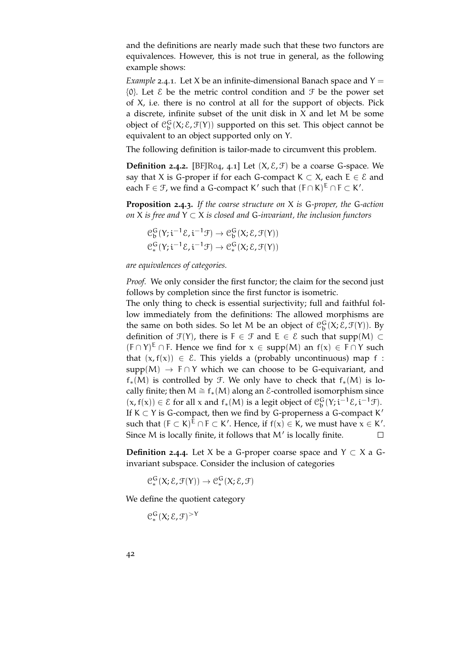and the definitions are nearly made such that these two functors are equivalences. However, this is not true in general, as the following example shows:

*Example* 2.4.1. Let X be an infinite-dimensional Banach space and  $Y =$  $\{0\}$ . Let  $\epsilon$  be the metric control condition and  $\mathcal F$  be the power set of X, i.e. there is no control at all for the support of objects. Pick a discrete, infinite subset of the unit disk in X and let M be some object of  $\mathcal{C}_b^G(X;\mathcal{E},\mathcal{F}(Y))$  supported on this set. This object cannot be equivalent to an object supported only on Y.

The following definition is tailor-made to circumvent this problem.

**Definition 2.4.2.** [BF[R04, 4.1] Let  $(X, \mathcal{E}, \mathcal{F})$  be a coarse G-space. We say that X is G-proper if for each G-compact  $K \subset X$ , each  $E \in \mathcal{E}$  and each  $F \in \mathcal{F}$ , we find a G-compact K' such that  $(F \cap K)^E \cap F \subset K'$ .

<span id="page-41-0"></span>**Proposition 2.4.3.** *If the coarse structure on* X *is* G*-proper, the* G*-action on* X *is free and* Y ⊂ X *is closed and* G*-invariant, the inclusion functors*

$$
\mathcal{C}_{\mathfrak{b}}^{G}(Y; i^{-1}\mathcal{E}, i^{-1}\mathcal{F}) \to \mathcal{C}_{\mathfrak{b}}^{G}(X; \mathcal{E}, \mathcal{F}(Y))
$$

$$
\mathcal{C}_{*}^{G}(Y; i^{-1}\mathcal{E}, i^{-1}\mathcal{F}) \to \mathcal{C}_{*}^{G}(X; \mathcal{E}, \mathcal{F}(Y))
$$

*are equivalences of categories.*

*Proof.* We only consider the first functor; the claim for the second just follows by completion since the first functor is isometric.

The only thing to check is essential surjectivity; full and faithful follow immediately from the definitions: The allowed morphisms are the same on both sides. So let M be an object of  $\mathcal{C}_{b}^{G}(X; \mathcal{E}, \mathcal{F}(Y))$ . By definition of  $\mathcal{F}(Y)$ , there is  $F \in \mathcal{F}$  and  $E \in \mathcal{E}$  such that supp $(M) \subset$  $(F \cap Y)^E \cap F$ . Hence we find for  $x \in supp(M)$  an  $f(x) \in F \cap Y$  such that  $(x, f(x)) \in \mathcal{E}$ . This yields a (probably uncontinuous) map f:  $supp(M) \rightarrow F \cap Y$  which we can choose to be G-equivariant, and  $f_*(M)$  is controlled by  $\mathcal F$ . We only have to check that  $f_*(M)$  is locally finite; then  $M \cong f_*(M)$  along an *E*-controlled isomorphism since  $(x, f(x)) \in \mathcal{E}$  for all x and  $f_*(M)$  is a legit object of  $\mathcal{C}_b^G(Y; i^{-1}\mathcal{E}, i^{-1}\mathcal{F})$ . If  $K \subset Y$  is G-compact, then we find by G-properness a G-compact K' such that  $(F \subset K)^E \cap F \subset K'$ . Hence, if  $f(x) \in K$ , we must have  $x \in K'$ . Since M is locally finite, it follows that  $M'$  is locally finite.  $\Box$ 

<span id="page-41-1"></span>**Definition 2.4.4** Let X be a G-proper coarse space and  $Y \subset X$  a Ginvariant subspace. Consider the inclusion of categories

 $\mathcal{C}_{*}^{\mathsf{G}}(\mathsf{X}; \mathcal{E}, \mathcal{F}(\mathsf{Y})) \rightarrow \mathcal{C}_{*}^{\mathsf{G}}(\mathsf{X}; \mathcal{E}, \mathcal{F})$ 

We define the quotient category

 $\mathfrak{C}^{\mathsf{G}}_*({\mathsf{X}}; {\mathcal{E}}, {\mathcal{F}})^{> \mathsf{Y}}$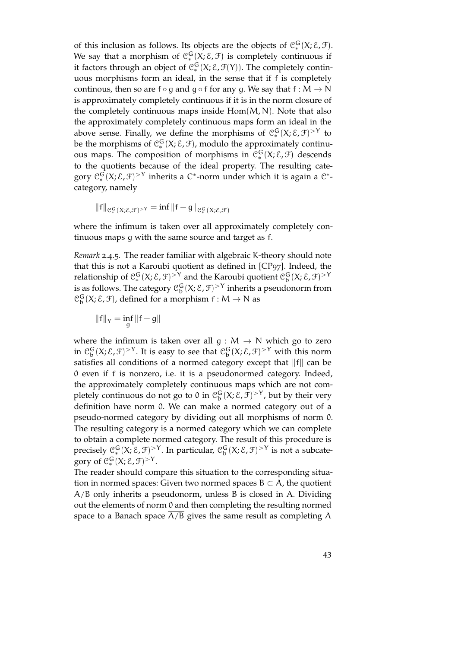of this inclusion as follows. Its objects are the objects of  $\mathcal{C}_*^G(X;\mathcal{E},\mathcal{F})$ . We say that a morphism of  $\mathcal{C}_*^G(X;\mathcal{E},\mathcal{F})$  is completely continuous if it factors through an object of  $\mathfrak{C}^{\mathsf{G}}_*(X; \mathcal{E}, \mathcal{F}(Y))$ . The completely continuous morphisms form an ideal, in the sense that if f is completely continous, then so are f ∘ g and g ∘ f for any g. We say that  $f : M \to N$ is approximately completely continuous if it is in the norm closure of the completely continuous maps inside  $Hom(M, N)$ . Note that also the approximately completely continuous maps form an ideal in the above sense. Finally, we define the morphisms of  $\mathcal{C}_*^G(X;\mathcal{E},\mathcal{F})^{\geq Y}$  to be the morphisms of  $\mathcal{C}_{*}^{G}(X;\mathcal{E},\mathcal{F})$ , modulo the approximately continuous maps. The composition of morphisms in  $\mathcal{C}_*^G(X;\mathcal{E},\mathcal{F})$  descends to the quotients because of the ideal property. The resulting category  $\mathfrak{C}^{\mathsf{G}}_*(X;\mathcal{E},\mathcal{F})^{>Y}$  inherits a C\*-norm under which it is again a C\*category, namely

$$
||f||_{\mathcal{C}_{*}^{G}(X;\mathcal{E},\mathcal{F})^{\geq Y}} = \inf ||f - g||_{\mathcal{C}_{*}^{G}(X;\mathcal{E},\mathcal{F})}
$$

where the infimum is taken over all approximately completely continuous maps g with the same source and target as f.

<span id="page-42-0"></span>*Remark* 2.4.5*.* The reader familiar with algebraic K-theory should note that this is not a Karoubi quotient as defined in [\[CP](#page-151-0)97]. Indeed, the relationship of  $\mathfrak{C}_*^G(X;\mathcal{E},\mathcal{F})^{>Y}$  and the Karoubi quotient  $\mathfrak{C}^G_b(X;\mathcal{E},\mathcal{F})^{>Y}$ is as follows. The category  $\mathfrak{C}^G_{\textnormal{b}}(X;\mathcal{E},\mathcal{F})^{>Y}$  inherits a pseudonorm from  $\mathfrak{C}^{\mathsf{G}}_{\mathsf{b}}(\mathsf{X}; \mathcal{E}, \mathcal{F})$ , defined for a morphism  $\mathsf{f} : \mathsf{M} \to \mathsf{N}$  as

$$
\|f\|_Y=\inf_g\|f-g\|
$$

where the infimum is taken over all  $g : M \to N$  which go to zero in  $\mathfrak{C}^G_{\textup{b}}(X;\mathcal{E},\mathcal{F})^{>Y}$ . It is easy to see that  $\mathfrak{C}^G_{\textup{b}}(X;\mathcal{E},\mathcal{F})^{>Y}$  with this norm satisfies all conditions of a normed category except that  $\|f\|$  can be 0 even if f is nonzero, i.e. it is a pseudonormed category. Indeed, the approximately completely continuous maps which are not completely continuous do not go to 0 in  $\mathfrak{C}^G_{\textup{b}}(X;\mathcal{E},\mathcal{F})^{>Y}$ , but by their very definition have norm 0. We can make a normed category out of a pseudo-normed category by dividing out all morphisms of norm 0. The resulting category is a normed category which we can complete to obtain a complete normed category. The result of this procedure is precisely  $\mathcal{C}_*^G(X;\mathcal{E},\mathcal{F})^{>Y}$ . In particular,  $\mathcal{C}_b^G(X;\mathcal{E},\mathcal{F})^{>Y}$  is not a subcategory of  $C_*^G(X; \mathcal{E}, \mathcal{F})^{\geq Y}$ .

The reader should compare this situation to the corresponding situation in normed spaces: Given two normed spaces  $B \subset A$ , the quotient A/B only inherits a pseudonorm, unless B is closed in A. Dividing out the elements of norm 0 and then completing the resulting normed space to a Banach space  $A/B$  gives the same result as completing  $A$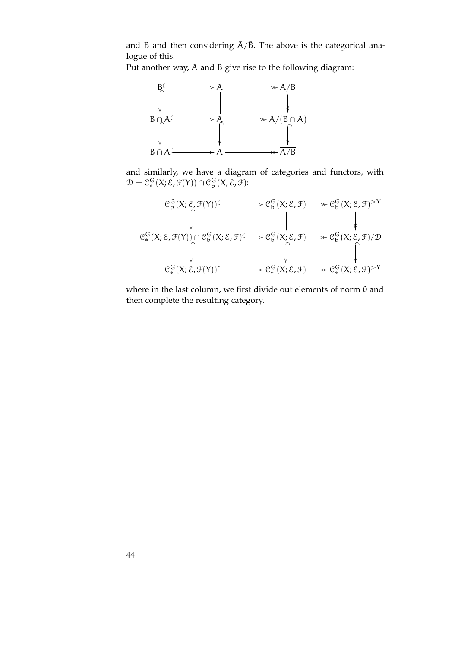and B and then considering  $\bar{A}/\bar{B}$ . The above is the categorical analogue of this.

Put another way, A and B give rise to the following diagram:



and similarly, we have a diagram of categories and functors, with  $\mathcal{D} = \mathcal{C}_{*}^{\mathsf{G}}(\mathsf{X}; \mathcal{E}, \mathcal{F}(\mathsf{Y})) \cap \mathcal{C}_{\mathsf{b}}^{\mathsf{G}}(\mathsf{X}; \mathcal{E}, \mathcal{F})$ :

$$
\begin{array}{ccc}\n\mathcal{C}_{b}^{G}(X;\mathcal{E},\mathcal{F}(Y)) & \longrightarrow & \mathcal{C}_{b}^{G}(X;\mathcal{E},\mathcal{F}) \longrightarrow & \mathcal{C}_{b}^{G}(X;\mathcal{E},\mathcal{F}) & \nearrow \\
& & \downarrow & & \downarrow \\
& & \mathcal{C}_{*}^{G}(X;\mathcal{E},\mathcal{F}(Y)) \cap \mathcal{C}_{b}^{G}(X;\mathcal{E},\mathcal{F}) & \longrightarrow & \mathcal{C}_{b}^{G}(X;\mathcal{E},\mathcal{F}) \longrightarrow & \mathcal{C}_{b}^{G}(X;\mathcal{E},\mathcal{F})/\mathcal{D} \\
& & \downarrow & & \downarrow \\
& & \mathcal{C}_{*}^{G}(X;\mathcal{E},\mathcal{F}(Y)) & \longrightarrow & \mathcal{C}_{*}^{G}(X;\mathcal{E},\mathcal{F}) \longrightarrow & \mathcal{C}_{*}^{G}(X;\mathcal{E},\mathcal{F}) & \longrightarrow \\
& & & \downarrow & & \downarrow \\
& & & \downarrow & & \downarrow \\
& & & \downarrow & & \downarrow \\
& & & \downarrow & & \downarrow \\
& & & \downarrow & & \downarrow \\
& & & \downarrow & & \downarrow \\
& & & \downarrow & & \downarrow \\
& & & \downarrow & & \downarrow \\
& & & \downarrow & & \downarrow \\
& & & \downarrow & & \downarrow \\
& & & \downarrow & & \downarrow \\
& & & \downarrow & & \downarrow \\
& & & \downarrow & & \downarrow \\
& & & \downarrow & & \downarrow \\
& & & \downarrow & & \downarrow \\
& & & \downarrow & & \downarrow \\
& & & \downarrow & & \downarrow \\
& & & \downarrow & & \downarrow \\
& & & \downarrow & & \downarrow \\
& & & \downarrow & & \downarrow \\
& & & \downarrow & & \downarrow \\
& & & \downarrow & & \downarrow \\
& & & \downarrow & & \downarrow \\
& & & \downarrow & & \downarrow \\
& & & \downarrow & & \downarrow \\
& & & \downarrow & & \downarrow \\
& & & \downarrow & & \downarrow \\
& & & \downarrow & & \downarrow \\
& & & \downarrow & & \downarrow \\
& & & \downarrow & & \downarrow \\
& & & \downarrow & & \downarrow \\
& & & \downarrow & & \downarrow \\
& & & \downarrow & & \downarrow \\
& & & \downarrow & & \downarrow \\
& & & \downarrow & & \downarrow \\
& & & \downarrow & & \downarrow \\
& & & \downarrow & & \
$$

where in the last column, we first divide out elements of norm 0 and then complete the resulting category.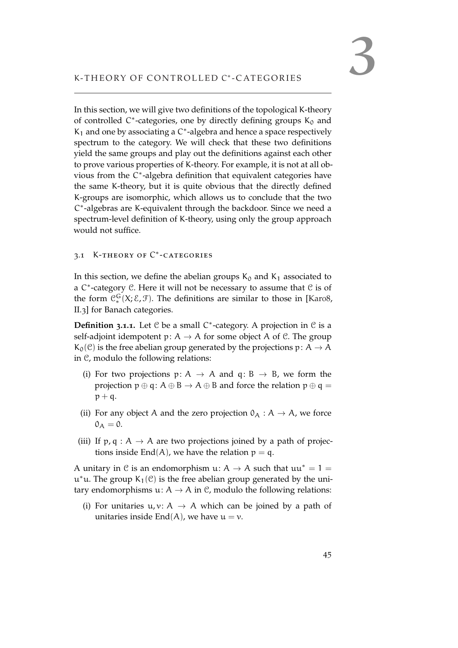In this section, we will give two definitions of the topological K-theory of controlled  $C^*$ -categories, one by directly defining groups  $K_0$  and  $K_1$  and one by associating a  $C^*$ -algebra and hence a space respectively spectrum to the category. We will check that these two definitions yield the same groups and play out the definitions against each other to prove various properties of K-theory. For example, it is not at all obvious from the C\*-algebra definition that equivalent categories have the same K-theory, but it is quite obvious that the directly defined K-groups are isomorphic, which allows us to conclude that the two C ∗ -algebras are K-equivalent through the backdoor. Since we need a spectrum-level definition of K-theory, using only the group approach would not suffice.

## 3.1 K-THEORY OF C<sup>\*</sup>-CATEGORIES

In this section, we define the abelian groups  $K_0$  and  $K_1$  associated to a C<sup>\*</sup>-category *C*. Here it will not be necessary to assume that *C* is of the form  $C_{*}^{G}(X; \mathcal{E}, \mathcal{F})$ . The definitions are similar to those in [\[Kar](#page-152-0)o8, II.3] for Banach categories.

**Definition 3.1.1.** Let *℃* be a small *C*<sup>\*</sup>-category. A projection in *℃* is a self-adjoint idempotent  $p: A \rightarrow A$  for some object A of C. The group  $K_0(\mathcal{C})$  is the free abelian group generated by the projections  $p: A \rightarrow A$ in C, modulo the following relations:

- (i) For two projections  $p: A \rightarrow A$  and  $q: B \rightarrow B$ , we form the projection  $p \oplus q$ :  $A \oplus B \rightarrow A \oplus B$  and force the relation  $p \oplus q =$  $p + q$ .
- (ii) For any object A and the zero projection  $O_A : A \rightarrow A$ , we force  $0_A = 0.$
- (iii) If  $p, q : A \rightarrow A$  are two projections joined by a path of projections inside End(A), we have the relation  $p = q$ .

A unitary in C is an endomorphism u:  $A \rightarrow A$  such that  $uu^* = 1 =$  $u^*u$ . The group  $K_1(\mathcal{C})$  is the free abelian group generated by the unitary endomorphisms  $u: A \rightarrow A$  in  $C$ , modulo the following relations:

(i) For unitaries  $u, v: A \rightarrow A$  which can be joined by a path of unitaries inside End(A), we have  $u = v$ .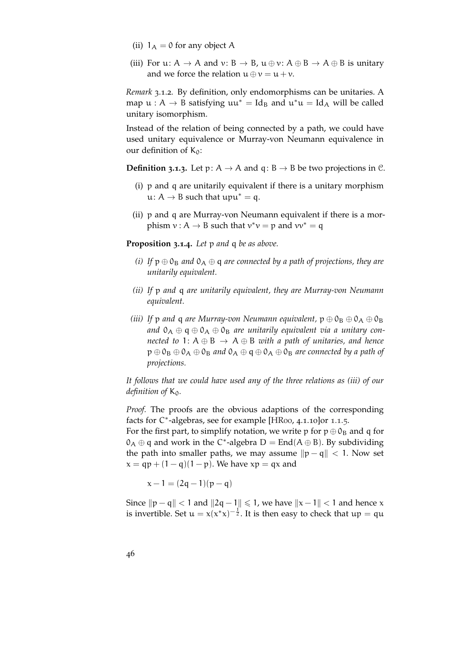- (ii)  $1_A = 0$  for any object A
- (iii) For u:  $A \rightarrow A$  and  $v: B \rightarrow B$ ,  $u \oplus v: A \oplus B \rightarrow A \oplus B$  is unitary and we force the relation  $u \oplus v = u + v$ .

*Remark* 3.1.2*.* By definition, only endomorphisms can be unitaries. A map  $u : A \to B$  satisfying  $uu^* = Id_B$  and  $u^*u = Id_A$  will be called unitary isomorphism.

Instead of the relation of being connected by a path, we could have used unitary equivalence or Murray-von Neumann equivalence in our definition of  $K_0$ :

**Definition 3.1.3.** Let  $p: A \rightarrow A$  and  $q: B \rightarrow B$  be two projections in C.

- (i) p and q are unitarily equivalent if there is a unitary morphism u:  $A \rightarrow B$  such that upu<sup>\*</sup> = q.
- (ii) p and q are Murray-von Neumann equivalent if there is a morphism  $v : A \to B$  such that  $v^*v = p$  and  $vv^* = q$

**Proposition 3.1.4.** *Let* p *and* q *be as above.*

- *(i) If*  $p \oplus 0_B$  *and*  $0_A \oplus q$  *are connected by a path of projections, they are unitarily equivalent.*
- *(ii) If* p *and* q *are unitarily equivalent, they are Murray-von Neumann equivalent.*
- *(iii) If*  $p$  *and*  $q$  *are Murray-von Neumann equivalent,*  $p \oplus 0_B \oplus 0_A \oplus 0_B$ and  $0_A \oplus q \oplus 0_A \oplus 0_B$  are unitarily equivalent via a unitary con*nected to* 1:  $A \oplus B \rightarrow A \oplus B$  *with a path of unitaries, and hence*  $p \oplus 0_B \oplus 0_A \oplus 0_B$  and  $0_A \oplus q \oplus 0_A \oplus 0_B$  are connected by a path of *projections.*

*It follows that we could have used any of the three relations as (iii) of our definition of* K<sub>0</sub>.

*Proof.* The proofs are the obvious adaptions of the corresponding facts for C<sup>\*</sup>-algebras, see for example [\[HR](#page-152-1)00, 4.[1](#page-13-0).10]or 1.1.5.

For the first part, to simplify notation, we write p for  $p \oplus 0_B$  and q for  $0_A \oplus q$  and work in the C<sup>\*</sup>-algebra  $D = \text{End}(A \oplus B)$ . By subdividing the path into smaller paths, we may assume  $\|p - q\| < 1$ . Now set  $x = qp + (1 - q)(1 - p)$ . We have  $xp = qx$  and

 $x - 1 = (2q - 1)(p - q)$ 

Since  $\|p - q\| < 1$  and  $\|2q - 1\| \le 1$ , we have  $\|x - 1\| < 1$  and hence x is invertible. Set  $u = x(x^*x)^{-\frac{1}{2}}$ . It is then easy to check that  $up = qu$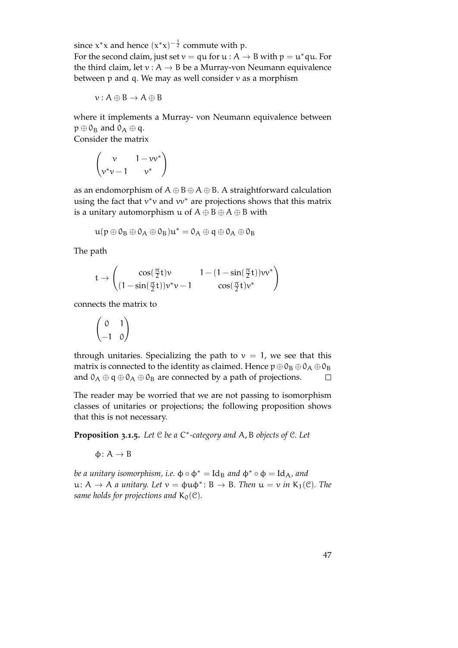since  $x^*x$  and hence  $(x^*x)^{-\frac{1}{2}}$  commute with p. For the second claim, just set  $v = qu$  for  $u : A \rightarrow B$  with  $p = u^*qu$ . For the third claim, let  $v : A \rightarrow B$  be a Murray-von Neumann equivalence between  $p$  and  $q$ . We may as well consider  $v$  as a morphism

$$
\nu:A\oplus B\to A\oplus B
$$

where it implements a Murray- von Neumann equivalence between  $p \oplus 0_B$  and  $0_A \oplus q$ .

Consider the matrix

$$
\begin{pmatrix} v & 1 - vv^* \\ v^*v - 1 & v^* \end{pmatrix}
$$

as an endomorphism of  $A \oplus B \oplus A \oplus B$ . A straightforward calculation using the fact that  $v^*v$  and  $vv^*$  are projections shows that this matrix is a unitary automorphism u of  $A \oplus B \oplus A \oplus B$  with

$$
\mathfrak{u}(p\oplus \mathfrak{0}_B\oplus \mathfrak{0}_A\oplus \mathfrak{0}_B)\mathfrak{u}^*=\mathfrak{0}_A\oplus \mathfrak{q}\oplus \mathfrak{0}_A\oplus \mathfrak{0}_B
$$

The path

$$
t \rightarrow \begin{pmatrix} \cos(\frac{\pi}{2}t)v & 1 - (1 - \sin(\frac{\pi}{2}t))vv^* \\ (1 - \sin(\frac{\pi}{2}t))v^*v - 1 & \cos(\frac{\pi}{2}t)v^* \end{pmatrix}
$$

connects the matrix to

$$
\begin{pmatrix} 0 & 1 \ -1 & 0 \end{pmatrix}
$$

through unitaries. Specializing the path to  $v = 1$ , we see that this matrix is connected to the identity as claimed. Hence  $p \oplus 0_B \oplus 0_A \oplus 0_B$ and  $0_A \oplus q \oplus 0_A \oplus 0_B$  are connected by a path of projections.  $\Box$ 

The reader may be worried that we are not passing to isomorphism classes of unitaries or projections; the following proposition shows that this is not necessary.

**Proposition 3.1.5.** *Let* C *be a* C ∗ *-category and* A, B *objects of* C*. Let*

 $φ: A \rightarrow B$ 

*be a unitary isomorphism, i.e.*  $\phi \circ \phi^* = \text{Id}_B$  *and*  $\phi^* \circ \phi = \text{Id}_A$ *, and*  $u: A \to A$  *a unitary. Let*  $v = \phi u \phi^* : B \to B$ *. Then*  $u = v$  *in*  $K_1(\mathcal{C})$ *. The same holds for projections and*  $K_0(\mathcal{C})$ *.*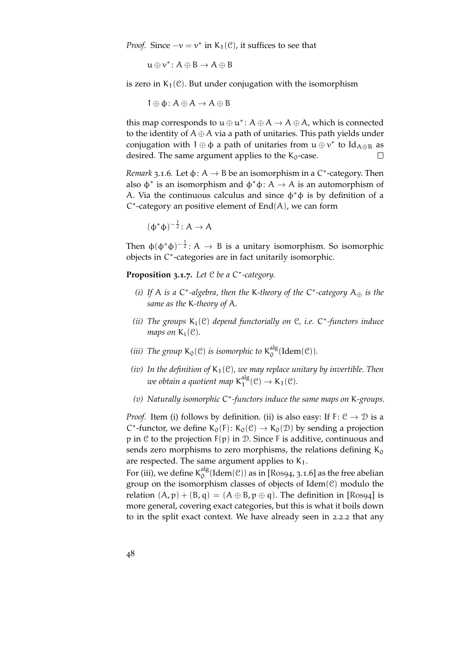*Proof.* Since  $-v = v^*$  in  $K_1(\mathcal{C})$ , it suffices to see that

 $u \oplus v^*$ :  $A \oplus B \to A \oplus B$ 

is zero in  $K_1(\mathcal{C})$ . But under conjugation with the isomorphism

 $1 \oplus \phi : A \oplus A \rightarrow A \oplus B$ 

this map corresponds to  $u \oplus u^*$ :  $A \oplus A \rightarrow A \oplus A$ , which is connected to the identity of  $A \oplus A$  via a path of unitaries. This path yields under conjugation with  $1 \oplus \varphi$  a path of unitaries from  $u \oplus v^*$  to  $Id_{A \oplus B}$  as desired. The same argument applies to the  $K_0$ -case.  $\Box$ 

<span id="page-47-0"></span>*Remark* 3.1.6. Let  $\phi$ :  $A \rightarrow B$  be an isomorphism in a C<sup>\*</sup>-category. Then also  $\phi^*$  is an isomorphism and  $\phi^*\phi: A \to A$  is an automorphism of A. Via the continuous calculus and since  $\phi^*\phi$  is by definition of a C ∗ -category an positive element of End(A), we can form

$$
(\varphi^*\varphi)^{-\frac{1}{2}}\colon A\to A
$$

Then  $\phi(\phi^*\phi)^{-\frac{1}{2}}: A \to B$  is a unitary isomorphism. So isomorphic objects in C ∗ -categories are in fact unitarily isomorphic.

**Proposition 3.1.7.** *Let* C *be a* C ∗ *-category.*

- *(i) If* A *is a* C ∗ *-algebra, then the* K*-theory of the* C ∗ *-category* A<sup>⊕</sup> *is the same as the* K*-theory of* A*.*
- *(ii) The groups* Ki(C) *depend functorially on* C*, i.e.* C ∗ *-functors induce maps on*  $K_i(\mathcal{C})$ *.*
- *(iii)* The group  $K_0(\mathcal{C})$  *is isomorphic to*  $K_0^{\text{alg}}$  $_{0}^{\text{aug}}$ (Idem(C)).
- *(iv)* In the definition of  $K_1(\mathcal{C})$ , we may replace unitary by invertible. Then *we obtain a quotient map* K alg  $I_1^{\text{ang}}(\mathcal{C}) \rightarrow K_1(\mathcal{C})$ .
- *(v) Naturally isomorphic* C ∗ *-functors induce the same maps on* K*-groups.*

*Proof.* Item (i) follows by definition. (ii) is also easy: If  $F: \mathcal{C} \to \mathcal{D}$  is a C<sup>\*</sup>-functor, we define  $K_0(F)$ :  $K_0(\mathcal{C}) \to K_0(\mathcal{D})$  by sending a projection  $p$  in  $C$  to the projection  $F(p)$  in  $D$ . Since F is additive, continuous and sends zero morphisms to zero morphisms, the relations defining  $K_0$ are respected. The same argument applies to  $K_1$ .

For (iii), we define  $K_0^{alg}$  $\frac{alg}{0}$ (Idem $(\mathcal{C})$ ) as in [\[Ros](#page-153-0)94, 3.1.6] as the free abelian group on the isomorphism classes of objects of  $Idem(\mathcal{C})$  modulo the relation  $(A, p) + (B, q) = (A \oplus B, p \oplus q)$ . The definition in [\[Ros](#page-153-0)94] is more general, covering exact categories, but this is what it boils down to in the split exact context. We have already seen in [2](#page-28-0).2.2 that any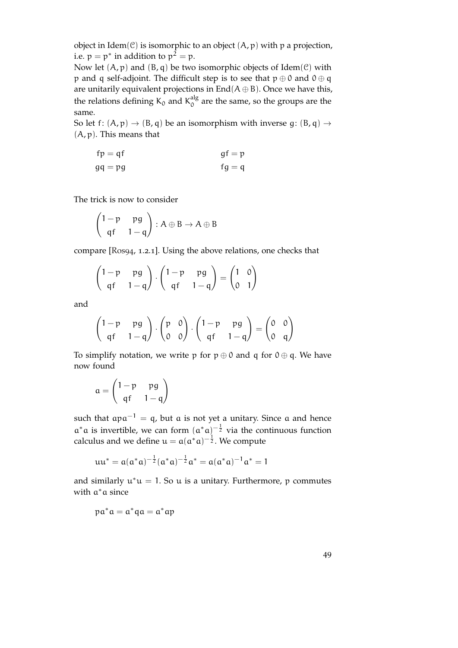object in Idem $(\mathcal{C})$  is isomorphic to an object  $(A, p)$  with p a projection, i.e.  $p = p^*$  in addition to  $p^2 = p$ .

Now let  $(A, p)$  and  $(B, q)$  be two isomorphic objects of Idem $(\mathcal{C})$  with p and q self-adjoint. The difficult step is to see that  $p \oplus 0$  and  $0 \oplus q$ are unitarily equivalent projections in  $End(A \oplus B)$ . Once we have this, the relations defining K<sub>0</sub> and K<sub>0</sub><sup>dlg</sup>  $\int_{0}^{\text{mg}}$  are the same, so the groups are the same.

So let f:  $(A, p) \rightarrow (B, q)$  be an isomorphism with inverse q:  $(B, q) \rightarrow$  $(A, p)$ . This means that

$$
fp = qf
$$
  
 
$$
gf = p
$$
  
 
$$
gf = q
$$
  
 
$$
fg = q
$$

The trick is now to consider

$$
\begin{pmatrix} 1-p & pg \\ qf & 1-q \end{pmatrix} : A \oplus B \to A \oplus B
$$

compare [\[Ros](#page-153-0)94, 1.2.1]. Using the above relations, one checks that

$$
\begin{pmatrix} 1-p & pg \\ qf & 1-q \end{pmatrix} \cdot \begin{pmatrix} 1-p & pg \\ qf & 1-q \end{pmatrix} = \begin{pmatrix} 1 & 0 \\ 0 & 1 \end{pmatrix}
$$

and

$$
\begin{pmatrix} 1-p & pg \\ qf & 1-q \end{pmatrix} \cdot \begin{pmatrix} p & 0 \\ 0 & 0 \end{pmatrix} \cdot \begin{pmatrix} 1-p & pg \\ qf & 1-q \end{pmatrix} = \begin{pmatrix} 0 & 0 \\ 0 & q \end{pmatrix}
$$

To simplify notation, we write p for  $p \oplus 0$  and q for  $0 \oplus q$ . We have now found

$$
\alpha = \begin{pmatrix} 1-p & pg \\ qf & 1-q \end{pmatrix}
$$

such that  $apa^{-1} = q$ , but a is not yet a unitary. Since a and hence  $a^*a$  is invertible, we can form  $(a^*a)^{-\frac{1}{2}}$  via the continuous function calculus and we define  $u = a(a^*a)^{-\frac{1}{2}}$ . We compute

$$
uu^* = a(a^*a)^{-\frac{1}{2}}(a^*a)^{-\frac{1}{2}}a^* = a(a^*a)^{-1}a^* = 1
$$

and similarly  $u^*u = 1$ . So u is a unitary. Furthermore, p commutes with  $a^*a$  since

$$
p\alpha^*\alpha=\alpha^*q\alpha=\alpha^*\alpha p
$$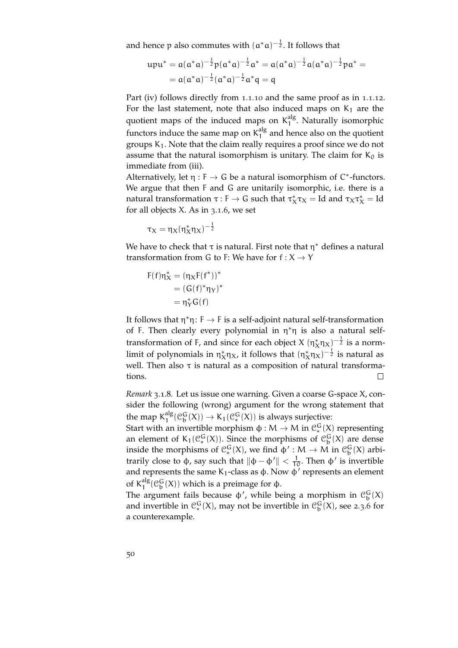and hence p also commutes with  $(a^*a)^{-\frac{1}{2}}$ . It follows that

$$
\begin{aligned} u p u^* & = \alpha (a^* a)^{-\frac{1}{2}} p (a^* a)^{-\frac{1}{2}} a^* = \alpha (a^* a)^{-\frac{1}{2}} \alpha (a^* a)^{-\frac{1}{2}} p a^* = \\ & = \alpha (a^* a)^{-\frac{1}{2}} (a^* a)^{-\frac{1}{2}} a^* q = q \end{aligned}
$$

Part (iv) follows directly from 1.1.[10](#page-16-0) and the same proof as in 1.1.[12](#page-16-1). For the last statement, note that also induced maps on  $K_1$  are the quotient maps of the induced maps on  $K_1^{alg}$ <sup>ang</sup>. Naturally isomorphic functors induce the same map on  $K_1^{\text{alg}}$  $1<sup>48</sup>$  and hence also on the quotient groups  $K_1$ . Note that the claim really requires a proof since we do not assume that the natural isomorphism is unitary. The claim for  $K_0$  is immediate from (iii).

Alternatively, let  $\eta : F \to G$  be a natural isomorphism of  $C^*$ -functors. We argue that then F and G are unitarily isomorphic, i.e. there is a natural transformation  $\tau : \mathsf{F} \to \mathsf{G}$  such that  $\tau_X^* \tau_X = \text{Id}$  and  $\tau_X \tau_X^* = \text{Id}$ for all objects X. As in [3](#page-47-0).1.6, we set

$$
\tau_X=\eta_X(\eta_X^*\eta_X)^{-\frac{1}{2}}
$$

We have to check that  $\tau$  is natural. First note that  $\eta^*$  defines a natural transformation from G to F: We have for  $f: X \rightarrow Y$ 

$$
\begin{aligned} F(f)\eta^*_X&=(\eta_XF(f^*))^*\\&=(G(f)^*\eta_Y)^*\\&=\eta^*_YG(f) \end{aligned}
$$

It follows that  $\eta^*\eta: F \to F$  is a self-adjoint natural self-transformation of F. Then clearly every polynomial in  $\eta^* \eta$  is also a natural selftransformation of F, and since for each object X  $(\eta_X^*\eta_X)^{-\frac{1}{2}}$  is a normlimit of polynomials in  $\eta^*_X \eta_X$ , it follows that  $(\eta^*_X \eta_X)^{-\frac{1}{2}}$  is natural as well. Then also  $\tau$  is natural as a composition of natural transformations.  $\Box$ 

*Remark* 3.1.8*.* Let us issue one warning. Given a coarse G-space X, consider the following (wrong) argument for the wrong statement that the map  $K_1^{alg}$  $\frac{alg}{1}(\mathcal{C}_b^G(X)) \to K_1(\mathcal{C}_*^G(X))$  is always surjective:

Start with an invertible morphism  $\varphi : M \to M$  in  $\mathcal{C}_*^G(X)$  representing an element of  $K_1(\mathcal{C}_*^G(X))$ . Since the morphisms of  $\mathcal{C}_b^G(X)$  are dense inside the morphisms of  $\mathcal{C}_{*}^{G}(X)$ , we find  $\varphi' : M \to M$  in  $\mathcal{C}_{b}^{G}(X)$  arbitrarily close to φ, say such that  $\|\phi - \phi'\| < \frac{1}{10}$ . Then φ' is invertible and represents the same K<sub>1</sub>-class as  $\phi$ . Now  $\phi'$  represents an element of  $K_1^{alg}$  $\frac{alg}{1}$ ( $\mathcal{C}_{b}^{G}(X)$ ) which is a preimage for φ.

The argument fails because  $\phi'$ , while being a morphism in  $\mathcal{C}_{\mathfrak{b}}^{\mathsf{G}}(\mathsf{X})$ and invertible in  $\mathcal{C}_{*}^{G}(X)$ , may not be invertible in  $\mathcal{C}_{b}^{G}(X)$ , see [2](#page-39-0).3.6 for a counterexample.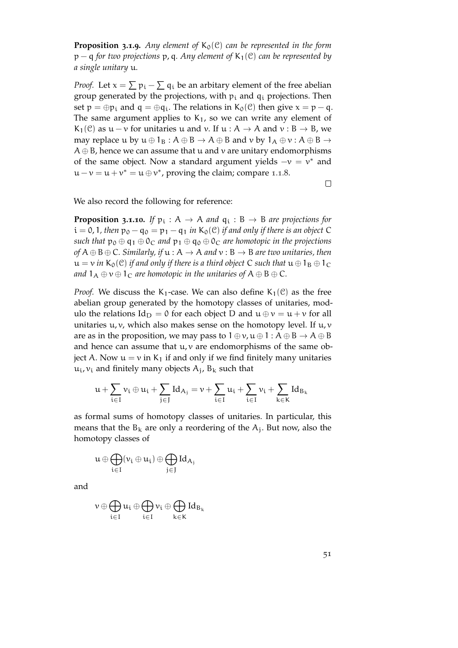**Proposition 3.1.9.** Any element of  $K_0(\mathcal{C})$  can be represented in the form p − q *for two projections* p, q*. Any element of* K1(C) *can be represented by a single unitary* u*.*

*Proof.* Let  $x = \sum p_i - \sum q_i$  be an arbitary element of the free abelian group generated by the projections, with  $p_i$  and  $q_i$  projections. Then set  $p = \bigoplus p_i$  and  $q = \bigoplus q_i$ . The relations in  $K_0(\mathcal{C})$  then give  $x = p - q$ . The same argument applies to  $K_1$ , so we can write any element of K<sub>1</sub>(C) as  $u - v$  for unitaries u and v. If  $u : A \rightarrow A$  and  $v : B \rightarrow B$ , we may replace u by  $u \oplus 1_B : A \oplus B \rightarrow A \oplus B$  and v by  $1_A \oplus v : A \oplus B \rightarrow$  $A \oplus B$ , hence we can assume that u and v are unitary endomorphisms of the same object. Now a standard argument yields  $-v = v^*$  and  $u - v = u + v^* = u \oplus v^*$ , proving the claim; compare [1](#page-15-0).1.8.

 $\Box$ 

We also record the following for reference:

**Proposition 3.1.10.** If  $p_i : A \rightarrow A$  and  $q_i : B \rightarrow B$  are projections for  $i = 0, 1$ , then  $p_0 - q_0 = p_1 - q_1$  *in*  $K_0(\mathcal{C})$  *if and only if there is an object* C *such that*  $p_0 \oplus q_1 \oplus 0_C$  *and*  $p_1 \oplus q_0 \oplus 0_C$  *are homotopic in the projections of*  $A \oplus B \oplus C$ *. Similarly, if*  $u : A \rightarrow A$  *and*  $v : B \rightarrow B$  *are two unitaries, then*  $u = v$  *in* K<sub>0</sub>(C) *if and only if there is a third object* C *such that*  $u \oplus 1_B \oplus 1_C$ *and*  $1_A \oplus v \oplus 1_C$  *are homotopic in the unitaries of*  $A \oplus B \oplus C$ *.* 

*Proof.* We discuss the K<sub>1</sub>-case. We can also define K<sub>1</sub>(C) as the free abelian group generated by the homotopy classes of unitaries, modulo the relations  $Id_D = 0$  for each object D and  $u \oplus v = u + v$  for all unitaries  $u, v$ , which also makes sense on the homotopy level. If  $u, v$ are as in the proposition, we may pass to  $1 \oplus \nu, \nu \oplus 1 : A \oplus B \rightarrow A \oplus B$ and hence can assume that  $u, v$  are endomorphisms of the same object A. Now  $u = v$  in K<sub>1</sub> if and only if we find finitely many unitaries  $\mathfrak{u_i}$ ,  $v_i$  and finitely many objects  $\mathsf{A_j}$ ,  $\mathsf{B_k}$  such that

$$
u+\sum_{i\in I}\nu_i\oplus u_i+\sum_{j\in J}Id_{A_j}=\nu+\sum_{i\in I}u_i+\sum_{i\in I}\nu_i+\sum_{k\in K}Id_{B_k}
$$

as formal sums of homotopy classes of unitaries. In particular, this means that the  $B_k$  are only a reordering of the  $A_j$ . But now, also the homotopy classes of

$$
u\oplus \bigoplus_{i\in I} (\nu_i\oplus u_i)\oplus \bigoplus_{j\in J} Id_{A_j}
$$

and

$$
\nu\oplus\bigoplus_{i\in I}\mathfrak{u}_i\oplus\bigoplus_{i\in I}\nu_i\oplus\bigoplus_{k\in K}Id_{B_k}
$$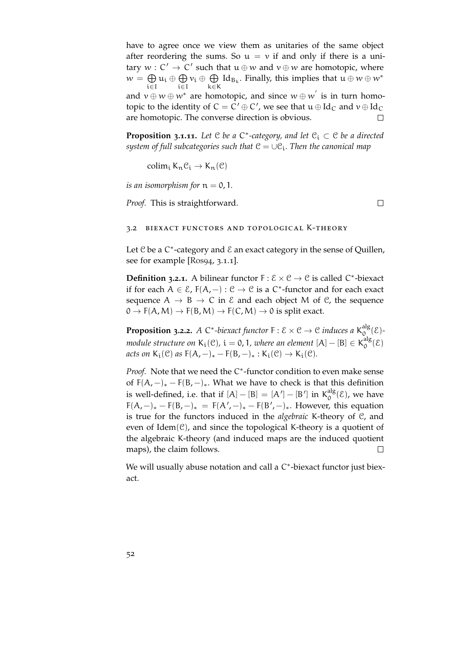have to agree once we view them as unitaries of the same object after reordering the sums. So  $u = v$  if and only if there is a unitary  $w: C' \to C'$  such that  $u \oplus w$  and  $v \oplus w$  are homotopic, where  $w = \bigoplus u_i \oplus \bigoplus v_i \oplus \bigoplus \text{Id}_{B_k}$ . Finally, this implies that  $u \oplus w \oplus w^*$ k∈K i∈I i∈I and  $v \oplus w \oplus w^*$  are homotopic, and since  $w \oplus w^{'}$  is in turn homotopic to the identity of  $C = C' \oplus C'$ , we see that  $u \oplus Id_C$  and  $v \oplus Id_C$ are homotopic. The converse direction is obvious.  $\Box$ 

**Proposition 3.1.11.** Let  $C$  be a  $C^*$ -category, and let  $C_i \subset C$  be a directed *system of full subcategories such that*  $C = \cup C_i$ *. Then the canonical map* 

colim<sub>i</sub> K<sub>n</sub> $\mathcal{C}_i \rightarrow K_n(\mathcal{C})$ 

*is an isomorphism for*  $n = 0, 1$ .

*Proof.* This is straightforward.

 $\Box$ 

### 3.2 biexact functors and topological K-theory

Let  $C$  be a  $C^*$ -category and  $\mathcal E$  an exact category in the sense of Quillen, see for example [\[Ros](#page-153-0)94, 3.1.1].

**Definition 3.2.1.** A bilinear functor  $F : \mathcal{E} \times \mathcal{C} \rightarrow \mathcal{C}$  is called  $C^*$ -biexact if for each  $A \in \mathcal{E}$ ,  $F(A, -) : \mathcal{C} \to \mathcal{C}$  is a  $C^*$ -functor and for each exact sequence  $A \rightarrow B \rightarrow C$  in  $\&$  and each object M of  $\&$ , the sequence  $0 \to F(A,M) \to F(B,M) \to F(C,M) \to 0$  is split exact.

**Proposition 3.2.2.** A C<sup>\*</sup>-biexact functor  $F : \mathcal{E} \times \mathcal{C} \rightarrow \mathcal{C}$  induces a  $K_0^{\text{alg}}$  $\int_{0}^{\text{alg}} (\mathcal{E})^{-1}$ *module structure on*  $K_i(\mathcal{C})$ ,  $i = 0, 1$ , where an element  $[A] - [B] \in K_0^{\text{alg}}$  $0^{\text{alg}}(\mathcal{E})$ *acts on*  $K_i(\mathcal{C})$  *as*  $F(A, -)_* - F(B, -)_* : K_i(\mathcal{C}) \rightarrow K_i(\mathcal{C})$ .

Proof. Note that we need the C<sup>\*</sup>-functor condition to even make sense of  $F(A, -)_* - F(B, -)_*$ . What we have to check is that this definition is well-defined, i.e. that if  $[A] - [B] = [A'] - [B']$  in  $K_0^{alg}$  $0^{\text{alg}}(\mathcal{E})$ , we have  $F(A, -)_* - F(B, -)_* = F(A', -)_* - F(B', -)_*$ . However, this equation is true for the functors induced in the *algebraic* K-theory of C, and even of Idem $(\mathcal{C})$ , and since the topological K-theory is a quotient of the algebraic K-theory (and induced maps are the induced quotient maps), the claim follows.  $\Box$ 

We will usually abuse notation and call a C<sup>\*</sup>-biexact functor just biexact.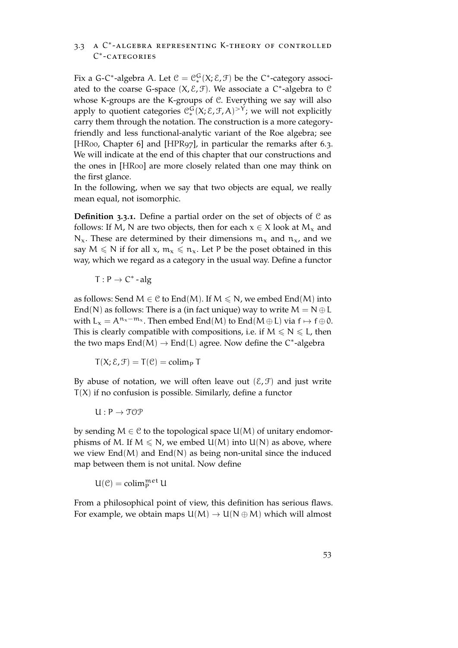# 3.3 a C ∗ -algebra representing K-theory of controlled C ∗ -categories

Fix a G-C\*-algebra A. Let  $\mathcal{C} = \mathcal{C}_*^G(X; \mathcal{E}, \mathcal{F})$  be the C\*-category associated to the coarse G-space  $(X, \mathcal{E}, \mathcal{F})$ . We associate a C<sup>\*</sup>-algebra to C whose K-groups are the K-groups of C. Everything we say will also apply to quotient categories  $\mathcal{C}_*^G(X;\mathcal{E},\mathcal{F},A)^{>Y}$ ; we will not explicitly carry them through the notation. The construction is a more categoryfriendly and less functional-analytic variant of the Roe algebra; see [\[HR](#page-152-1)00, Chapter 6] and [\[HPR](#page-152-2)97], in particular the remarks after 6.3. We will indicate at the end of this chapter that our constructions and the ones in [\[HR](#page-152-1)00] are more closely related than one may think on the first glance.

In the following, when we say that two objects are equal, we really mean equal, not isomorphic.

**Definition 3.3.1.** Define a partial order on the set of objects of C as follows: If M, N are two objects, then for each  $x \in X$  look at  $M_x$  and  $N_x$ . These are determined by their dimensions  $m_x$  and  $n_x$ , and we say  $M \le N$  if for all  $x, m_x \le n_x$ . Let P be the poset obtained in this way, which we regard as a category in the usual way. Define a functor

 $T: P \rightarrow C^*$  - alg

as follows: Send  $M \in \mathcal{C}$  to End(M). If  $M \le N$ , we embed End(M) into End(N) as follows: There is a (in fact unique) way to write  $M = N \oplus L$ with  $L_x = A^{n_x - m_x}$ . Then embed End(M) to End(M ⊕ L) via  $f \mapsto f \oplus 0$ . This is clearly compatible with compositions, i.e. if  $M \le N \le L$ , then the two maps  $End(M) \to End(L)$  agree. Now define the C<sup>\*</sup>-algebra

 $T(X; \mathcal{E}, \mathcal{F}) = T(\mathcal{C}) = \text{colim}_{P} T$ 

By abuse of notation, we will often leave out  $(\mathcal{E}, \mathcal{F})$  and just write  $T(X)$  if no confusion is possible. Similarly, define a functor

 $U: P \rightarrow \text{TOP}$ 

by sending  $M \in \mathcal{C}$  to the topological space  $U(M)$  of unitary endomorphisms of M. If  $M \le N$ , we embed  $U(M)$  into  $U(N)$  as above, where we view  $\text{End}(M)$  and  $\text{End}(N)$  as being non-unital since the induced map between them is not unital. Now define

 $U(\mathcal{C}) = \operatorname{colim}_{P}^{\mathfrak{met}} U$ 

From a philosophical point of view, this definition has serious flaws. For example, we obtain maps  $U(M) \to U(N \oplus M)$  which will almost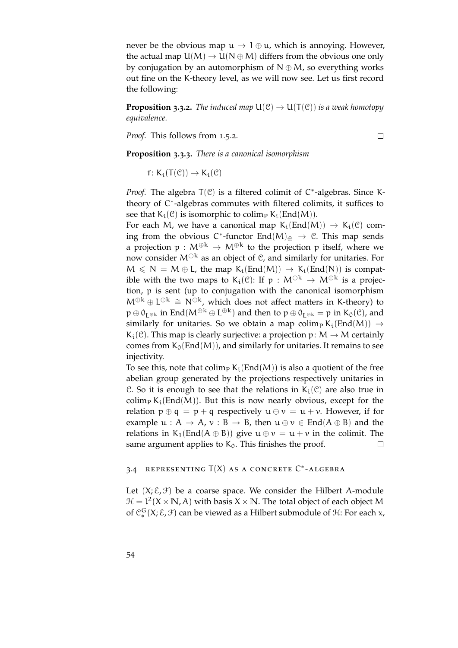never be the obvious map  $u \to 1 \oplus u$ , which is annoying. However, the actual map  $U(M) \rightarrow U(N \oplus M)$  differs from the obvious one only by conjugation by an automorphism of  $N \oplus M$ , so everything works out fine on the K-theory level, as we will now see. Let us first record the following:

**Proposition 3.3.2.** *The induced map*  $U(\mathcal{C}) \to U(T(\mathcal{C}))$  *is a weak homotopy equivalence.*

*Proof.* This follows from [1](#page-22-0).5.2.

 $\Box$ 

**Proposition 3.3.3.** *There is a canonical isomorphism*

f:  $K_i(T(\mathcal{C})) \rightarrow K_i(\mathcal{C})$ 

Proof. The algebra T(C) is a filtered colimit of C<sup>\*</sup>-algebras. Since Ktheory of C\*-algebras commutes with filtered colimits, it suffices to see that  $K_i(\mathcal{C})$  is isomorphic to colimp  $K_i(\text{End}(M))$ .

For each M, we have a canonical map  $K_i(End(M)) \rightarrow K_i(\mathcal{C})$  coming from the obvious  $C^*$ -functor  $\text{End}(M)_{\oplus} \to \mathcal{C}$ . This map sends a projection  $p : M^{\oplus k} \to M^{\oplus k}$  to the projection p itself, where we now consider  $M^{\oplus k}$  as an object of  $\mathcal{C}$ , and similarly for unitaries. For  $M \leq N = M \oplus L$ , the map  $K_i(End(M)) \rightarrow K_i(End(N))$  is compatible with the two maps to K<sub>i</sub>(C): If  $p : M^{\oplus k} \to M^{\oplus k}$  is a projection, p is sent (up to conjugation with the canonical isomorphism  $M^{\oplus k} \oplus L^{\oplus k} \cong N^{\oplus k}$ , which does not affect matters in K-theory) to  $p \oplus 0_{L^{\oplus k}}$  in End $(M^{\oplus k} \oplus L^{\oplus k})$  and then to  $p \oplus 0_{L^{\oplus k}} = p$  in  $K_0(\mathcal{C})$ , and similarly for unitaries. So we obtain a map colimp K<sub>i</sub>(End(M))  $\rightarrow$  $K_i(\mathcal{C})$ . This map is clearly surjective: a projection p:  $M \rightarrow M$  certainly comes from  $K_0(End(M))$ , and similarly for unitaries. It remains to see injectivity.

To see this, note that colimp  $K_i(End(M))$  is also a quotient of the free abelian group generated by the projections respectively unitaries in C. So it is enough to see that the relations in  $K_i(\mathcal{C})$  are also true in colim<sub>P</sub> K<sub>i</sub>(End(M)). But this is now nearly obvious, except for the relation  $p \oplus q = p + q$  respectively  $u \oplus v = u + v$ . However, if for example  $u : A \rightarrow A$ ,  $v : B \rightarrow B$ , then  $u \oplus v \in End(A \oplus B)$  and the relations in K<sub>1</sub>(End(A ⊕ B)) give  $u \oplus v = u + v$  in the colimit. The same argument applies to  $K_0$ . This finishes the proof.  $\Box$ 

## 3.4 REPRESENTING  $T(X)$  as a concrete  $C^*$ -Algebra

Let  $(X; \mathcal{E}, \mathcal{F})$  be a coarse space. We consider the Hilbert A-module  $H = L^2(X \times N, A)$  with basis  $X \times N$ . The total object of each object M of  $C_{*}^{G}(X; \mathcal{E}, \mathcal{F})$  can be viewed as a Hilbert submodule of  $\mathcal{H}$ : For each x,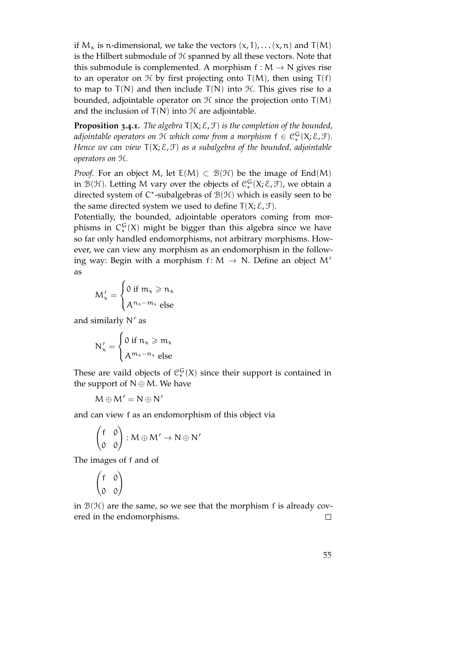if  $M_x$  is n-dimensional, we take the vectors  $(x, 1)$ , . . .  $(x, n)$  and T(M) is the Hilbert submodule of H spanned by all these vectors. Note that this submodule is complemented. A morphism  $f : M \to N$  gives rise to an operator on  $H$  by first projecting onto  $T(M)$ , then using  $T(f)$ to map to  $T(N)$  and then include  $T(N)$  into  $H$ . This gives rise to a bounded, adjointable operator on  $H$  since the projection onto  $T(M)$ and the inclusion of  $T(N)$  into  $H$  are adjointable.

<span id="page-54-0"></span>**Proposition 3.4.1.** *The algebra* T(X; E, F) *is the completion of the bounded,* adjointable operators on  ${\mathfrak{R}}$  which come from a morphism  ${\mathsf f} \in {\mathfrak{C}}_*^{\mathsf{G}}({\mathsf{X}}; {\mathcal{E}}, {\mathcal{F}}).$ *Hence we can view* T(X; E, F) *as a subalgebra of the bounded, adjointable operators on* H*.*

*Proof.* For an object M, let  $E(M) \subset B(H)$  be the image of End(M) in  $\mathcal{B}(\mathcal{H})$ . Letting M vary over the objects of  $\mathcal{C}_*^G(X;\mathcal{E},\mathcal{F})$ , we obtain a directed system of  $C^*$ -subalgebras of  $\mathcal{B}(\mathcal{H})$  which is easily seen to be the same directed system we used to define  $T(X; \mathcal{E}, \mathcal{F})$ .

Potentially, the bounded, adjointable operators coming from morphisms in  $C_*^G(X)$  might be bigger than this algebra since we have so far only handled endomorphisms, not arbitrary morphisms. However, we can view any morphism as an endomorphism in the following way: Begin with a morphism  $f: M \rightarrow N$ . Define an object M' as

$$
M'_x = \begin{cases} 0 \text{ if } m_x \geq n_x \\ A^{n_x - m_x} \text{ else} \end{cases}
$$

and similarly  $N'$  as

$$
N'_x = \begin{cases} 0 \text{ if } n_x \geqslant m_x \\ A^{m_x - n_x} \text{ else} \end{cases}
$$

These are vaild objects of  $C_*^G(X)$  since their support is contained in the support of  $N \oplus M$ . We have

$$
M\oplus M'=N\oplus N'
$$

and can view f as an endomorphism of this object via

$$
\begin{pmatrix} f & 0 \\ 0 & 0 \end{pmatrix} : M \oplus M' \to N \oplus N'
$$

The images of f and of

$$
\begin{pmatrix} f & 0 \\ 0 & 0 \end{pmatrix}
$$

in  $\mathcal{B}(\mathcal{H})$  are the same, so we see that the morphism f is already covered in the endomorphisms.  $\Box$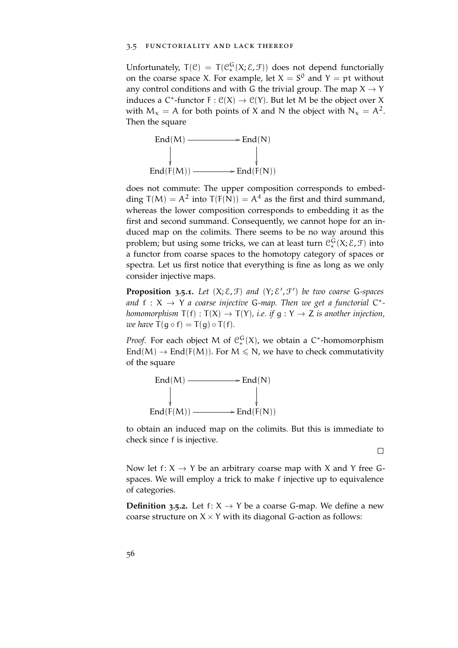#### 3.5 functoriality and lack thereof

Unfortunately,  $T(\mathcal{C}) = T(\mathcal{C}_*^G(X;\mathcal{E},\mathcal{F}))$  does not depend functorially on the coarse space X. For example, let  $X = S^0$  and  $Y = pt$  without any control conditions and with G the trivial group. The map  $X \rightarrow Y$ induces a  $C^*$ -functor  $F: C(X) \to C(Y)$ . But let M be the object over X with  $M_x = A$  for both points of X and N the object with  $N_x = A^2$ . Then the square



does not commute: The upper composition corresponds to embedding  $T(M) = A^2$  into  $T(F(N)) = A^4$  as the first and third summand, whereas the lower composition corresponds to embedding it as the first and second summand. Consequently, we cannot hope for an induced map on the colimits. There seems to be no way around this problem; but using some tricks, we can at least turn  $\mathcal{C}_*^G(X; \mathcal{E}, \mathcal{F})$  into a functor from coarse spaces to the homotopy category of spaces or spectra. Let us first notice that everything is fine as long as we only consider injective maps.

**Proposition 3.5.1.** Let  $(X; \mathcal{E}, \mathcal{F})$  and  $(Y; \mathcal{E}', \mathcal{F}')$  be two coarse G-spaces and  $f: X \to Y$  a coarse injective G-map. Then we get a functorial  $C^*$ *homomorphism*  $T(f) : T(X) \to T(Y)$ *, i.e. if*  $g : Y \to Z$  *is another injection, we have*  $T(q \circ f) = T(q) \circ T(f)$ *.* 

*Proof.* For each object M of  $C_*^G(X)$ , we obtain a C\*-homomorphism  $\text{End}(M) \to \text{End}(F(M))$ . For  $M \le N$ , we have to check commutativity of the square



to obtain an induced map on the colimits. But this is immediate to check since f is injective.

 $\Box$ 

Now let f:  $X \rightarrow Y$  be an arbitrary coarse map with X and Y free Gspaces. We will employ a trick to make f injective up to equivalence of categories.

<span id="page-55-0"></span>**Definition 3.5.2.** Let  $f: X \rightarrow Y$  be a coarse G-map. We define a new coarse structure on  $X \times Y$  with its diagonal G-action as follows: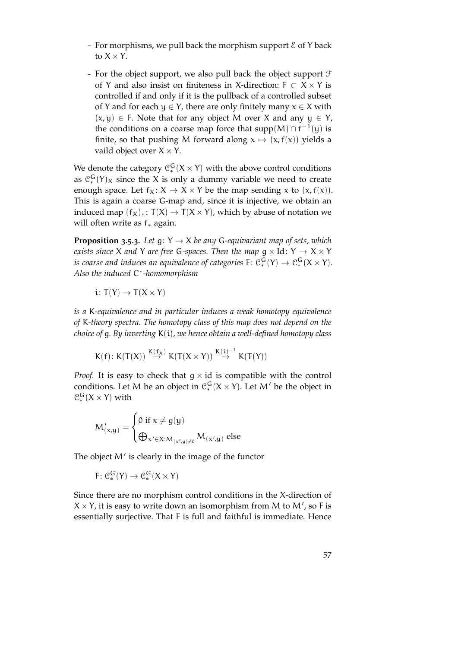- For morphisms, we pull back the morphism support  $\mathcal E$  of Y back to  $X \times Y$ .
- For the object support, we also pull back the object support  $\mathcal F$ of Y and also insist on finiteness in X-direction:  $F \subset X \times Y$  is controlled if and only if it is the pullback of a controlled subset of Y and for each  $y \in Y$ , there are only finitely many  $x \in X$  with  $(x, y) \in F$ . Note that for any object M over X and any  $y \in Y$ , the conditions on a coarse map force that supp $(M) \cap f^{-1}(y)$  is finite, so that pushing M forward along  $x \mapsto (x, f(x))$  yields a vaild object over  $X \times Y$ .

We denote the category  $\mathcal{C}_*^G(X \times Y)$  with the above control conditions as  $C_*^G(Y)_X$  since the X is only a dummy variable we need to create enough space. Let  $f_X: X \to X \times Y$  be the map sending x to  $(x, f(x))$ . This is again a coarse G-map and, since it is injective, we obtain an induced map  $(f_X)_*: T(X)$  →  $T(X \times Y)$ , which by abuse of notation we will often write as f<sup>∗</sup> again.

<span id="page-56-0"></span>**Proposition 3.5.3.** Let  $g: Y \to X$  be any G-equivariant map of sets, which *exists since* X *and* Y *are free* G-spaces. Then the map  $g \times Id$ : Y  $\rightarrow X \times Y$ *is coarse and induces an equivalence of categories*  $F \colon \mathcal{C}_*^G(Y) \to \mathcal{C}_*^G(X \times Y)$ . *Also the induced* C ∗ *-homomorphism*

$$
i\colon T(Y)\to T(X\times Y)
$$

*is a* K*-equivalence and in particular induces a weak homotopy equivalence of* K*-theory spectra. The homotopy class of this map does not depend on the choice of* g*. By inverting* K(i)*, we hence obtain a well-defined homotopy class*

$$
K(f)\colon K(T(X))\stackrel{K(f_X)}{\to} K(T(X\times Y))\stackrel{K(i)^{-1}}{\to} K(T(Y))
$$

*Proof.* It is easy to check that  $g \times id$  is compatible with the control conditions. Let M be an object in  $\mathcal{C}_*^G(X \times Y)$ . Let M' be the object in  $\mathfrak{C}_{*}^{\mathsf{G}}(X \times Y)$  with

$$
M_{(x,y)}' = \begin{cases} 0 \text{ if } x \neq g(y) \\ \bigoplus_{x' \in X : M_{(x',y) \neq 0}} M_{(x',y)} \text{ else } \end{cases}
$$

The object  $M'$  is clearly in the image of the functor

$$
F\colon \mathcal{C}_*^G(Y)\to \mathcal{C}_*^G(X\times Y)
$$

Since there are no morphism control conditions in the X-direction of  $X \times Y$ , it is easy to write down an isomorphism from M to M', so F is essentially surjective. That F is full and faithful is immediate. Hence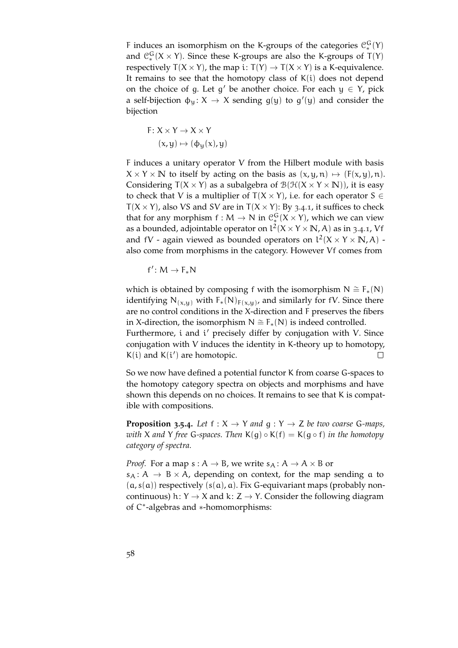F induces an isomorphism on the K-groups of the categories  $\mathcal{C}_{*}^{G}(Y)$ and  $\mathcal{C}_{*}^{G}(X \times Y)$ . Since these K-groups are also the K-groups of T(Y) respectively  $T(X \times Y)$ , the map i:  $T(Y) \rightarrow T(X \times Y)$  is a K-equivalence. It remains to see that the homotopy class of  $K(i)$  does not depend on the choice of g. Let g' be another choice. For each  $y \in Y$ , pick a self-bijection  $\phi_y: X \to X$  sending  $g(y)$  to  $g'(y)$  and consider the bijection

$$
F: X \times Y \to X \times Y
$$

$$
(x, y) \mapsto (\phi_y(x), y)
$$

F induces a unitary operator V from the Hilbert module with basis  $X \times Y \times \mathbb{N}$  to itself by acting on the basis as  $(x, y, n) \mapsto (F(x, y), n)$ . Considering  $T(X \times Y)$  as a subalgebra of  $\mathcal{B}(\mathcal{H}(X \times Y \times \mathbb{N}))$ , it is easy to check that V is a multiplier of  $T(X \times Y)$ , i.e. for each operator  $S \in$  $T(X \times Y)$ , also VS and SV are in  $T(X \times Y)$ : By [3](#page-54-0).4.1, it suffices to check that for any morphism  $f : M \to N$  in  $\mathcal{C}_*^G(X \times Y)$ , which we can view as a bounded, adjointable operator on  $l^2(X \times Y \times \mathbb{N}, A)$  as in [3](#page-54-0).4.1, Vf and fV - again viewed as bounded operators on  $l^2(X \times Y \times N, A)$  also come from morphisms in the category. However Vf comes from

$$
f'\colon M\to F_*N
$$

which is obtained by composing f with the isomorphism  $N \cong F_*(N)$ identifying  $N_{(x,y)}$  with  $F_*(N)_{F(x,y)}$ , and similarly for fV. Since there are no control conditions in the X-direction and F preserves the fibers in X-direction, the isomorphism  $N \cong F_*(N)$  is indeed controlled. Furthermore, i and i' precisely differ by conjugation with V. Since conjugation with V induces the identity in K-theory up to homotopy,  $K(i)$  and  $K(i')$  are homotopic.  $\Box$ 

So we now have defined a potential functor K from coarse G-spaces to the homotopy category spectra on objects and morphisms and have shown this depends on no choices. It remains to see that K is compatible with compositions.

**Proposition 3.5.4.** *Let*  $f : X \rightarrow Y$  *and*  $g : Y \rightarrow Z$  *be two coarse* G-*maps*, *with* X *and* Y *free* G*-spaces. Then* K(g) ◦ K(f) = K(g ◦ f) *in the homotopy category of spectra.*

*Proof.* For a map  $s : A \rightarrow B$ , we write  $s_A : A \rightarrow A \times B$  or  $s_A: A \rightarrow B \times A$ , depending on context, for the map sending a to  $(a, s(a))$  respectively  $(s(a), a)$ . Fix G-equivariant maps (probably noncontinuous) h:  $Y \rightarrow X$  and k:  $Z \rightarrow Y$ . Consider the following diagram of C ∗ -algebras and ∗-homomorphisms: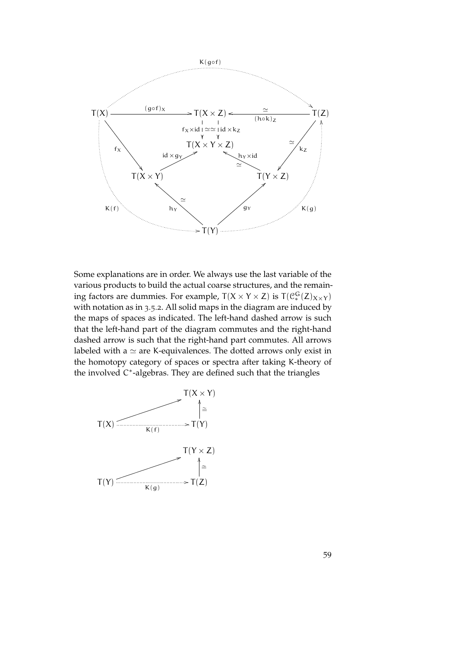

Some explanations are in order. We always use the last variable of the various products to build the actual coarse structures, and the remaining factors are dummies. For example,  $T(X \times Y \times Z)$  is  $T(\mathcal{C}_*^G(Z)_{X \times Y})$ with notation as in [3](#page-55-0).5.2. All solid maps in the diagram are induced by the maps of spaces as indicated. The left-hand dashed arrow is such that the left-hand part of the diagram commutes and the right-hand dashed arrow is such that the right-hand part commutes. All arrows labeled with a  $\simeq$  are K-equivalences. The dotted arrows only exist in the homotopy category of spaces or spectra after taking K-theory of the involved C<sup>\*</sup>-algebras. They are defined such that the triangles

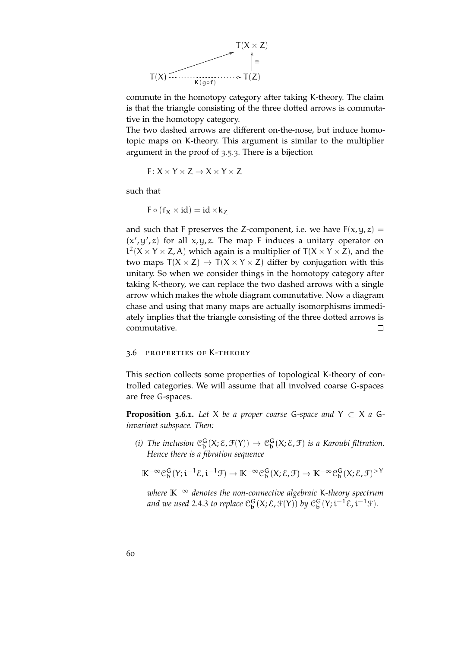

commute in the homotopy category after taking K-theory. The claim is that the triangle consisting of the three dotted arrows is commutative in the homotopy category.

The two dashed arrows are different on-the-nose, but induce homotopic maps on K-theory. This argument is similar to the multiplier argument in the proof of [3](#page-56-0).5.3. There is a bijection

$$
F\colon X\times Y\times Z\to X\times Y\times Z
$$

such that

 $F \circ (f_X \times id) = id \times k_Z$ 

and such that F preserves the Z-component, i.e. we have  $F(x, y, z) =$  $(x', y', z)$  for all  $x, y, z$ . The map F induces a unitary operator on  $l^2$ (X × Y × Z, A) which again is a multiplier of T(X × Y × Z), and the two maps  $T(X \times Z) \rightarrow T(X \times Y \times Z)$  differ by conjugation with this unitary. So when we consider things in the homotopy category after taking K-theory, we can replace the two dashed arrows with a single arrow which makes the whole diagram commutative. Now a diagram chase and using that many maps are actually isomorphisms immediately implies that the triangle consisting of the three dotted arrows is commutative.  $\Box$ 

#### 3.6 properties of K-theory

This section collects some properties of topological K-theory of controlled categories. We will assume that all involved coarse G-spaces are free G-spaces.

**Proposition 3.6.1.** Let X be a proper coarse G-space and  $Y \subset X$  a G*invariant subspace. Then:*

(*i*) The inclusion  $\mathfrak{C}^G_\mathfrak{b}(X;\mathcal{E},\mathfrak{F}(Y)) \to \mathfrak{C}^G_\mathfrak{b}(X;\mathcal{E},\mathfrak{F})$  is a Karoubi filtration. *Hence there is a fibration sequence*

$$
\mathbb{K}^{-\infty} \mathcal{C}^G_b(Y;i^{-1}\mathcal{E},i^{-1}\mathcal{F}) \to \mathbb{K}^{-\infty} \mathcal{C}^G_b(X;\mathcal{E},\mathcal{F}) \to \mathbb{K}^{-\infty} \mathcal{C}^G_b(X;\mathcal{E},\mathcal{F})^{>Y}
$$

*where* **K**−<sup>∞</sup> *denotes the non-connective algebraic* K*-theory spectrum* and we used [2](#page-41-0).4.3 to replace  $\mathcal{C}_b^G(X;\mathcal{E},\mathcal{F}(Y))$  by  $\mathcal{C}_b^G(Y;i^{-1}\mathcal{E},i^{-1}\mathcal{F})$ .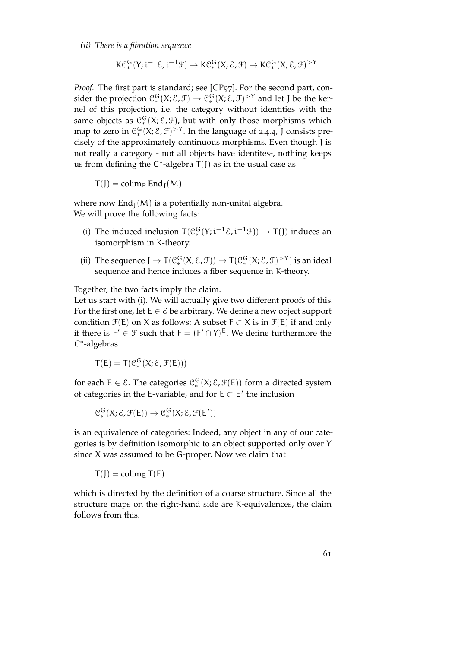*(ii) There is a fibration sequence*

$$
K\mathcal{C}_{*}^{G}(Y; i^{-1}\mathcal{E}, i^{-1}\mathcal{F}) \to K\mathcal{C}_{*}^{G}(X; \mathcal{E}, \mathcal{F}) \to K\mathcal{C}_{*}^{G}(X; \mathcal{E}, \mathcal{F})^{>Y}
$$

*Proof.* The first part is standard; see [\[CP](#page-151-0)97]. For the second part, consider the projection  $\mathcal{C}_*^G(X;\mathcal{E},\mathcal{F}) \to \mathcal{C}_*^G(X;\mathcal{E},\mathcal{F})^{>Y}$  and let J be the kernel of this projection, i.e. the category without identities with the same objects as  $\mathfrak{C}_{*}^{\mathsf{G}}(\mathsf{X}; \mathcal{E}, \mathcal{F})$ , but with only those morphisms which map to zero in  $\mathcal{C}_{*}^{G}(X;\mathcal{E},\mathcal{F})^{>Y}$ . In the language of [2](#page-41-1).4.4, J consists precisely of the approximately continuous morphisms. Even though J is not really a category - not all objects have identites-, nothing keeps us from defining the  $C^*$ -algebra  $T(J)$  as in the usual case as

 $T(J) = \text{colim}_{P}$  End<sub>I</sub>(M)

where now  $\text{End}_{J}(M)$  is a potentially non-unital algebra. We will prove the following facts:

- (i) The induced inclusion  $T(\mathcal{C}_{*}^{G}(Y; i^{-1}\mathcal{E}, i^{-1}\mathcal{F})) \rightarrow T(J)$  induces an isomorphism in K-theory.
- (ii) The sequence  $J \to T(\mathcal{C}_*^G(X;\mathcal{E},\mathcal{F})) \to T(\mathcal{C}_*^G(X;\mathcal{E},\mathcal{F})^{>Y})$  is an ideal sequence and hence induces a fiber sequence in K-theory.

Together, the two facts imply the claim.

Let us start with (i). We will actually give two different proofs of this. For the first one, let  $E \in \mathcal{E}$  be arbitrary. We define a new object support condition  $\mathcal{F}(E)$  on X as follows: A subset  $F \subset X$  is in  $\mathcal{F}(E)$  if and only if there is  $F' \in \mathcal{F}$  such that  $F = (F' \cap Y)^E$ . We define furthermore the C ∗ -algebras

$$
T(E)=T(\mathfrak{C}_*^G(X;\mathcal{E},\mathfrak{F}(E)))
$$

for each  $E \in \mathcal{E}$ . The categories  $\mathcal{C}_*^G(X; \mathcal{E}, \mathcal{F}(E))$  form a directed system of categories in the E-variable, and for  $E \subset E'$  the inclusion

$$
\mathcal{C}_{*}^{G}(X; \mathcal{E}, \mathcal{F}(E)) \to \mathcal{C}_{*}^{G}(X; \mathcal{E}, \mathcal{F}(E'))
$$

is an equivalence of categories: Indeed, any object in any of our categories is by definition isomorphic to an object supported only over Y since X was assumed to be G-proper. Now we claim that

 $T(J) = \text{colim}_{E} T(E)$ 

which is directed by the definition of a coarse structure. Since all the structure maps on the right-hand side are K-equivalences, the claim follows from this.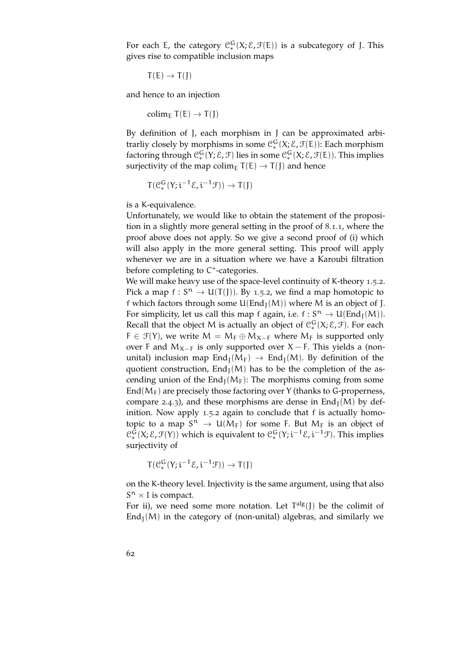For each E, the category  $\mathcal{C}_*^G(X;\mathcal{E},\mathcal{F}(E))$  is a subcategory of J. This gives rise to compatible inclusion maps

$$
\mathsf{T}(E) \to \mathsf{T}(J)
$$

and hence to an injection

colim<sub>E</sub>  $T(E) \rightarrow T(I)$ 

By definition of J, each morphism in J can be approximated arbitrarliy closely by morphisms in some  $\mathcal{C}_*^G(X;\mathcal{E},\mathcal{F}(E))$ : Each morphism factoring through  $C_*^G(Y; E, \mathcal{F})$  lies in some  $C_*^G(X; E, \mathcal{F}(E))$ . This implies surjectivity of the map colim<sub>E</sub>  $T(E) \rightarrow T(J)$  and hence

$$
T(\mathcal{C}^G_*(Y;i^{-1}\mathcal{E},i^{-1}\mathcal{F})) \to T(J)
$$

is a K-equivalence.

Unfortunately, we would like to obtain the statement of the proposition in a slightly more general setting in the proof of [8](#page-114-0).1.1, where the proof above does not apply. So we give a second proof of (i) which will also apply in the more general setting. This proof will apply whenever we are in a situation where we have a Karoubi filtration before completing to C<sup>\*</sup>-categories.

We will make heavy use of the space-level continuity of K-theory [1](#page-22-0).5.2. Pick a map  $f: S^n \to U(T(J))$ . By [1](#page-22-0).5.2, we find a map homotopic to f which factors through some  $U(End_I(M))$  where M is an object of J. For simplicity, let us call this map f again, i.e.  $f: S^n \to U(\text{End}_{J}(M)).$ Recall that the object M is actually an object of  $\mathcal{C}_*^G(X;\mathcal{E},\mathcal{F})$ . For each  $F \in \mathcal{F}(Y)$ , we write  $M = M_F \oplus M_{X-F}$  where  $M_F$  is supported only over F and  $M_{X-F}$  is only supported over X – F. This yields a (nonunital) inclusion map  $\text{End}_{\text{I}}(M_F) \rightarrow \text{End}_{\text{I}}(M)$ . By definition of the quotient construction,  $\text{End}_{I}(M)$  has to be the completion of the ascending union of the  $\text{End}_{I}(M_{F})$ : The morphisms coming from some End( $M_F$ ) are precisely those factoring over Y (thanks to G-properness, compare [2](#page-41-0).4.3), and these morphisms are dense in  $\text{End}_{\text{I}}(M)$  by definition. Now apply [1](#page-22-0).5.2 again to conclude that f is actually homotopic to a map  $S^n \to U(M_F)$  for some F. But  $M_F$  is an object of  $\mathcal{C}_*^G(X;\mathcal{E},\mathcal{F}(Y))$  which is equivalent to  $\mathcal{C}_*^G(Y;\mathfrak{i}^{-1}\mathcal{E},\mathfrak{i}^{-1}\mathcal{F})$ . This implies surjectivity of

$$
T(\mathcal{C}^G_*(Y;i^{-1}\mathcal{E},i^{-1}\mathcal{F}))\to T(J)
$$

on the K-theory level. Injectivity is the same argument, using that also  $S<sup>n</sup> \times I$  is compact.

For ii), we need some more notation. Let  $T^{alg}(J)$  be the colimit of  $\text{End}_{\text{I}}(M)$  in the category of (non-unital) algebras, and similarly we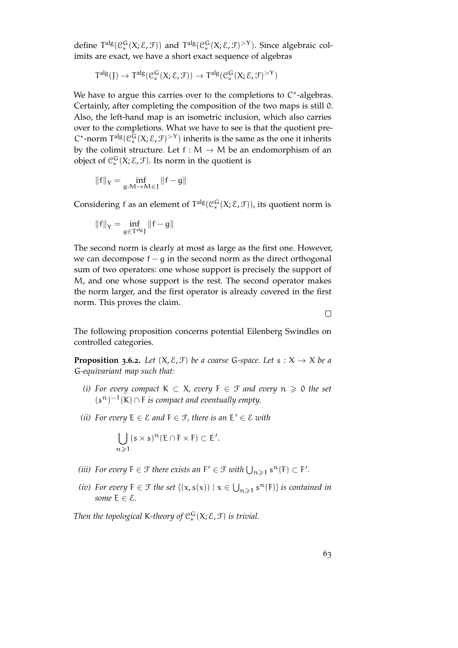define  $T^{alg}(\mathcal{C}_*^G(X;\mathcal{E},\mathcal{F}))$  and  $T^{alg}(\mathcal{C}_*^G(X;\mathcal{E},\mathcal{F})^{>Y})$ . Since algebraic colimits are exact, we have a short exact sequence of algebras

$$
T^{alg}(J) \to T^{alg}(\mathcal{C}^G_*(X;\mathcal{E},\mathcal{F})) \to T^{alg}(\mathcal{C}^G_*(X;\mathcal{E},\mathcal{F})^{>Y})
$$

We have to argue this carries over to the completions to  $C^*$ -algebras. Certainly, after completing the composition of the two maps is still 0. Also, the left-hand map is an isometric inclusion, which also carries over to the completions. What we have to see is that the quotient pre- $C^*$ -norm  $\mathsf{T}^{\text{alg}}(\mathcal{C}_*^{\mathsf{G}}(X;\mathcal{E},\mathcal{F})^{\geq \mathsf{Y}})$  inherits is the same as the one it inherits by the colimit structure. Let  $f : M \to M$  be an endomorphism of an object of  $\mathfrak{C}_{*}^{\mathsf{G}}(\mathsf{X}; \mathcal{E}, \mathcal{F})$ . Its norm in the quotient is

$$
\|f\|_Y=\inf_{g:M\to M\in J}\|f-g\|
$$

Considering f as an element of  $T^{alg}(\mathcal{C}_*^G(X;\mathcal{E},\mathcal{F}))$ , its quotient norm is

$$
\left\|f\right\|_{Y}=\inf_{g\in T^{alg}J}\left\|f-g\right\|
$$

The second norm is clearly at most as large as the first one. However, we can decompose  $f - g$  in the second norm as the direct orthogonal sum of two operators: one whose support is precisely the support of M, and one whose support is the rest. The second operator makes the norm larger, and the first operator is already covered in the first norm. This proves the claim.

 $\Box$ 

The following proposition concerns potential Eilenberg Swindles on controlled categories.

**Proposition 3.6.2.** *Let*  $(X, \mathcal{E}, \mathcal{F})$  *be a coarse* G-space. Let  $s : X \to X$  *be a* G*-equivariant map such that:*

- *(i)* For every compact  $K ⊂ X$ , every  $F ∈ F$  and every  $n ≥ 0$  the set  $(s<sup>n</sup>)<sup>-1</sup>(K) \cap F$  *is compact and eventually empty.*
- (*ii*) For every  $E \in \mathcal{E}$  and  $F \in \mathcal{F}$ , there is an  $E' \in \mathcal{E}$  with

$$
\bigcup_{n\geqslant 1} (s\times s)^n(E\cap F\times F)\subset E'.
$$

- (*iii*) For every  $F \in \mathcal{F}$  there exists an  $F' \in \mathcal{F}$  with  $\bigcup_{n \geqslant 1} s^n(F) \subset F'.$
- (*iv*) For every  $F \in \mathcal{F}$  the set  $\{(x, s(x)) \mid x \in \bigcup_{n \geq 1} s^n(F)\}$  *is contained in some*  $E \in \mathcal{E}$ *.*

*Then the topological* K-theory of  $C_*^G(X; \mathcal{E}, \mathcal{F})$  *is trivial.*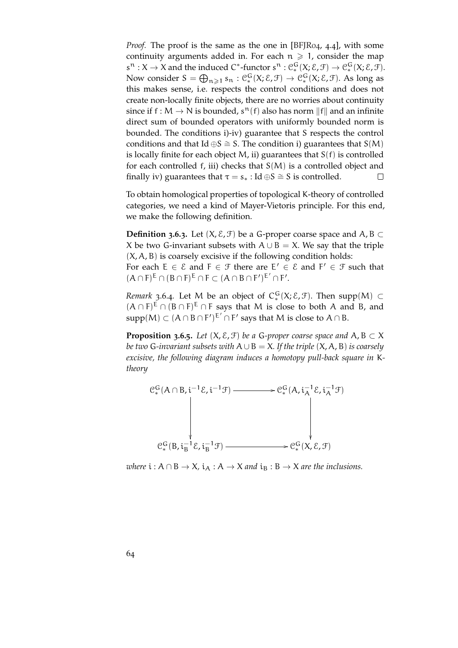*Proof.* The proof is the same as the one in [\[BFJR](#page-150-0)04, 4.4], with some continuity arguments added in. For each  $n \geq 1$ , consider the map  $s^{n}: X \to X$  and the induced  $C^*$ -functor  $s^{n}: \mathcal{C}_{*}^{\mathbb{G}}(X; \mathcal{E}, \mathcal{F}) \to \mathcal{C}_{*}^{\mathbb{G}}(X; \mathcal{E}, \mathcal{F})$ . Now consider  $S = \bigoplus_{n \geq 1} s_n : C_*^G(X; \mathcal{E}, \mathcal{F}) \to C_*^G(X; \mathcal{E}, \mathcal{F})$ . As long as this makes sense, i.e. respects the control conditions and does not create non-locally finite objects, there are no worries about continuity since if  $f : M \to N$  is bounded,  $s^n(f)$  also has norm  $||f||$  and an infinite direct sum of bounded operators with uniformly bounded norm is bounded. The conditions i)-iv) guarantee that S respects the control conditions and that Id ⊕S  $\cong$  S. The condition i) guarantees that S(M) is locally finite for each object  $M$ , ii) guarantees that  $S(f)$  is controlled for each controlled f, iii) checks that S(M) is a controlled object and finally iv) guarantees that  $\tau = s_* : Id \oplus S \cong S$  is controlled.  $\Box$ 

To obtain homological properties of topological K-theory of controlled categories, we need a kind of Mayer-Vietoris principle. For this end, we make the following definition.

**Definition 3.6.3.** Let  $(X, \mathcal{E}, \mathcal{F})$  be a G-proper coarse space and  $A, B \subset \mathcal{F}$ X be two G-invariant subsets with  $A \cup B = X$ . We say that the triple  $(X, A, B)$  is coarsely excisive if the following condition holds:

For each  $E \in \mathcal{E}$  and  $F \in \mathcal{F}$  there are  $E' \in \mathcal{E}$  and  $F' \in \mathcal{F}$  such that  $(A \cap F)^E \cap (B \cap F)^E \cap F \subset (A \cap B \cap F')^{E'} \cap F'.$ 

*Remark* 3.6.4. Let M be an object of  $C_*^G(X; \mathcal{E}, \mathcal{F})$ . Then supp $(M) \subset$  $(A \cap F)^E \cap (B \cap F)^E \cap F$  says that M is close to both A and B, and supp $(M) \subset (A \cap B \cap F')^{E'} \cap F'$  says that M is close to  $A \cap B$ .

**Proposition 3.6.5.** *Let*  $(X, \mathcal{E}, \mathcal{F})$  *be a* G-proper coarse space and A, B  $\subset X$ *be two* G*-invariant subsets with* A∪B = X*. If the triple* (X, A, B) *is coarsely excisive, the following diagram induces a homotopy pull-back square in* K*theory*



*where*  $i : A \cap B \to X$ ,  $i_A : A \to X$  *and*  $i_B : B \to X$  *are the inclusions.*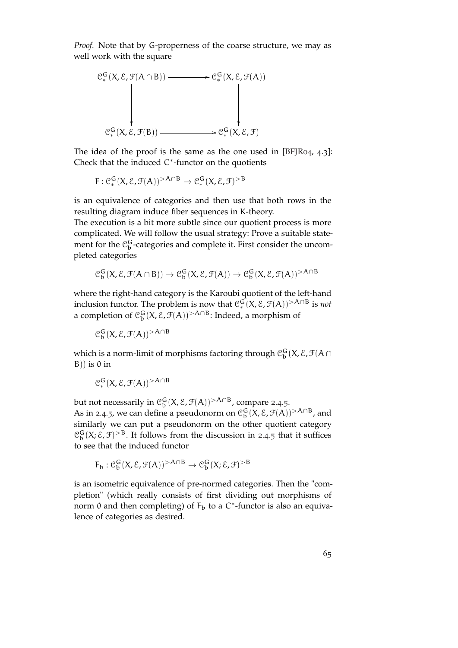*Proof.* Note that by G-properness of the coarse structure, we may as well work with the square



The idea of the proof is the same as the one used in [\[BFJR](#page-150-0)04, 4.3]: Check that the induced  $C^*$ -functor on the quotients

$$
F: \mathcal{C}_{*}^{G}(X, \mathcal{E}, \mathcal{F}(A))^{>A \cap B} \to \mathcal{C}_{*}^{G}(X, \mathcal{E}, \mathcal{F})^{>B}
$$

is an equivalence of categories and then use that both rows in the resulting diagram induce fiber sequences in K-theory.

The execution is a bit more subtle since our quotient process is more complicated. We will follow the usual strategy: Prove a suitable statement for the  $\mathcal{C}_{\mathbf{b}}^{\mathbf{G}}$ -categories and complete it. First consider the uncompleted categories

$$
\mathcal{C}_{\mathfrak{b}}^{G}(X, \mathcal{E}, \mathcal{F}(A \cap B)) \to \mathcal{C}_{\mathfrak{b}}^{G}(X, \mathcal{E}, \mathcal{F}(A)) \to \mathcal{C}_{\mathfrak{b}}^{G}(X, \mathcal{E}, \mathcal{F}(A))^{>A \cap B}
$$

where the right-hand category is the Karoubi quotient of the left-hand inclusion functor. The problem is now that  $\mathcal{C}^{\mathsf{G}}_*(X,\mathcal{E},\mathcal{F}(\mathsf{A}))^{>A\cap\mathsf{B}}$  is *not* a completion of  $\mathcal{C}_{\text{b}}^{\text{G}}(\text{X},\mathcal{E},\mathcal{F}(\text{A}))^{\geq A\cap B}$ : Indeed, a morphism of

 $\mathfrak{C}^{\mathsf{G}}_{\mathsf{b}}(\mathsf{X},\mathcal{E},\mathfrak{F}(\mathsf{A}))^{>\mathsf{A}\cap\mathsf{B}}$ 

which is a norm-limit of morphisms factoring through  $\mathcal{C}_b^G(X,\mathcal{E},\mathcal{F}(A\cap$  $B)$ ) is 0 in

$$
\mathfrak{C}^{\mathsf{G}}_*(X,\mathcal{E},\mathfrak{F}(A))^{>A\cap B}
$$

but not necessarily in  $\mathcal{C}_b^G(X,\mathcal{E},\mathcal{F}(A))^{>A\cap B}$ , compare [2](#page-42-0).4.5. As in [2](#page-42-0).4.5, we can define a pseudonorm on  $\mathcal{C}_b^G(X, \mathcal{E}, \mathcal{F}(A))^{>A\cap B}$ , and similarly we can put a pseudonorm on the other quotient category  $\mathcal{C}_{\mathrm{b}}^{\mathrm{G}}(X;\mathcal{E},\mathcal{F})^{>B}$ . It follows from the discussion in [2](#page-42-0).4.5 that it suffices to see that the induced functor

$$
F_b: \mathcal{C}_b^G(X, \mathcal{E}, \mathcal{F}(A))^{>A \cap B} \to \mathcal{C}_b^G(X; \mathcal{E}, \mathcal{F})^{>B}
$$

is an isometric equivalence of pre-normed categories. Then the "completion" (which really consists of first dividing out morphisms of norm 0 and then completing) of  $F_b$  to a C<sup>\*</sup>-functor is also an equivalence of categories as desired.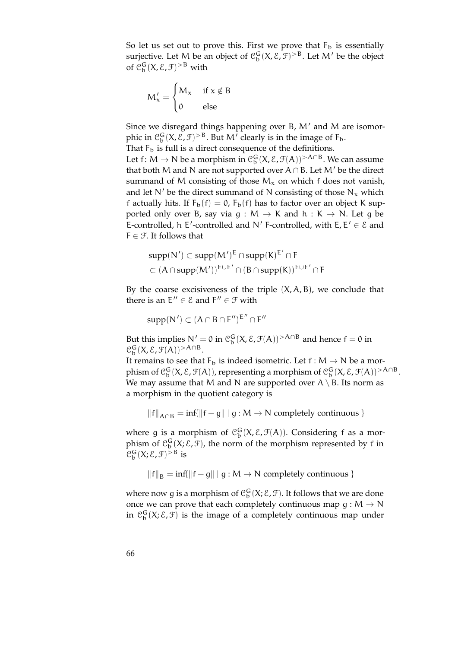So let us set out to prove this. First we prove that  $F_b$  is essentially surjective. Let M be an object of  $\mathcal{C}_b^G(X, \mathcal{E}, \mathcal{F})^{\geq B}$ . Let M' be the object of  $\mathfrak{C}^{\mathsf{G}}_{\mathsf{b}}(\mathsf{X}, \mathsf{E}, \mathsf{F})$ <sup>>B</sup> with

$$
M'_x = \begin{cases} M_x & \text{ if } x \notin B \\ 0 & \text{ else } \end{cases}
$$

Since we disregard things happening over B,  $M'$  and M are isomorphic in  $\mathfrak{C}^{\mathsf{G}}_{\mathsf{b}}(\mathsf{X},\mathcal{E},\mathcal{F})$ <sup>>B</sup>. But M' clearly is in the image of F<sub>b</sub>.

That  $F_b$  is full is a direct consequence of the definitions.

Let  $f: M \to N$  be a morphism in  $\mathcal{C}_b^G(X, \mathcal{E}, \mathcal{F}(A))^{>A \cap B}$ . We can assume that both M and N are not supported over  $A \cap B$ . Let M' be the direct summand of M consisting of those  $M_x$  on which f does not vanish, and let N' be the direct summand of N consisting of those  $N_x$  which f actually hits. If  $F_b(f) = 0$ ,  $F_b(f)$  has to factor over an object K supported only over B, say via  $g : M \to K$  and  $h : K \to N$ . Let g be E-controlled, h E'-controlled and N' F-controlled, with  $E, E' \in \mathcal{E}$  and  $F \in \mathcal{F}$ . It follows that

$$
supp(N') \subset supp(M')^E \cap supp(K)^{E'} \cap F
$$
  

$$
\subset (A \cap supp(M'))^{E \cup E'} \cap (B \cap supp(K))^{E \cup E'} \cap F
$$

By the coarse excisiveness of the triple  $(X, A, B)$ , we conclude that there is an  $E'' \in \mathcal{E}$  and  $F'' \in \mathcal{F}$  with

$$
supp(N')\subset (A\cap B\cap F'')^{E''}\cap F''
$$

But this implies  $N' = 0$  in  $\mathcal{C}_b^G(X, \mathcal{E}, \mathcal{F}(A)) > A \cap B$  and hence  $f = 0$  in  $\mathcal{C}_b^G(X, \mathcal{E}, \mathcal{F}(A))^{>A\cap B}$ .

It remains to see that  $\mathsf{F}_\mathsf{b}$  is indeed isometric. Let  $\mathsf{f}:\mathsf{M}\to\mathsf{N}$  be a morphism of  $\mathcal{C}_{\mathfrak{b}}^{\mathsf{G}}(\mathsf{X},\mathcal{E},\mathfrak{F}(\mathsf{A}))$ , representing a morphism of  $\mathcal{C}_{\mathfrak{b}}^{\mathsf{G}}(\mathsf{X},\mathcal{E},\mathfrak{F}(\mathsf{A}))^{\geq \mathsf{A} \cap \mathsf{B}}$ . We may assume that M and N are supported over  $A \setminus B$ . Its norm as a morphism in the quotient category is

 $||f||_{A\cap B} = inf(||f - g|| | g : M \rightarrow N$  completely continuous }

where g is a morphism of  $\mathcal{C}_{\mathbf{b}}^{\mathbf{G}}(X,\mathcal{E},\mathcal{F}(A))$ . Considering f as a morphism of  $\mathcal{C}_{b}^{G}(X;\mathcal{E},\mathcal{F})$ , the norm of the morphism represented by f in  $\mathfrak{C}^{\mathsf{G}}_{\mathsf{b}}(\mathsf{X}; \mathsf{E}, \mathsf{F})^{> \mathsf{B}}$  is

 $\|f\|_{B} = \inf\{\|f - g\| \mid g : M \to N \text{ completely continuous }\}$ 

where now g is a morphism of  $\mathcal{C}_b^G(X;\mathcal{E},\mathcal{F})$ . It follows that we are done once we can prove that each completely continuous map  $g : M \to N$ in  $\mathcal{C}_b^G(X;\mathcal{E},\mathcal{F})$  is the image of a completely continuous map under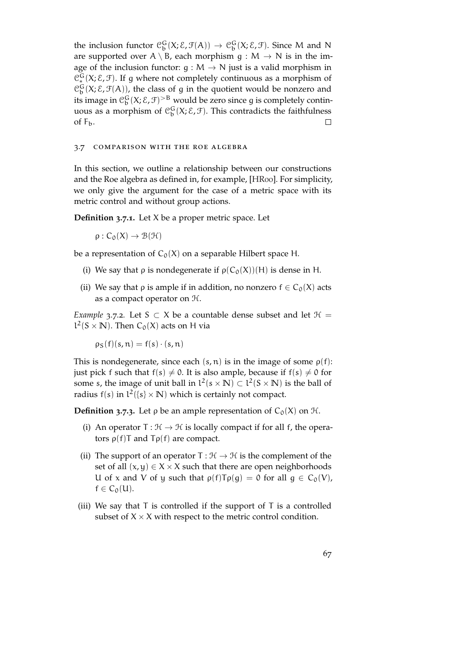the inclusion functor  $\mathcal{C}_b^G(X;\mathcal{E},\mathcal{F}(A)) \to \mathcal{C}_b^G(X;\mathcal{E},\mathcal{F})$ . Since M and N are supported over  $A \setminus B$ , each morphism  $g : M \to N$  is in the image of the inclusion functor:  $q : M \to N$  just is a valid morphism in  $\mathcal{C}_*^G(X;\mathcal{E},\mathcal{F})$ . If g where not completely continuous as a morphism of  $\mathcal{C}_{\mathbf{b}}^{\mathbf{G}}(X;\mathcal{E},\mathcal{F}(A))$ , the class of g in the quotient would be nonzero and its image in  $\mathcal{C}_{\mathfrak{b}}^{\mathsf{G}}(\mathsf{X}; \mathsf{E}, \mathsf{F})^{\geq \mathsf{B}}$  would be zero since g is completely continuous as a morphism of  $\mathcal{C}_b^G(X;\mathcal{E},\mathcal{F})$ . This contradicts the faithfulness of  $F_b$ .  $\Box$ 

### 3.7 comparison with the roe algebra

In this section, we outline a relationship between our constructions and the Roe algebra as defined in, for example, [\[HR](#page-152-1)00]. For simplicity, we only give the argument for the case of a metric space with its metric control and without group actions.

**Definition 3.7.1.** Let X be a proper metric space. Let

 $\rho : C_0(X) \to \mathcal{B}(\mathcal{H})$ 

be a representation of  $C_0(X)$  on a separable Hilbert space H.

- (i) We say that  $\rho$  is nondegenerate if  $\rho(C_0(X))(H)$  is dense in H.
- (ii) We say that  $\rho$  is ample if in addition, no nonzero  $f \in C_0(X)$  acts as a compact operator on H.

*Example* 3.7.2*.* Let S  $\subset$  X be a countable dense subset and let  $\mathcal{H}$  =  $l^2$ (S × **N**). Then  $C_0(X)$  acts on H via

 $\rho_S(f)(s, n) = f(s) \cdot (s, n)$ 

This is nondegenerate, since each  $(s, n)$  is in the image of some  $\rho(f)$ : just pick f such that  $f(s) \neq 0$ . It is also ample, because if  $f(s) \neq 0$  for some s, the image of unit ball in  $l^2(s \times N) \subset l^2(S \times N)$  is the ball of radius  $f(s)$  in  $l^2({s} \times N)$  which is certainly not compact.

**Definition 3.7.3.** Let  $\rho$  be an ample representation of  $C_0(X)$  on  $\mathcal{H}$ .

- (i) An operator  $T : \mathcal{H} \to \mathcal{H}$  is locally compact if for all f, the operators  $\rho(f)T$  and  $T\rho(f)$  are compact.
- (ii) The support of an operator  $T : \mathcal{H} \to \mathcal{H}$  is the complement of the set of all  $(x, y) \in X \times X$  such that there are open neighborhoods U of x and V of y such that  $\rho(f)T\rho(g) = 0$  for all  $g \in C_0(V)$ ,  $f \in C_0(U)$ .
- (iii) We say that  $T$  is controlled if the support of  $T$  is a controlled subset of  $X \times X$  with respect to the metric control condition.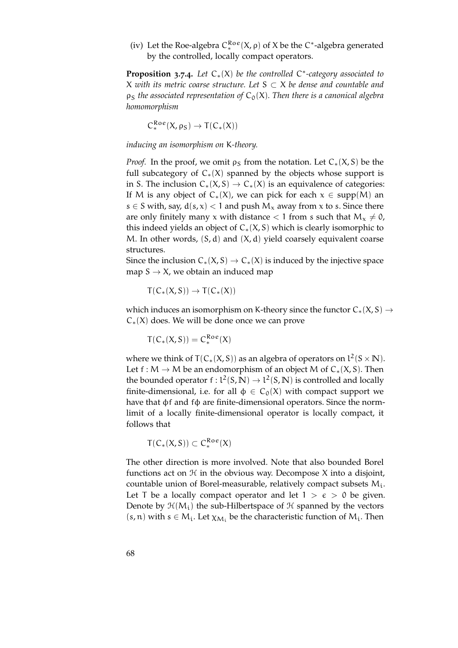(iv) Let the Roe-algebra  $C_*^{\text{Roe}}(X, \rho)$  of X be the C<sup>\*</sup>-algebra generated by the controlled, locally compact operators.

**Proposition 3.7.4.** *Let* C∗(X) *be the controlled* C ∗ *-category associated to* X *with its metric coarse structure. Let* S ⊂ X *be dense and countable and*  $p_S$  *the associated representation of*  $C_0(X)$ *. Then there is a canonical algebra homomorphism*

 $C^{Roe}_*(X, \rho_S) \to T(C_*(X))$ 

*inducing an isomorphism on* K*-theory.*

*Proof.* In the proof, we omit  $\rho_S$  from the notation. Let  $C_*(X, S)$  be the full subcategory of  $C_*(X)$  spanned by the objects whose support is in S. The inclusion  $C_*(X, S) \to C_*(X)$  is an equivalence of categories: If M is any object of  $C_*(X)$ , we can pick for each  $x \in supp(M)$  an s  $\in$  S with, say,  $d(s, x)$  < 1 and push  $M_x$  away from x to s. Since there are only finitely many x with distance  $< 1$  from s such that  $M_x \neq 0$ , this indeed yields an object of  $C_*(X, S)$  which is clearly isomorphic to M. In other words,  $(S, d)$  and  $(X, d)$  yield coarsely equivalent coarse structures.

Since the inclusion  $C_*(X, S) \to C_*(X)$  is induced by the injective space map  $S \to X$ , we obtain an induced map

 $T(C_*(X, S)) \to T(C_*(X))$ 

which induces an isomorphism on K-theory since the functor  $C_*(X, S) \rightarrow$  $C_*(X)$  does. We will be done once we can prove

$$
T(C_*(X,S)) = C_*^{\text{Roe}}(X)
$$

where we think of  $T(C_*(X, S))$  as an algebra of operators on  $l^2(S \times N)$ . Let  $f : M \to M$  be an endomorphism of an object M of  $C_*(X, S)$ . Then the bounded operator  $f: L^2(S, \mathbb{N}) \to L^2(S, \mathbb{N})$  is controlled and locally finite-dimensional, i.e. for all  $\phi \in C_0(X)$  with compact support we have that φf and fφ are finite-dimensional operators. Since the normlimit of a locally finite-dimensional operator is locally compact, it follows that

$$
T(C_*(X,S))\subset C^{Roe}_*(X)
$$

The other direction is more involved. Note that also bounded Borel functions act on  $H$  in the obvious way. Decompose X into a disjoint, countable union of Borel-measurable, relatively compact subsets  $M_i$ . Let T be a locally compact operator and let  $1 > \epsilon > 0$  be given. Denote by  $\mathcal{H}(M_i)$  the sub-Hilbertspace of  $\mathcal H$  spanned by the vectors  $(s, n)$  with  $s \in M_i$ . Let  $\chi_{M_i}$  be the characteristic function of  $M_i$ . Then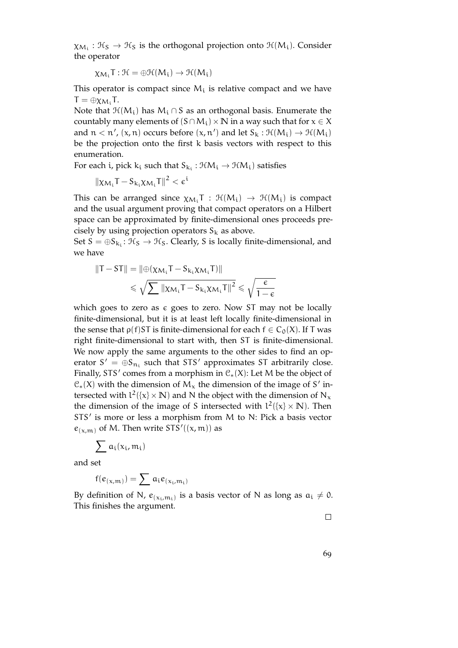$\chi_{\mathcal{M}_\mathfrak{l}}: \mathfrak{K}_\mathbb{S}\to \mathfrak{K}_\mathbb{S}$  is the orthogonal projection onto  $\mathfrak{H}(\mathsf{M}_\mathfrak{l}).$  Consider the operator

$$
\chi_{M_i}T:\mathcal{H}=\oplus\mathcal{H}(M_i)\to\mathcal{H}(M_i)
$$

This operator is compact since  $M_i$  is relative compact and we have  $T = \oplus \chi_{M_i} T$ .

Note that  $\mathcal{H}(M_i)$  has  $M_i \cap S$  as an orthogonal basis. Enumerate the countably many elements of  $(S \cap M_i) \times N$  in a way such that for  $x \in X$ and  $n < n'$ ,  $(x, n)$  occurs before  $(x, n')$  and let  $S_k : \mathcal{H}(M_i) \to \mathcal{H}(M_i)$ be the projection onto the first k basis vectors with respect to this enumeration.

For each i, pick  $k_i$  such that  $S_{k_i} : \mathcal{HM}_i \to \mathcal{HM}_i)$  satisfies

$$
\left\|\chi_{\mathcal{M}_i}\mathsf{T}-\mathsf{S}_{k_i}\chi_{\mathcal{M}_i}\mathsf{T}\right\|^2<\varepsilon^i
$$

This can be arranged since  $\chi_{M_i}T : \mathcal{H}(M_i) \to \mathcal{H}(M_i)$  is compact and the usual argument proving that compact operators on a Hilbert space can be approximated by finite-dimensional ones proceeds precisely by using projection operators  $S_k$  as above.

Set  $S = \oplus S_{k_i}: \mathcal{H}_S \to \mathcal{H}_S$ . Clearly, S is locally finite-dimensional, and we have

$$
\begin{aligned} \|T - ST\| &= \|\oplus(\chi_{\mathcal{M}_i}T - S_{k_i}\chi_{\mathcal{M}_i}T)\| \\ &\leqslant \sqrt{\sum} \|\chi_{\mathcal{M}_i}T - S_{k_i}\chi_{\mathcal{M}_i}T\|^2 \leqslant \sqrt{\frac{\varepsilon}{1 - \varepsilon}} \end{aligned}
$$

which goes to zero as  $\epsilon$  goes to zero. Now ST may not be locally finite-dimensional, but it is at least left locally finite-dimensional in the sense that  $\rho(f)$ ST is finite-dimensional for each  $f \in C_0(X)$ . If T was right finite-dimensional to start with, then ST is finite-dimensional. We now apply the same arguments to the other sides to find an operator  $S' = \bigoplus S_{n_i}$  such that STS' approximates ST arbitrarily close. Finally, STS' comes from a morphism in  $C_*(X)$ : Let M be the object of  $C_*(X)$  with the dimension of  $M_X$  the dimension of the image of S' intersected with  $l^2({x} \times N)$  and N the object with the dimension of N<sub>x</sub> the dimension of the image of S intersected with  $l^2({x} \times N)$ . Then STS' is more or less a morphism from M to N: Pick a basis vector  $e_{(x,m)}$  of M. Then write STS'((x, m)) as

$$
\sum a_i(x_i,m_i)
$$

and set

$$
f(e_{(x,m)}) = \sum a_i e_{(x_i,m_i)}
$$

By definition of N,  $e_{(x_i,m_i)}$  is a basis vector of N as long as  $a_i \neq 0$ . This finishes the argument.

 $\Box$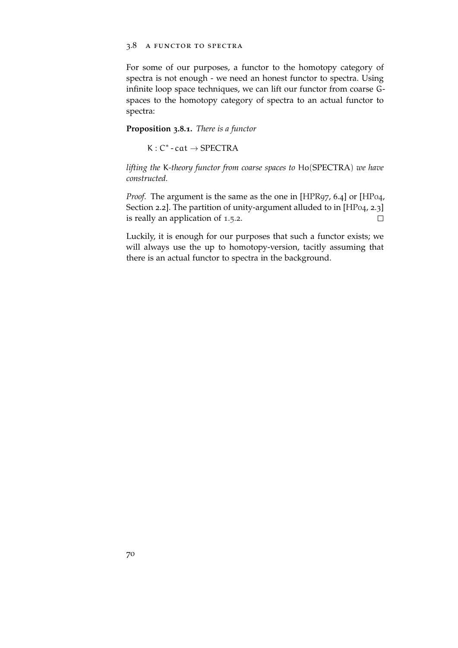### 3.8 a functor to spectra

For some of our purposes, a functor to the homotopy category of spectra is not enough - we need an honest functor to spectra. Using infinite loop space techniques, we can lift our functor from coarse Gspaces to the homotopy category of spectra to an actual functor to spectra:

## **Proposition 3.8.1.** *There is a functor*

 $K: C^*$  - cat  $\rightarrow$  SPECTRA

*lifting the* K*-theory functor from coarse spaces to* Ho(SPECTRA) *we have constructed.*

*Proof.* The argument is the same as the one in [\[HPR](#page-152-2)97, 6.4] or [\[HP](#page-152-3)04, Section 2.2]. The partition of unity-argument alluded to in [\[HP](#page-152-3)04, 2.3] is really an application of [1](#page-22-0).5.2.  $\Box$ 

Luckily, it is enough for our purposes that such a functor exists; we will always use the up to homotopy-version, tacitly assuming that there is an actual functor to spectra in the background.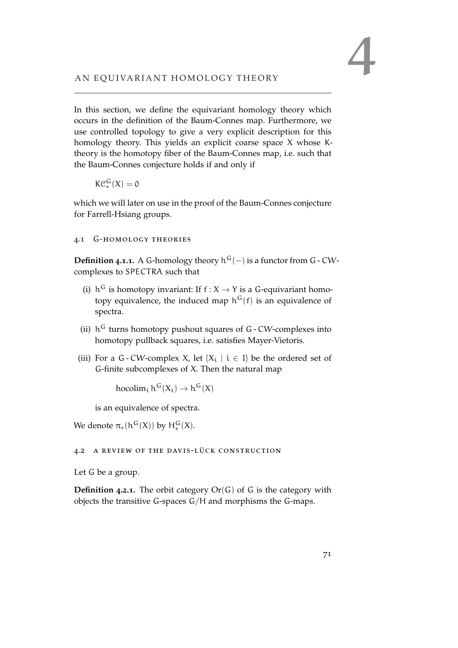In this section, we define the equivariant homology theory which occurs in the definition of the Baum-Connes map. Furthermore, we use controlled topology to give a very explicit description for this homology theory. This yields an explicit coarse space X whose Ktheory is the homotopy fiber of the Baum-Connes map, i.e. such that the Baum-Connes conjecture holds if and only if

 $\mathrm{KC}_*^G(X) = 0$ 

which we will later on use in the proof of the Baum-Connes conjecture for Farrell-Hsiang groups.

## 4.1 G-homology theories

**Definition 4.1.1.** A G-homology theory  $h^G(-)$  is a functor from G - CWcomplexes to SPECTRA such that

- (i)  $h^G$  is homotopy invariant: If  $f : X \to Y$  is a G-equivariant homotopy equivalence, the induced map  $h^G(f)$  is an equivalence of spectra.
- (ii)  $h^G$  turns homotopy pushout squares of  $G$  CW-complexes into homotopy pullback squares, i.e. satisfies Mayer-Vietoris.
- (iii) For a G CW-complex X, let  $\{X_i \mid i \in I\}$  be the ordered set of G-finite subcomplexes of X. Then the natural map

hocolim<sub>i</sub>  $h^G(X_i) \to h^G(X)$ 

is an equivalence of spectra.

We denote  $\pi_*(h^G(X))$  by  $H^G_*(X)$ .

### 4.2 a review of the davis-lück construction

Let G be a group.

**Definition 4.2.1.** The orbit category Or(G) of G is the category with objects the transitive G-spaces G/H and morphisms the G-maps.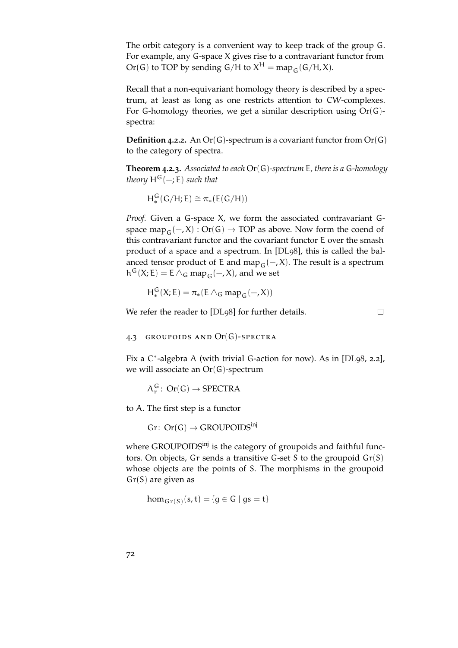The orbit category is a convenient way to keep track of the group G. For example, any G-space X gives rise to a contravariant functor from Or(G) to TOP by sending  $G/H$  to  $X^H = \text{map}_G(G/H, X)$ .

Recall that a non-equivariant homology theory is described by a spectrum, at least as long as one restricts attention to CW-complexes. For G-homology theories, we get a similar description using  $Or(G)$ spectra:

**Definition 4.2.2.** An Or(G)-spectrum is a covariant functor from Or(G) to the category of spectra.

**Theorem 4.2.3.** *Associated to each* Or(G)*-spectrum* E*, there is a* G*-homology theory*  $H^G(-;E)$  *such that* 

$$
H^G_*(G/H;E)\cong \pi_*(E(G/H))
$$

*Proof.* Given a G-space X, we form the associated contravariant Gspace map<sub>G</sub>(−, X) : Or(G)  $\rightarrow$  TOP as above. Now form the coend of this contravariant functor and the covariant functor E over the smash product of a space and a spectrum. In [\[DL](#page-151-1)98], this is called the balanced tensor product of E and map<sub>G</sub>( $-, X$ ). The result is a spectrum  $h^G(X; E) = E \wedge_G map_G(-, X)$ , and we set

$$
H^G_*(X; E) = \pi_*(E \wedge_G map_G(-, X))
$$

We refer the reader to [\[DL](#page-151-1)98] for further details.

 $\Box$ 

#### 4.3 groupoids and Or(G)-spectra

Fix a C<sup>\*</sup>-algebra A (with trivial G-action for now). As in [\[DL](#page-151-1)98, 2.2], we will associate an  $Or(G)$ -spectrum

 $A_r^G$ : Or(G)  $\rightarrow$  SPECTRA

to A. The first step is a functor

 $Gr: Or(G) \rightarrow GROUPOIDS<sup>inj</sup>$ 

where GROUPOIDS<sup>inj</sup> is the category of groupoids and faithful functors. On objects, Gr sends a transitive G-set S to the groupoid  $Gr(S)$ whose objects are the points of S. The morphisms in the groupoid  $Gr(S)$  are given as

 $\hom_{\mathsf{Gr}(\mathsf{S})}(\mathsf{s},\mathsf{t}) = \{\mathsf{g} \in \mathsf{G} \mid \mathsf{gs} = \mathsf{t}\}$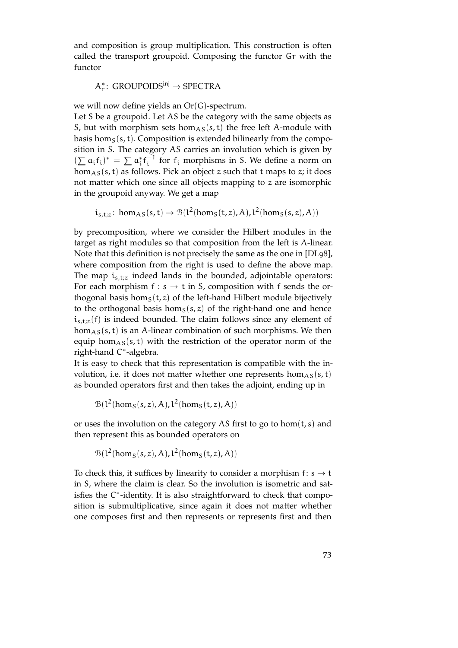and composition is group multiplication. This construction is often called the transport groupoid. Composing the functor Gr with the functor

# $\mathsf{A}^*_\mathsf{r}\colon \mathsf{GROUPOIDS}^\mathsf{inj} \to \mathsf{SPECTRA}$

we will now define yields an Or(G)-spectrum.

Let S be a groupoid. Let AS be the category with the same objects as S, but with morphism sets hom<sub>AS</sub>(s, t) the free left A-module with basis hom<sub>S</sub> $(s, t)$ . Composition is extended bilinearly from the composition in S. The category AS carries an involution which is given by  $(\sum a_i f_i)^* = \sum a_i^* f_i^{-1}$  for  $f_i$  morphisms in S. We define a norm on  $hom<sub>AS</sub>(s, t)$  as follows. Pick an object z such that t maps to z; it does not matter which one since all objects mapping to z are isomorphic in the groupoid anyway. We get a map

$$
i_{s,t;z}: \text{hom}_{AS}(s,t) \to \mathcal{B}(l^2(\text{hom}_S(t,z),A), l^2(\text{hom}_S(s,z),A))
$$

by precomposition, where we consider the Hilbert modules in the target as right modules so that composition from the left is A-linear. Note that this definition is not precisely the same as the one in [\[DL](#page-151-0)98], where composition from the right is used to define the above map. The map  $i_{s,t;z}$  indeed lands in the bounded, adjointable operators: For each morphism  $f : s \rightarrow t$  in S, composition with f sends the orthogonal basis hom $<sub>S</sub>(t, z)$  of the left-hand Hilbert module bijectively</sub> to the orthogonal basis hom<sub>S</sub>(s, z) of the right-hand one and hence  $i_{s,t;z}(f)$  is indeed bounded. The claim follows since any element of  $hom<sub>AS</sub>(s, t)$  is an A-linear combination of such morphisms. We then equip hom $_{AS}(s, t)$  with the restriction of the operator norm of the right-hand C ∗ -algebra.

It is easy to check that this representation is compatible with the involution, i.e. it does not matter whether one represents  $hom<sub>AS</sub>(s, t)$ as bounded operators first and then takes the adjoint, ending up in

$$
\mathcal{B}(l^2(hom_S(s,z),A), l^2(hom_S(t,z),A))
$$

or uses the involution on the category AS first to go to hom $(t, s)$  and then represent this as bounded operators on

$$
\mathcal{B}(l^2(hom_S(s,z),A), l^2(hom_S(t,z),A))
$$

To check this, it suffices by linearity to consider a morphism  $f: s \rightarrow t$ in S, where the claim is clear. So the involution is isometric and satisfies the C\*-identity. It is also straightforward to check that composition is submultiplicative, since again it does not matter whether one composes first and then represents or represents first and then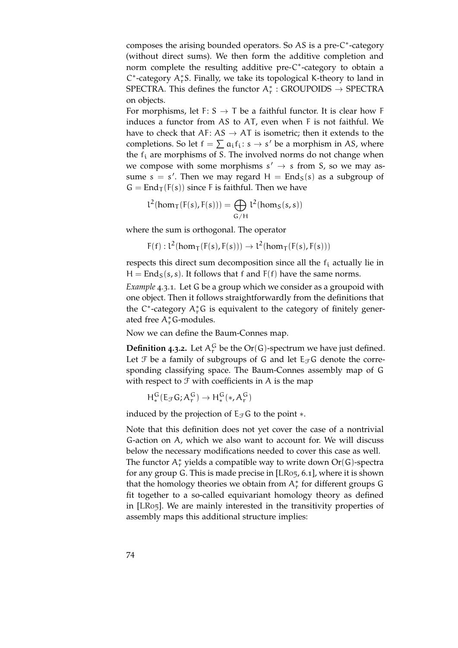composes the arising bounded operators. So AS is a pre-C\*-category (without direct sums). We then form the additive completion and norm complete the resulting additive pre-C<sup>\*</sup>-category to obtain a  $C^*$ -category  $A_r^*S$ . Finally, we take its topological K-theory to land in SPECTRA. This defines the functor  $A_r^*$ : GROUPOIDS  $\rightarrow$  SPECTRA on objects.

For morphisms, let F:  $S \rightarrow T$  be a faithful functor. It is clear how F induces a functor from AS to AT, even when F is not faithful. We have to check that AF:  $AS \rightarrow AT$  is isometric; then it extends to the completions. So let  $f = \sum a_i f_i : s \rightarrow s'$  be a morphism in AS, where the  $f_i$  are morphisms of S. The involved norms do not change when we compose with some morphisms  $s' \rightarrow s$  from S, so we may assume  $s = s'$ . Then we may regard  $H = End_S(s)$  as a subgroup of  $G = \text{End}_{T}(F(s))$  since F is faithful. Then we have

$$
l^2(hom_T(F(s),F(s))) = \bigoplus_{G/H} l^2(hom_S(s,s))
$$

where the sum is orthogonal. The operator

$$
F(f): l^2(\text{hom}_T(F(s), F(s))) \to l^2(\text{hom}_T(F(s), F(s)))
$$

respects this direct sum decomposition since all the  $f_i$  actually lie in  $H =$  End<sub>S</sub>(s, s). It follows that f and F(f) have the same norms.

*Example* 4.3.1*.* Let G be a group which we consider as a groupoid with one object. Then it follows straightforwardly from the definitions that the C\*-category  $A_r^*G$  is equivalent to the category of finitely generated free  $A_r^*$ G-modules.

Now we can define the Baum-Connes map.

**Definition 4.3.2.** Let  $A_r^G$  be the  $Or(G)$ -spectrum we have just defined. Let  $\mathfrak F$  be a family of subgroups of G and let  $E_{\mathfrak F}$ G denote the corresponding classifying space. The Baum-Connes assembly map of G with respect to  $\mathcal F$  with coefficients in A is the map

$$
H^G_*(E_{\mathcal{F}}G; A^G_r) \to H^G_*(*, A^G_r)
$$

induced by the projection of  $E_{\mathcal{F}}G$  to the point  $*$ .

<span id="page-73-0"></span>Note that this definition does not yet cover the case of a nontrivial G-action on A, which we also want to account for. We will discuss below the necessary modifications needed to cover this case as well. The functor  $A_r^*$  yields a compatible way to write down  $Or(G)$ -spectra for any group G. This is made precise in [\[LR](#page-152-0)05, 6.1], where it is shown that the homology theories we obtain from  $A_r^*$  for different groups G fit together to a so-called equivariant homology theory as defined in [\[LR](#page-152-0)05]. We are mainly interested in the transitivity properties of assembly maps this additional structure implies: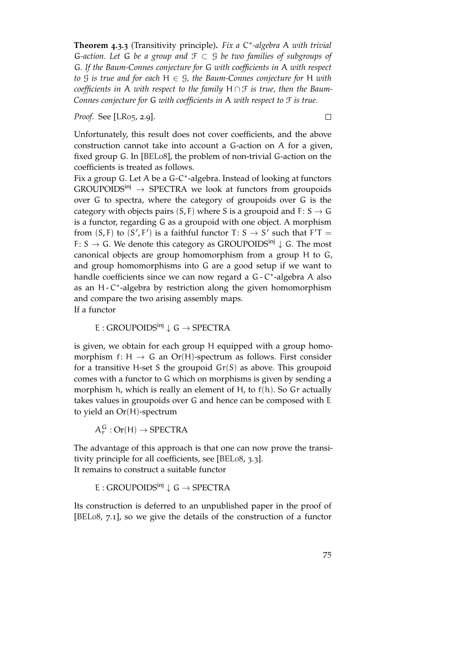**Theorem 4.3.3** (Transitivity principle)**.** *Fix a* C ∗ *-algebra* A *with trivial* G*-action. Let* G *be a group and* F ⊂ G *be two families of subgroups of* G*. If the Baum-Connes conjecture for* G *with coefficients in* A *with respect to* G *is true and for each* H ∈ G*, the Baum-Connes conjecture for* H *with coefficients in* A *with respect to the family* H ∩ F *is true, then the Baum-Connes conjecture for* G *with coefficients in* A *with respect to* F *is true.*

*Proof.* See [\[LR](#page-152-0)05, 2.9].

 $\Box$ 

Unfortunately, this result does not cover coefficients, and the above construction cannot take into account a G-action on A for a given, fixed group G. In [\[BEL](#page-150-0)08], the problem of non-trivial G-action on the coefficients is treated as follows.

Fix a group G. Let A be a G-C<sup>\*</sup>-algebra. Instead of looking at functors  $GROUPOIDS^{inj} \rightarrow SPECTRA$  we look at functors from groupoids over G to spectra, where the category of groupoids over G is the category with objects pairs  $(S, F)$  where S is a groupoid and F: S  $\rightarrow$  G is a functor, regarding G as a groupoid with one object. A morphism from  $(S, F)$  to  $(S', F')$  is a faithful functor T:  $S \rightarrow S'$  such that  $F'T =$ F: S  $\rightarrow$  G. We denote this category as GROUPOIDS<sup>inj</sup>  $\downarrow$  G. The most canonical objects are group homomorphism from a group H to G, and group homomorphisms into G are a good setup if we want to handle coefficients since we can now regard a G - C<sup>\*</sup>-algebra A also as an H - C<sup>\*</sup>-algebra by restriction along the given homomorphism and compare the two arising assembly maps. If a functor

E : GROUPOIDS<sup>inj</sup>  $\downarrow$  G  $\rightarrow$  SPECTRA

is given, we obtain for each group H equipped with a group homomorphism f: H  $\rightarrow$  G an Or(H)-spectrum as follows. First consider for a transitive H-set S the groupoid  $Gr(S)$  as above. This groupoid comes with a functor to G which on morphisms is given by sending a morphism h, which is really an element of H, to f(h). So Gr actually takes values in groupoids over G and hence can be composed with E to yield an Or(H)-spectrum

 $A_r^G$ : Or(H)  $\rightarrow$  SPECTRA

The advantage of this approach is that one can now prove the transitivity principle for all coefficients, see [\[BEL](#page-150-0)08, 3.3]. It remains to construct a suitable functor

E : GROUPOIDS<sup>inj</sup>  $\downarrow$  G  $\rightarrow$  SPECTRA

Its construction is deferred to an unpublished paper in the proof of [\[BEL](#page-150-0)08, 7.1], so we give the details of the construction of a functor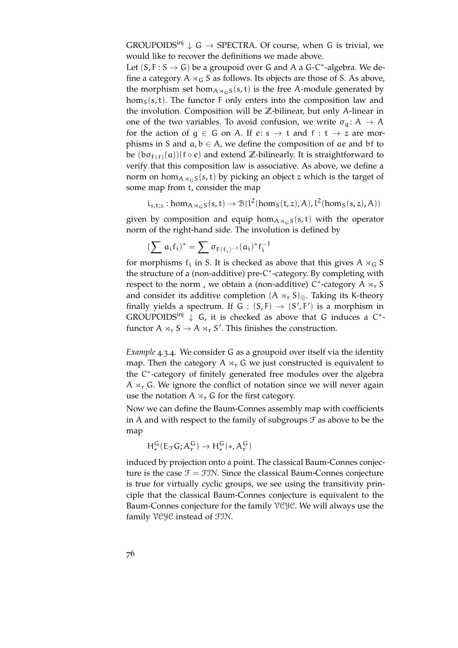GROUPOIDS<sup>inj</sup>  $\downarrow$  G  $\rightarrow$  SPECTRA. Of course, when G is trivial, we would like to recover the definitions we made above.

Let  $(S, F : S \rightarrow G)$  be a groupoid over G and A a G-C<sup>\*</sup>-algebra. We define a category  $A \rtimes_G S$  as follows. Its objects are those of S. As above, the morphism set hom $A_{A\alpha} S(s, t)$  is the free A-module generated by  $hom<sub>S</sub>(s, t)$ . The functor F only enters into the composition law and the involution. Composition will be **Z**-bilinear, but only A-linear in one of the two variables. To avoid confusion, we write  $\sigma_{\alpha} : A \rightarrow A$ for the action of  $q \in G$  on A. If  $e: s \to t$  and  $f: t \to z$  are morphisms in S and  $a, b \in A$ , we define the composition of ae and bf to be  $(b\sigma_{F(f)}(a))(f\circ e)$  and extend  $\mathbb Z$ -bilinearly. It is straightforward to verify that this composition law is associative. As above, we define a norm on hom $A_{A\setminus G}$ s (s, t) by picking an object z which is the target of some map from t, consider the map

$$
i_{s,t;z}:\text{hom}_{A\rtimes_G S}(s,t)\rightarrow \mathcal{B}(l^2(\text{hom}_S(t,z),A),l^2(\text{hom}_S(s,z),A))
$$

given by composition and equip hom $A_{\alpha}$ <sub>GS</sub>(s, t) with the operator norm of the right-hand side. The involution is defined by

$$
(\sum \, \alpha_i f_i)^* = \sum \, \sigma_{F(\, f_i)^{-1}}(\alpha_i)^* f_i^{-1}
$$

for morphisms  $f_i$  in S. It is checked as above that this gives  $A \rtimes_G S$ the structure of a (non-additive) pre-C ∗ -category. By completing with respect to the norm, we obtain a (non-additive)  $C^*$ -category  $\overline{A} \rtimes_r S$ and consider its additive completion  $(A \rtimes_r S)_{\oplus}$ . Taking its K-theory finally yields a spectrum. If  $G : (S, F) \rightarrow (S', F')$  is a morphism in GROUPOIDS<sup>inj</sup>  $\downarrow$  G, it is checked as above that G induces a C<sup>\*</sup>functor  $A \rtimes_{r} S \to A \rtimes_{r} S'$ . This finishes the construction.

*Example* 4.3.4*.* We consider G as a groupoid over itself via the identity map. Then the category  $A \times_{r} G$  we just constructed is equivalent to the C ∗ -category of finitely generated free modules over the algebra  $A \rtimes_{r} G$ . We ignore the conflict of notation since we will never again use the notation  $A \times_{r} G$  for the first category.

Now we can define the Baum-Connes assembly map with coefficients in A and with respect to the family of subgroups  $\mathcal F$  as above to be the map

 $H_*^G(E_{\mathcal{F}}G; A_r^G) \to H_*^G(*, A_r^G)$ 

induced by projection onto a point. The classical Baum-Connes conjecture is the case  $\mathcal{F} = \mathcal{F} \mathcal{I} \mathcal{N}$ . Since the classical Baum-Connes conjecture is true for virtually cyclic groups, we see using the transitivity principle that the classical Baum-Connes conjecture is equivalent to the Baum-Connes conjecture for the family VCYC. We will always use the family VCYC instead of FIN.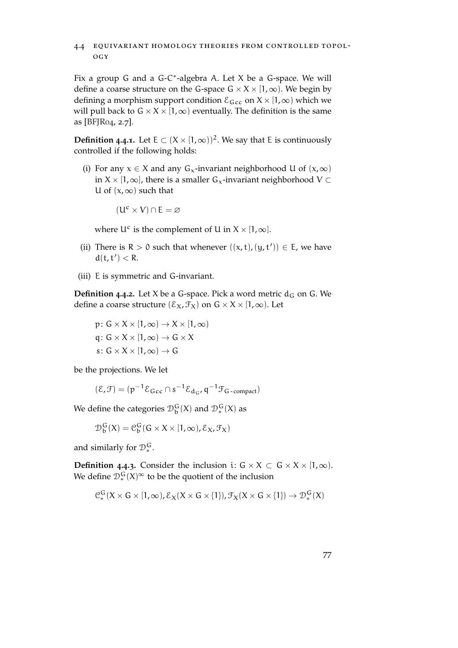# 4.4 equivariant homology theories from controlled topology

Fix a group G and a G-C<sup>\*</sup>-algebra A. Let X be a G-space. We will define a coarse structure on the G-space  $G \times X \times [1,\infty)$ . We begin by defining a morphism support condition  $\mathcal{E}_{\text{Gcc}}$  on  $X \times [1,\infty)$  which we will pull back to  $G \times X \times [1, \infty)$  eventually. The definition is the same as [\[BFJR](#page-150-1)04, 2.7].

**Definition 4.4.1.** Let E ⊂  $(X \times [1, \infty))^2$ . We say that E is continuously controlled if the following holds:

(i) For any  $x \in X$  and any  $G_x$ -invariant neighborhood U of  $(x, \infty)$ in  $X \times [1, \infty]$ , there is a smaller  $G_x$ -invariant neighborhood V  $\subset$ U of  $(x, \infty)$  such that

$$
(U^c \times V) \cap E = \varnothing
$$

where  $U^c$  is the complement of U in  $X \times [1, \infty]$ .

- (ii) There is  $R > 0$  such that whenever  $((x, t), (y, t')) \in E$ , we have  $d(t, t') < R$ .
- (iii) E is symmetric and G-invariant.

**Definition 4.4.2.** Let X be a G-space. Pick a word metric  $d_G$  on G. We define a coarse structure  $(\mathcal{E}_X, \mathcal{F}_X)$  on  $G \times X \times [1, \infty)$ . Let

$$
p: G \times X \times [1, \infty) \to X \times [1, \infty)
$$
  
q: G \times X \times [1, \infty) \to G \times X  
s: G \times X \times [1, \infty) \to G

be the projections. We let

$$
(\mathcal{E}, \mathcal{F}) = (\mathfrak{p}^{-1} \mathcal{E}_{\mathsf{Gcc}} \cap \mathfrak{s}^{-1} \mathcal{E}_{\mathbf{d}_{\mathsf{G}}}, \mathfrak{q}^{-1} \mathcal{F}_{\mathsf{G-compact}})
$$

We define the categories  $\mathcal{D}_{b}^{G}(X)$  and  $\mathcal{D}_{*}^{G}(X)$  as

$$
\mathcal{D}_{\mathfrak{b}}^{\mathsf{G}}(\mathsf{X}) = \mathcal{C}_{\mathfrak{b}}^{\mathsf{G}}(\mathsf{G} \times \mathsf{X} \times [1, \infty), \mathcal{E}_{\mathsf{X}}, \mathcal{F}_{\mathsf{X}})
$$

and similarly for  $\mathcal{D}_*^G$ .

**Definition** 4.4.3. Consider the inclusion i:  $G \times X \subset G \times X \times [1, \infty)$ . We define  $\mathcal{D}_*^G(X)^\infty$  to be the quotient of the inclusion

$$
\mathcal{C}_{*}^{G}(X \times G \times [1,\infty), \mathcal{E}_{X}(X \times G \times \{1\}), \mathcal{F}_{X}(X \times G \times \{1\}) \rightarrow \mathcal{D}_{*}^{G}(X)
$$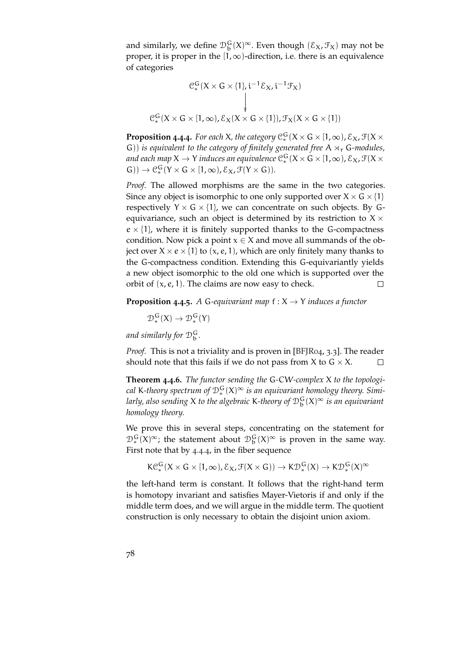and similarly, we define  $\mathcal{D}_{b}^{G}(X)^{\infty}$ . Even though  $(\mathcal{E}_{X}, \mathcal{F}_{X})$  may not be proper, it is proper in the  $[1,\infty)$ -direction, i.e. there is an equivalence of categories

$$
e_*^G(X \times G \times \{1\}, i^{-1}\mathcal{E}_X, i^{-1}\mathcal{F}_X)
$$
  
\n
$$
\downarrow
$$
  
\n
$$
e_*^G(X \times G \times [1, \infty), \mathcal{E}_X(X \times G \times \{1\}), \mathcal{F}_X(X \times G \times \{1\})
$$

<span id="page-77-0"></span>**Proposition 4.4.4.** For each X, the category  $C_*^G(X \times G \times [1, \infty), \mathcal{E}_X, \mathcal{F}(X \times G)$ G)) *is equivalent to the category of finitely generated free*  $A \rtimes_r G$ -modules, *and each map*  $X \to Y$  *induces an equivalence*  $\mathcal{C}_*^G(X \times G \times [1,\infty), \mathcal{E}_X, \mathcal{F}(X \times G)$  $G$ ))  $\rightarrow$   $C_{*}^{G}(Y \times G \times [1, \infty), \mathcal{E}_{X}, \mathcal{F}(Y \times G)).$ 

*Proof.* The allowed morphisms are the same in the two categories. Since any object is isomorphic to one only supported over  $X \times G \times \{1\}$ respectively  $Y \times G \times \{1\}$ , we can concentrate on such objects. By Gequivariance, such an object is determined by its restriction to  $X \times$  $e \times \{1\}$ , where it is finitely supported thanks to the G-compactness condition. Now pick a point  $x \in X$  and move all summands of the object over  $X \times e \times \{1\}$  to  $(x, e, 1)$ , which are only finitely many thanks to the G-compactness condition. Extending this G-equivariantly yields a new object isomorphic to the old one which is supported over the orbit of  $(x, e, 1)$ . The claims are now easy to check.  $\Box$ 

**Proposition 4.4.5.** A G-equivariant map  $f: X \rightarrow Y$  induces a functor

 $\mathcal{D}_*^{\mathsf{G}}(X) \to \mathcal{D}_*^{\mathsf{G}}(Y)$ 

*and similarly for* D<sup>G</sup> b *.*

*Proof.* This is not a triviality and is proven in [BF]R04, 3.3]. The reader should note that this fails if we do not pass from X to  $G \times X$ .  $\Box$ 

**Theorem 4.4.6.** *The functor sending the* G*-*CW*-complex* X *to the topologi*cal K-theory spectrum of  $\mathcal{D}_*^G(X)^\infty$  is an equivariant homology theory. Simi*larly, also sending* X *to the algebraic* K*-theory of* D<sup>G</sup> b (X)<sup>∞</sup> *is an equivariant homology theory.*

We prove this in several steps, concentrating on the statement for  $\mathcal{D}_{*}^{G}(X)^{\infty}$ ; the statement about  $\mathcal{D}_{b}^{G}(X)^{\infty}$  is proven in the same way. First note that by 4.[4](#page-77-0).4, in the fiber sequence

 $\mathsf{KC}_*^G(X \times G \times [1,\infty), \mathcal{E}_X, \mathcal{F}(X \times G)) \to \mathsf{KD}_*^G(X) \to \mathsf{KD}_*^G(X)^\infty$ 

the left-hand term is constant. It follows that the right-hand term is homotopy invariant and satisfies Mayer-Vietoris if and only if the middle term does, and we will argue in the middle term. The quotient construction is only necessary to obtain the disjoint union axiom.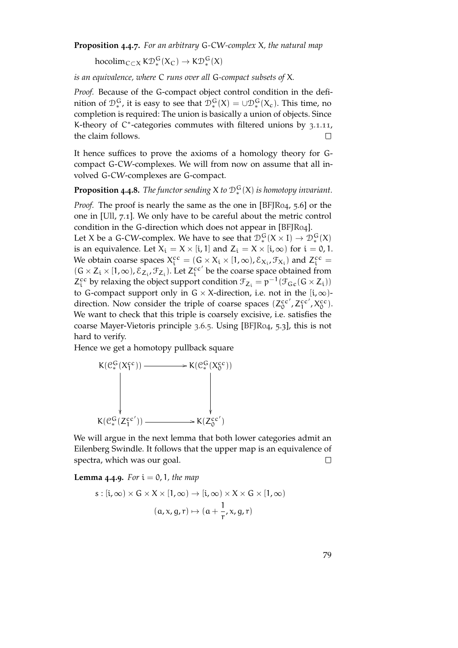**Proposition 4.4.7.** *For an arbitrary* G*-*CW*-complex* X*, the natural map*

hocolim<sub>C⊂X</sub> K $\mathcal{D}_*^G(X_C) \to K\mathcal{D}_*^G(X)$ 

*is an equivalence, where* C *runs over all* G*-compact subsets of* X*.*

*Proof.* Because of the G-compact object control condition in the definition of  $\mathcal{D}_*^G$ , it is easy to see that  $\mathcal{D}_*^G(X) = \cup \mathcal{D}_*^G(X_c)$ . This time, no completion is required: The union is basically a union of objects. Since K-theory of C\*-categories commutes with filtered unions by 3.1.[11](#page-51-0), the claim follows.  $\Box$ 

It hence suffices to prove the axioms of a homology theory for Gcompact G-CW-complexes. We will from now on assume that all involved G-CW-complexes are G-compact.

**Proposition 4.4.8.** The functor sending  $X$  to  $\mathcal{D}_*^G(X)$  is homotopy invariant.

*Proof.* The proof is nearly the same as the one in [\[BFJR](#page-150-1)04, 5.6] or the one in [\[Ull,](#page-153-0) 7.1]. We only have to be careful about the metric control condition in the G-direction which does not appear in [\[BFJR](#page-150-1)04].

Let X be a G-CW-complex. We have to see that  $\mathcal{D}_*^G(X \times I) \to \mathcal{D}_*^G(X)$ is an equivalence. Let  $X_i = X \times [i, 1]$  and  $Z_i = X \times [i, \infty)$  for  $i = 0, 1$ . We obtain coarse spaces  $X_i^{cc} = (G \times X_i \times [1, \infty), \mathcal{E}_{X_i}, \mathcal{F}_{X_i})$  and  $Z_i^{cc} = (G \times X_i \times [1, \infty), \mathcal{E}_{X_i}, \mathcal{F}_{X_i})$  $(G \times Z_i \times [1, \infty), \mathcal{E}_{Z_i}, \mathcal{F}_{Z_i})$ . Let  $Z_i^{cc'}$  be the coarse space obtained from  $Z_i^{cc}$  by relaxing the object support condition  $\mathcal{F}_{Z_i} = p^{-1}(\mathcal{F}_{Gc}(G \times Z_i))$ to G-compact support only in G  $\times$  X-direction, i.e. not in the [i,  $\infty$ )direction. Now consider the triple of coarse spaces  $(Z_0^{cc}, Z_1^{cc}, X_0^{cc})$ . We want to check that this triple is coarsely excisive, i.e. satisfies the coarse Mayer-Vietoris principle 3.[6](#page-63-0).5. Using [\[BFJR](#page-150-1)04, 5.3], this is not hard to verify.

Hence we get a homotopy pullback square

$$
K(\mathcal{C}_{*}^{G}(X_{1}^{cc})) \longrightarrow K(\mathcal{C}_{*}^{G}(X_{0}^{cc}))
$$
\n
$$
\downarrow \qquad \qquad \downarrow
$$
\n
$$
K(\mathcal{C}_{*}^{G}(Z_{1}^{cc'})) \longrightarrow K(Z_{0}^{cc'})
$$

We will argue in the next lemma that both lower categories admit an Eilenberg Swindle. It follows that the upper map is an equivalence of spectra, which was our goal.  $\Box$ 

**Lemma** 4.4.9. For  $i = 0, 1$ , the map

$$
s : [i, \infty) \times G \times X \times [1, \infty) \to [i, \infty) \times X \times G \times [1, \infty)
$$

$$
(\alpha, x, g, r) \mapsto (\alpha + \frac{1}{r}, x, g, r)
$$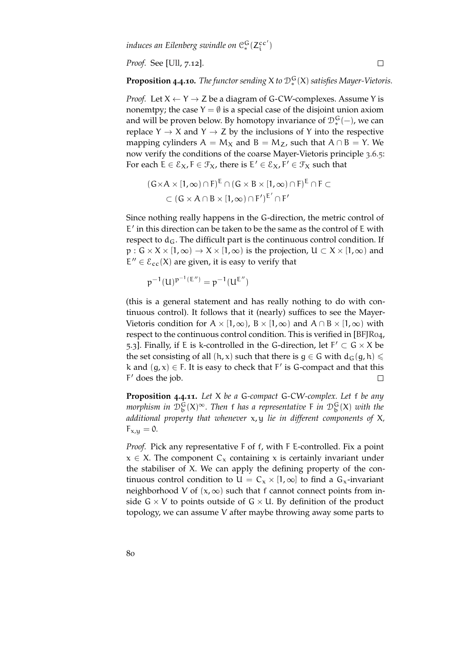*Proof.* See [\[Ull,](#page-153-0) 7.12].

**Proposition 4.4.10.** *The functor sending*  $X$  *to*  $\mathcal{D}_*^G(X)$  *satisfies Mayer-Vietoris.* 

*Proof.* Let  $X \leftarrow Y \rightarrow Z$  be a diagram of G-CW-complexes. Assume Y is nonemtpy; the case  $Y = \emptyset$  is a special case of the disjoint union axiom and will be proven below. By homotopy invariance of  $\mathcal{D}_{*}^{G}(-)$ , we can replace  $Y \rightarrow X$  and  $Y \rightarrow Z$  by the inclusions of Y into the respective mapping cylinders  $A = M_X$  and  $B = M_Z$ , such that  $A \cap B = Y$ . We now verify the conditions of the coarse Mayer-Vietoris principle [3](#page-63-0).6.5: For each  $E \in \mathcal{E}_X$ ,  $F \in \mathcal{F}_X$ , there is  $E' \in \mathcal{E}_X$ ,  $F' \in \mathcal{F}_X$  such that

$$
(G \times A \times [1, \infty) \cap F)^{E} \cap (G \times B \times [1, \infty) \cap F)^{E} \cap F \subset
$$
  

$$
\subset (G \times A \cap B \times [1, \infty) \cap F')^{E'} \cap F'
$$

Since nothing really happens in the G-direction, the metric control of E' in this direction can be taken to be the same as the control of E with respect to  $d_G$ . The difficult part is the continuous control condition. If  $p: G \times X \times [1, \infty) \rightarrow X \times [1, \infty)$  is the projection,  $U \subset X \times [1, \infty)$  and  $E'' \in \mathcal{E}_{cc}(X)$  are given, it is easy to verify that

$$
p^{-1}(U)^{p^{-1}(E'')} = p^{-1}(U^{E''})
$$

(this is a general statement and has really nothing to do with continuous control). It follows that it (nearly) suffices to see the Mayer-Vietoris condition for  $A \times [1, \infty)$ ,  $B \times [1, \infty)$  and  $A \cap B \times [1, \infty)$  with respect to the continuous control condition. This is verified in [\[BFJR](#page-150-1)04, 5.3]. Finally, if E is k-controlled in the G-direction, let  $F' \subset G \times X$  be the set consisting of all  $(h, x)$  such that there is  $g \in G$  with  $d_G(g, h) \le$ k and  $(g, x) \in F$ . It is easy to check that  $F'$  is G-compact and that this F' does the job.  $\Box$ 

<span id="page-79-0"></span>**Proposition 4.4.11.** *Let* X *be a* G*-compact* G*-*CW*-complex. Let* f *be any* morphism in  $\mathcal{D}_\mathbf{b}^\mathbf{G}(X)^\infty$ . Then f has a representative F in  $\mathcal{D}_\mathbf{b}^\mathbf{G}(X)$  with the *additional property that whenever* x, y *lie in different components of* X*,*  $F_{x,y} = 0.$ 

*Proof.* Pick any representative F of f, with F E-controlled. Fix a point  $x \in X$ . The component C<sub>x</sub> containing x is certainly invariant under the stabiliser of X. We can apply the defining property of the continuous control condition to  $U = C_x \times [1,\infty]$  to find a  $G_x$ -invariant neighborhood V of  $(x, \infty)$  such that f cannot connect points from inside  $G \times V$  to points outside of  $G \times U$ . By definition of the product topology, we can assume V after maybe throwing away some parts to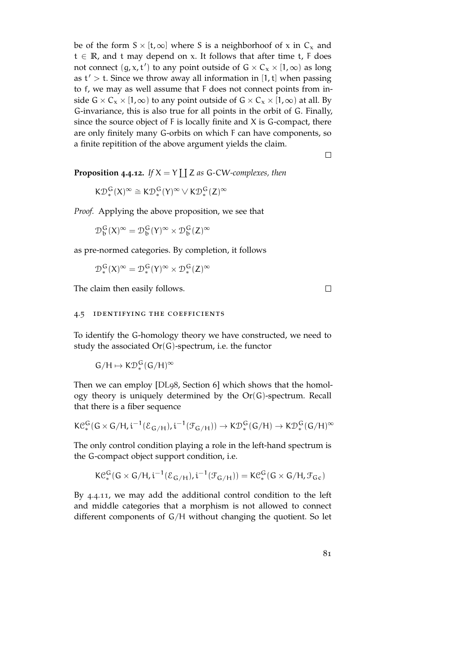be of the form  $S \times [t, \infty]$  where S is a neighborhoof of x in  $C_x$  and t ∈ **R**, and t may depend on x. It follows that after time t, F does not connect  $(g, x, t')$  to any point outside of  $G \times C_x \times [1, \infty)$  as long as  $t' > t$ . Since we throw away all information in [1, t] when passing to f, we may as well assume that F does not connect points from inside  $G \times C_x \times [1,\infty)$  to any point outside of  $G \times C_x \times [1,\infty)$  at all. By G-invariance, this is also true for all points in the orbit of G. Finally, since the source object of  $F$  is locally finite and  $X$  is G-compact, there are only finitely many G-orbits on which F can have components, so a finite repitition of the above argument yields the claim.

 $\Box$ 

**Proposition** 4.4.12. If  $X = Y \coprod Z$  as G-CW-complexes, then

$$
K\mathcal{D}_*^G(X)^\infty\cong K\mathcal{D}_*^G(Y)^\infty\vee K\mathcal{D}_*^G(Z)^\infty
$$

*Proof.* Applying the above proposition, we see that

 $\mathcal{D}_{\mathrm{b}}^{\mathrm{G}}(X)^{\infty} = \mathcal{D}_{\mathrm{b}}^{\mathrm{G}}(Y)^{\infty} \times \mathcal{D}_{\mathrm{b}}^{\mathrm{G}}(Z)^{\infty}$ 

as pre-normed categories. By completion, it follows

$$
\mathcal{D}^{\,G}_*(X)^\infty=\mathcal{D}^{\,G}_*(Y)^\infty\times\mathcal{D}^{\,G}_*(Z)^\infty
$$

The claim then easily follows.

#### 4.5 identifying the coefficients

To identify the G-homology theory we have constructed, we need to study the associated Or(G)-spectrum, i.e. the functor

$$
G/H\mapsto K\mathfrak{D}_*^G(G/H)^\infty
$$

Then we can employ [\[DL](#page-151-0)98, Section 6] which shows that the homology theory is uniquely determined by the Or(G)-spectrum. Recall that there is a fiber sequence

$$
K\mathcal{C}_*^G(G\times G/H,i^{-1}(\mathcal{E}_{G/H}),i^{-1}(\mathcal{F}_{G/H}))\to K\mathcal{D}_*^G(G/H)\to K\mathcal{D}_*^G(G/H)^\infty
$$

The only control condition playing a role in the left-hand spectrum is the G-compact object support condition, i.e.

$$
K\mathcal{C}_{*}^{G}(G\times G/H, i^{-1}(\mathcal{E}_{G/H}), i^{-1}(\mathcal{F}_{G/H}))=K\mathcal{C}_{*}^{G}(G\times G/H, \mathcal{F}_{Gc})
$$

By 4.4.[11](#page-79-0), we may add the additional control condition to the left and middle categories that a morphism is not allowed to connect different components of G/H without changing the quotient. So let

 $\Box$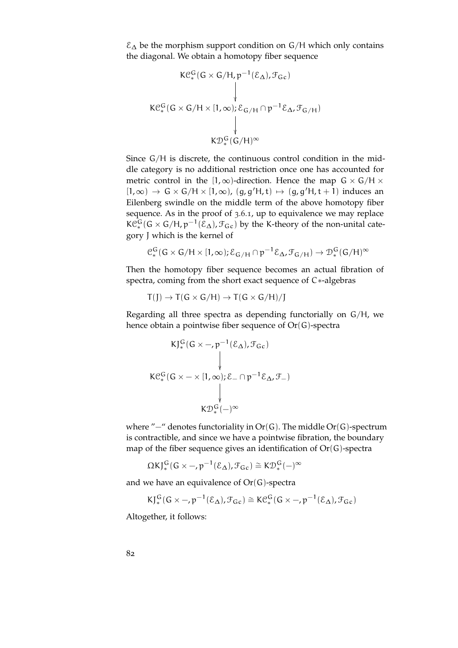$\mathcal{E}_{\Delta}$  be the morphism support condition on G/H which only contains the diagonal. We obtain a homotopy fiber sequence

$$
K\mathcal{C}_{*}^{G}(G \times G/H, p^{-1}(\mathcal{E}_{\Delta}), \mathcal{F}_{Gc})
$$
\n
$$
K\mathcal{C}_{*}^{G}(G \times G/H \times [1, \infty); \mathcal{E}_{G/H} \cap p^{-1}\mathcal{E}_{\Delta}, \mathcal{F}_{G/H})
$$
\n
$$
\downarrow
$$
\n
$$
K\mathcal{D}_{*}^{G}(G/H)^{\infty}
$$

Since G/H is discrete, the continuous control condition in the middle category is no additional restriction once one has accounted for metric control in the [1,∞)-direction. Hence the map  $G \times G/H \times$  $[1, \infty) \rightarrow G \times G/H \times [1, \infty)$ ,  $(g, g'H, t) \mapsto (g, g'H, t+1)$  induces an Eilenberg swindle on the middle term of the above homotopy fiber sequence. As in the proof of [3](#page-59-0).6.1, up to equivalence we may replace  $\mathsf{KC}^{\mathsf{G}}_*(\mathsf{G} \times \mathsf{G}/\mathsf{H}, p^{-1}(\mathcal{E}_{\Delta}), \mathcal{F}_{\mathsf{Gc}})$  by the K-theory of the non-unital category J which is the kernel of

$$
\mathcal{C}_{*}^{G}(G \times G/H \times [1,\infty); \mathcal{E}_{G/H} \cap p^{-1}\mathcal{E}_{\Delta}, \mathcal{F}_{G/H}) \to \mathcal{D}_{*}^{G}(G/H)^{\infty}
$$

Then the homotopy fiber sequence becomes an actual fibration of spectra, coming from the short exact sequence of C∗-algebras

$$
T(J) \to T(G \times G/H) \to T(G \times G/H)/J
$$

Regarding all three spectra as depending functorially on G/H, we hence obtain a pointwise fiber sequence of Or(G)-spectra

$$
KJ_{*}^{G}(G \times -, p^{-1}(\mathcal{E}_{\Delta}), \mathcal{F}_{Gc})
$$
\n
$$
K\mathcal{C}_{*}^{G}(G \times - \times [1, \infty); \mathcal{E}_{-} \cap p^{-1}\mathcal{E}_{\Delta}, \mathcal{F}_{-})
$$
\n
$$
\downarrow
$$
\n
$$
K\mathcal{D}_{*}^{G}(-)^{\infty}
$$

where "−" denotes functoriality in Or(G). The middle Or(G)-spectrum is contractible, and since we have a pointwise fibration, the boundary map of the fiber sequence gives an identification of  $Or(G)$ -spectra

$$
\Omega K J^G_*(G\times - ,p^{-1}(\mathcal{E}_{\Delta}) , \mathcal{F}_{Gc})\cong K \mathcal{D}_*^G(-)^{\infty}
$$

and we have an equivalence of  $Or(G)$ -spectra

$$
\mathsf{KJ}^{\mathsf{G}}_*(\mathsf{G} \times -, p^{-1}(\mathcal{E}_{\Delta}), \mathcal{F}_{\mathsf{G}c}) \cong \mathsf{K}\mathcal{C}^{\mathsf{G}}_*(\mathsf{G} \times -, p^{-1}(\mathcal{E}_{\Delta}), \mathcal{F}_{\mathsf{G}c})
$$

Altogether, it follows: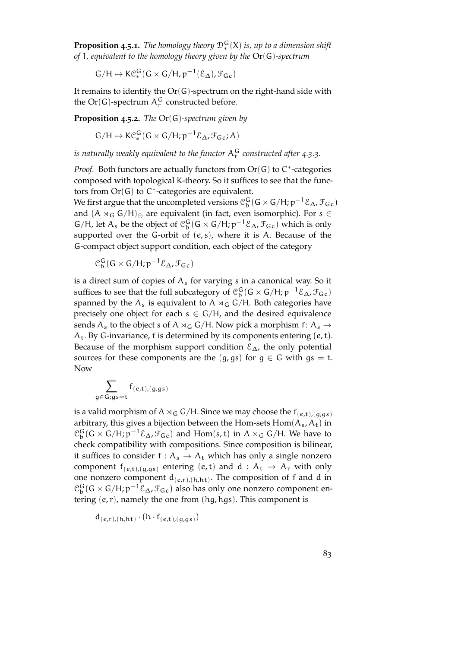**Proposition 4.5.1.** The homology theory  $\mathcal{D}_*^{\mathbf{G}}(\mathsf{X})$  is, up to a dimension shift *of* 1*, equivalent to the homology theory given by the* Or(G)*-spectrum*

$$
G/H \mapsto K\mathcal{C}_*^G(G \times G/H, p^{-1}(\mathcal{E}_{\Delta}), \mathcal{F}_{Gc})
$$

It remains to identify the  $Or(G)$ -spectrum on the right-hand side with the  $Or(G)$ -spectrum  $A_r^G$  constructed before.

**Proposition 4.5.2.** *The* Or(G)*-spectrum given by*

$$
G/H \mapsto K\mathcal{C}_{*}^{G}(G \times G/H; p^{-1}\mathcal{E}_{\Delta}, \mathcal{F}_{Gc}; A)
$$

is naturally weakly equivalent to the functor  $\mathsf{A}_\mathrm{r}^\mathrm{G}$  constructed after [4](#page-73-0).3.3.

Proof. Both functors are actually functors from  $Or(G)$  to C<sup>\*</sup>-categories composed with topological K-theory. So it suffices to see that the functors from  $Or(G)$  to  $C^*$ -categories are equivalent.

We first argue that the uncompleted versions  $\mathfrak{C}^G_\mathsf{b}(\mathsf{G} \times \mathsf{G}/\mathsf{H}; \mathsf{p}^{-1}\mathcal{E}_\Delta, \mathcal{F}_\mathsf{Gc})$ and  $(A \rtimes_G G/H)_{\oplus}$  are equivalent (in fact, even isomorphic). For s  $\in$  $G/H$ , let  $A_s$  be the object of  $\mathcal{C}_b^G(G \times G/H; p^{-1}\mathcal{E}_{\Delta}, \mathcal{F}_{Gc})$  which is only supported over the G-orbit of  $(e, s)$ , where it is A. Because of the G-compact object support condition, each object of the category

$$
\mathcal{C}_b^G(G \times G/H; p^{-1}\mathcal{E}_{\Delta}, \mathcal{F}_{Gc})
$$

is a direct sum of copies of  $A_s$  for varying s in a canonical way. So it suffices to see that the full subcategory of  $\mathfrak{C}^G_b(G \times G/H; p^{-1}\mathcal{E}_\Delta, \mathcal{F}_{Gc})$ spanned by the  $A_s$  is equivalent to  $A \rtimes_G G/H$ . Both categories have precisely one object for each  $s \in G/H$ , and the desired equivalence sends  $A_s$  to the object s of A  $\rtimes_G G/H$ . Now pick a morphism f:  $A_s \rightarrow$  $A_t$ . By G-invariance, f is determined by its components entering  $(e, t)$ . Because of the morphism support condition  $\mathcal{E}_\Delta$ , the only potential sources for these components are the  $(g, gs)$  for  $g \in G$  with  $gs = t$ . Now

$$
\sum_{g\in G;gs=t}f_{(e,t),(g,gs)}
$$

is a valid morphism of A  $\times_G G/H$ . Since we may choose the  $f_{(e,t),(q,qs)}$ arbitrary, this gives a bijection between the Hom-sets  $Hom(A<sub>s</sub>, A<sub>t</sub>)$  in  $\mathcal{C}_b^G$  (G × G/H;  $p^{-1}\mathcal{E}_\Delta$ ,  $\mathcal{F}_{Gc}$ ) and Hom(s, t) in A  $\rtimes_G$  G/H. We have to check compatibility with compositions. Since composition is bilinear, it suffices to consider f :  $A_s \rightarrow A_t$  which has only a single nonzero component  $f_{(e,t),(g,gs)}$  entering  $(e,t)$  and  $d : A_t \rightarrow A_r$  with only one nonzero component  $d_{(e,r),(h,ht)}$ . The composition of f and d in  $\mathcal{C}_{\mathfrak{b}}^{\mathsf{G}}(\mathsf{G} \times \mathsf{G}/\mathsf{H}; \mathfrak{p}^{-1}\mathcal{E}_{\Delta}, \mathcal{F}_{\mathsf{Gc}})$  also has only one nonzero component entering  $(e, r)$ , namely the one from  $(hg, hgs)$ . This component is

$$
d_{(e,r),(h,ht)} \cdot (h \cdot f_{(e,t),(g,gs)})
$$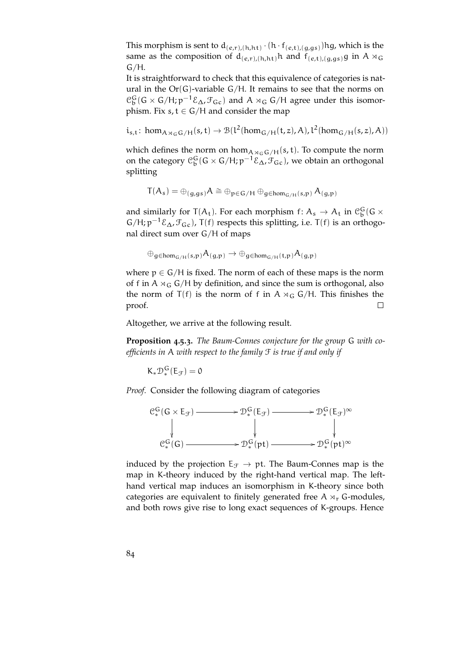This morphism is sent to  $d_{(e,r),(h,ht)} \cdot (h \cdot f_{(e,t),(g,gs)})$ hg, which is the same as the composition of  $d_{(e,r),(h,h)}$ h and  $f_{(e,t),(g,gs)}$ g in A  $\rtimes_G$  $G/H$ .

It is straightforward to check that this equivalence of categories is natural in the  $Or(G)$ -variable  $G/H$ . It remains to see that the norms on  $\mathcal{C}_{\rm b}^{\rm G}$  (G × G/H;  $p^{-1}\mathcal{E}_{\Delta}$ ,  $\mathcal{F}_{\rm Gc}$ ) and A × <sub>G</sub> G/H agree under this isomorphism. Fix  $s, t \in G/H$  and consider the map

 $i_{s,t}$ : hom<sub>A $\pi_{G} G/H}(s,t) \rightarrow B(l^2(hom_{G/H}(t,z),A), l^2(hom_{G/H}(s,z),A))$ </sub>

which defines the norm on  $hom<sub>A \rtimes_{G} G/H}(s, t)</sub>$ . To compute the norm on the category  $\mathfrak{C}^G_\mathsf{b}(\mathsf{G} \times \mathsf{G}/\mathsf{H}; \mathfrak{p}^{-1} \mathcal{E}_\Delta, \mathcal{F}_{\mathsf{Gc}})$ , we obtain an orthogonal splitting

$$
T(A_s) = \oplus_{(g,gs)} A \cong \oplus_{p \in G/H} \oplus_{g \in hom_{G/H}(s,p)} A_{(g,p)}
$$

and similarly for  $T(A_t)$ . For each morphism  $f: A_s \to A_t$  in  $\mathcal{C}_b^G(G \times$  $G/H$ ;  $p^{-1}\mathcal{E}_{\Delta}$ ,  $\mathcal{F}_{\text{Gc}}$ ), T(f) respects this splitting, i.e. T(f) is an orthogonal direct sum over G/H of maps

$$
\oplus_{g \in \text{hom}_{G/H}(s,p)} A_{(g,p)} \to \oplus_{g \in \text{hom}_{G/H}(t,p)} A_{(g,p)}
$$

where  $p \in G/H$  is fixed. The norm of each of these maps is the norm of f in A  $\times_G$  G/H by definition, and since the sum is orthogonal, also the norm of  $T(f)$  is the norm of f in A  $\rtimes_G G/H$ . This finishes the proof.  $\Box$ 

<span id="page-83-0"></span>Altogether, we arrive at the following result.

**Proposition 4.5.3.** *The Baum-Connes conjecture for the group* G *with coefficients in* A *with respect to the family* F *is true if and only if*

$$
K_*\mathcal{D}_*^G(E_{\mathcal{F}})=0
$$

*Proof.* Consider the following diagram of categories

$$
\begin{array}{ccc}\n\mathbb{C}_{\ast}^{G}(G \times E_{\mathcal{F}}) & \longrightarrow & \mathcal{D}_{\ast}^{G}(E_{\mathcal{F}}) \longrightarrow & \mathcal{D}_{\ast}^{G}(E_{\mathcal{F}})^{\infty} \\
\downarrow & & \downarrow & & \downarrow \\
\mathbb{C}_{\ast}^{G}(G) & \longrightarrow & \mathcal{D}_{\ast}^{G}(pt) \longrightarrow & \mathcal{D}_{\ast}^{G}(pt)^{\infty}\n\end{array}
$$

induced by the projection  $E_{\mathcal{F}} \to pt$ . The Baum-Connes map is the map in K-theory induced by the right-hand vertical map. The lefthand vertical map induces an isomorphism in K-theory since both categories are equivalent to finitely generated free  $A \rtimes_{r} G$ -modules, and both rows give rise to long exact sequences of K-groups. Hence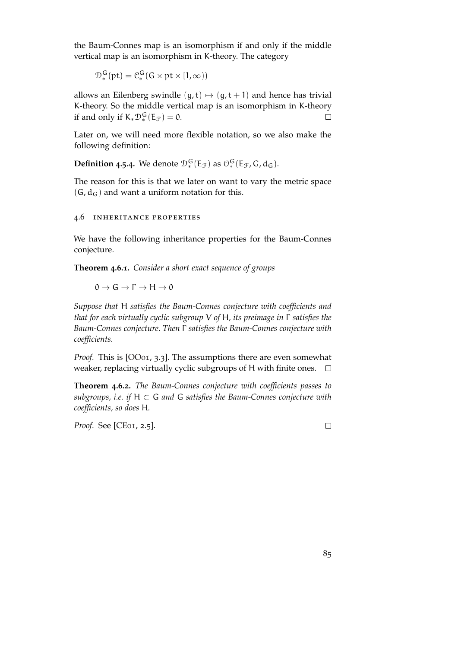the Baum-Connes map is an isomorphism if and only if the middle vertical map is an isomorphism in K-theory. The category

$$
\mathcal{D}_{*}^{G}(\mathrm{pt}) = \mathcal{C}_{*}^{G}(G \times \mathrm{pt} \times [1, \infty))
$$

allows an Eilenberg swindle  $(g, t) \mapsto (g, t + 1)$  and hence has trivial K-theory. So the middle vertical map is an isomorphism in K-theory if and only if  $K_*\mathcal{D}_*^G(E_{\mathcal{F}})=0$ .  $\Box$ 

Later on, we will need more flexible notation, so we also make the following definition:

<span id="page-84-0"></span>**Definition 4.5.4.** We denote  $\mathcal{D}_*^G(\mathsf{E}_{\mathcal{F}})$  as  $\mathcal{O}_*^G(\mathsf{E}_{\mathcal{F}}, \mathsf{G}, \mathsf{d}_{\mathsf{G}})$ .

The reason for this is that we later on want to vary the metric space  $(G, d_G)$  and want a uniform notation for this.

### 4.6 inheritance properties

We have the following inheritance properties for the Baum-Connes conjecture.

**Theorem 4.6.1.** *Consider a short exact sequence of groups*

 $0 \to G \to \Gamma \to H \to 0$ 

*Suppose that* H *satisfies the Baum-Connes conjecture with coefficients and that for each virtually cyclic subgroup* V *of* H*, its preimage in* Γ *satisfies the Baum-Connes conjecture. Then* Γ *satisfies the Baum-Connes conjecture with coefficients.*

*Proof.* This is [\[OO](#page-153-1)01, 3.3]. The assumptions there are even somewhat weaker, replacing virtually cyclic subgroups of H with finite ones.  $\Box$ 

**Theorem 4.6.2.** *The Baum-Connes conjecture with coefficients passes to subgroups, i.e. if* H ⊂ G *and* G *satisfies the Baum-Connes conjecture with coefficients, so does* H*.*

*Proof.* See [\[CE](#page-151-1)01, 2.5].

 $\Box$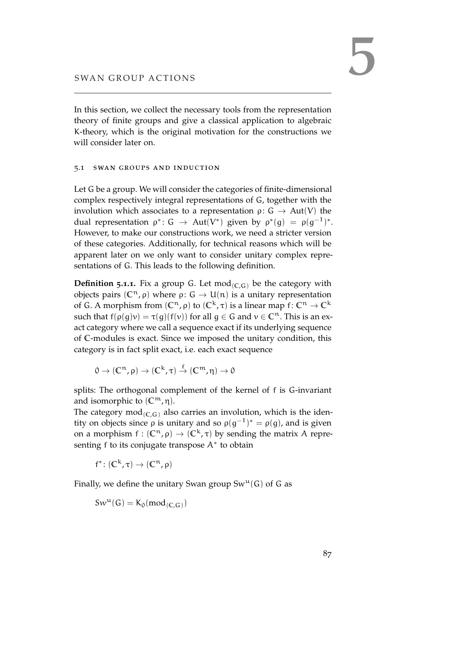In this section, we collect the necessary tools from the representation theory of finite groups and give a classical application to algebraic K-theory, which is the original motivation for the constructions we will consider later on.

### 5.1 swan groups and induction

Let G be a group. We will consider the categories of finite-dimensional complex respectively integral representations of G, together with the involution which associates to a representation  $ρ: G \rightarrow Aut(V)$  the dual representation  $\rho^* \colon G \to \text{Aut}(V^*)$  given by  $\rho^*(g) = \rho(g^{-1})^*.$ However, to make our constructions work, we need a stricter version of these categories. Additionally, for technical reasons which will be apparent later on we only want to consider unitary complex representations of G. This leads to the following definition.

**Definition 5.1.1.** Fix a group G. Let  $\text{mod}_{(C,G)}$  be the category with objects pairs ( $\mathbb{C}^n$ , *ρ*) where *ρ*: *G* → U(*n*) is a unitary representation of G. A morphism from  $(\mathbb{C}^n, \rho)$  to  $(\mathbb{C}^k, \tau)$  is a linear map f:  $\mathbb{C}^n \to \mathbb{C}^k$ such that  $f(\rho(q)v) = \tau(q)(f(v))$  for all  $q \in G$  and  $v \in \mathbb{C}^n$ . This is an exact category where we call a sequence exact if its underlying sequence of **C**-modules is exact. Since we imposed the unitary condition, this category is in fact split exact, i.e. each exact sequence

 $0 \to (C^n, ρ) \to (C^k, τ) \stackrel{f}{\to} (C^m, η) \to 0$ 

splits: The orthogonal complement of the kernel of f is G-invariant and isomorphic to  $(\mathbb{C}^m, \eta)$ .

The category mod<sub> $(C,G)$ </sub> also carries an involution, which is the identity on objects since  $ρ$  is unitary and so  $ρ(g<sup>-1</sup>)<sup>*</sup> = ρ(g)$ , and is given on a morphism  $f : (\mathbb{C}^n, \rho) \to (\mathbb{C}^k, \tau)$  by sending the matrix A representing f to its conjugate transpose  $A^*$  to obtain

 $f^* \colon (\mathbb{C}^k, \tau) \to (\mathbb{C}^n, \rho)$ 

Finally, we define the unitary Swan group  $Sw^u(G)$  of G as

 $Sw^{\mathfrak{u}}(\mathsf{G}) = \mathsf{K}_{\mathfrak{0}}(\text{mod}_{(\mathbb{C},\mathsf{G})})$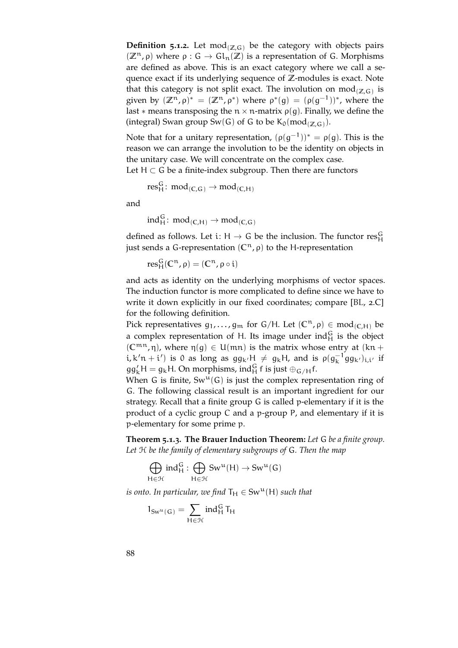**Definition 5.1.2.** Let mod<sub> $(Z,G)$ </sub> be the category with objects pairs  $(\mathbb{Z}^n, \rho)$  where  $\rho : G \to Gl_n(\mathbb{Z})$  is a representation of G. Morphisms are defined as above. This is an exact category where we call a sequence exact if its underlying sequence of **Z**-modules is exact. Note that this category is not split exact. The involution on  $\operatorname{mod}_{(\mathbb{Z},\mathsf{G})}$  is given by  $(\mathbb{Z}^n, \rho)^* = (\mathbb{Z}^n, \rho^*)$  where  $\rho^*(g) = (\rho(g^{-1}))^*$ , where the last  $*$  means transposing the  $n \times n$ -matrix  $\rho(g)$ . Finally, we define the  $(\text{integral})$  Swan group Sw(G) of G to be  $K_0(\text{mod}_{(\mathbb{Z},G)})$ .

Note that for a unitary representation,  $(\rho(g^{-1}))^* = \rho(g)$ . This is the reason we can arrange the involution to be the identity on objects in the unitary case. We will concentrate on the complex case. Let  $H \subset G$  be a finite-index subgroup. Then there are functors

$$
res_H^G\colon\thinspace mod_{(C,G)}\to mod_{(C,H)}
$$

and

 $ind_H^G$ :  $mod_{(C,H)} \rightarrow mod_{(C,G)}$ 

defined as follows. Let i: H  $\rightarrow$  G be the inclusion. The functor  $\mathrm{res}^{\mathrm{G}}_{\mathrm{H}}$ just sends a G-representation (**C**n, ρ) to the H-representation

 $res_H^G(\mathbb{C}^n, \rho) = (\mathbb{C}^n, \rho \circ i)$ 

and acts as identity on the underlying morphisms of vector spaces. The induction functor is more complicated to define since we have to write it down explicitly in our fixed coordinates; compare [\[BL,](#page-150-2) 2.C] for the following definition.

Pick representatives  $g_1, \ldots, g_m$  for  $G/H$ . Let  $(\mathbb{C}^n, \rho) \in \text{mod}_{(\mathbb{C}, H)}$  be a complex representation of H. Its image under  $ind_H^G$  is the object  $({\mathbb C}^{mn}, \eta)$ , where  $\eta(g) \in U(mn)$  is the matrix whose entry at  $(kn +$ i, k'n + i') is 0 as long as  $gg_{k'}H \neq g_kH$ , and is  $\rho(g_k^{-1}gg_{k'})_{i,i'}$  if  $gg'_{k}H = g_{k}H$ . On morphisms, ind $_{H}^{G}$  f is just  $\oplus_{G/H} f$ .

When G is finite,  $Sw^u(G)$  is just the complex representation ring of G. The following classical result is an important ingredient for our strategy. Recall that a finite group G is called p-elementary if it is the product of a cyclic group C and a p-group P, and elementary if it is p-elementary for some prime p.

**Theorem 5.1.3. The Brauer Induction Theorem:** *Let* G *be a finite group. Let* H *be the family of elementary subgroups of* G*. Then the map*

$$
\bigoplus_{H\in\mathfrak{R}}\text{ind}_H^G:\bigoplus_{H\in\mathfrak{R}}\text{Sw}^u(H)\to\text{Sw}^u(G)
$$

*is onto. In particular, we find*  $T_H \in Sw^u(H)$  *such that* 

$$
1_{Sw^u(G)}=\sum_{H\in\mathcal{H}}ind_H^G\,T_H
$$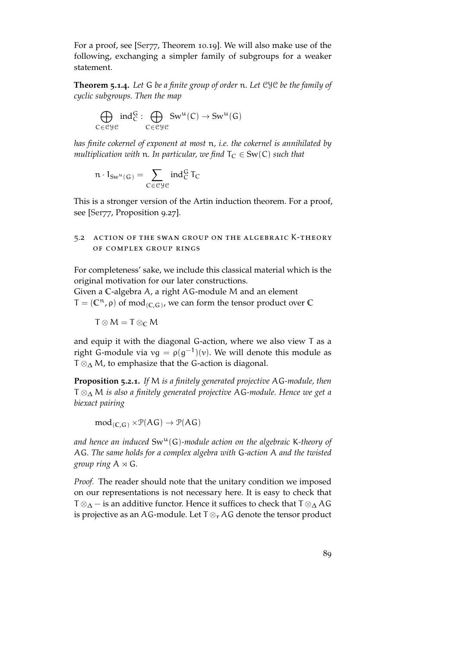For a proof, see [\[Ser](#page-153-2)77, Theorem 10.19]. We will also make use of the following, exchanging a simpler family of subgroups for a weaker statement.

**Theorem 5.1.4.** *Let* G *be a finite group of order* n*. Let* CYC *be the family of cyclic subgroups. Then the map*

$$
\bigoplus_{C\in \mathcal{C}}\limits g\mathcal{C}}\text{ind}_C^G:\bigoplus_{C\in \mathcal{C}}\mathcal{G}w^u(C)\rightarrow \mathcal{S}w^u(G)
$$

*has finite cokernel of exponent at most* n*, i.e. the cokernel is annihilated by multiplication with* n. In particular, we find  $T_C \in Sw(C)$  such that

$$
\mathfrak{n}\cdot 1_{Sw^u(G)}=\sum_{C\in \mathfrak{C}\mathcal{Y}\mathcal{C}}\text{ind}_C^G\, \mathsf{T}_C
$$

This is a stronger version of the Artin induction theorem. For a proof, see [\[Ser](#page-153-2)77, Proposition 9.27].

# 5.2 action of the swan group on the algebraic K-theory of complex group rings

For completeness' sake, we include this classical material which is the original motivation for our later constructions. Given a **C**-algebra A, a right AG-module M and an element

 $T = (\mathbb{C}^n, \rho)$  of mod<sub>(C,G)</sub>, we can form the tensor product over C

$$
T\otimes M=T\otimes_\mathbb{C} M
$$

and equip it with the diagonal G-action, where we also view T as a right G-module via  $vg = \rho(g^{-1})(v)$ . We will denote this module as  $T \otimes_{\Delta} M$ , to emphasize that the G-action is diagonal.

<span id="page-88-0"></span>**Proposition 5.2.1.** *If* M *is a finitely generated projective* AG*-module, then* T ⊗<sup>∆</sup> M *is also a finitely generated projective* AG*-module. Hence we get a biexact pairing*

 $mod_{(C,G)} \times \mathcal{P}(AG) \rightarrow \mathcal{P}(AG)$ 

*and hence an induced* Swu(G)*-module action on the algebraic* K*-theory of* AG*. The same holds for a complex algebra with* G*-action* A *and the twisted group ring*  $A \rtimes G$ *.* 

*Proof.* The reader should note that the unitary condition we imposed on our representations is not necessary here. It is easy to check that  $T \otimes_{\Delta} -$  is an additive functor. Hence it suffices to check that  $T \otimes_{\Delta} A G$ is projective as an AG-module. Let  $T \otimes_{r} AG$  denote the tensor product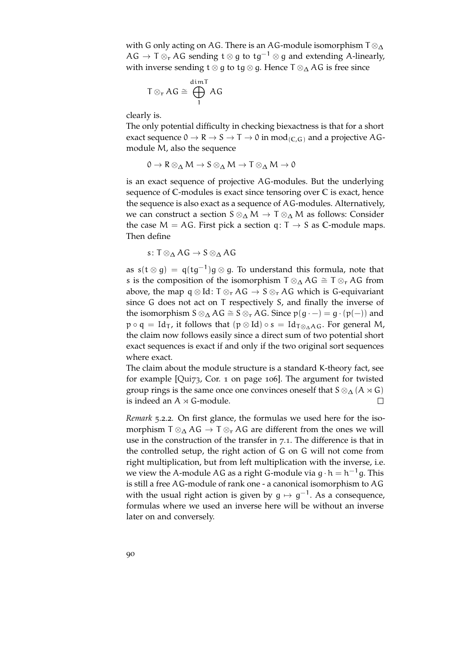with G only acting on AG. There is an AG-module isomorphism  $T \otimes_{\Delta} Y$ AG  $\rightarrow$  T  $\otimes_r$  AG sending t  $\otimes$  q to tg<sup>-1</sup>  $\otimes$  q and extending A-linearly, with inverse sending t ⊗ g to tg ⊗ g. Hence  $T \otimes_{\Delta} AG$  is free since

$$
T\otimes_r AG \cong \bigoplus_1^{\text{dim} T} AG
$$

clearly is.

The only potential difficulty in checking biexactness is that for a short exact sequence  $0 \to \mathsf{R} \to \mathsf{S} \to \mathsf{T} \to 0$  in mod<sub>(C,G)</sub> and a projective AGmodule M, also the sequence

 $0 \to R \otimes_{\Lambda} M \to S \otimes_{\Lambda} M \to T \otimes_{\Lambda} M \to 0$ 

is an exact sequence of projective AG-modules. But the underlying sequence of **C**-modules is exact since tensoring over **C** is exact, hence the sequence is also exact as a sequence of AG-modules. Alternatively, we can construct a section  $S \otimes_{\Delta} M \to T \otimes_{\Delta} M$  as follows: Consider the case  $M = AG$ . First pick a section q:  $T \rightarrow S$  as C-module maps. Then define

s:  $T \otimes_A AG \rightarrow S \otimes_A AG$ 

as s $(t \otimes g) = q(tg^{-1})g \otimes g$ . To understand this formula, note that s is the composition of the isomorphism  $\mathsf{T} \otimes_{\Delta} \mathsf{AG} \cong \mathsf{T} \otimes_{\mathsf{r}} \mathsf{AG}$  from above, the map q  $\otimes$  Id: T $\otimes_r AG \to S \otimes_r AG$  which is G-equivariant since G does not act on T respectively S, and finally the inverse of the isomorphism  $S \otimes_{\Delta} AG \cong S \otimes_{r} AG$ . Since  $p(g \cdot -) = g \cdot (p(-))$  and  $p \circ q = Id_T$ , it follows that  $(p \otimes Id) \circ s = Id_{T \otimes_A AG}$ . For general M, the claim now follows easily since a direct sum of two potential short exact sequences is exact if and only if the two original sort sequences where exact.

The claim about the module structure is a standard K-theory fact, see for example [\[Qui](#page-153-3)73, Cor. 1 on page 106]. The argument for twisted group rings is the same once one convinces oneself that  $S \otimes_{\Delta} (A \rtimes G)$ is indeed an  $A \rtimes G$ -module.  $\Box$ 

*Remark* 5.2.2*.* On first glance, the formulas we used here for the isomorphism  $T \otimes_{\Delta} AG \rightarrow T \otimes_{r} AG$  are different from the ones we will use in the construction of the transfer in [7](#page-102-0).1. The difference is that in the controlled setup, the right action of G on G will not come from right multiplication, but from left multiplication with the inverse, i.e. we view the A-module AG as a right G-module via g  $\cdot$  h  $=$  h $^{-1}$ g. This is still a free AG-module of rank one - a canonical isomorphism to AG with the usual right action is given by  $\mathfrak{g} \mapsto \mathfrak{g}^{-1}.$  As a consequence, formulas where we used an inverse here will be without an inverse later on and conversely.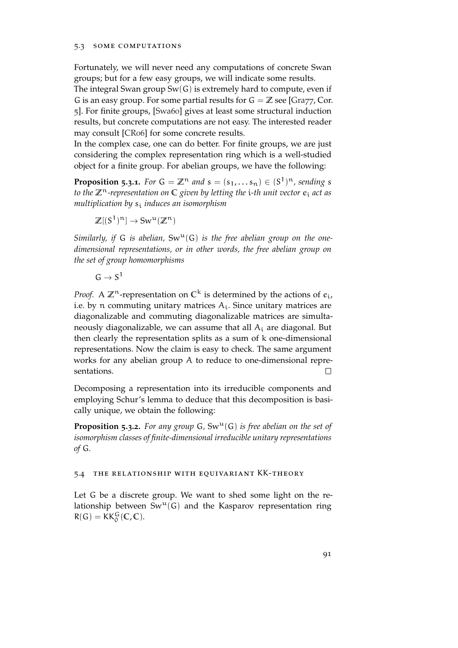### 5.3 some computations

Fortunately, we will never need any computations of concrete Swan groups; but for a few easy groups, we will indicate some results.

The integral Swan group  $Sw(G)$  is extremely hard to compute, even if G is an easy group. For some partial results for  $G = \mathbb{Z}$  see [\[Gra](#page-151-2)77, Cor. 5]. For finite groups, [\[Swa](#page-153-4)60] gives at least some structural induction results, but concrete computations are not easy. The interested reader may consult [\[CR](#page-151-3)06] for some concrete results.

In the complex case, one can do better. For finite groups, we are just considering the complex representation ring which is a well-studied object for a finite group. For abelian groups, we have the following:

**Proposition 5.3.1.** For  $G = \mathbb{Z}^n$  and  $s = (s_1, \ldots s_n) \in (S^1)^n$ , sending s *to the* **Z**n*-representation on* **C** *given by letting the* i*-th unit vector* e<sup>i</sup> *act as multiplication by* s<sup>i</sup> *induces an isomorphism*

$$
\mathbb{Z}[(S^1)^n] \to \text{Sw}^u(\mathbb{Z}^n)
$$

*Similarly, if* G *is abelian,*  $Sw^u(G)$  *is the free abelian group on the onedimensional representations, or in other words, the free abelian group on the set of group homomorphisms*

 $G \rightarrow S^1$ 

*Proof.* A  $\mathbb{Z}^n$ -representation on  $\mathbb{C}^k$  is determined by the actions of  $e_i$ , i.e. by n commuting unitary matrices  $A_i$ . Since unitary matrices are diagonalizable and commuting diagonalizable matrices are simultaneously diagonalizable, we can assume that all  $A_i$  are diagonal. But then clearly the representation splits as a sum of k one-dimensional representations. Now the claim is easy to check. The same argument works for any abelian group A to reduce to one-dimensional representations.

Decomposing a representation into its irreducible components and employing Schur's lemma to deduce that this decomposition is basically unique, we obtain the following:

**Proposition 5.3.2.** For any group  $G$ ,  $Sw^u(G)$  is free abelian on the set of *isomorphism classes of finite-dimensional irreducible unitary representations of* G*.*

## 5.4 the relationship with equivariant KK-theory

Let G be a discrete group. We want to shed some light on the relationship between  $Sw^u(G)$  and the Kasparov representation ring  $R(G) = KK_0^G(C, C).$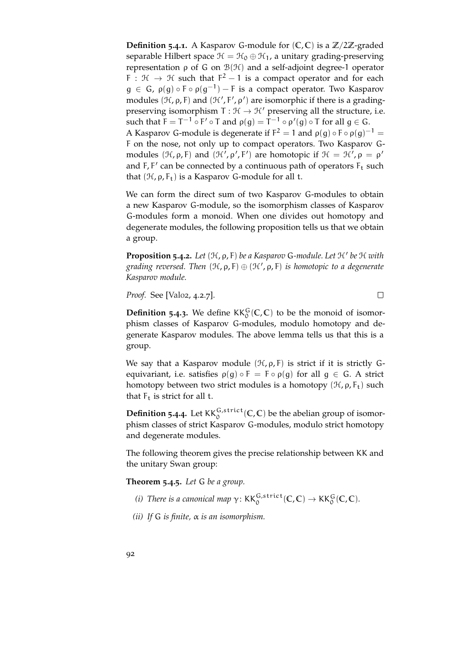**Definition 5.4.1**. A Kasparov G-module for  $(C, C)$  is a  $\mathbb{Z}/2\mathbb{Z}$ -graded separable Hilbert space  $\mathcal{H} = \mathcal{H}_0 \oplus \mathcal{H}_1$ , a unitary grading-preserving representation ρ of G on B(H) and a self-adjoint degree-1 operator F :  $H \rightarrow H$  such that  $F^2 - 1$  is a compact operator and for each  $g \in G$ ,  $\rho(g) \circ F \circ \rho(g^{-1}) - F$  is a compact operator. Two Kasparov modules ( $H$ ,  $\rho$ ,  $F$ ) and ( $H'$ ,  $F'$ ,  $\rho'$ ) are isomorphic if there is a gradingpreserving isomorphism  $T : \mathcal{H} \to \mathcal{H}'$  preserving all the structure, i.e. such that  $F = T^{-1} \circ F' \circ T$  and  $\rho(g) = T^{-1} \circ \rho'(g) \circ T$  for all  $g \in G$ . A Kasparov G-module is degenerate if  $F^2 = 1$  and  $\rho(g) \circ F \circ \rho(g)^{-1} =$ F on the nose, not only up to compact operators. Two Kasparov Gmodules (H,  $\rho$ , F) and (H',  $\rho'$ , F') are homotopic if  $\mathcal{H} = \mathcal{H}'$ ,  $\rho = \rho'$ and  $F, F'$  can be connected by a continuous path of operators  $F_t$  such that  $(\mathcal{H}, \rho, F_t)$  is a Kasparov G-module for all t.

We can form the direct sum of two Kasparov G-modules to obtain a new Kasparov G-module, so the isomorphism classes of Kasparov G-modules form a monoid. When one divides out homotopy and degenerate modules, the following proposition tells us that we obtain a group.

**Proposition 5.4.2.** *Let* (H, ρ, F) *be a Kasparov* G*-module. Let* H<sup>0</sup> *be* H *with grading reversed. Then* (H, ρ, F) ⊕ (H', ρ, F) *is homotopic to a degenerate Kasparov module.*

*Proof.* See [\[Val](#page-154-0)o2, 4.2.7].

**Definition 5.4.3.** We define  $KK_0^G(C, C)$  to be the monoid of isomorphism classes of Kasparov G-modules, modulo homotopy and degenerate Kasparov modules. The above lemma tells us that this is a group.

 $\Box$ 

We say that a Kasparov module  $(\mathcal{H}, \rho, F)$  is strict if it is strictly Gequivariant, i.e. satisfies  $\rho(g) \circ F = F \circ \rho(g)$  for all  $g \in G$ . A strict homotopy between two strict modules is a homotopy  $(\mathcal{H}, \rho, F_t)$  such that  $F_t$  is strict for all t.

**Definition 5.4.4.** Let  $KK_0^{G,strict}(\mathbb{C}, \mathbb{C})$  be the abelian group of isomorphism classes of strict Kasparov G-modules, modulo strict homotopy and degenerate modules.

The following theorem gives the precise relationship between KK and the unitary Swan group:

**Theorem 5.4.5.** *Let* G *be a group.*

- (*i*) *There is a canonical map*  $\gamma$ *:*  $\mathsf{KK}_{0}^{\mathsf{G},\mathsf{strict}}(\mathbb{C},\mathbb{C}) \to \mathsf{KK}_{0}^{\mathsf{G}}(\mathbb{C},\mathbb{C})$ *.*
- *(ii) If* G *is finite,* α *is an isomorphism.*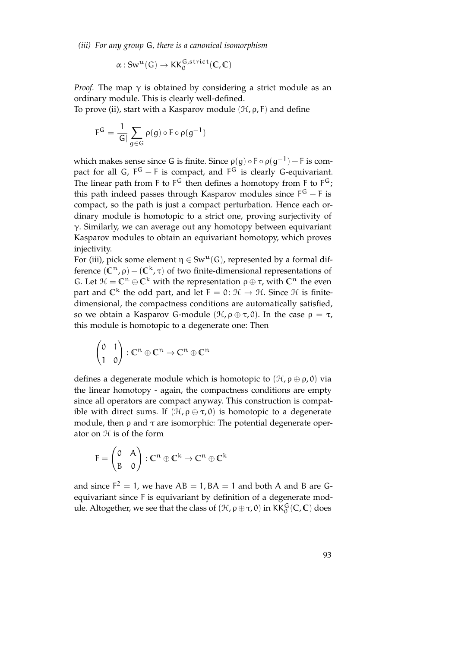*(iii) For any group* G*, there is a canonical isomorphism*

 $\alpha:Sw^{\mathfrak{u}}(\mathsf{G})\to \mathsf{KK}^{\mathsf{G},\mathsf{strict}}_{0}(\mathbb{C},\mathbb{C})$ 

*Proof.* The map  $\gamma$  is obtained by considering a strict module as an ordinary module. This is clearly well-defined.

To prove (ii), start with a Kasparov module  $(\mathcal{H}, \rho, F)$  and define

$$
F^G = \frac{1}{|G|} \sum_{g \in G} \rho(g) \circ F \circ \rho(g^{-1})
$$

which makes sense since G is finite. Since  $\rho(g) \circ F \circ \rho(g^{-1}) - F$  is compact for all G,  $F^G - F$  is compact, and  $F^G$  is clearly G-equivariant. The linear path from F to  $F^G$  then defines a homotopy from F to  $F^G$ ; this path indeed passes through Kasparov modules since  $F^G - F$  is compact, so the path is just a compact perturbation. Hence each ordinary module is homotopic to a strict one, proving surjectivity of  $\gamma$ . Similarly, we can average out any homotopy between equivariant Kasparov modules to obtain an equivariant homotopy, which proves injectivity.

For (iii), pick some element  $\eta \in Sw^{\mathfrak{u}}(G)$ , represented by a formal difference  $(C^n, ρ) - (C^k, τ)$  of two finite-dimensional representations of G. Let  $\mathcal{H} = \mathbb{C}^n \oplus \mathbb{C}^k$  with the representation  $\rho \oplus \tau$ , with  $\mathbb{C}^n$  the even part and  $\mathbb{C}^k$  the odd part, and let  $F = 0: \mathcal{H} \to \mathcal{H}$ . Since  $\mathcal{H}$  is finitedimensional, the compactness conditions are automatically satisfied, so we obtain a Kasparov G-module  $(\mathcal{H}, \rho \oplus \tau, 0)$ . In the case  $\rho = \tau$ , this module is homotopic to a degenerate one: Then

$$
\begin{pmatrix} 0 & 1 \\ 1 & 0 \end{pmatrix} : \mathbb{C}^n \oplus \mathbb{C}^n \to \mathbb{C}^n \oplus \mathbb{C}^n
$$

defines a degenerate module which is homotopic to  $(\mathcal{H}, \rho \oplus \rho, 0)$  via the linear homotopy - again, the compactness conditions are empty since all operators are compact anyway. This construction is compatible with direct sums. If  $(\mathcal{H}, \rho \oplus \tau, 0)$  is homotopic to a degenerate module, then  $\rho$  and  $\tau$  are isomorphic: The potential degenerate operator on H is of the form

$$
F = \begin{pmatrix} 0 & A \\ B & 0 \end{pmatrix} : \mathbb{C}^n \oplus \mathbb{C}^k \to \mathbb{C}^n \oplus \mathbb{C}^k
$$

and since  $F^2 = 1$ , we have  $AB = 1$ ,  $BA = 1$  and both A and B are Gequivariant since F is equivariant by definition of a degenerate module. Altogether, we see that the class of  $(\mathcal{H}, \rho \oplus \tau, 0)$  in KK $^G_0(\mathbb{C}, \mathbb{C})$  does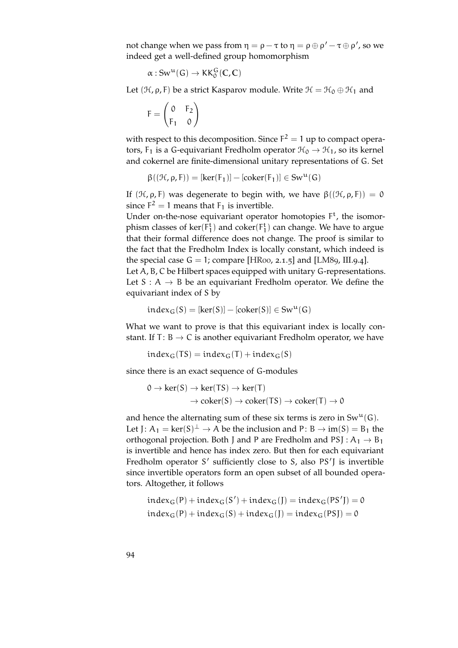not change when we pass from  $η = ρ - τ$  to  $η = ρ ⊕ ρ' - τ ⊕ ρ',$  so we indeed get a well-defined group homomorphism

$$
\alpha:Sw^u(\mathsf{G})\to KK^G_0(\mathbb{C},\mathbb{C})
$$

Let  $(\mathcal{H}, \rho, F)$  be a strict Kasparov module. Write  $\mathcal{H} = \mathcal{H}_0 \oplus \mathcal{H}_1$  and

$$
F = \begin{pmatrix} 0 & F_2 \\ F_1 & 0 \end{pmatrix}
$$

with respect to this decomposition. Since  $F^2 = 1$  up to compact operators,  $F_1$  is a G-equivariant Fredholm operator  $\mathcal{H}_0 \rightarrow \mathcal{H}_1$ , so its kernel and cokernel are finite-dimensional unitary representations of G. Set

 $\beta((\mathcal{H}, \rho, F)) = [ker(F_1)] - [coker(F_1)] \in Sw^{\mathfrak{u}}(G)$ 

If  $(\mathcal{H}, \rho, F)$  was degenerate to begin with, we have  $\beta((\mathcal{H}, \rho, F)) = 0$ since  $F^2 = 1$  means that  $F_1$  is invertible.

Under on-the-nose equivariant operator homotopies  $F<sup>t</sup>$ , the isomorphism classes of  $\ker(\mathsf{F}_1^{\mathsf{t}})$  and  $\operatorname{coker}(\mathsf{F}_1^{\mathsf{t}})$  can change. We have to argue that their formal difference does not change. The proof is similar to the fact that the Fredholm Index is locally constant, which indeed is the special case  $G = 1$ ; compare [\[HR](#page-152-1)oo, 2.1.5] and [\[LM](#page-152-2)89, III.9.4]. Let A, B, C be Hilbert spaces equipped with unitary G-representations. Let  $S: A \rightarrow B$  be an equivariant Fredholm operator. We define the equivariant index of S by

$$
index_G(S)=[ker(S)]-[coker(S)]\in Sw^u(G)
$$

What we want to prove is that this equivariant index is locally constant. If T:  $B \rightarrow C$  is another equivariant Fredholm operator, we have

$$
index_G(TS) = index_G(T) + index_G(S)
$$

since there is an exact sequence of G-modules

$$
0 \to \ker(S) \to \ker(TS) \to \ker(T)
$$
  

$$
\to \operatorname{coker}(S) \to \operatorname{coker}(TS) \to \operatorname{coker}(T) \to 0
$$

and hence the alternating sum of these six terms is zero in  $Sw^u(G)$ . Let J:  $A_1 = \text{ker}(S)^{\perp} \to A$  be the inclusion and P: B  $\to$  im(S) = B<sub>1</sub> the orthogonal projection. Both J and P are Fredholm and PSJ :  $A_1 \rightarrow B_1$ is invertible and hence has index zero. But then for each equivariant Fredholm operator S' sufficiently close to S, also PS'J is invertible since invertible operators form an open subset of all bounded operators. Altogether, it follows

$$
index_G(P) + index_G(S') + index_G(J) = index_G(PS') = 0
$$
  

$$
index_G(P) + index_G(S) + index_G(J) = index_G(PSJ) = 0
$$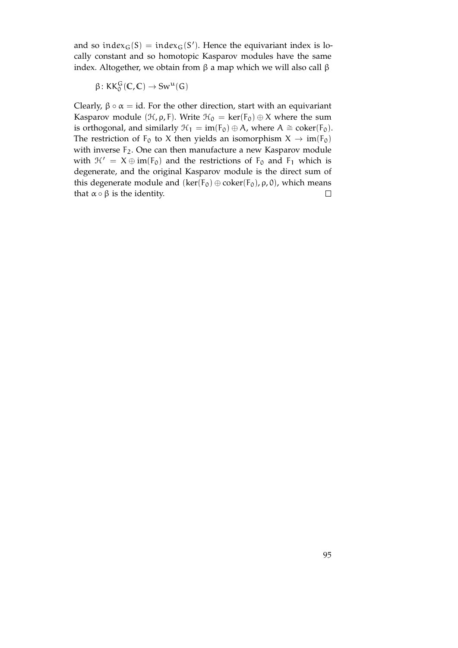and so inde $x_G(S) = \text{index}_G(S')$ . Hence the equivariant index is locally constant and so homotopic Kasparov modules have the same index. Altogether, we obtain from  $β$  a map which we will also call  $β$ 

$$
\beta\colon KK_0^G(\mathbb{C},\mathbb{C})\to Sw^u(G)
$$

Clearly,  $\beta \circ \alpha = id$ . For the other direction, start with an equivariant Kasparov module ( $H$ ,  $\rho$ , F). Write  $H_0 = \text{ker}(F_0) \oplus X$  where the sum is orthogonal, and similarly  $\mathcal{H}_1 = im(F_0) \oplus A$ , where  $A \cong \text{coker}(F_0)$ . The restriction of  $F_0$  to X then yields an isomorphism  $X \to im(F_0)$ with inverse F<sub>2</sub>. One can then manufacture a new Kasparov module with  $\mathcal{H}' = X \oplus im(F_0)$  and the restrictions of  $F_0$  and  $F_1$  which is degenerate, and the original Kasparov module is the direct sum of this degenerate module and  $(ker(F_0) \oplus coker(F_0), \rho, 0)$ , which means that  $\alpha \circ \beta$  is the identity.  $\Box$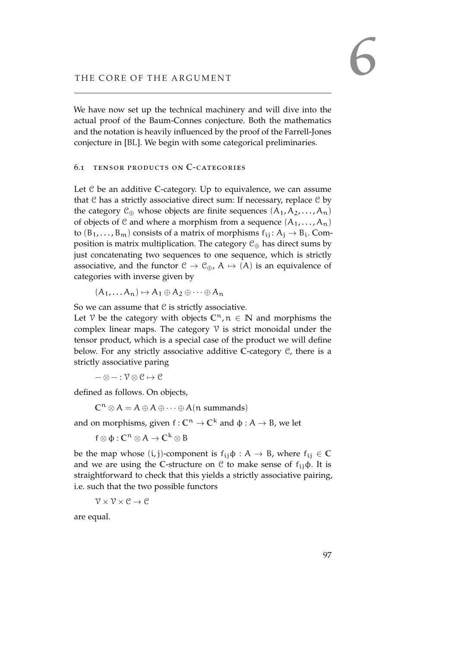We have now set up the technical machinery and will dive into the actual proof of the Baum-Connes conjecture. Both the mathematics and the notation is heavily influenced by the proof of the Farrell-Jones conjecture in [\[BL\]](#page-150-2). We begin with some categorical preliminaries.

## 6.1 tensor products on **C**-categories

Let C be an additive **C**-category. Up to equivalence, we can assume that  $C$  has a strictly associative direct sum: If necessary, replace  $C$  by the category  $\mathcal{C}_{\oplus}$  whose objects are finite sequences  $(A_1, A_2, \ldots, A_n)$ of objects of C and where a morphism from a sequence  $(A_1, \ldots, A_n)$ to  $(B_1, \ldots, B_m)$  consists of a matrix of morphisms  $f_{ij}: A_j \rightarrow B_i$ . Composition is matrix multiplication. The category  $C_{\oplus}$  has direct sums by just concatenating two sequences to one sequence, which is strictly associative, and the functor  $C \to C_{\oplus}$ ,  $A \mapsto (A)$  is an equivalence of categories with inverse given by

 $(A_1, \ldots, A_n) \mapsto A_1 \oplus A_2 \oplus \cdots \oplus A_n$ 

So we can assume that  $C$  is strictly associative.

Let V be the category with objects  $\mathbb{C}^n$ ,  $n \in \mathbb{N}$  and morphisms the complex linear maps. The category  $V$  is strict monoidal under the tensor product, which is a special case of the product we will define below. For any strictly associative additive **C**-category C, there is a strictly associative paring

 $-\otimes - : \mathcal{V} \otimes \mathcal{C} \mapsto \mathcal{C}$ 

defined as follows. On objects,

 $\mathbb{C}^{\mathfrak{n}} \otimes A = A \oplus A \oplus \cdots \oplus A(\mathfrak{n} \text{ summands})$ 

and on morphisms, given  $f: \mathbb{C}^n \to \mathbb{C}^k$  and  $\phi: A \to B$ , we let

 $f ⊗ Φ : C<sup>n</sup> ⊗ A → C<sup>k</sup> ⊗ B$ 

be the map whose  $(i, j)$ -component is  $f_{ij} \phi : A \rightarrow B$ , where  $f_{ij} \in \mathbb{C}$ and we are using the C-structure on  $\mathcal C$  to make sense of  $f_{ij}\phi$ . It is straightforward to check that this yields a strictly associative pairing, i.e. such that the two possible functors

 $\mathcal{V} \times \mathcal{V} \times \mathcal{C} \rightarrow \mathcal{C}$ 

are equal.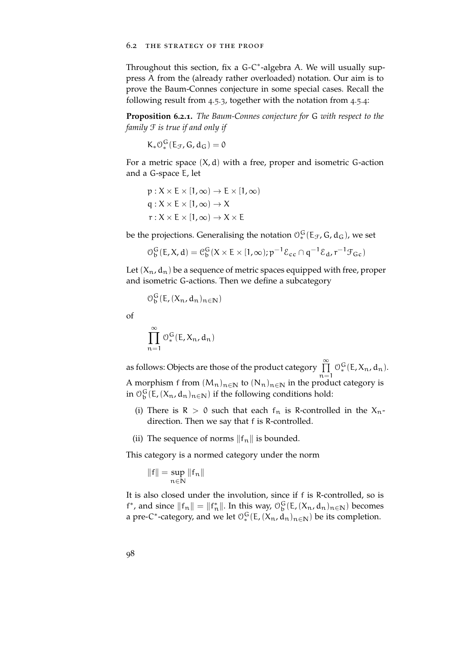Throughout this section, fix a G-C<sup>\*</sup>-algebra A. We will usually suppress A from the (already rather overloaded) notation. Our aim is to prove the Baum-Connes conjecture in some special cases. Recall the following result from [4](#page-83-0).5.3, together with the notation from [4](#page-84-0).5.4:

**Proposition 6.2.1.** *The Baum-Connes conjecture for* G *with respect to the family* F *is true if and only if*

$$
K_*{\mathcal O}_*^G(E_{\mathcal F},G,d_G)=0
$$

For a metric space  $(X, d)$  with a free, proper and isometric G-action and a G-space E, let

$$
p: X \times E \times [1, \infty) \to E \times [1, \infty)
$$
  
q: X \times E \times [1, \infty) \to X  
r: X \times E \times [1, \infty) \to X \times E

be the projections. Generalising the notation  $\mathcal{O}_*^G(\mathsf{E}_\mathcal{F},\mathsf{G},\mathsf{d}_\mathsf{G})$ , we set

$$
\mathcal{O}_{\mathfrak{b}}^{\mathfrak{G}}(\mathsf{E}, X, \mathsf{d}) = \mathcal{C}_{\mathfrak{b}}^{\mathfrak{G}}(X \times \mathsf{E} \times [1, \infty); \mathfrak{p}^{-1} \mathcal{E}_{\mathfrak{c} \mathfrak{c}} \cap \mathfrak{q}^{-1} \mathcal{E}_{\mathfrak{d}}^{\mathfrak{d}}, \mathfrak{r}^{-1} \mathcal{F}_{\mathfrak{c} \mathfrak{c}})
$$

Let  $(X_n, d_n)$  be a sequence of metric spaces equipped with free, proper and isometric G-actions. Then we define a subcategory

$$
\mathcal{O}_{b}^{G}(E,(X_{n},d_{n})_{n\in\mathbb{N}})
$$

of

$$
\prod_{n=1}^{\infty} \mathcal{O}_*^G(E, X_n, d_n)
$$

as follows: Objects are those of the product category  $\stackrel{\sim}{\Pi}$  $n=1$  $O_*^G(E, X_n, d_n).$ 

A morphism f from  $(M_n)_{n \in \mathbb{N}}$  to  $(N_n)_{n \in \mathbb{N}}$  in the product category is in  $\mathcal{O}_{\mathfrak{b}}^{\mathsf{G}}(\mathsf{E},(X_{\mathfrak{n}},d_{\mathfrak{n}})_{\mathfrak{n}\in\mathbb{N}})$  if the following conditions hold:

- (i) There is  $R > 0$  such that each  $f_n$  is R-controlled in the  $X_n$ direction. Then we say that f is R-controlled.
- (ii) The sequence of norms  $||f_n||$  is bounded.

This category is a normed category under the norm

$$
\|f\|=\sup_{n\in\mathbb{N}}\|f_n\|
$$

It is also closed under the involution, since if f is R-controlled, so is f<sup>\*</sup>, and since  $||f_n|| = ||f_n^*||$ . In this way,  $\mathcal{O}_b^G(E, (X_n, d_n)_{n \in \mathbb{N}})$  becomes a pre-C<sup>\*</sup>-category, and we let  $\mathcal{O}_*^G(E,(X_n,d_n)_{n\in\mathbb{N}})$  be its completion.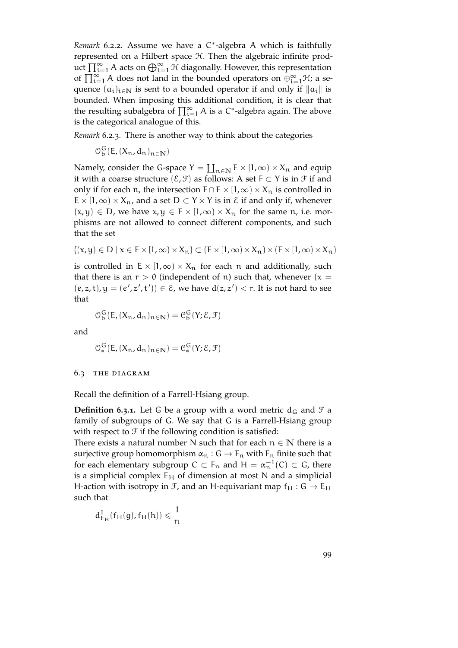Remark 6.2.2. Assume we have a C<sup>\*</sup>-algebra A which is faithfully represented on a Hilbert space H. Then the algebraic infinite product  $\prod_{i=1}^{\infty} A$  acts on  $\bigoplus_{i=1}^{\infty} \mathcal{H}$  diagonally. However, this representation of  $\prod_{i=1}^{\infty} A$  does not land in the bounded operators on  $\bigoplus_{i=1}^{\infty} \mathcal{H}$ ; a sequence  $(a_i)_{i \in \mathbb{N}}$  is sent to a bounded operator if and only if  $||a_i||$  is bounded. When imposing this additional condition, it is clear that the resulting subalgebra of  $\prod_{i=1}^{\infty} A$  is a C<sup>\*</sup>-algebra again. The above is the categorical analogue of this.

*Remark* 6.2.3*.* There is another way to think about the categories

 $\mathcal{O}_b^G(E, (X_n, d_n)_{n \in \mathbb{N}})$ 

Namely, consider the G-space  $Y = \coprod_{n \in \mathbb{N}} E \times [1, \infty) \times X_n$  and equip it with a coarse structure  $(\mathcal{E}, \mathcal{F})$  as follows: A set F ⊂ Y is in  $\mathcal{F}$  if and only if for each n, the intersection  $F \cap E \times [1,\infty) \times X_n$  is controlled in  $E \times [1,\infty) \times X_n$ , and a set  $D \subset Y \times Y$  is in  $\mathcal E$  if and only if, whenever  $(x, y) \in D$ , we have  $x, y \in E \times [1, \infty) \times X_n$  for the same n, i.e. morphisms are not allowed to connect different components, and such that the set

$$
\{(x,y)\in D\mid x\in E\times[1,\infty)\times X_n\}\subset (E\times[1,\infty)\times X_n)\times (E\times[1,\infty)\times X_n)
$$

is controlled in  $E \times [1,\infty) \times X_n$  for each n and additionally, such that there is an  $r > 0$  (independent of n) such that, whenever (x =  $(e, z, t), y = (e', z', t')) \in \mathcal{E}$ , we have  $d(z, z') < r$ . It is not hard to see that

$$
\mathcal{O}_{\mathbf{b}}^{\mathbf{G}}(\mathsf{E}, (X_{\mathbf{n}}, d_{\mathbf{n}})_{\mathbf{n} \in \mathbb{N}}) = \mathcal{C}_{\mathbf{b}}^{\mathbf{G}}(\mathsf{Y}; \mathcal{E}, \mathcal{F})
$$

and

$$
\mathcal{O}_{*}^{\mathsf{G}}(\mathsf{E}, (\mathsf{X}_{\mathsf{n}}, \mathsf{d}_{\mathsf{n}})_{\mathsf{n} \in \mathbb{N}}) = \mathcal{C}_{*}^{\mathsf{G}}(\mathsf{Y}; \mathcal{E}, \mathcal{F})
$$

#### 6.3 the diagram

Recall the definition of a Farrell-Hsiang group.

**Definition 6.3.1.** Let G be a group with a word metric  $d_G$  and  $\mathcal{F}$  a family of subgroups of G. We say that G is a Farrell-Hsiang group with respect to  $\mathcal F$  if the following condition is satisfied:

There exists a natural number N such that for each  $n \in \mathbb{N}$  there is a surjective group homomorphism  $\alpha_n : G \to F_n$  with  $F_n$  finite such that for each elementary subgroup  $C \subset F_n$  and  $H = \alpha_n^{-1}(C) \subset G$ , there is a simplicial complex  $E_H$  of dimension at most N and a simplicial H-action with isotropy in  $\mathcal{F}$ , and an H-equivariant map  $f_H : G \to E_H$ such that

$$
d^1_{E_H}(f_H(g),f_H(h))\leqslant \frac{1}{n}
$$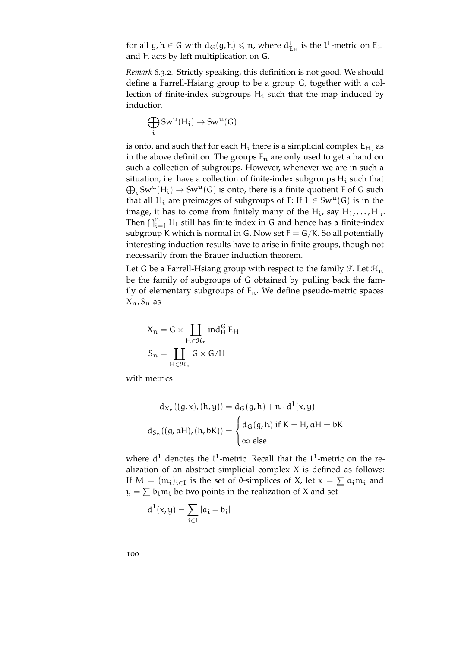for all g,  $h \in G$  with  $d_G(g, h) \leqslant n$ , where  $d_{E_H}^1$  is the  $l^1$ -metric on  $E_H$ and H acts by left multiplication on G.

*Remark* 6.3.2*.* Strictly speaking, this definition is not good. We should define a Farrell-Hsiang group to be a group G, together with a collection of finite-index subgroups  $H_i$  such that the map induced by induction

$$
\bigoplus_i \text{Sw}^u(\text{H}_i) \to \text{Sw}^u(\text{G})
$$

is onto, and such that for each  $H_i$  there is a simplicial complex  $E_{H_i}$  as in the above definition. The groups  $F_n$  are only used to get a hand on such a collection of subgroups. However, whenever we are in such a situation, i.e. have a collection of finite-index subgroups  $\mathsf{H}_{\mathfrak{t}}$  such that  $\bigoplus_i \text{Sw}^u(\mathsf{H}_i) \to \text{Sw}^u(\mathsf{G})$  is onto, there is a finite quotient F of G such that all H<sub>i</sub> are preimages of subgroups of F: If  $1 \in Sw^u(G)$  is in the image, it has to come from finitely many of the  $H_i$ , say  $H_1, \ldots, H_n$ . Then  $\bigcap_{i=1}^n$  H<sub>i</sub> still has finite index in G and hence has a finite-index subgroup K which is normal in G. Now set  $F = G/K$ . So all potentially interesting induction results have to arise in finite groups, though not necessarily from the Brauer induction theorem.

Let G be a Farrell-Hsiang group with respect to the family  $\mathcal{F}$ . Let  $\mathcal{H}_n$ be the family of subgroups of G obtained by pulling back the family of elementary subgroups of  $F_n$ . We define pseudo-metric spaces  $X_n, S_n$  as

$$
X_n=G\times\coprod_{H\in\mathcal{H}_n}ind_H^G\,E_H
$$

$$
S_n=\coprod_{H\in\mathcal{H}_n}G\times G/H
$$

with metrics

$$
d_{X_n}((g, x), (h, y)) = d_G(g, h) + n \cdot d^1(x, y)
$$

$$
d_{S_n}((g, aH), (h, bK)) = \begin{cases} d_G(g, h) \text{ if } K = H, aH = bK \\ \infty \text{ else} \end{cases}
$$

where  $d^1$  denotes the  $l^1$ -metric. Recall that the  $l^1$ -metric on the realization of an abstract simplicial complex X is defined as follows: If  $M = (m_i)_{i \in I}$  is the set of 0-simplices of X, let  $x = \sum a_i m_i$  and  $y = \sum b_i m_i$  be two points in the realization of X and set

$$
d^1(x,y)=\sum_{i\in I}|a_i-b_i|
$$

100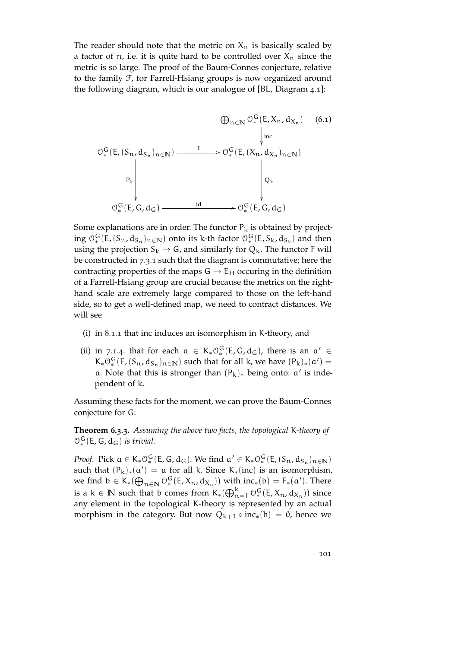The reader should note that the metric on  $X_n$  is basically scaled by a factor of n, i.e. it is quite hard to be controlled over  $X_n$  since the metric is so large. The proof of the Baum-Connes conjecture, relative to the family F, for Farrell-Hsiang groups is now organized around the following diagram, which is our analogue of [\[BL,](#page-150-2) Diagram 4.1]:



Some explanations are in order. The functor  $P_k$  is obtained by projecting  $\mathcal{O}_*^G(E, (S_n, d_{S_n})_{n \in \mathbb{N}})$  onto its k-th factor  $\mathcal{O}_*^G(E, S_k, d_{S_k})$  and then using the projection  $S_k \rightarrow G$ , and similarly for  $Q_k$ . The functor F will be constructed in [7](#page-112-0).3.1 such that the diagram is commutative; here the contracting properties of the maps  $G \rightarrow E_H$  occuring in the definition of a Farrell-Hsiang group are crucial because the metrics on the righthand scale are extremely large compared to those on the left-hand side, so to get a well-defined map, we need to contract distances. We will see

- (i) in [8](#page-114-0).1.1 that inc induces an isomorphism in K-theory, and
- (ii) in [7](#page-108-0).1.4. that for each  $\alpha \in K_* O_*^G(E, G, d_G)$ , there is an  $\alpha' \in$  $K_*\mathcal{O}_*^G(E, (S_n, d_{S_n})_{n \in \mathbb{N}})$  such that for all k, we have  $(P_k)_*(\alpha') =$ a. Note that this is stronger than  $(P_k)_*$  being onto: a' is independent of k.

Assuming these facts for the moment, we can prove the Baum-Connes conjecture for G:

**Theorem 6.3.3.** *Assuming the above two facts, the topological* K*-theory of*  $\mathcal{O}_*^G(E, G, d_G)$  *is trivial.* 

*Proof.* Pick  $a \in K_* O_*^G(E, G, d_G)$ . We find  $a' \in K_* O_*^G(E, (S_n, d_{S_n})_{n \in \mathbb{N}})$ such that  $(P_k)_*(\alpha') = \alpha$  for all k. Since K<sub>\*</sub>(inc) is an isomorphism, we find  $b \in K_*(\bigoplus_{n \in \mathbb{N}} \mathcal{O}_*^G(E, X_n, d_{X_n}))$  with  $inc_*(b) = F_*(a')$ . There is a k  $\in \mathbb{N}$  such that b comes from  $K_*(\bigoplus_{n=1}^k \mathcal{O}_*^G(E, X_n, d_{X_n}))$  since any element in the topological K-theory is represented by an actual morphism in the category. But now  $Q_{k+1} \circ inc_*(b) = 0$ , hence we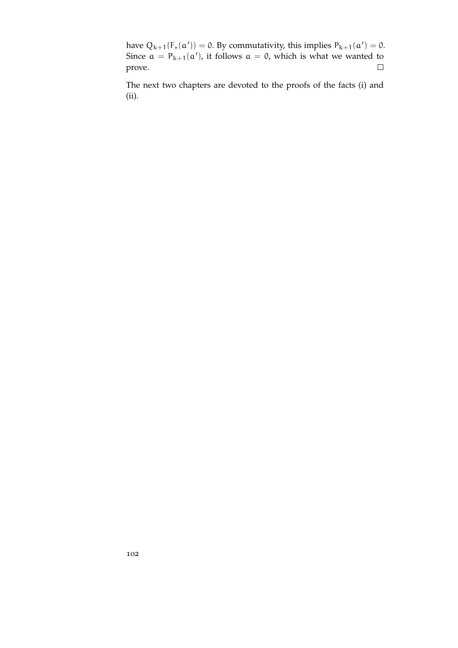have  $Q_{k+1}(F_*(\alpha')) = 0$ . By commutativity, this implies  $P_{k+1}(\alpha') = 0$ . Since  $a = P_{k+1}(a')$ , it follows  $a = 0$ , which is what we wanted to prove.  $\Box$ 

The next two chapters are devoted to the proofs of the facts (i) and (ii).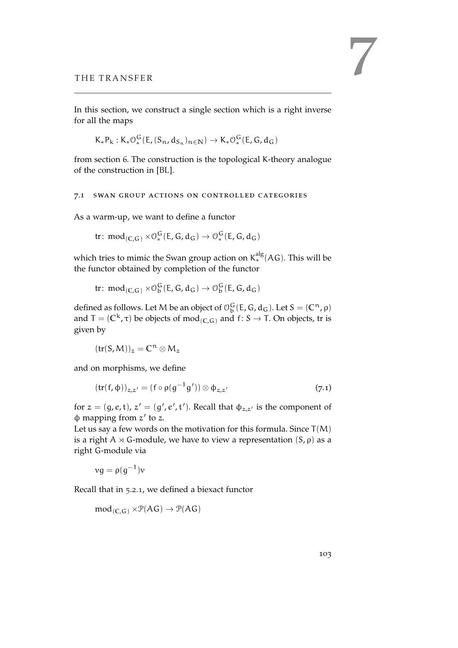In this section, we construct a single section which is a right inverse for all the maps

 $K_*P_k: K_*O_*^G(E, (S_n, d_{S_n})_{n \in \mathbb{N}}) \to K_*O_*^G(E, G, d_G)$ 

from section 6. The construction is the topological K-theory analogue of the construction in [\[BL\]](#page-150-2).

#### 7.1 swan group actions on controlled categories

As a warm-up, we want to define a functor

 $\operatorname{tr} \colon \operatorname{\mathsf{mod}}_{(\mathbb{C},\mathbb{G})} \times \mathbb{O}_*^{\mathbb{G}}(\mathsf{E},\mathsf{G},\mathsf{d}_\mathsf{G}) \to \mathbb{O}_*^{\mathbb{G}}(\mathsf{E},\mathsf{G},\mathsf{d}_\mathsf{G})$ 

which tries to mimic the Swan group action on  $\textsf{K}^\text{alg}_*(\mathsf{AG})$ . This will be the functor obtained by completion of the functor

$$
\text{tr}\colon \text{mod}_{(C,G)} \times \mathcal{O}_b^G(E,G,d_G) \to \mathcal{O}_b^G(E,G,d_G)
$$

defined as follows. Let M be an object of  $\mathcal{O}_b^G(E, G, d_G)$ . Let  $S = (\mathbb{C}^n, \rho)$ and  $T = (\mathbb{C}^k, \tau)$  be objects of  $mod_{(\mathbb{C}, \mathbb{G})}$  and  $f: S \to T$ . On objects, tr is given by

<span id="page-102-0"></span>
$$
(tr(S,M))_z = \mathbb{C}^n \otimes M_z
$$

and on morphisms, we define

$$
(\operatorname{tr}(f,\varphi))_{z,z'} = (f \circ \rho(g^{-1}g')) \otimes \varphi_{z,z'} \tag{7.1}
$$

for  $z = (g, e, t)$ ,  $z' = (g', e', t')$ . Recall that  $\phi_{z,z'}$  is the component of  $\phi$  mapping from  $z'$  to z.

Let us say a few words on the motivation for this formula. Since  $T(M)$ is a right A  $\times$  G-module, we have to view a representation  $(S, \rho)$  as a right G-module via

$$
\nu g = \rho(g^{-1})\nu
$$

Recall that in [5](#page-88-0).2.1, we defined a biexact functor

 $mod_{(C,G)} \times \mathcal{P}(AG) \rightarrow \mathcal{P}(AG)$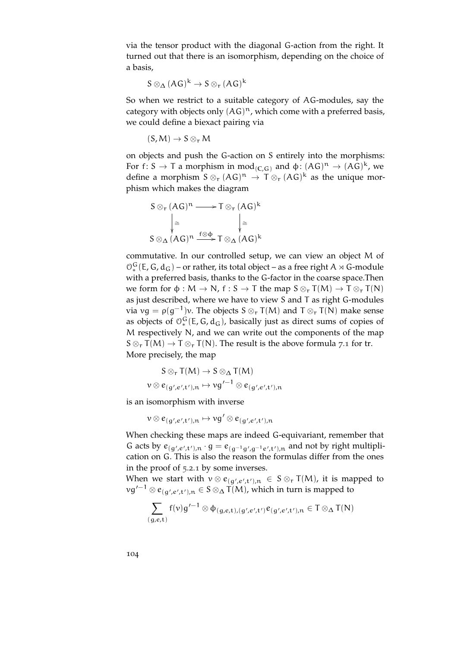via the tensor product with the diagonal G-action from the right. It turned out that there is an isomorphism, depending on the choice of a basis,

$$
S\otimes_{\Delta}(AG)^k\to S\otimes_{r}(AG)^k
$$

So when we restrict to a suitable category of AG-modules, say the category with objects only  $(AG)^n$ , which come with a preferred basis, we could define a biexact pairing via

$$
(S,M)\to S\otimes_r M
$$

on objects and push the G-action on S entirely into the morphisms: For f: S  $\rightarrow$  T a morphism in mod<sub>(C,G)</sub> and  $\phi$ :  $(AG)^n \rightarrow (AG)^k$ , we define a morphism  $S \otimes_{r} (AG)^{n} \to T \otimes_{r} (AG)^{k}$  as the unique morphism which makes the diagram

$$
S \otimes_{r} (AG)^{n} \longrightarrow T \otimes_{r} (AG)^{k}
$$

$$
\downarrow \cong \qquad \qquad \downarrow \cong
$$

$$
S \otimes_{\Delta} (AG)^{n} \xrightarrow{f \otimes \varphi} T \otimes_{\Delta} (AG)^{k}
$$

commutative. In our controlled setup, we can view an object M of  $\mathcal{O}_*^G$  (E, G,  $d_G$ ) – or rather, its total object – as a free right A  $\rtimes$  G-module with a preferred basis, thanks to the G-factor in the coarse space.Then we form for  $\varphi : M \to N$ ,  $f : S \to T$  the map  $S \otimes_r T(M) \to T \otimes_r T(N)$ as just described, where we have to view S and T as right G-modules via  $vg = \rho(g^{-1})v$ . The objects  $S \otimes_r T(M)$  and  $T \otimes_r T(N)$  make sense as objects of  $\mathcal{O}_*^G(E, G, d_G)$ , basically just as direct sums of copies of M respectively N, and we can write out the components of the map  $S \otimes_{r} T(M) \rightarrow T \otimes_{r} T(N)$ . The result is the above formula [7](#page-102-0).1 for tr. More precisely, the map

$$
S \otimes_{r} T(M) \to S \otimes_{\Delta} T(M)
$$
  

$$
\nu \otimes e_{(g',e',t'),n} \mapsto \nu g'^{-1} \otimes e_{(g',e',t'),n}
$$

is an isomorphism with inverse

$$
\nu\otimes e_{(\,g\hskip.4pt',e\hskip.4pt',\mathsf{t}\hskip.4pt'\hskip.4pt),n}\mapsto \nu g\hskip.7pt'\otimes e_{(\,g\hskip.4pt',e\hskip.4pt',\mathsf{t}\hskip.4pt')\hskip.4pt,n}
$$

When checking these maps are indeed G-equivariant, remember that G acts by  $e_{(g',e',t'),n} \cdot g = e_{(g^{-1}g',g^{-1}e',t'),n}$  and not by right multiplication on G. This is also the reason the formulas differ from the ones in the proof of [5](#page-88-0).2.1 by some inverses.

When we start with  $v \otimes e_{(g',e',t'),n} \in S \otimes_r T(M)$ , it is mapped to  $\log'^{-1}\otimes e_{(g',e',t'),n}\in S\otimes_{\Delta} T(M)$ , which in turn is mapped to

$$
\sum_{(g,e,t)}f(v)g'^{-1}\otimes \varphi_{(g,e,t),(g',e',t')}e_{(g',e',t'),n}\in T\otimes_{\Delta}T(N)
$$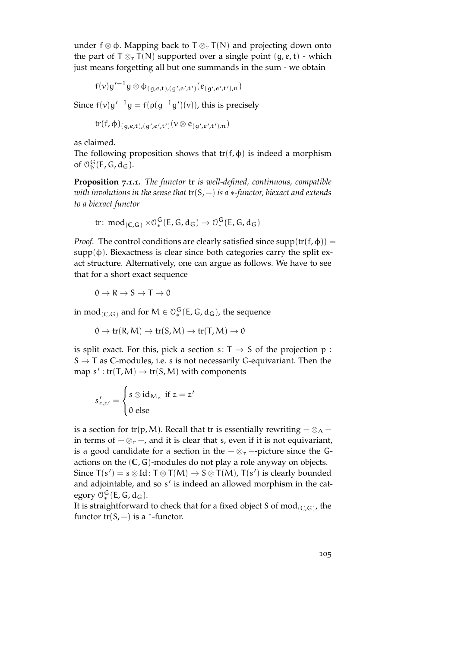under f ⊗ φ. Mapping back to  $T \otimes_T T(N)$  and projecting down onto the part of  $T \otimes_{r} T(N)$  supported over a single point  $(g, e, t)$  - which just means forgetting all but one summands in the sum - we obtain

$$
f(v)g'^{-1}g\otimes \varphi_{(g,e,t),(g',e',t')}(\varepsilon_{(g',e',t'),n})
$$

Since  $f(v)g'^{-1}g = f(\rho(g^{-1}g')(v))$ , this is precisely

$$
\operatorname{tr}(f,\varphi)_{(g,e,t),(g',e',t')}(v\otimes e_{(g',e',t'),n})
$$

as claimed.

The following proposition shows that  $tr(f, \phi)$  is indeed a morphism of  $\mathcal{O}_b^G(E, G, d_G)$ .

**Proposition 7.1.1.** *The functor* tr *is well-defined, continuous, compatible with involutions in the sense that* tr(S, −) *is a* ∗*-functor, biexact and extends to a biexact functor*

$$
\text{tr} \colon \text{mod}_{(C,G)} \times \mathcal{O}_{*}^{G}(E, G, d_G) \to \mathcal{O}_{*}^{G}(E, G, d_G)
$$

*Proof.* The control conditions are clearly satisfied since  $supp(tr(f, \phi)) =$ supp $(\phi)$ . Biexactness is clear since both categories carry the split exact structure. Alternatively, one can argue as follows. We have to see that for a short exact sequence

$$
0 \to R \to S \to T \to 0
$$

in mod<sub>(C,G)</sub> and for  $M \in \mathcal{O}_*^G(\mathsf{E},\mathsf{G},\mathsf{d}_\mathsf{G})$ , the sequence

 $0 \to \text{tr}(R, M) \to \text{tr}(S, M) \to \text{tr}(T, M) \to 0$ 

is split exact. For this, pick a section s:  $T \rightarrow S$  of the projection p :  $S \rightarrow T$  as C-modules, i.e. s is not necessarily G-equivariant. Then the map  $s': \text{tr}(T, M) \to \text{tr}(S, M)$  with components

$$
s'_{z,z'} = \begin{cases} s \otimes id_{M_z} & \text{if } z = z' \\ 0 & \text{else} \end{cases}
$$

is a section for tr(p, M). Recall that tr is essentially rewriting  $-\otimes_{\Delta}$  – in terms of  $-\otimes_r$  –, and it is clear that s, even if it is not equivariant, is a good candidate for a section in the  $-\otimes_r$  --picture since the Gactions on the (**C**, G)-modules do not play a role anyway on objects. Since  $T(s') = s \otimes Id$ :  $T \otimes T(M) \rightarrow S \otimes T(M)$ ,  $T(s')$  is clearly bounded and adjointable, and so s' is indeed an allowed morphism in the category  $\mathcal{O}_*^G(E,G,d_G)$ .

It is straightforward to check that for a fixed object S of mod(**C**,G) , the functor  $tr(S, -)$  is a  $*$ -functor.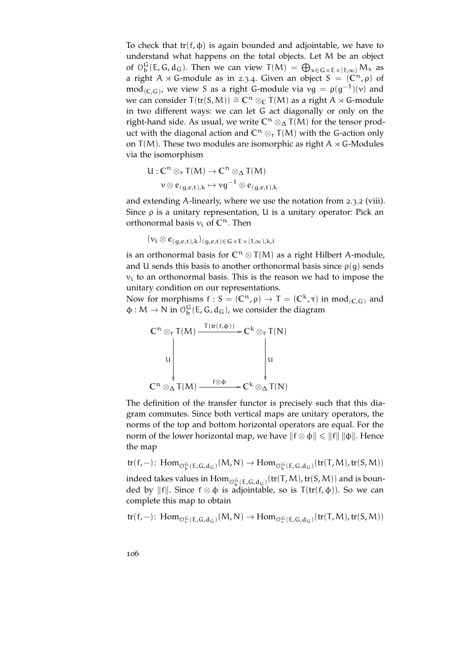To check that  $tr(f, \phi)$  is again bounded and adjointable, we have to understand what happens on the total objects. Let M be an object of  $\mathcal{O}_D^G(E, G, d_G)$ . Then we can view  $T(M) = \bigoplus_{x \in G} {}_{x}E_x[1,\infty) M_x$  as a right A  $\rtimes$  G-module as in [2](#page-34-0).3.4. Given an object S =  $(\mathbb{C}^n, \rho)$  of  $\operatorname{mod}_{(C,G)}$ , we view S as a right G-module via  $vg = \rho(g^{-1})(v)$  and we can consider  $T(tr(S, M)) \cong \mathbb{C}^n \otimes_{\mathbb{C}} T(M)$  as a right A  $\rtimes$  G-module in two different ways: we can let G act diagonally or only on the right-hand side. As usual, we write **C**<sup>n</sup> ⊗<sup>∆</sup> T(M) for the tensor product with the diagonal action and  $\mathbb{C}^n \otimes_r T(M)$  with the G-action only on  $T(M)$ . These two modules are isomorphic as right A  $\times$  G-Modules via the isomorphism

$$
U: \mathbb{C}^n \otimes_r T(M) \to \mathbb{C}^n \otimes_{\Delta} T(M)
$$

$$
v \otimes e_{(g,e,t),k} \mapsto v g^{-1} \otimes e_{(g,e,t),k}
$$

and extending A-linearly, where we use the notation from [2](#page-30-0).3.2 (viii). Since ρ is a unitary representation, U is a unitary operator: Pick an orthonormal basis  $v_i$  of  $\mathbb{C}^n$ . Then

$$
(\nu_i \otimes e_{(g,e,t),k})_{(g,e,t) \in G \times E \times [1,\infty),k,i}
$$

is an orthonormal basis for  $\mathbb{C}^n \otimes \mathsf{T}(M)$  as a right Hilbert A-module, and U sends this basis to another orthonormal basis since  $\rho(g)$  sends  $v_i$  to an orthonormal basis. This is the reason we had to impose the unitary condition on our representations.

Now for morphisms  $f : S = (\mathbb{C}^n, \rho) \to T = (\mathbb{C}^k, \tau)$  in mod<sub>(C,G)</sub> and  $\phi: M \to N$  in  $\mathcal{O}_{b}^{G}(E, G, d_{G})$ , we consider the diagram



The definition of the transfer functor is precisely such that this diagram commutes. Since both vertical maps are unitary operators, the norms of the top and bottom horizontal operators are equal. For the norm of the lower horizontal map, we have  $||f \otimes \phi|| \le ||f|| ||\phi||$ . Hence the map

$$
tr(\mathsf{f},-)\colon \operatorname{Hom}_{\mathcal{O}_b^G(E,G,d_G)}(M,N)\to \operatorname{Hom}_{\mathcal{O}_b^G(E,G,d_G)}(tr(T,M),tr(S,M))
$$

indeed takes values in  $\text{Hom}_{\mathcal{O}_b^G(E,G,d_G)}(\text{tr}(T,M),\text{tr}(S,M))$  and is bounded by ||f||. Since  $f \otimes \phi$  is adjointable, so is  $T(tr(f, \phi))$ . So we can complete this map to obtain

$$
tr(f,-)\colon \operatorname{Hom}_{\mathcal{O}_*^G(E,G,d_G)}(M,N)\to \operatorname{Hom}_{\mathcal{O}_*^G(E,G,d_G)}(tr(T,M),tr(S,M))
$$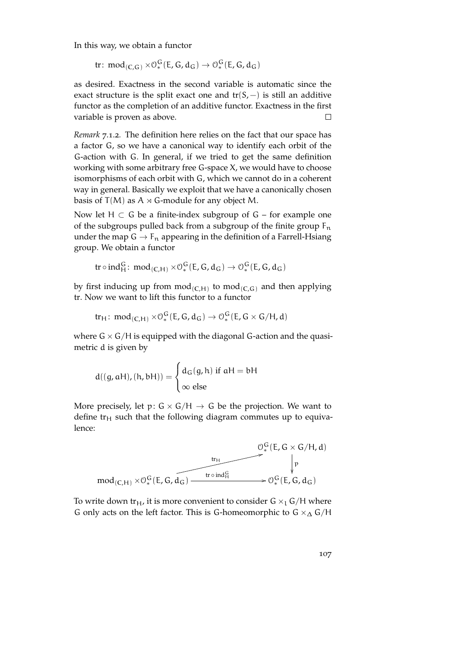In this way, we obtain a functor

 $\text{tr}\colon \operatorname{\text{mod}}_{(\mathbb{C},\mathbb{G})} \times \mathbb{O}_{*}^{\mathbb{G}}(\mathsf{E},\mathsf{G},\mathsf{d}_{\mathbb{G}}) \to \mathbb{O}_{*}^{\mathbb{G}}(\mathsf{E},\mathsf{G},\mathsf{d}_{\mathbb{G}})$ 

as desired. Exactness in the second variable is automatic since the exact structure is the split exact one and  $tr(S, -)$  is still an additive functor as the completion of an additive functor. Exactness in the first variable is proven as above.  $\Box$ 

<span id="page-106-0"></span>*Remark* 7.1.2*.* The definition here relies on the fact that our space has a factor G, so we have a canonical way to identify each orbit of the G-action with G. In general, if we tried to get the same definition working with some arbitrary free G-space X, we would have to choose isomorphisms of each orbit with G, which we cannot do in a coherent way in general. Basically we exploit that we have a canonically chosen basis of  $T(M)$  as A  $\times$  G-module for any object M.

Now let  $H \subset G$  be a finite-index subgroup of  $G$  – for example one of the subgroups pulled back from a subgroup of the finite group  $F_n$ under the map  $G \to F_n$  appearing in the definition of a Farrell-Hsiang group. We obtain a functor

$$
\text{tr}\circ\text{ind}_{\mathsf{H}}^{\mathsf{G}}\colon \text{mod}_{(\mathsf{C},\mathsf{H})} \times \mathcal{O}_{*}^{\mathsf{G}}(\mathsf{E},\mathsf{G},\mathsf{d}_{\mathsf{G}}) \rightarrow \mathcal{O}_{*}^{\mathsf{G}}(\mathsf{E},\mathsf{G},\mathsf{d}_{\mathsf{G}})
$$

by first inducing up from mod(**C**,H) to mod(**C**,G) and then applying tr. Now we want to lift this functor to a functor

$$
tr_H: \, \text{mod}_{(C,H)} \times \mathcal{O}_*^G(E,G,d_G) \to \mathcal{O}_*^G(E,G \times G/H,d)
$$

where  $G \times G/H$  is equipped with the diagonal G-action and the quasimetric d is given by

$$
d((g, aH), (h, bH)) = \begin{cases} d_G(g, h) \text{ if } aH = bH \\ \infty \text{ else} \end{cases}
$$

More precisely, let  $p: G \times G/H \rightarrow G$  be the projection. We want to define  $tr_H$  such that the following diagram commutes up to equivalence:



To write down tr<sub>H</sub>, it is more convenient to consider  $G \times_{1} G/H$  where G only acts on the left factor. This is G-homeomorphic to  $G \times_{\Delta} G/H$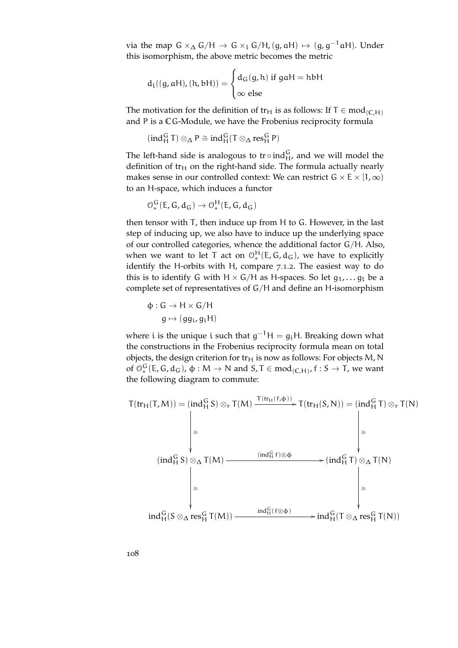via the map  $\mathsf{G}\times_\Delta \mathsf{G}/\mathsf{H} \to \mathsf{G}\times_\mathsf{L} \mathsf{G}/\mathsf{H}$ ,  $(\mathsf{g},\mathsf{a}\mathsf{H}) \mapsto (\mathsf{g},\mathsf{g}^{-1}\mathsf{a}\mathsf{H})$ . Under this isomorphism, the above metric becomes the metric

$$
d_{1}((g, aH), (h, bH)) = \begin{cases} d_{G}(g, h) \text{ if } gaH = hbH \\ \infty \text{ else} \end{cases}
$$

The motivation for the definition of tr<sub>H</sub> is as follows: If  $T \in \text{mod}_{(C,H)}$ and P is a **C**G-Module, we have the Frobenius reciprocity formula

$$
(ind_H^G\,T)\otimes_\Delta P\cong ind_H^G(T\otimes_\Delta res_H^G\,P)
$$

The left-hand side is analogous to  $tr \circ ind_H^G$ , and we will model the definition of  $tr<sub>H</sub>$  on the right-hand side. The formula actually nearly makes sense in our controlled context: We can restrict  $G \times E \times [1, \infty)$ to an H-space, which induces a functor

$$
\mathcal{O}_*^G(E,G,d_G) \to \mathcal{O}_*^H(E,G,d_G)
$$

then tensor with T, then induce up from H to G. However, in the last step of inducing up, we also have to induce up the underlying space of our controlled categories, whence the additional factor G/H. Also, when we want to let T act on  $\mathcal{O}_*^H(E,G,d_G)$ , we have to explicitly identify the H-orbits with H, compare [7](#page-106-0).1.2. The easiest way to do this is to identify G with  $H \times G/H$  as H-spaces. So let  $g_1, \ldots, g_k$  be a complete set of representatives of G/H and define an H-isomorphism

$$
\Phi: G \to H \times G/H
$$

$$
g \mapsto (gg_i, g_iH)
$$

where i is the unique i such that  $g^{-1}H = g_iH$ . Breaking down what the constructions in the Frobenius reciprocity formula mean on total objects, the design criterion for  $tr_H$  is now as follows: For objects M, N of  $\mathcal{O}_*^G(E, G, d_G)$ ,  $\varphi : M \to N$  and  $S, T \in mod_{(C,H)}$ ,  $f : S \to T$ , we want the following diagram to commute:

$$
T(tr_H(T,M)) = (ind_H^G S) \otimes_r T(M) \xrightarrow{T(tr_H(f,\varphi))} T(tr_H(S,N)) = (ind_H^G T) \otimes_r T(N)
$$
\n
$$
\begin{array}{c}\n\bigg| \cong \\
\begin{array}{ccc}\n\text{(ind}_H^G S) \otimes_\Delta T(M) & \xrightarrow{(\text{ind}_H^G f) \otimes \varphi} & \text{(ind}_H^G T) \otimes_\Delta T(N) \\
\bigg| \cong & \\
\text{(ind}_H^G S) \otimes_\Delta T(M) & \xrightarrow{(\text{ind}_H^G f) \otimes \varphi} & \text{(ind}_H^G T) \otimes_\Delta T(N) \\
\bigg| \cong & \\
\text{ind}_H^G (S \otimes_\Delta \text{res}_H^G T(M)) & \xrightarrow{\text{ind}_H^G (f \otimes \varphi)} & \text{ind}_H^G (T \otimes_\Delta \text{res}_H^G T(N))\n\end{array}\n\end{array}
$$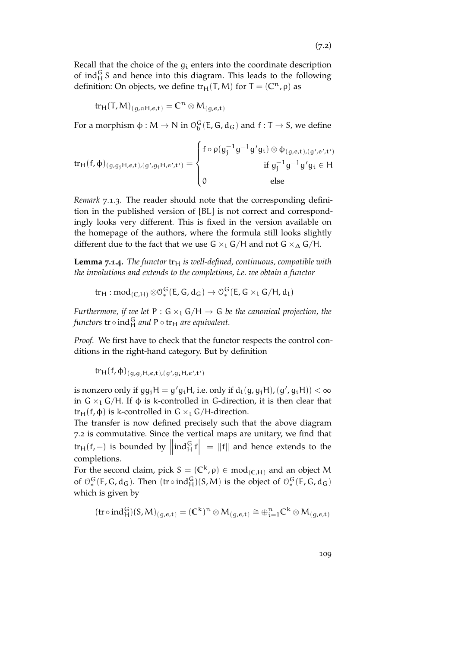Recall that the choice of the  $g_i$  enters into the coordinate description of ind $_{H}^{G}$  S and hence into this diagram. This leads to the following definition: On objects, we define  $tr<sub>H</sub>(T,M)$  for  $T = (C<sup>n</sup>, \rho)$  as

$$
\text{tr}_{H}(T,M)_{(g,\alpha H,e,t)} = C^{n} \otimes M_{(g,e,t)}
$$

For a morphism  $\phi: M \to N$  in  $\mathcal{O}_b^G(E, G, d_G)$  and  $f: T \to S$ , we define

$$
tr_{H}(f, \varphi)_{(g, g_{j}H, e, t), (g', g_{i}H, e', t')} = \begin{cases} f \circ \rho(g_{j}^{-1}g^{-1}g'g_{i}) \otimes \varphi_{(g, e, t), (g', e', t')} \\ \text{if } g_{j}^{-1}g^{-1}g'g_{i} \in H \\ 0 \text{ else} \end{cases}
$$

*Remark* 7.1.3*.* The reader should note that the corresponding definition in the published version of [\[BL\]](#page-150-0) is not correct and correspondingly looks very different. This is fixed in the version available on the homepage of the authors, where the formula still looks slightly different due to the fact that we use G  $\times$ <sub>1</sub> G/H and not G  $\times$ <sub>△</sub> G/H.

**Lemma** 7.1.4. The functor  $tr_H$  is well-defined, continuous, compatible with *the involutions and extends to the completions, i.e. we obtain a functor*

$$
tr_H:mod_{(C,H)}\otimes \mathcal{O}_*^G(E,G,d_G)\rightarrow \mathcal{O}_*^G(E,G\times_{\textbf{1}} G/H,d_{\textbf{1}})
$$

*Furthermore, if we let*  $P : G \times_L G/H \to G$  *be the canonical projection, the* functors  $\operatorname{tr} \circ \operatorname{ind}_H^G$  and  $\operatorname{P} \circ \operatorname{tr}_H$  are equivalent.

*Proof.* We first have to check that the functor respects the control conditions in the right-hand category. But by definition

$$
tr_{H}(f,\varphi)_{(g,g_{j}H,e,t),(g',g_{i}H,e',t')}
$$

is nonzero only if  $gg_jH = g'g_iH$ , i.e. only if  $d_l(g, g_jH), (g', g_iH)) < \infty$ in G  $\times$ <sub>1</sub> G/H. If  $\phi$  is k-controlled in G-direction, it is then clear that tr<sub>H</sub>(f,  $\phi$ ) is k-controlled in G ×<sub>l</sub> G/H-direction.

The transfer is now defined precisely such that the above diagram [7](#page-107-0).2 is commutative. Since the vertical maps are unitary, we find that tr<sub>H</sub>(f, −) is bounded by  $\left\|\text{ind}_{H}^{G} f\right\| = \|f\|$  and hence extends to the completions.

For the second claim, pick  $S = (\mathbb{C}^k, \rho) \in \text{mod}_{(\mathbb{C}, \mathbb{H})}$  and an object M of  $\mathcal{O}_*^G(E, G, d_G)$ . Then  $(tr \circ ind_H^G)(S, M)$  is the object of  $\mathcal{O}_*^G(E, G, d_G)$ which is given by

$$
(tr\circ ind_H^G)(S,M)_{(g,e,t)}=(\mathbb{C}^k)^n\otimes M_{(g,e,t)}\cong\oplus_{i=1}^n\mathbb{C}^k\otimes M_{(g,e,t)}
$$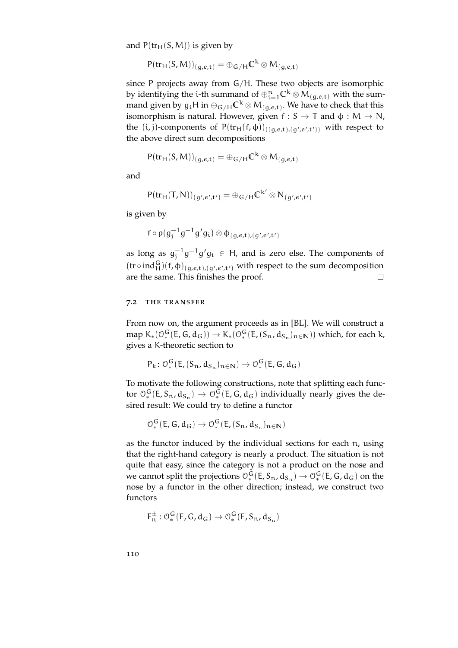and  $P(tr_H(S, M))$  is given by

$$
P(tr_H(S,M))_{(g,e,t)} = \oplus_{G/H} \mathbb{C}^k \otimes M_{(g,e,t)}
$$

since P projects away from G/H. These two objects are isomorphic by identifying the i-th summand of  $\oplus_{i=1}^n C^k \otimes M_{(g,e,t)}$  with the summand given by  $g_i$ H $\,$  in  $\oplus_{\mathsf{G}/\mathsf{H}} \mathsf{C}^\mathsf{k} \otimes \mathsf{M}_{(\mathsf{g},\mathsf{e},\mathsf{t})}.$  We have to check that this isomorphism is natural. However, given  $f: S \to T$  and  $\phi: M \to N$ , the  $(i, j)$ -components of  $P(tr_H(f, \phi))_{((g,e,t),(g',e',t'))}$  with respect to the above direct sum decompositions

$$
P(tr_H(S,M))_{(g,e,t)} = \oplus_{G/H} \mathbb{C}^k \otimes M_{(g,e,t)}
$$

and

$$
P(tr_H(T,N))_{(g',e',t')} = \oplus_{G/H} \mathbb{C}^{k'} \otimes N_{(g',e',t')}
$$

is given by

$$
\mathsf{f}\circ\mathsf{p}(\mathsf{g}_{\mathsf{j}}^{-1}\mathsf{g}^{-1}\mathsf{g}'\mathsf{g}_{\mathsf{i}})\otimes\mathsf{\varphi}_{(\mathsf{g},\boldsymbol{e},\boldsymbol{\mathsf{t}}),(\mathsf{g}',\boldsymbol{e}',\boldsymbol{\mathsf{t}}')}
$$

as long as  $g_j^{-1}g^{-1}g'g_i \in H$ , and is zero else. The components of  $(tr \circ ind_H^G)(f, \phi)_{(g,e,t),(g',e',t')}$  with respect to the sum decomposition are the same. This finishes the proof.  $\Box$ 

### 7.2 the transfer

From now on, the argument proceeds as in [\[BL\]](#page-150-0). We will construct a map  $K_*(\mathcal{O}_*^G(E,G,d_G)) \to K_*(\mathcal{O}_*^G(E,(S_n,d_{S_n})_{n\in\mathbb{N}}))$  which, for each k, gives a K-theoretic section to

$$
P_k \colon \mathcal{O}_*^G(E, (S_n, d_{S_n})_{n \in \mathbb{N}}) \to \mathcal{O}_*^G(E, G, d_G)
$$

To motivate the following constructions, note that splitting each functor  $\mathcal{O}_*^G(E, S_n, d_{S_n}) \to \mathcal{O}_*^G(E, G, d_G)$  individually nearly gives the desired result: We could try to define a functor

$$
\mathcal{O}_*^G(E,G,d_G) \to \mathcal{O}_*^G(E,(S_n,d_{S_n})_{n \in \mathbb{N}})
$$

as the functor induced by the individual sections for each n, using that the right-hand category is nearly a product. The situation is not quite that easy, since the category is not a product on the nose and we cannot split the projections  $\mathcal{O}_*^G(E, S_n, d_{S_n}) \to \mathcal{O}_*^G(E, G, d_G)$  on the nose by a functor in the other direction; instead, we construct two functors

$$
F_n^{\pm} : \mathcal{O}_*^G(E, G, d_G) \to \mathcal{O}_*^G(E, S_n, d_{S_n})
$$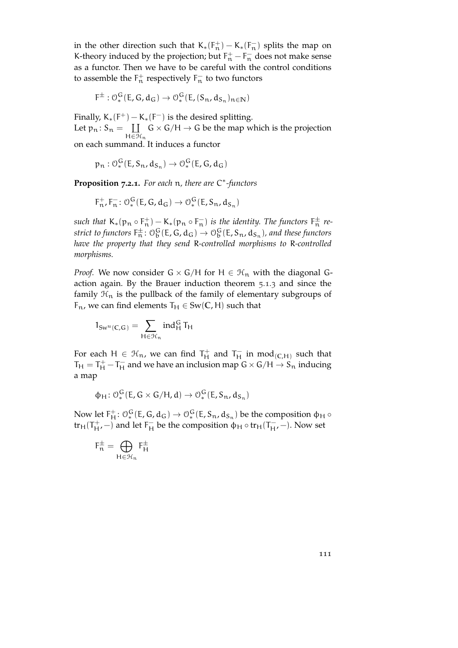in the other direction such that  $K_*(F_n^+) - K_*(F_n^-)$  splits the map on K-theory induced by the projection; but  $F_n^+ - F_n^-$  does not make sense as a functor. Then we have to be careful with the control conditions to assemble the  $F_n^+$  respectively  $F_n^-$  to two functors

$$
F^{\pm} : \mathcal{O}_*^G(E, G, d_G) \to \mathcal{O}_*^G(E, (S_n, d_{S_n})_{n \in \mathbb{N}})
$$

Finally,  $K_*(F^+) - K_*(F^-)$  is the desired splitting. Let  $p_n: S_n = \prod$  $H \in \mathcal{H}_n$  $G \times G/H \rightarrow G$  be the map which is the projection on each summand. It induces a functor

 $p_n: \mathcal{O}_*^G(E, S_n, d_{S_n}) \to \mathcal{O}_*^G(E, G, d_G)$ 

<span id="page-110-0"></span>**Proposition 7.2.1.** *For each* n*, there are* C ∗ *-functors*

$$
F_n^+, F_n^-: \mathcal{O}_*^G(E, G, d_G) \to \mathcal{O}_*^G(E, S_n, d_{S_n})
$$

such that  $K_*(p_n \circ F_n^+) - K_*(p_n \circ F_n^-)$  is the identity. The functors  $F_n^{\pm}$  re- $\rm{strict\,\,to\,functors\,\,} F_n^\pm \colon \mathbb{O}^G_b(E,G,d_G) \to \mathbb{O}^G_b(E,S_n,d_{S_n})$  , and these functors *have the property that they send* R*-controlled morphisms to* R*-controlled morphisms.*

*Proof.* We now consider  $G \times G/H$  for  $H \in \mathcal{H}_n$  with the diagonal Gaction again. By the Brauer induction theorem [5](#page-87-0).1.3 and since the family  $\mathcal{H}_n$  is the pullback of the family of elementary subgroups of  $F_n$ , we can find elements  $T_H \in Sw(C, H)$  such that

$$
1_{Sw^u(\mathbb{C},G)}=\sum_{H\in\mathcal{H}_n}ind_H^G\,T_H
$$

For each  $H \in \mathcal{H}_n$ , we can find  $T_H^+$  and  $T_H^-$  in  $mod_{(C,H)}$  such that  $T_H = T_H^+ - T_H^-$  and we have an inclusion map  $G \times G/H \rightarrow S_n$  inducing a map

$$
\varphi_H\colon \mathcal{O}_*^G(E,G\times G/H,d)\to \mathcal{O}_*^G(E,S_n,d_{S_n})
$$

Now let  $F_H^+$ :  $\mathcal{O}_*^G(E,G,d_G) \to \mathcal{O}_*^G(E,S_n,d_{S_n})$  be the composition  $\phi_H \circ$ tr<sub>H</sub>( $T_{\rm H}^+$ , –) and let  $F_{\rm H}^-$  be the composition  $\phi_H \circ \text{tr}_{H}(T_{\rm H}^-)$ . Now set

$$
F_n^\pm = \bigoplus_{H \in \mathcal{H}_n} F_H^\pm
$$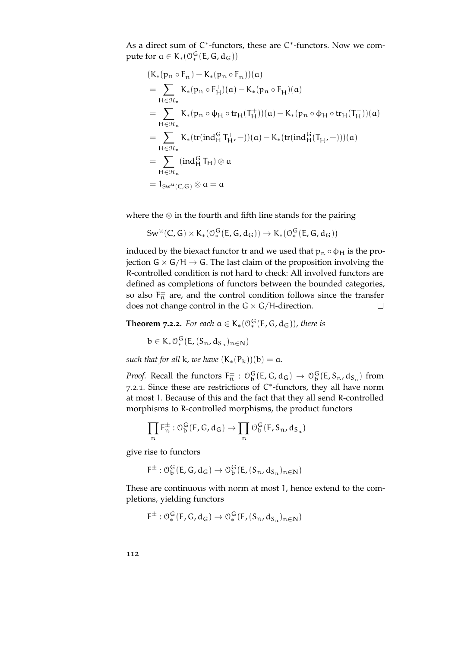As a direct sum of  $C^*$ -functors, these are  $C^*$ -functors. Now we compute for  $a \in K_*(\mathcal{O}_*^G(E,G,d_G))$ 

$$
(K_*(p_n \circ F_n^+) - K_*(p_n \circ F_n^-))(a)
$$
  
= 
$$
\sum_{H \in \mathcal{H}_n} K_*(p_n \circ F_H^+)(a) - K_*(p_n \circ F_H^-)(a)
$$
  
= 
$$
\sum_{H \in \mathcal{H}_n} K_*(p_n \circ \varphi_H \circ tr_H(T_H^+))(a) - K_*(p_n \circ \varphi_H \circ tr_H(T_H^-))(a)
$$
  
= 
$$
\sum_{H \in \mathcal{H}_n} K_*(tr(ind_H^G T_H^+,-))(a) - K_*(tr(ind_H^G(T_H^-,-)))(a)
$$
  
= 
$$
\sum_{H \in \mathcal{H}_n} (ind_H^G T_H) \otimes a
$$
  
= 
$$
1_{Sw^u(C,G)} \otimes a = a
$$

where the  $\otimes$  in the fourth and fifth line stands for the pairing

$$
\mathrm{Sw}^{\mathrm{u}}(\mathbb{C},\mathsf{G})\times K_*(\mathbb{O}_*^{\mathsf{G}}(\mathsf{E},\mathsf{G},\mathrm{d}_{\mathsf{G}}))\rightarrow K_*(\mathbb{O}_*^{\mathsf{G}}(\mathsf{E},\mathsf{G},\mathrm{d}_{\mathsf{G}}))
$$

induced by the biexact functor tr and we used that  $p_n \circ \phi_H$  is the projection  $G \times G/H \rightarrow G$ . The last claim of the proposition involving the R-controlled condition is not hard to check: All involved functors are defined as completions of functors between the bounded categories, so also  $F_n^{\pm}$  are, and the control condition follows since the transfer does not change control in the  $G \times G/H$ -direction.  $\Box$ 

<span id="page-111-0"></span>**Theorem 7.2.2.** For each  $a \in K_*(\mathcal{O}_*^G(E,G,d_G))$ , there is

$$
b\in K_*\mathcal{O}_*^G(E, (S_n, d_{S_n})_{n\in\mathbb{N}})
$$

*such that for all* k*, we have*  $(K_*(P_k))(b) = a$ .

*Proof.* Recall the functors  $F_n^{\pm}$ :  $\mathcal{O}_b^G(E, G, d_G) \rightarrow \mathcal{O}_b^G(E, S_n, d_{S_n})$  from [7](#page-110-0).2.1. Since these are restrictions of C<sup>\*</sup>-functors, they all have norm at most 1. Because of this and the fact that they all send R-controlled morphisms to R-controlled morphisms, the product functors

$$
\prod_n F_n^{\pm} : \mathcal{O}_b^G(E,G,d_G) \to \prod_n \mathcal{O}_b^G(E,\mathsf{S}_n,d_{\mathsf{S}_n})
$$

give rise to functors

$$
F^{\pm} : \mathcal{O}_{b}^{G}(E, G, d_{G}) \rightarrow \mathcal{O}_{b}^{G}(E, (S_{n}, d_{S_{n}})_{n \in \mathbb{N}})
$$

These are continuous with norm at most 1, hence extend to the completions, yielding functors

$$
F^{\pm} : \mathcal{O}_*^G(E, G, d_G) \to \mathcal{O}_*^G(E, (S_n, d_{S_n})_{n \in \mathbb{N}})
$$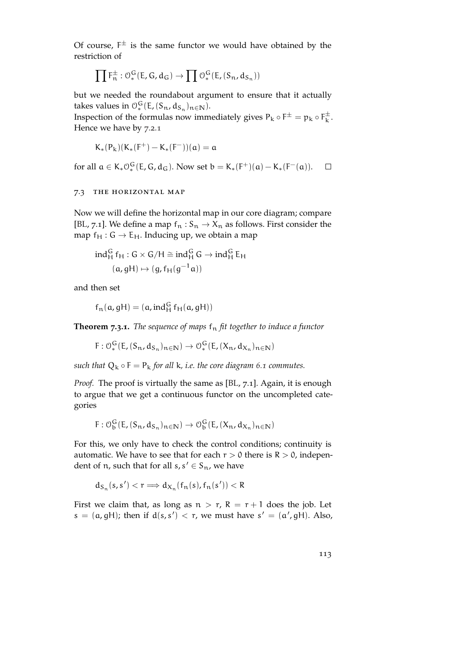Of course,  $F^{\pm}$  is the same functor we would have obtained by the restriction of

$$
\prod \mathsf{F}^{\pm}_n : \mathcal{O}_*^G(\mathsf{E},\mathsf{G},\mathsf{d}_\mathsf{G}) \to \prod \mathcal{O}_*^G(\mathsf{E},(S_n,\mathsf{d}_{S_n}))
$$

but we needed the roundabout argument to ensure that it actually takes values in  $\mathcal{O}_*^G(E, (S_n, d_{S_n})_{n \in \mathbb{N}})$ .

Inspection of the formulas now immediately gives  $P_k \circ F^{\pm} = p_k \circ F^{\pm}_k$  $\bar{k}$ . Hence we have by [7](#page-110-0).2.1

$$
K_*(P_k)(K_*(F^+) - K_*(F^-))(\alpha) = \alpha
$$

for all  $a \in K_* O_*^G(E, G, d_G)$ . Now set  $b = K_*(F^+)(a) - K_*(F^-(a))$ .  $\Box$ 

# 7.3 the horizontal map

Now we will define the horizontal map in our core diagram; compare [\[BL,](#page-150-0) 7.1]. We define a map  $f_n : S_n \to X_n$  as follows. First consider the map  $f_H : G \to E_H$ . Inducing up, we obtain a map

$$
ind_H^G f_H : G \times G/H \cong ind_H^G G \to ind_H^G E_H
$$
  
(a, gH) \mapsto (g, f\_H(g^{-1}a))

and then set

$$
f_n(a,gH) = (a, ind_H^G f_H(a,gH))
$$

<span id="page-112-0"></span>**Theorem 7.3.1.** The sequence of maps  $f_n$  fit together to induce a functor

 $F: \mathcal{O}_*^G(E, (S_n, d_{S_n})_{n \in \mathbb{N}}) \to \mathcal{O}_*^G(E, (X_n, d_{X_n})_{n \in \mathbb{N}})$ 

*such that*  $Q_k \circ F = P_k$  *for all*  $k$ *, i.e. the core diagram* [6](#page-100-0)*.1 commutes.* 

*Proof.* The proof is virtually the same as [\[BL,](#page-150-0) 7.1]. Again, it is enough to argue that we get a continuous functor on the uncompleted categories

$$
F: \mathcal{O}_b^G(E, (S_n, d_{S_n})_{n \in \mathbb{N}}) \to \mathcal{O}_b^G(E, (X_n, d_{X_n})_{n \in \mathbb{N}})
$$

For this, we only have to check the control conditions; continuity is automatic. We have to see that for each  $r > 0$  there is  $R > 0$ , independent of n, such that for all  $s, s' \in S_n$ , we have

$$
d_{S_n}(s,s') < r \Longrightarrow d_{X_n}(f_n(s),f_n(s')) < R
$$

First we claim that, as long as  $n > r$ ,  $R = r + 1$  does the job. Let  $s = (a, gH)$ ; then if  $d(s, s') < r$ , we must have  $s' = (a', gH)$ . Also,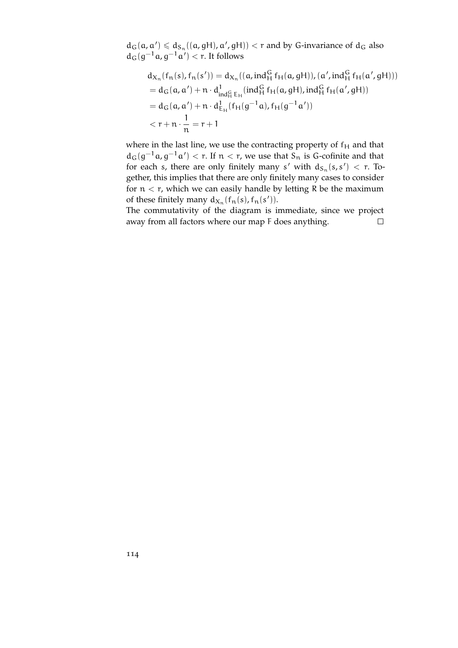$d_G(a, a') \leq d_{S_n}((a, gH), a', gH)) < r$  and by G-invariance of  $d_G$  also  $d_G(g^{-1}a, g^{-1}a') < r$ . It follows

$$
d_{X_n}(f_n(s), f_n(s')) = d_{X_n}((a, ind_H^G f_H(a, gH)), (a', ind_H^G f_H(a', gH)))
$$
  
=  $d_G(a, a') + n \cdot d_{ind_H^G E_H}^1(ind_H^G f_H(a, gH), ind_H^G f_H(a', gH))$   
=  $d_G(a, a') + n \cdot d_{E_H}^1(f_H(g^{-1}a), f_H(g^{-1}a'))$   
<  $r + n \cdot \frac{1}{n} = r + 1$ 

where in the last line, we use the contracting property of  $f_H$  and that  $d_G(g^{-1}a, g^{-1}a') < r$ . If  $n < r$ , we use that  $S_n$  is G-cofinite and that for each s, there are only finitely many s' with  $d_{S_n}(s,s') < r$ . Together, this implies that there are only finitely many cases to consider for  $n < r$ , which we can easily handle by letting R be the maximum of these finitely many  $d_{X_n}(f_n(s), f_n(s'))$ .

The commutativity of the diagram is immediate, since we project away from all factors where our map F does anything.  $\Box$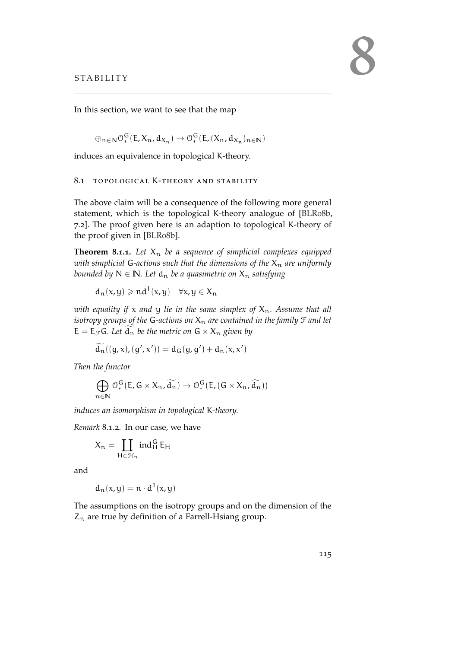In this section, we want to see that the map

$$
\oplus_{n\in\mathbb{N}}\mathcal{O}_{*}^{\mathsf{G}}(\mathsf{E},X_{n},\mathrm{d}_{X_{n}})\rightarrow\mathcal{O}_{*}^{\mathsf{G}}(\mathsf{E},(X_{n},\mathrm{d}_{X_{n}})_{n\in\mathbb{N}})
$$

induces an equivalence in topological K-theory.

## 8.1 topological K-theory and stability

The above claim will be a consequence of the following more general statement, which is the topological K-theory analogue of [\[BLR](#page-151-0)08b, 7.2]. The proof given here is an adaption to topological K-theory of the proof given in [\[BLR](#page-151-0)08b].

<span id="page-114-0"></span>**Theorem 8.1.1.** Let  $X_n$  be a sequence of simplicial complexes equipped *with simplicial* G-actions such that the dimensions of the  $X_n$  are uniformly *bounded by*  $N \in \mathbb{N}$ *. Let*  $d_n$  *be a quasimetric on*  $X_n$  *satisfying* 

 $d_n(x,y) \geqslant nd^1(x,y) \quad \forall x,y \in X_n$ 

*with equality if* x *and* y *lie in the same simplex of* Xn*. Assume that all isotropy groups of the G-actions on*  $X_n$  *are contained in the family*  $\mathcal F$  *and let*  $E = E_{\mathcal{F}} G$ . Let  $d_n$  be the metric on  $G \times X_n$  given by

$$
\widetilde{d_n}((g,x),(g',x')) = d_G(g,g') + d_n(x,x')
$$

*Then the functor*

$$
\bigoplus_{n\in \mathbb{N}} \mathcal{O}_*^G(E,G\times X_n, \widetilde{d_n})\rightarrow \mathcal{O}_*^G(E, (G\times X_n, \widetilde{d_n}))
$$

*induces an isomorphism in topological* K*-theory.*

*Remark* 8.1.2*.* In our case, we have

$$
X_n=\coprod_{H\in\mathcal{H}_n}\text{ind}_H^G\,E_H
$$

and

$$
d_n(x,y) = n \cdot d^1(x,y)
$$

The assumptions on the isotropy groups and on the dimension of the  $Z_n$  are true by definition of a Farrell-Hsiang group.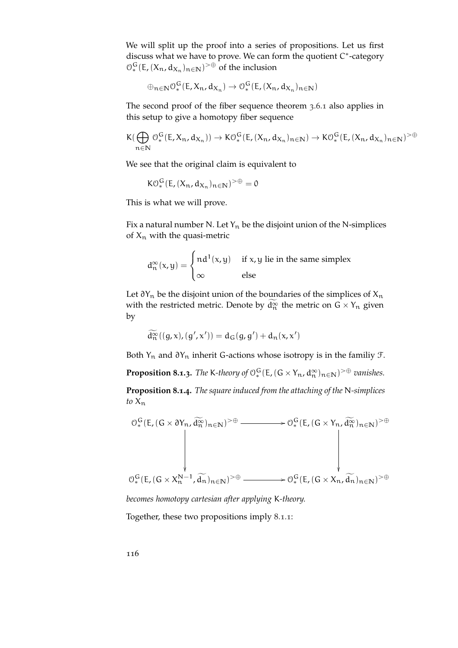We will split up the proof into a series of propositions. Let us first discuss what we have to prove. We can form the quotient C\*-category  $\mathcal{O}_{*}^{\mathsf{G}}(\mathsf{E},(X_{n},\mathsf{d}_{X_{n}})_{n\in\mathbb{N}})$ <sup>>⊕</sup> of the inclusion

$$
\oplus_{n\in\mathbb{N}}\mathcal{O}_{*}^{\mathsf{G}}(\mathsf{E},X_{n},\mathrm{d}_{X_{n}})\rightarrow\mathcal{O}_{*}^{\mathsf{G}}(\mathsf{E},(X_{n},\mathrm{d}_{X_{n}})_{n\in\mathbb{N}})
$$

The second proof of the fiber sequence theorem [3](#page-59-0).6.1 also applies in this setup to give a homotopy fiber sequence

$$
K(\bigoplus_{n\in\mathbb{N}}\mathcal{O}_{*}^G(E,X_n,d_{X_n}))\to K\mathcal{O}_{*}^G(E,(X_n,d_{X_n})_{n\in\mathbb{N}})\to K\mathcal{O}_{*}^G(E,(X_n,d_{X_n})_{n\in\mathbb{N}})^{>\oplus}
$$

We see that the original claim is equivalent to

$$
K\mathcal{O}_{*}^{G}(E,(X_{n},d_{X_{n}})_{n\in\mathbb{N}})^{>\oplus}=0
$$

This is what we will prove.

Fix a natural number N. Let  $Y_n$  be the disjoint union of the N-simplices of  $X_n$  with the quasi-metric

$$
d_n^{\infty}(x,y) = \begin{cases} nd^1(x,y) & \text{if } x,y \text{ lie in the same simplex} \\ \infty & \text{else} \end{cases}
$$

Let  $\partial Y_n$  be the disjoint union of the boundaries of the simplices of  $X_n$ with the restricted metric. Denote by  $d_n^{\infty}$  the metric on  $G \times Y_n$  given by

$$
\widetilde{d_n^{\infty}}((g,x),(g',x'))=d_G(g,g')+d_n(x,x')
$$

Both  $Y_n$  and  $\partial Y_n$  inherit G-actions whose isotropy is in the familiy  $\mathcal{F}$ .

<span id="page-115-0"></span>**Proposition 8.1.3.** *The* K-theory of  $\mathcal{O}_*^G(E,(G \times Y_n, d_n^{\infty})_{n \in \mathbb{N}})^{> \oplus}$  vanishes.

<span id="page-115-1"></span>**Proposition 8.1.4.** *The square induced from the attaching of the* N*-simplices*  $to X_n$ 

$$
\mathcal{O}_{*}^{G}(E,(G\times\partial Y_{n},\widetilde{d_{n}^{\infty}})_{n\in\mathbb{N}})^{>\oplus} \longrightarrow \mathcal{O}_{*}^{G}(E,(G\times Y_{n},\widetilde{d_{n}^{\infty}})_{n\in\mathbb{N}})^{>\oplus}
$$
\n
$$
\downarrow
$$
\n
$$
\mathcal{O}_{*}^{G}(E,(G\times X_{n}^{N-1},\widetilde{d_{n}})_{n\in\mathbb{N}})^{>\oplus} \longrightarrow \mathcal{O}_{*}^{G}(E,(G\times X_{n},\widetilde{d_{n}})_{n\in\mathbb{N}})^{>\oplus}
$$

*becomes homotopy cartesian after applying* K*-theory.*

Together, these two propositions imply [8](#page-114-0).1.1: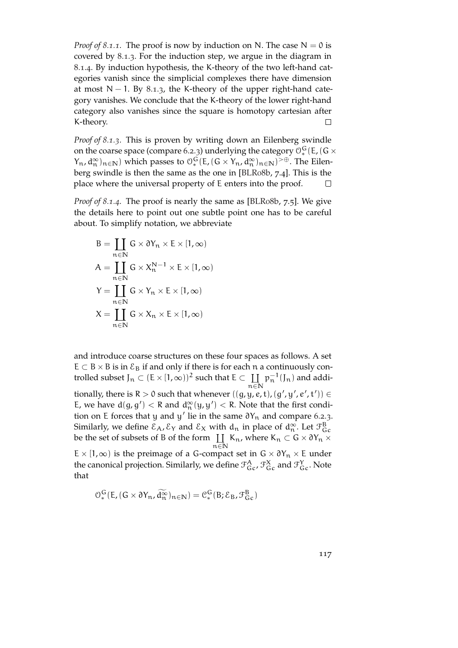*Proof of [8](#page-114-0).1.1.* The proof is now by induction on N. The case  $N = 0$  is covered by [8](#page-115-0).1.3. For the induction step, we argue in the diagram in [8](#page-115-1).1.4. By induction hypothesis, the K-theory of the two left-hand categories vanish since the simplicial complexes there have dimension at most  $N - 1$ . By [8](#page-115-0).1.3, the K-theory of the upper right-hand category vanishes. We conclude that the K-theory of the lower right-hand category also vanishes since the square is homotopy cartesian after K-theory.  $\Box$ 

*Proof of [8](#page-115-0).1.3.* This is proven by writing down an Eilenberg swindle on the coarse space (compare [6](#page-98-0).2.3) underlying the category  $\mathcal{O}_*^G(\mathsf{E}$ , (G  $\times$  $(Y_n, d_n^{\infty})_{n \in \mathbb{N}}$  which passes to  $\mathcal{O}_*^G(E, (G \times Y_n, d_n^{\infty})_{n \in \mathbb{N}})^{> \oplus}$ . The Eilenberg swindle is then the same as the one in [\[BLR](#page-151-0)08b, 7.4]. This is the place where the universal property of E enters into the proof.  $\Box$ 

*Proof of [8](#page-115-1).1.4.* The proof is nearly the same as [\[BLR](#page-151-0)08b, 7.5]. We give the details here to point out one subtle point one has to be careful about. To simplify notation, we abbreviate

$$
B = \coprod_{n \in \mathbb{N}} G \times \partial Y_n \times E \times [1, \infty)
$$
  
\n
$$
A = \coprod_{n \in \mathbb{N}} G \times X_n^{N-1} \times E \times [1, \infty)
$$
  
\n
$$
Y = \coprod_{n \in \mathbb{N}} G \times Y_n \times E \times [1, \infty)
$$
  
\n
$$
X = \coprod_{n \in \mathbb{N}} G \times X_n \times E \times [1, \infty)
$$

and introduce coarse structures on these four spaces as follows. A set  $E \subset B \times B$  is in  $\mathcal{E}_B$  if and only if there is for each n a continuously controlled subset  $J_n \subset (E \times [1, \infty))^2$  such that  $E \subset \coprod_{n \in \mathbb{N}}$ n∈**N**  $p_{n}^{-1}(J_{n})$  and additionally, there is  $R > 0$  such that whenever  $((g,y,e,t), (g',y',e',t')) \in$ E, we have  $d(g, g') < R$  and  $d_n^{\infty}(y, y') < R$ . Note that the first condition on E forces that y and y' lie in the same  $\partial Y_n$  and compare [6](#page-98-0).2.3. Similarly, we define  $\mathcal{E}_A$ ,  $\mathcal{E}_Y$  and  $\mathcal{E}_X$  with  $d_n$  in place of  $d_n^{\infty}$ . Let  $\mathcal{F}_{Gc}^B$ be the set of subsets of B of the form  $\coprod K_n$ , where  $K_n \subset G \times \partial Y_n \times$ n∈**N**  $E \times [1, \infty)$  is the preimage of a G-compact set in  $G \times \partial Y_n \times E$  under the canonical projection. Similarly, we define  $\mathcal{T}_{Gc}^A$ ,  $\mathcal{T}_{Gc}^X$  and  $\mathcal{T}_{Gc}^Y$ . Note that

$$
\mathcal{O}_{*}^{G}(E, (G \times \partial Y_{n}, \widetilde{d_{n}^{\infty}})_{n \in \mathbb{N}}) = \mathcal{C}_{*}^{G}(B, \mathcal{E}_{B}, \mathcal{F}_{Gc}^{B})
$$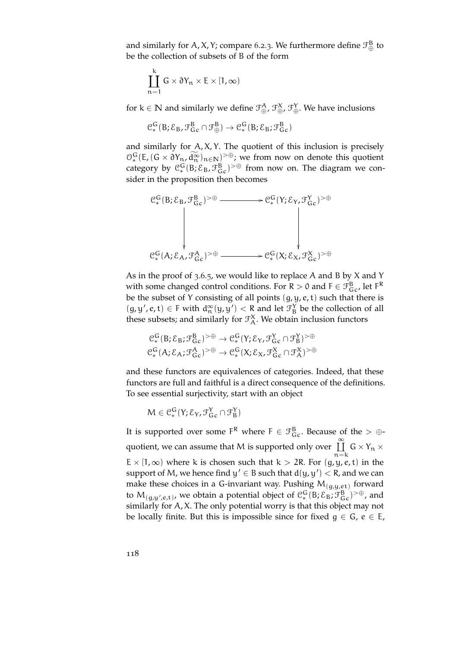and similarly for A, X, Y; compare [6](#page-98-0).2.3. We furthermore define  $\mathcal{F}_{\oplus}^{\textrm{B}}$  to be the collection of subsets of B of the form

$$
\coprod_{n=1}^k G \times \partial Y_n \times E \times [1, \infty)
$$

for  $k \in \mathbb{N}$  and similarly we define  $\mathcal{F}_{\oplus}^{\mathcal{A}}, \mathcal{F}_{\oplus}^{\mathcal{X}}, \mathcal{F}_{\oplus}^{\mathcal{Y}}$ . We have inclusions

$$
\mathcal{C}^{\mathsf{G}}_*(\mathsf{B}; \mathcal{E}_{\mathsf{B}}, \mathcal{F}^{\mathsf{B}}_{\mathsf{G}\mathsf{c}}\cap \mathcal{F}^{\mathsf{B}}_\oplus) \rightarrow \mathcal{C}^{\mathsf{G}}_*(\mathsf{B}; \mathcal{E}_{\mathsf{B}}; \mathcal{F}^{\mathsf{B}}_{\mathsf{G}\mathsf{c}})
$$

and similarly for  $A$ ,  $X$ ,  $Y$ . The quotient of this inclusion is precisely  $\mathcal{O}_*^G(E, (G \times \partial Y_n, \tilde{d}_n^{\infty})_{n \in \mathbb{N}})^{> \oplus}$ ; we from now on denote this quotient category by  $\mathcal{C}_{*}^{G}(B;\mathcal{E}_{B},\mathcal{F}_{GC}^{B})^{\geq \oplus}$  from now on. The diagram we consider in the proposition then becomes



As in the proof of [3](#page-63-0).6.5, we would like to replace A and B by X and Y with some changed control conditions. For R > 0 and F  $\in \mathcal{F}_{\text{G}c}^{\text{B}}$ , let  $\mathsf{F}^{\text{R}}$ be the subset of Y consisting of all points  $(g, y, e, t)$  such that there is  $(g, y', e, t) \in F$  with  $d_n^{\infty}(y, y') < R$  and let  $\mathcal{F}_B^Y$  be the collection of all these subsets; and similarly for  $\mathcal{T}_{A}^{X}$ . We obtain inclusion functors

$$
\begin{aligned} \mathcal{C}^G_*(B; \mathcal{E}_B; \mathcal{F}^B_{Gc})^{> \oplus } &\to \mathcal{C}^G_*(Y; \mathcal{E}_Y, \mathcal{F}^Y_{Gc} \cap \mathcal{F}^Y_B)^{> \oplus }\\ \mathcal{C}^G_*(A; \mathcal{E}_\mathcal{A}; \mathcal{F}^A_{Gc})^{> \oplus } &\to \mathcal{C}^G_*(X; \mathcal{E}_X, \mathcal{F}^X_{Gc} \cap \mathcal{F}^X_A)^{> \oplus } \end{aligned}
$$

and these functors are equivalences of categories. Indeed, that these functors are full and faithful is a direct consequence of the definitions. To see essential surjectivity, start with an object

$$
M\in\mathcal{C}_{*}^G(Y;\mathcal{E}_Y,\mathcal{F}_{G\,c}^Y\cap\mathcal{F}_{B}^Y)
$$

It is supported over some  $F^R$  where  $F \in \mathcal{F}_{Gc}^B$ . Because of the  $> \oplus$ quotient, we can assume that M is supported only over  $\cup$  $n = k$  $G \times Y_n \times$  $E \times [1, \infty)$  where k is chosen such that  $k > 2R$ . For  $(g, y, e, t)$  in the support of M, we hence find  $y' \in B$  such that  $d(y, y') < R$ , and we can make these choices in a G-invariant way. Pushing  $M_{(g,y,e^{\dagger})}$  forward to  $M_{(g,y',\varepsilon,t)}$ , we obtain a potential object of  $\mathfrak{C}_*^G(B;\mathcal{E}_B;\mathcal{F}_{Gc}^B)^{>0}$ , and similarly for A, X. The only potential worry is that this object may not be locally finite. But this is impossible since for fixed  $g \in G$ ,  $e \in E$ ,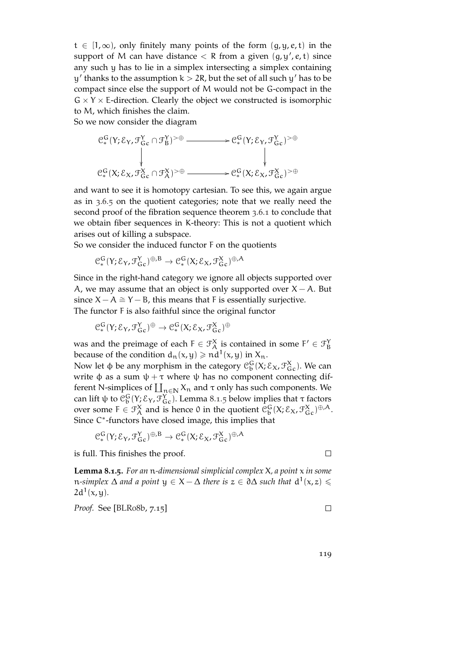$t \in [1,\infty)$ , only finitely many points of the form  $(g, y, e, t)$  in the support of M can have distance  $\lt R$  from a given  $(g, y', e, t)$  since any such y has to lie in a simplex intersecting a simplex containing  $y'$  thanks to the assumption  $k > 2R$ , but the set of all such  $y'$  has to be compact since else the support of M would not be G-compact in the  $G \times Y \times E$ -direction. Clearly the object we constructed is isomorphic to M, which finishes the claim.

So we now consider the diagram

$$
\begin{array}{ccc} \mathbb{C}_{*}^{G}(Y;\mathcal{E}_{Y},\mathcal{F}_{Gc}^{Y}\cap \mathcal{F}_{B}^{Y})^{>\oplus} & \longrightarrow & \mathbb{C}_{*}^{G}(Y;\mathcal{E}_{Y},\mathcal{F}_{Gc}^{Y})^{>\oplus} \\ & & \downarrow & & \downarrow \\ & & \mathbb{C}_{*}^{G}(X;\mathcal{E}_{X},\mathcal{F}_{Gc}^{X}\cap \mathcal{F}_{A}^{X})^{>\oplus} & \longrightarrow & \mathbb{C}_{*}^{G}(X;\mathcal{E}_{X},\mathcal{F}_{Gc}^{X})^{>\oplus} \end{array}
$$

and want to see it is homotopy cartesian. To see this, we again argue as in [3](#page-63-0).6.5 on the quotient categories; note that we really need the second proof of the fibration sequence theorem [3](#page-59-0).6.1 to conclude that we obtain fiber sequences in K-theory: This is not a quotient which arises out of killing a subspace.

So we consider the induced functor F on the quotients

$$
\mathcal{C}_{*}^{G}(Y;\mathcal{E}_{Y},\mathcal{F}_{Gc}^{Y})^{\oplus,B}\to\mathcal{C}_{*}^{G}(X;\mathcal{E}_{X},\mathcal{F}_{Gc}^{X})^{\oplus,A}
$$

Since in the right-hand category we ignore all objects supported over A, we may assume that an object is only supported over  $X - A$ . But since  $X - A \cong Y - B$ , this means that F is essentially surjective. The functor F is also faithful since the original functor

 $\mathfrak{C}^{\mathsf{G}}_*(\mathsf{Y}; \mathcal{E}_\mathsf{Y}, \mathcal{F}^\mathsf{Y}_{\mathsf{G}\mathsf{c}})^\oplus \to \mathfrak{C}^{\mathsf{G}}_*(\mathsf{X}; \mathcal{E}_\mathsf{X}, \mathcal{F}^\mathsf{X}_{\mathsf{G}\mathsf{c}})^\oplus$ 

was and the preimage of each  $F \in \mathcal{F}_A^X$  is contained in some  $F' \in \mathcal{F}_B^Y$ because of the condition  $d_n(x, y) \geqslant nd^1(x, y)$  in  $X_n$ .

Now let φ be any morphism in the category  $\mathcal{C}_{\mathfrak{b}}^{\mathsf{G}}(\mathsf{X}; \mathcal{E}_{\mathsf{X}}, \mathcal{F}_{\mathsf{Gc}}^{\mathsf{X}})$ . We can write  $\phi$  as a sum  $\psi + \tau$  where  $\psi$  has no component connecting different N-simplices of  $\prod_{n\in\mathbb{N}} X_n$  and  $\tau$  only has such components. We can lift  $\psi$  to  $\mathfrak{C}^G_\mathfrak{b}(Y;\mathcal{E}_Y,\mathcal{F}^Y_{\mathsf{G}_\mathbf{C}})$ . Lemma [8](#page-118-0).1.5 below implies that  $\tau$  factors over some  $F \in \mathcal{F}_A^X$  and is hence 0 in the quotient  $\mathcal{C}_b^G(X; \mathcal{E}_X, \mathcal{F}_{G_c}^X)^{\oplus, A}$ . Since C<sup>\*</sup>-functors have closed image, this implies that

$$
\mathfrak{C}^G_*(Y;\mathcal{E}_Y,\mathcal{F}^Y_{G\,c})^{\oplus,\mathsf{B}}\to \mathfrak{C}^G_*(X;\mathcal{E}_X,\mathcal{F}^X_{G\,c})^{\oplus,\mathsf{A}}
$$

is full. This finishes the proof.

 $\Box$ 

<span id="page-118-0"></span>**Lemma 8.1.5.** *For an* n*-dimensional simplicial complex* X*, a point* x *in some*  $n$ -simplex  $\Delta$  and a point  $y \in X - \Delta$  there is  $z \in \partial \Delta$  such that  $d^1(x, z) \leq$  $2d^1(x,y)$ .

*Proof.* See [\[BLR](#page-151-0)08b, 7.15]

 $\Box$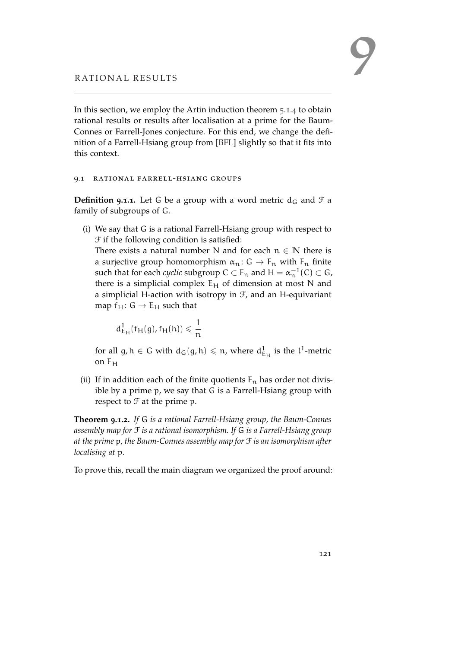In this section, we employ the Artin induction theorem [5](#page-88-0).1.4 to obtain rational results or results after localisation at a prime for the Baum-Connes or Farrell-Jones conjecture. For this end, we change the definition of a Farrell-Hsiang group from [\[BFL\]](#page-150-1) slightly so that it fits into this context.

#### 9.1 rational farrell-hsiang groups

**Definition 9.1.1.** Let G be a group with a word metric  $d_G$  and  $\mathcal{F}$  a family of subgroups of G.

(i) We say that G is a rational Farrell-Hsiang group with respect to F if the following condition is satisfied:

There exists a natural number N and for each  $n \in \mathbb{N}$  there is a surjective group homomorphism  $\alpha_n: G \to F_n$  with  $F_n$  finite such that for each *cyclic* subgroup  $C \subset F_n$  and  $H = \alpha_n^{-1}(C) \subset G$ , there is a simplicial complex  $E_H$  of dimension at most N and a simplicial H-action with isotropy in  $F$ , and an H-equivariant map  $f_H$ :  $G \rightarrow E_H$  such that

$$
d^1_{E_H}(f_H(g),f_H(h))\leqslant \frac{1}{n}
$$

for all  $g,h\in G$  with  $d_G(g,h)\leqslant n$ , where  $d_{E_H}^1$  is the  $l^1$ -metric on E<sup>H</sup>

(ii) If in addition each of the finite quotients  $\mathsf{F}_\mathfrak{n}$  has order not divisible by a prime p, we say that G is a Farrell-Hsiang group with respect to  $\mathcal F$  at the prime p.

<span id="page-120-0"></span>**Theorem 9.1.2.** *If* G *is a rational Farrell-Hsiang group, the Baum-Connes assembly map for* F *is a rational isomorphism. If* G *is a Farrell-Hsiang group at the prime* p*, the Baum-Connes assembly map for* F *is an isomorphism after localising at* p*.*

To prove this, recall the main diagram we organized the proof around: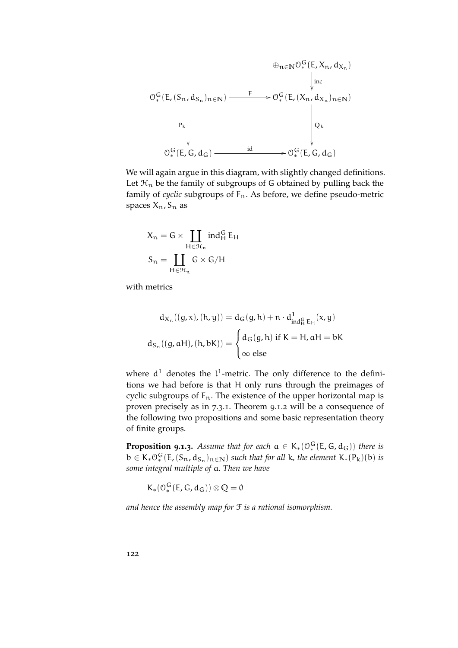

We will again argue in this diagram, with slightly changed definitions. Let  $\mathcal{H}_n$  be the family of subgroups of G obtained by pulling back the family of *cyclic* subgroups of  $F_n$ . As before, we define pseudo-metric spaces  $X_n$ ,  $S_n$  as

$$
X_n = G \times \coprod_{H \in \mathcal{H}_n} ind_H^G E_H
$$

$$
S_n = \coprod_{H \in \mathcal{H}_n} G \times G/H
$$

with metrics

$$
d_{X_n}((g, x), (h, y)) = d_G(g, h) + n \cdot d_{ind_H^G E_H}^1(x, y)
$$

$$
d_{S_n}((g, aH), (h, bK)) = \begin{cases} d_G(g, h) \text{ if } K = H, aH = bK \\ \infty \text{ else} \end{cases}
$$

where  $d^1$  denotes the  $l^1$ -metric. The only difference to the definitions we had before is that H only runs through the preimages of cyclic subgroups of  $F_n$ . The existence of the upper horizontal map is proven precisely as in [7](#page-112-0).3.1. Theorem [9](#page-120-0).1.2 will be a consequence of the following two propositions and some basic representation theory of finite groups.

<span id="page-121-0"></span>**Proposition 9.1.3.** Assume that for each  $a \in K_*(\mathcal{O}_*^G(E,G,d_G))$  there is  $b \in K_* \mathcal{O}_*^G(E, (S_n, d_{S_n})_{n \in \mathbb{N}})$  *such that for all* k*, the element*  $K_*(P_k)(b)$  *is some integral multiple of* a*. Then we have*

$$
K_*(\mathcal{O}_*^G(E,G,d_G))\otimes \mathbb{Q}=\mathbb{0}
$$

*and hence the assembly map for* F *is a rational isomorphism.*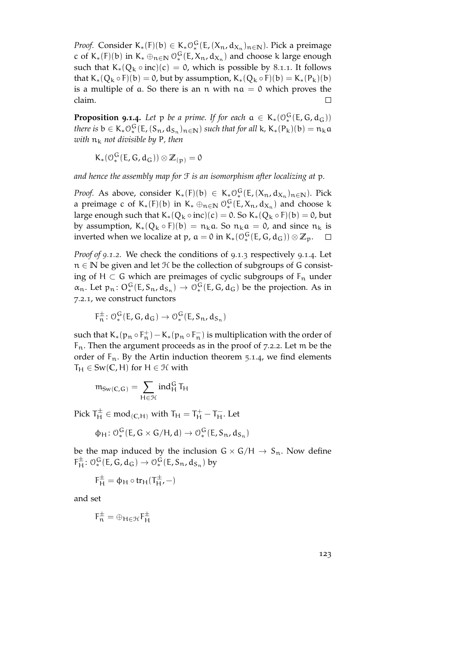*Proof.* Consider  $K_*(F)(b) \in K_*\mathcal{O}_*^G(E, (X_n, d_{X_n})_{n \in \mathbb{N}})$ . Pick a preimage c of K<sub>\*</sub>(F)(b) in K<sub>\*</sub> ⊕<sub>n∈N</sub>  $0_*^G$ (E, X<sub>n</sub>, d<sub>X<sub>n</sub></sub>) and choose k large enough such that  $K_*(Q_k \circ inc)(c) = 0$ , which is possible by [8](#page-114-0).1.1. It follows that  $K_*(Q_k \circ F)(b) = 0$ , but by assumption,  $K_*(Q_k \circ F)(b) = K_*(P_k)(b)$ is a multiple of a. So there is an n with  $na = 0$  which proves the claim.  $\Box$ 

<span id="page-122-0"></span>**Proposition 9.1.4.** Let  $p$  be a prime. If for each  $a \in K_*(0_*^G(E,G,d_G))$ *there is*  $b \in K_* O_*^G(E, (S_n, d_{S_n})_{n \in \mathbb{N}})$  *such that for all* k,  $K_*(P_k)(b) = n_k a$ *with*  $n_k$  *not divisible by* P, then

 $K_*(\mathcal{O}_*^G(E,G,d_G))\otimes \mathbb{Z}_{(p)}=0$ 

*and hence the assembly map for* F *is an isomorphism after localizing at* p*.*

*Proof.* As above, consider  $K_*(F)(b) \in K_* \mathcal{O}_*^G(E, (X_n, d_{X_n})_{n \in \mathbb{N}})$ . Pick a preimage c of K<sub>\*</sub>(F)(b) in K<sub>\*</sub>  $\oplus_{n\in\mathbb{N}}$   $\mathcal{O}_*^G(E,X_n,d_{X_n})$  and choose k large enough such that  $K_*(Q_k \circ inc)(c) = 0$ . So  $K_*(Q_k \circ F)(b) = 0$ , but by assumption,  $K_*(Q_k \circ F)(b) = n_k a$ . So  $n_k a = 0$ , and since  $n_k$  is inverted when we localize at p,  $a = 0$  in K<sub>\*</sub>( $\mathcal{O}_*^G(E, G, d_G)$ )  $\otimes \mathbb{Z}_p$ .

*Proof of [9](#page-120-0).1.2.* We check the conditions of [9](#page-121-0).1.3 respectively [9](#page-122-0).1.4. Let n ∈ **N** be given and let H be the collection of subgroups of G consisting of H  $\subset$  G which are preimages of cyclic subgroups of  $F_n$  under  $\alpha_n$ . Let  $p_n: O_*^G(E, S_n, d_{S_n}) \to O_*^G(E, G, d_G)$  be the projection. As in [7](#page-110-0).2.1, we construct functors

$$
F_n^{\pm} \colon \mathcal{O}_*^G(E, G, d_G) \to \mathcal{O}_*^G(E, S_n, d_{S_n})
$$

such that  $K_*(p_n \circ F_n^+) - K_*(p_n \circ F_n^-)$  is multiplication with the order of  $F_n$ . Then the argument proceeds as in the proof of [7](#page-111-0).2.2. Let m be the order of  $F_n$ . By the Artin induction theorem [5](#page-88-0).1.4, we find elements  $T_H \in Sw(\mathbb{C}, H)$  for  $H \in \mathcal{H}$  with

$$
\mathfrak{m}_{Sw(C,G)}=\sum_{H\in\mathcal{H}}ind_H^G T_H
$$

Pick  $T_H^{\pm} \in \text{mod}_{(C,H)}$  with  $T_H = T_H^+ - T_H^-$ . Let

$$
\varphi_H\colon \mathcal{O}_*^G(E,G\times G/H,d)\to \mathcal{O}_*^G(E,S_n,d_{S_n})
$$

be the map induced by the inclusion  $G \times G/H \rightarrow S_n$ . Now define  $F_H^{\pm}$ :  $\mathcal{O}_*^G$  (E, G, d<sub>G</sub>)  $\rightarrow \mathcal{O}_*^G$  (E,  $S_n$ , d<sub>S<sub>n</sub></sub>) by

 $F_H^{\pm} = \phi_H \circ tr_H(T_H^{\pm}, -)$ 

and set

 $F_n^{\pm} = \oplus_{H \in \mathcal{H}} F_H^{\pm}$ H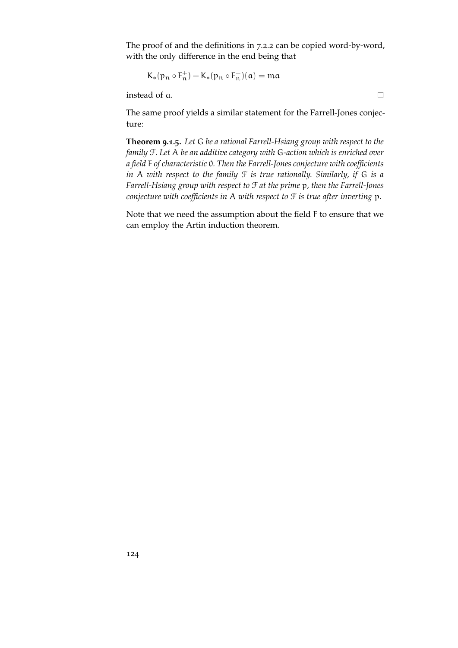The proof of and the definitions in [7](#page-111-0).2.2 can be copied word-by-word, with the only difference in the end being that

$$
K_*(p_n\circ F_n^+)-K_*(p_n\circ F_n^-)(a)=ma
$$

instead of a.

 $\Box$ 

The same proof yields a similar statement for the Farrell-Jones conjecture:

**Theorem 9.1.5.** *Let* G *be a rational Farrell-Hsiang group with respect to the family* F*. Let* A *be an additive category with* G*-action which is enriched over a field* F *of characteristic* 0*. Then the Farrell-Jones conjecture with coefficients in* A *with respect to the family* F *is true rationally. Similarly, if* G *is a Farrell-Hsiang group with respect to* F *at the prime* p*, then the Farrell-Jones conjecture with coefficients in* A *with respect to* F *is true after inverting* p*.*

Note that we need the assumption about the field F to ensure that we can employ the Artin induction theorem.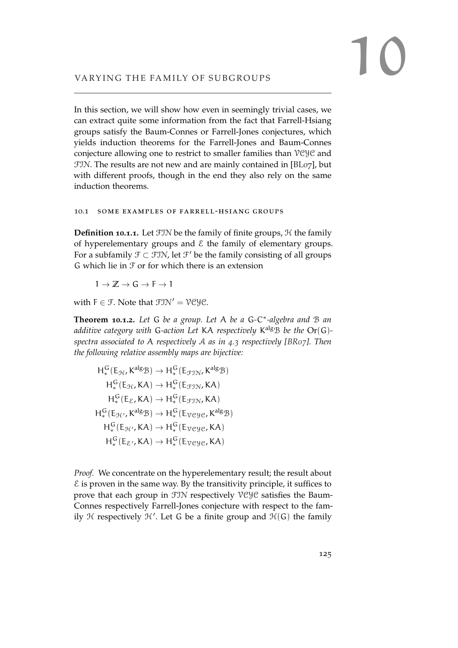In this section, we will show how even in seemingly trivial cases, we can extract quite some information from the fact that Farrell-Hsiang groups satisfy the Baum-Connes or Farrell-Jones conjectures, which yields induction theorems for the Farrell-Jones and Baum-Connes conjecture allowing one to restrict to smaller families than VCYC and FIN. The results are not new and are mainly contained in [\[BL](#page-150-2)07], but with different proofs, though in the end they also rely on the same induction theorems.

### 10.1 some examples of farrell-hsiang groups

**Definition 10.1.1.** Let FIN be the family of finite groups, H the family of hyperelementary groups and  $\epsilon$  the family of elementary groups. For a subfamily  $\mathfrak{F} \subset \mathfrak{FIN}$ , let  $\mathfrak{F}'$  be the family consisting of all groups G which lie in  $\mathcal F$  or for which there is an extension

 $1 \rightarrow \mathbb{Z} \rightarrow G \rightarrow F \rightarrow 1$ 

with  $F \in \mathcal{F}$ . Note that  $\mathcal{FIN}' = \mathcal{VCVC}$ .

**Theorem 10.1.2.** *Let* G *be a group. Let* A *be a* G*-*C ∗ *-algebra and* B *an additive category with* G*-action Let* KA *respectively* K algB *be the* Or(G) *spectra associated to* A *respectively* A *as in [4](#page-71-0).3 respectively [\[BR](#page-151-1)07]. Then the following relative assembly maps are bijective:*

$$
H_*^G(E_{\mathcal{H}}, K^{alg} \mathcal{B}) \to H_*^G(E_{\mathcal{F}\mathcal{J}\mathcal{N}}, K^{alg} \mathcal{B})
$$
  
\n
$$
H_*^G(E_{\mathcal{H}}, K\mathcal{A}) \to H_*^G(E_{\mathcal{F}\mathcal{J}\mathcal{N}}, K\mathcal{A})
$$
  
\n
$$
H_*^G(E_{\mathcal{E}}, K\mathcal{A}) \to H_*^G(E_{\mathcal{F}\mathcal{J}\mathcal{N}}, K\mathcal{A})
$$
  
\n
$$
H_*^G(E_{\mathcal{H}'}, K^{alg} \mathcal{B}) \to H_*^G(E_{\mathcal{V}e \mathcal{Y}e}, K^{alg} \mathcal{B})
$$
  
\n
$$
H_*^G(E_{\mathcal{H}'}, K\mathcal{A}) \to H_*^G(E_{\mathcal{V}e \mathcal{Y}e}, K\mathcal{A})
$$
  
\n
$$
H_*^G(E_{\mathcal{E}'}, K\mathcal{A}) \to H_*^G(E_{\mathcal{V}e \mathcal{Y}e}, K\mathcal{A})
$$

*Proof.* We concentrate on the hyperelementary result; the result about  $\epsilon$  is proven in the same way. By the transitivity principle, it suffices to prove that each group in FIN respectively VCYC satisfies the Baum-Connes respectively Farrell-Jones conjecture with respect to the family  $H$  respectively  $H'$ . Let G be a finite group and  $H(G)$  the family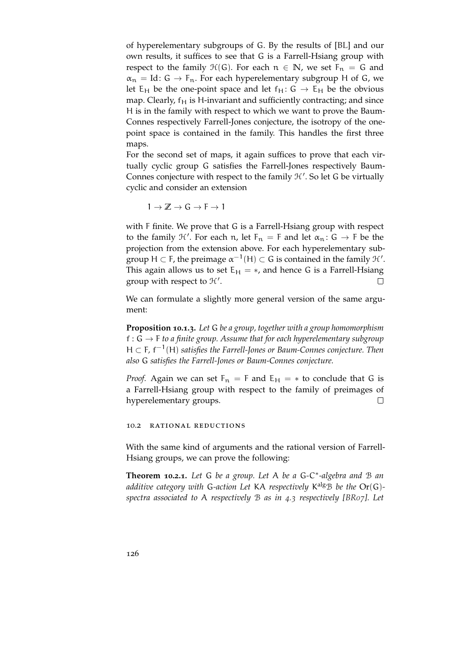of hyperelementary subgroups of G. By the results of [\[BL\]](#page-150-0) and our own results, it suffices to see that G is a Farrell-Hsiang group with respect to the family  $\mathcal{H}(G)$ . For each  $n \in \mathbb{N}$ , we set  $F_n = G$  and  $\alpha_n = Id: G \rightarrow F_n$ . For each hyperelementary subgroup H of G, we let  $E_H$  be the one-point space and let  $f_H: G \to E_H$  be the obvious map. Clearly,  $f_H$  is H-invariant and sufficiently contracting; and since H is in the family with respect to which we want to prove the Baum-Connes respectively Farrell-Jones conjecture, the isotropy of the onepoint space is contained in the family. This handles the first three maps.

For the second set of maps, it again suffices to prove that each virtually cyclic group G satisfies the Farrell-Jones respectively Baum-Connes conjecture with respect to the family  $H'$ . So let G be virtually cyclic and consider an extension

 $1 \rightarrow \mathbb{Z} \rightarrow G \rightarrow F \rightarrow 1$ 

with F finite. We prove that G is a Farrell-Hsiang group with respect to the family  $\mathcal{H}'$ . For each n, let  $F_n = F$  and let  $\alpha_n : G \to F$  be the projection from the extension above. For each hyperelementary subgroup H  $\subset$  F, the preimage  $\alpha^{-1}(H) \subset G$  is contained in the family  $\mathcal{H}'$ . This again allows us to set  $E_H = *,$  and hence G is a Farrell-Hsiang group with respect to  $H'$ .  $\Box$ 

We can formulate a slightly more general version of the same argument:

**Proposition 10.1.3.** *Let* G *be a group, together with a group homomorphism* f : G → F *to a finite group. Assume that for each hyperelementary subgroup* H ⊂ F, f<sup>-1</sup>(H) satisfies the Farrell-Jones or Baum-Connes conjecture. Then *also* G *satisfies the Farrell-Jones or Baum-Connes conjecture.*

*Proof.* Again we can set  $F_n = F$  and  $E_H = *$  to conclude that G is a Farrell-Hsiang group with respect to the family of preimages of  $\Box$ hyperelementary groups.

10.2 rational reductions

With the same kind of arguments and the rational version of Farrell-Hsiang groups, we can prove the following:

**Theorem 10.2.1.** *Let* G *be a group. Let* A *be a* G*-*C ∗ *-algebra and* B *an additive category with* G*-action Let* KA *respectively* K algB *be the* Or(G) *spectra associated to* A *respectively* B *as in [4](#page-71-0).3 respectively [\[BR](#page-151-1)07]. Let*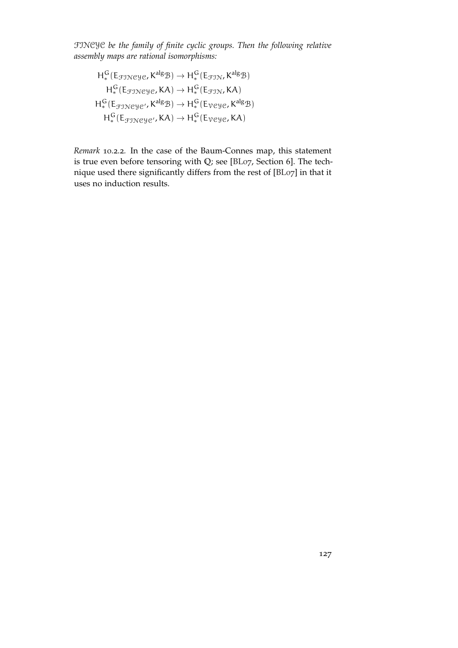FINCYC *be the family of finite cyclic groups. Then the following relative assembly maps are rational isomorphisms:*

$$
H_*^G(\text{E}_{\text{fJNeY}e}, \text{K}^{\text{alg}} \mathcal{B}) \to H_*^G(\text{E}_{\text{fJN}}, \text{K}^{\text{alg}} \mathcal{B})
$$

$$
H_*^G(\text{E}_{\text{fJNeY}e}, \text{KA}) \to H_*^G(\text{E}_{\text{fJN}}, \text{KA})
$$

$$
H_*^G(\text{E}_{\text{fJNeY}e'}, \text{K}^{\text{alg}} \mathcal{B}) \to H_*^G(\text{E}_{\text{VeY}e}, \text{K}^{\text{alg}} \mathcal{B})
$$

$$
H_*^G(\text{E}_{\text{fJNeY}e'}, \text{KA}) \to H_*^G(\text{E}_{\text{VeY}e}, \text{KA})
$$

*Remark* 10.2.2*.* In the case of the Baum-Connes map, this statement is true even before tensoring with **Q**; see [\[BL](#page-150-2)07, Section 6]. The technique used there significantly differs from the rest of [\[BL](#page-150-2)07] in that it uses no induction results.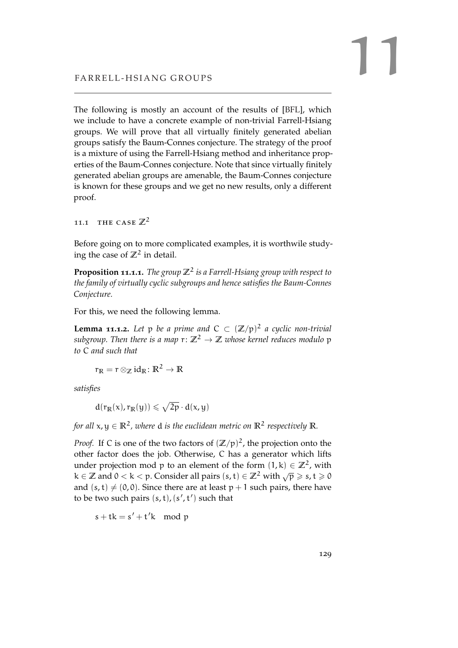The following is mostly an account of the results of [\[BFL\]](#page-150-1), which we include to have a concrete example of non-trivial Farrell-Hsiang groups. We will prove that all virtually finitely generated abelian groups satisfy the Baum-Connes conjecture. The strategy of the proof is a mixture of using the Farrell-Hsiang method and inheritance properties of the Baum-Connes conjecture. Note that since virtually finitely generated abelian groups are amenable, the Baum-Connes conjecture is known for these groups and we get no new results, only a different proof.

11.1 THE CASE  $\mathbb{Z}^2$ 

Before going on to more complicated examples, it is worthwile studying the case of  $\mathbb{Z}^2$  in detail.

<span id="page-128-0"></span>**Proposition 11.1.1.** *The group* **Z**<sup>2</sup> *is a Farrell-Hsiang group with respect to the family of virtually cyclic subgroups and hence satisfies the Baum-Connes Conjecture.*

<span id="page-128-1"></span>For this, we need the following lemma.

**Lemma 11.1.2.** Let  $p$  be a prime and  $C \subset (\mathbb{Z}/p)^2$  a cyclic non-trivial *subgroup. Then there is a map*  $r: \mathbb{Z}^2 \to \mathbb{Z}$  *whose kernel reduces modulo* p *to* C *and such that*

$$
r_{\mathbb{R}}=r\otimes_{\mathbb{Z}}\mathrm{id}_{\mathbb{R}}\colon\mathbb{R}^2\to\mathbb{R}
$$

*satisfies*

$$
d(r_{\mathbb{R}}(x),r_{\mathbb{R}}(y))\leqslant \sqrt{2p}\cdot d(x,y)
$$

for all  $\mathsf{x},\mathsf{y} \in \mathbb{R}^2$  , where  $\mathsf{d}$  is the euclidean metric on  $\mathbb{R}^2$  respectively  $\mathbb{R}.$ 

*Proof.* If C is one of the two factors of  $(\mathbb{Z}/p)^2$ , the projection onto the other factor does the job. Otherwise, C has a generator which lifts under projection mod p to an element of the form  $(1, k) \in \mathbb{Z}^2$ , with which projection from p to an element of the form  $(1, \infty) \subseteq \mathbb{Z}^2$ , while  $k \in \mathbb{Z}$  and  $0 < k < p$ . Consider all pairs  $(s, t) \in \mathbb{Z}^2$  with  $\sqrt{p} \geqslant s, t \geqslant 0$ and  $(s, t) \neq (0, 0)$ . Since there are at least  $p + 1$  such pairs, there have to be two such pairs  $(s, t)$ ,  $(s', t')$  such that

 $s + tk = s' + t'k \mod p$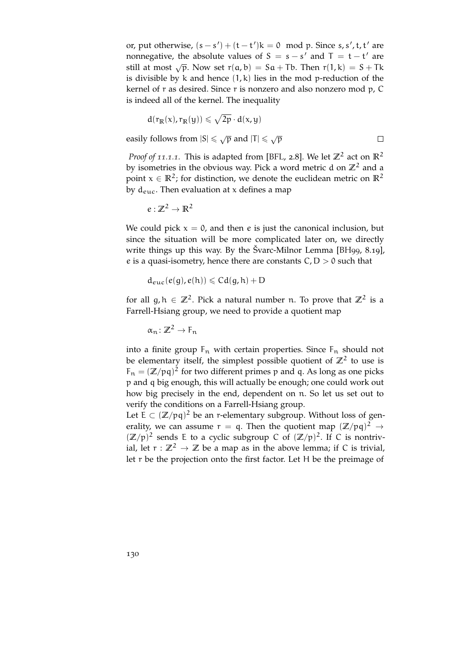or, put otherwise,  $(s - s') + (t - t')k = 0 \mod p$ . Since s, s', t, t' are nonnegative, the absolute values of  $S = s - s'$  and  $T = t - t'$  are still at most  $\sqrt{p}$ . Now set  $r(a, b) = Sa + Tb$ . Then  $r(1, k) = S + Tk$ is divisible by  $k$  and hence  $(1, k)$  lies in the mod p-reduction of the kernel of r as desired. Since r is nonzero and also nonzero mod p, C is indeed all of the kernel. The inequality

$$
d(r_{\mathbb{R}}(x),r_{\mathbb{R}}(y))\leqslant \sqrt{2p}\cdot d(x,y)
$$

easily follows from  $|S| \le \sqrt{p}$  and  $|T| \le \sqrt{p}$ 

*Proof of [11](#page-128-0).1.1.* This is adapted from [\[BFL,](#page-150-1) 2.8]. We let  $\mathbb{Z}^2$  act on  $\mathbb{R}^2$ by isometries in the obvious way. Pick a word metric d on  $\mathbb{Z}^2$  and a point  $x \in \mathbb{R}^2$ ; for distinction, we denote the euclidean metric on  $\mathbb{R}^2$ by  $d_{euc}$ . Then evaluation at x defines a map

$$
\varepsilon: \mathbb{Z}^2 \to \mathbb{R}^2
$$

We could pick  $x = 0$ , and then e is just the canonical inclusion, but since the situation will be more complicated later on, we directly write things up this way. By the Švarc-Milnor Lemma [\[BH](#page-150-3)99, 8.19], e is a quasi-isometry, hence there are constants  $C, D > 0$  such that

$$
d_{euc}(\varepsilon(g),\varepsilon(h))\leqslant Cd(g,h)+D
$$

for all  $g, h \in \mathbb{Z}^2$ . Pick a natural number n. To prove that  $\mathbb{Z}^2$  is a Farrell-Hsiang group, we need to provide a quotient map

$$
\alpha_n\colon\mathbb{Z}^2\to F_n
$$

into a finite group  $F_n$  with certain properties. Since  $F_n$  should not be elementary itself, the simplest possible quotient of  $\mathbb{Z}^2$  to use is  $F_n = (\mathbb{Z}/pq)^2$  for two different primes p and q. As long as one picks p and q big enough, this will actually be enough; one could work out how big precisely in the end, dependent on n. So let us set out to verify the conditions on a Farrell-Hsiang group.

Let  $E \subset (\mathbb{Z}/pq)^2$  be an r-elementary subgroup. Without loss of generality, we can assume  $r = q$ . Then the quotient map  $(\mathbb{Z}/pq)^2 \rightarrow$  $(\mathbb{Z}/p)^2$  sends E to a cyclic subgroup C of  $(\mathbb{Z}/p)^2$ . If C is nontrivial, let  $r : \mathbb{Z}^2 \to \mathbb{Z}$  be a map as in the above lemma; if C is trivial, let r be the projection onto the first factor. Let H be the preimage of

 $\Box$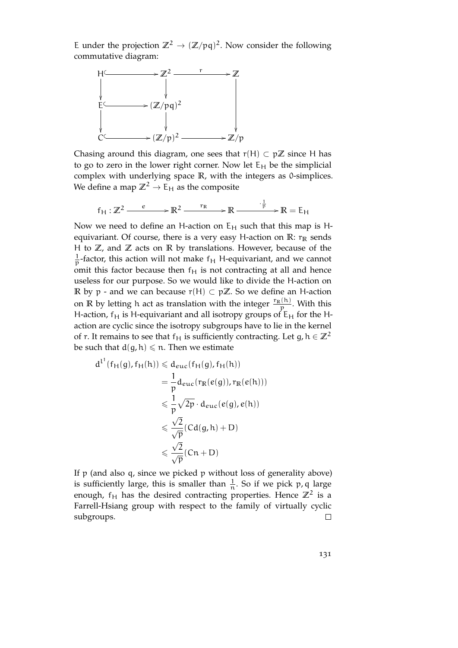E under the projection  $\mathbb{Z}^2 \to (\mathbb{Z}/pq)^2$ . Now consider the following commutative diagram:



Chasing around this diagram, one sees that  $r(H) \subset p\mathbb{Z}$  since H has to go to zero in the lower right corner. Now let  $E_H$  be the simplicial complex with underlying space **R**, with the integers as 0-simplices. We define a map  $\mathbb{Z}^2 \to \mathsf{E}_{\mathsf{H}}$  as the composite

$$
f_H: \mathbb{Z}^2 \xrightarrow{e} \mathbb{R}^2 \xrightarrow{r_R} \mathbb{R} \xrightarrow{\cdot \frac{1}{p}} \mathbb{R} = E_H
$$

Now we need to define an H-action on  $E_H$  such that this map is Hequivariant. Of course, there is a very easy H-action on  $\mathbb{R}$ :  $r_{\mathbb{R}}$  sends H to **Z**, and **Z** acts on **R** by translations. However, because of the 1  $\frac{1}{p}$ -factor, this action will not make  $f_H$  H-equivariant, and we cannot omit this factor because then  $f<sub>H</sub>$  is not contracting at all and hence useless for our purpose. So we would like to divide the H-action on **R** by p - and we can because  $r(H)$  ⊂ p $\mathbb{Z}$ . So we define an H-action on **R** by letting h act as translation with the integer  $\frac{r_{\mathbb{R}}(h)}{p}$ . With this H-action,  $f_H$  is H-equivariant and all isotropy groups of  $E_H$  for the Haction are cyclic since the isotropy subgroups have to lie in the kernel of r. It remains to see that  $f_H$  is sufficiently contracting. Let g,  $h \in \mathbb{Z}^2$ be such that  $d(g, h) \leq n$ . Then we estimate

$$
d^{l'}(f_H(g), f_H(h)) \leq d_{euc}(f_H(g), f_H(h))
$$
  
=  $\frac{1}{p} d_{euc}(r_R(e(g)), r_R(e(h)))$   
 $\leq \frac{1}{p} \sqrt{2p} \cdot d_{euc}(e(g), e(h))$   
 $\leq \frac{\sqrt{2}}{\sqrt{p}} (Cd(g, h) + D)$   
 $\leq \frac{\sqrt{2}}{\sqrt{p}} (Cn + D)$ 

If p (and also q, since we picked p without loss of generality above) is sufficiently large, this is smaller than  $\frac{1}{n}$ . So if we pick p, q large enough,  $f_H$  has the desired contracting properties. Hence  $\mathbb{Z}^2$  is a Farrell-Hsiang group with respect to the family of virtually cyclic subgroups.  $\Box$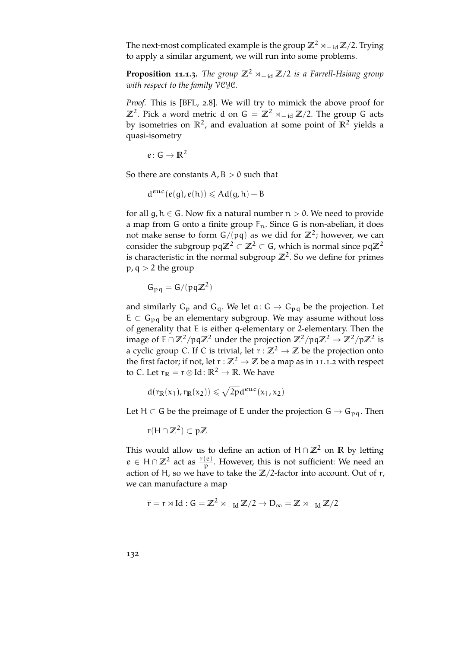The next-most complicated example is the group  $\mathbb{Z}^2 \rtimes_{-id} \mathbb{Z}/2$ . Trying to apply a similar argument, we will run into some problems.

**Proposition 11.1.3.** *The group*  $\mathbb{Z}^2 \rtimes_{-id} \mathbb{Z}/2$  *is a Farrell-Hsiang group with respect to the family* VCYC*.*

*Proof.* This is [\[BFL,](#page-150-1) 2.8]. We will try to mimick the above proof for **Z**<sup>2</sup>. Pick a word metric d on G =  $\mathbb{Z}^2$  ×<sub>−id</sub>  $\mathbb{Z}/2$ . The group G acts by isometries on **R**<sup>2</sup> , and evaluation at some point of **R**<sup>2</sup> yields a quasi-isometry

$$
e\colon G\to\mathbb{R}^2
$$

So there are constants  $A$ ,  $B > 0$  such that

$$
d^{euc}(e(g),e(h))\leqslant Ad(g,h)+B
$$

for all g,  $h \in G$ . Now fix a natural number  $n > 0$ . We need to provide a map from G onto a finite group  $F_n$ . Since G is non-abelian, it does not make sense to form  $G/(pq)$  as we did for  $\mathbb{Z}^2$ ; however, we can consider the subgroup  $pq\mathbb{Z}^2 \subset \mathbb{Z}^2 \subset G$ , which is normal since  $pq\mathbb{Z}^2$ is characteristic in the normal subgroup  $\mathbb{Z}^2$ . So we define for primes  $p, q > 2$  the group

$$
G_{pq} = G/(pq\mathbb{Z}^2)
$$

and similarly  $G_p$  and  $G_q$ . We let  $a: G \rightarrow G_{pq}$  be the projection. Let  $E \subset G_{pq}$  be an elementary subgroup. We may assume without loss of generality that E is either q-elementary or 2-elementary. Then the image of  $E \cap \mathbb{Z}^2 / pq\mathbb{Z}^2$  under the projection  $\mathbb{Z}^2 / pq\mathbb{Z}^2 \to \mathbb{Z}^2 / p\mathbb{Z}^2$  is a cyclic group C. If C is trivial, let  $r : \mathbb{Z}^2 \to \mathbb{Z}$  be the projection onto the first factor; if not, let  $r : \mathbb{Z}^2 \to \mathbb{Z}$  be a map as in [11](#page-128-1).1.2 with respect to C. Let  $r_{\mathbb{R}} = r \otimes \text{Id}$ :  $\mathbb{R}^2 \to \mathbb{R}$ . We have

$$
d(r_{\mathbb{R}}(x_1), r_{\mathbb{R}}(x_2)) \leqslant \sqrt{2p} d^{euc}(x_1, x_2)
$$

Let H  $\subset$  G be the preimage of E under the projection  $G \rightarrow G_{pq}$ . Then

$$
r(H \cap \mathbb{Z}^2) \subset p\mathbb{Z}
$$

This would allow us to define an action of  $H \cap \mathbb{Z}^2$  on  $\mathbb{R}$  by letting  $e \in H \cap \mathbb{Z}^2$  act as  $\frac{r(e)}{p}$ . However, this is not sufficient: We need an action of H, so we have to take the  $\mathbb{Z}/2$ -factor into account. Out of r, we can manufacture a map

$$
\bar{r} = r \times Id : G = \mathbb{Z}^2 \times_{-Id} \mathbb{Z}/2 \to D_{\infty} = \mathbb{Z} \times_{-Id} \mathbb{Z}/2
$$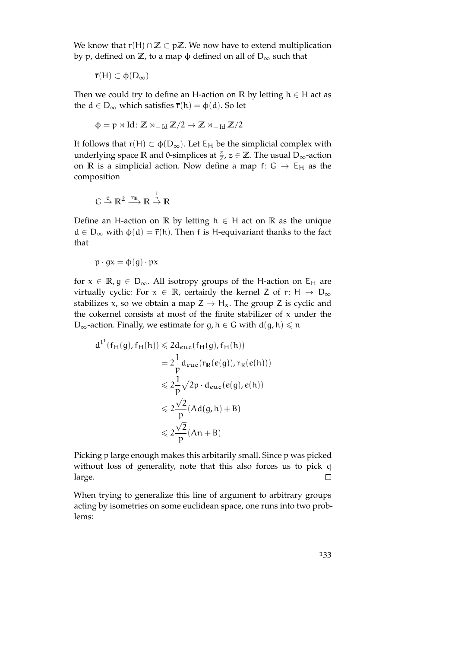We know that  $\bar{r}(H) \cap \mathbb{Z} \subset p\mathbb{Z}$ . We now have to extend multiplication by p, defined on  $\mathbb{Z}$ , to a map φ defined on all of  $D_{\infty}$  such that

$$
\overline{r}(H) \subset \varphi(D_{\infty})
$$

Then we could try to define an H-action on **R** by letting  $h \in H$  act as the  $d \in D_{\infty}$  which satisfies  $\bar{r}(h) = \phi(d)$ . So let

$$
\varphi = p \rtimes Id \colon \mathbb{Z} \rtimes_{-\operatorname{Id}} \mathbb{Z}/2 \to \mathbb{Z} \rtimes_{-\operatorname{Id}} \mathbb{Z}/2
$$

It follows that  $\bar{r}(H) \subset \phi(D_{\infty})$ . Let  $E_H$  be the simplicial complex with underlying space **R** and 0-simplices at  $\frac{z}{2}$ ,  $z \in \mathbb{Z}$ . The usual D<sub>∞</sub>-action on **R** is a simplicial action. Now define a map f:  $G \rightarrow E_H$  as the composition

$$
G \stackrel{e}{\rightarrow} \mathbb{R}^2 \stackrel{r_{\mathbb{R}}}{\longrightarrow} \mathbb{R} \stackrel{\frac{1}{p}}{\rightarrow} \mathbb{R}
$$

Define an H-action on **R** by letting  $h \in H$  act on **R** as the unique  $d \in D_{\infty}$  with  $\varphi(d) = \overline{r}(h)$ . Then f is H-equivariant thanks to the fact that

$$
p \cdot gx = \varphi(g) \cdot px
$$

for  $x \in \mathbb{R}, g \in D_{\infty}$ . All isotropy groups of the H-action on E<sub>H</sub> are virtually cyclic: For  $x \in \mathbb{R}$ , certainly the kernel Z of  $\overline{r}$ : H  $\rightarrow$  D<sub>∞</sub> stabilizes x, so we obtain a map  $Z \rightarrow H_x$ . The group Z is cyclic and the cokernel consists at most of the finite stabilizer of  $x$  under the  $D_{\infty}$ -action. Finally, we estimate for g,  $h \in G$  with  $d(g, h) \leq n$ 

$$
d^{l'}(f_H(g), f_H(h)) \leq 2d_{euc}(f_H(g), f_H(h))
$$
  
=  $2\frac{1}{p}d_{euc}(r_R(e(g)), r_R(e(h)))$   
 $\leq 2\frac{1}{p}\sqrt{2p} \cdot d_{euc}(e(g), e(h))$   
 $\leq 2\frac{\sqrt{2}}{p}(Ad(g, h) + B)$   
 $\leq 2\frac{\sqrt{2}}{p}(An + B)$ 

Picking p large enough makes this arbitarily small. Since p was picked without loss of generality, note that this also forces us to pick q large.  $\Box$ 

When trying to generalize this line of argument to arbitrary groups acting by isometries on some euclidean space, one runs into two problems: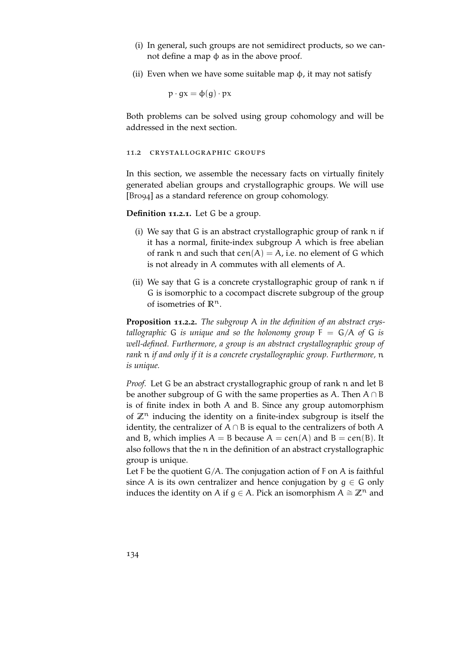- (i) In general, such groups are not semidirect products, so we cannot define a map  $φ$  as in the above proof.
- (ii) Even when we have some suitable map  $\phi$ , it may not satisfy

 $p \cdot qx = \phi(q) \cdot px$ 

Both problems can be solved using group cohomology and will be addressed in the next section.

#### 11.2 crystallographic groups

In this section, we assemble the necessary facts on virtually finitely generated abelian groups and crystallographic groups. We will use [\[Bro](#page-151-2)94] as a standard reference on group cohomology.

**Definition 11.2.1.** Let G be a group.

- (i) We say that G is an abstract crystallographic group of rank n if it has a normal, finite-index subgroup A which is free abelian of rank n and such that  $cen(A) = A$ , i.e. no element of G which is not already in A commutes with all elements of A.
- (ii) We say that G is a concrete crystallographic group of rank n if G is isomorphic to a cocompact discrete subgroup of the group of isometries of **R**n.

**Proposition 11.2.2.** *The subgroup* A *in the definition of an abstract crystallographic* G *is unique and so the holonomy group*  $F = G/A$  *of* G *is well-defined. Furthermore, a group is an abstract crystallographic group of rank* n *if and only if it is a concrete crystallographic group. Furthermore,* n *is unique.*

*Proof.* Let G be an abstract crystallographic group of rank n and let B be another subgroup of G with the same properties as A. Then  $A \cap B$ is of finite index in both A and B. Since any group automorphism of  $\mathbb{Z}^n$  inducing the identity on a finite-index subgroup is itself the identity, the centralizer of  $A \cap B$  is equal to the centralizers of both A and B, which implies  $A = B$  because  $A = \text{cen}(A)$  and  $B = \text{cen}(B)$ . It also follows that the n in the definition of an abstract crystallographic group is unique.

Let F be the quotient  $G/A$ . The conjugation action of F on A is faithful since A is its own centralizer and hence conjugation by  $g \in G$  only induces the identity on A if  $q \in A$ . Pick an isomorphism  $A \cong \mathbb{Z}^n$  and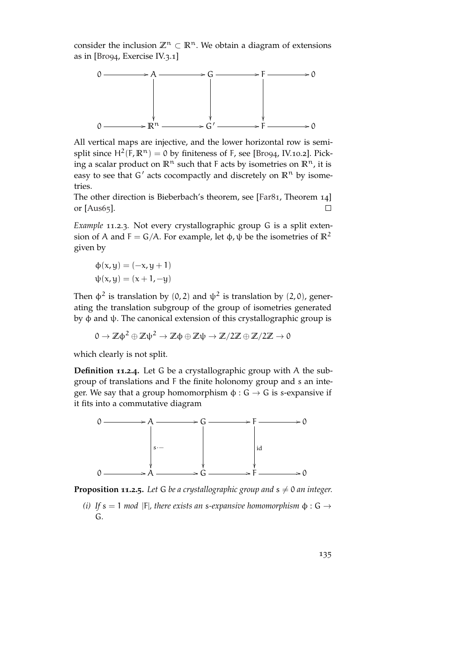consider the inclusion  $\mathbb{Z}^n \subset \mathbb{R}^n$ . We obtain a diagram of extensions as in [\[Bro](#page-151-2)94, Exercise IV.3.1]



All vertical maps are injective, and the lower horizontal row is semisplit since  $H^2(F, \mathbb{R}^n) = 0$  by finiteness of F, see [\[Bro](#page-151-2)94, IV.10.2]. Picking a scalar product on  $\mathbb{R}^n$  such that F acts by isometries on  $\mathbb{R}^n$ , it is easy to see that  $G'$  acts cocompactly and discretely on  $\mathbb{R}^n$  by isometries.

The other direction is Bieberbach's theorem, see [\[Far](#page-151-3)81, Theorem 14] or [\[Aus](#page-150-4)65].  $\Box$ 

*Example* 11.2.3*.* Not every crystallographic group G is a split extension of A and  $F = G/A$ . For example, let φ, ψ be the isometries of  $\mathbb{R}^2$ given by

$$
\Phi(x, y) = (-x, y + 1)
$$

$$
\psi(x, y) = (x + 1, -y)
$$

Then  $\phi^2$  is translation by (0, 2) and  $\psi^2$  is translation by (2,0), generating the translation subgroup of the group of isometries generated by φ and ψ. The canonical extension of this crystallographic group is

$$
0 \to \mathbb{Z}\varphi^2 \oplus \mathbb{Z}\psi^2 \to \mathbb{Z}\varphi \oplus \mathbb{Z}\psi \to \mathbb{Z}/2\mathbb{Z} \oplus \mathbb{Z}/2\mathbb{Z} \to 0
$$

which clearly is not split.

**Definition 11.2.4.** Let G be a crystallographic group with A the subgroup of translations and F the finite holonomy group and s an integer. We say that a group homomorphism  $\phi$ :  $G \rightarrow G$  is s-expansive if it fits into a commutative diagram



**Proposition 11.2.5.** Let G be a crystallographic group and  $s \neq 0$  an integer.

*(i) If*  $s = 1$  *mod* |F|*, there exists an s-expansive homomorphism*  $\phi : G \rightarrow$ G*.*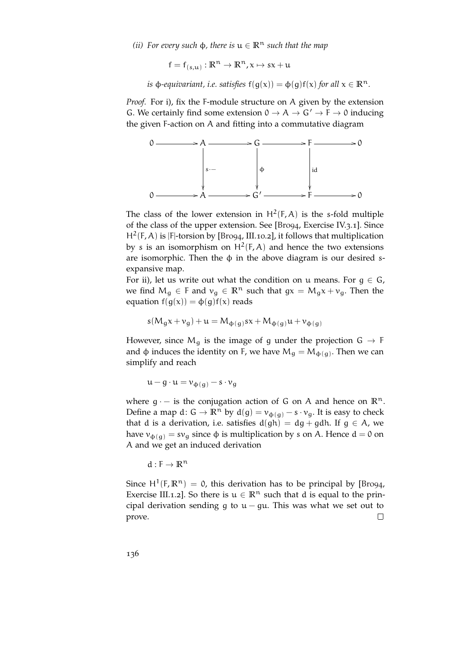*(ii)* For every such  $\phi$ , there is  $\mu \in \mathbb{R}^n$  such that the map

$$
f = f_{(s,u)} : \mathbb{R}^n \to \mathbb{R}^n, x \mapsto sx + u
$$

*is*  $\varphi$ *-equivariant, i.e. satisfies*  $f(g(x)) = \varphi(g)f(x)$  *for all*  $x \in \mathbb{R}^n$ *.* 

*Proof.* For i), fix the F-module structure on A given by the extension G. We certainly find some extension  $0 \rightarrow A \rightarrow G' \rightarrow F \rightarrow 0$  inducing the given F-action on A and fitting into a commutative diagram



The class of the lower extension in  $H^2(F, A)$  is the s-fold multiple of the class of the upper extension. See [\[Bro](#page-151-2)94, Exercise IV.3.1]. Since H<sup>2</sup>(F, A) is |F|-torsion by [\[Bro](#page-151-2)94, III.10.2], it follows that multiplication by s is an isomorphism on  $H^2(F, A)$  and hence the two extensions are isomorphic. Then the  $\phi$  in the above diagram is our desired sexpansive map.

For ii), let us write out what the condition on u means. For  $g \in G$ , we find  $M_g \in F$  and  $v_g \in \mathbb{R}^n$  such that  $gx = M_g x + v_g$ . Then the equation  $f(g(x)) = \phi(g)f(x)$  reads

$$
s(M_g x + v_g) + u = M_{\varphi(g)} sx + M_{\varphi(g)} u + v_{\varphi(g)}
$$

However, since  $M_q$  is the image of g under the projection  $G \rightarrow F$ and  $\phi$  induces the identity on F, we have  $M_g = M_{\phi(g)}$ . Then we can simplify and reach

 $u - g \cdot u = v_{\phi(g)} - s \cdot v_g$ 

where  $q - i s$  the conjugation action of G on A and hence on  $\mathbb{R}^n$ . Define a map d:  $G \to \mathbb{R}^n$  by  $d(g) = v_{\phi(g)} - s \cdot v_g$ . It is easy to check that d is a derivation, i.e. satisfies  $d(gh) = dg + gdh$ . If  $g \in A$ , we have  $v_{\phi(a)} = sv_q$  since  $\phi$  is multiplication by s on A. Hence  $d = 0$  on A and we get an induced derivation

$$
d: F \to \mathbb{R}^n
$$

Since  $H^1(F, \mathbb{R}^n) = 0$ , this derivation has to be principal by [\[Bro](#page-151-2)94, Exercise III.1.2]. So there is  $u \in \mathbb{R}^n$  such that d is equal to the principal derivation sending g to  $u - gu$ . This was what we set out to prove.  $\Box$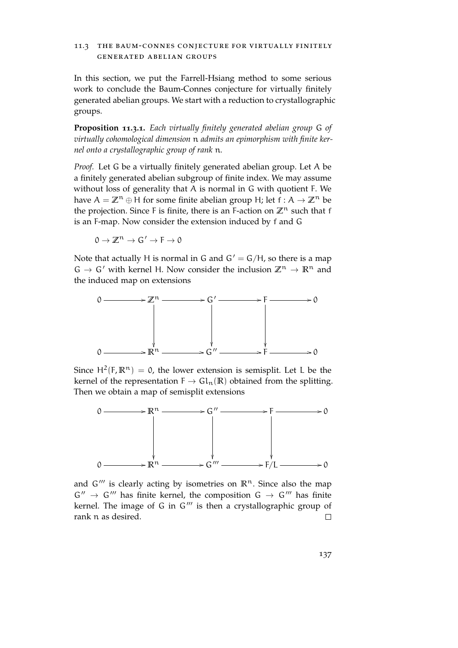## 11.3 the baum-connes conjecture for virtually finitely generated abelian groups

In this section, we put the Farrell-Hsiang method to some serious work to conclude the Baum-Connes conjecture for virtually finitely generated abelian groups. We start with a reduction to crystallographic groups.

<span id="page-136-0"></span>**Proposition 11.3.1.** *Each virtually finitely generated abelian group* G *of virtually cohomological dimension* n *admits an epimorphism with finite kernel onto a crystallographic group of rank* n*.*

*Proof.* Let G be a virtually finitely generated abelian group. Let A be a finitely generated abelian subgroup of finite index. We may assume without loss of generality that A is normal in G with quotient F. We have  $A = \mathbb{Z}^n \oplus H$  for some finite abelian group H; let  $f : A \to \mathbb{Z}^n$  be the projection. Since F is finite, there is an F-action on  $\mathbb{Z}^n$  such that f is an F-map. Now consider the extension induced by f and G

$$
0\to \mathbb{Z}^n\to G'\to F\to 0
$$

Note that actually H is normal in G and  $G' = G/H$ , so there is a map  $G \rightarrow G'$  with kernel H. Now consider the inclusion  $\mathbb{Z}^n \rightarrow \mathbb{R}^n$  and the induced map on extensions



Since  $H^2(F, \mathbb{R}^n) = 0$ , the lower extension is semisplit. Let L be the kernel of the representation  $F \to GL_n(\mathbb{R})$  obtained from the splitting. Then we obtain a map of semisplit extensions



and  $G'''$  is clearly acting by isometries on  $\mathbb{R}^n$ . Since also the map  $G'' \rightarrow G'''$  has finite kernel, the composition  $G \rightarrow G'''$  has finite kernel. The image of G in  $G'''$  is then a crystallographic group of rank n as desired.  $\Box$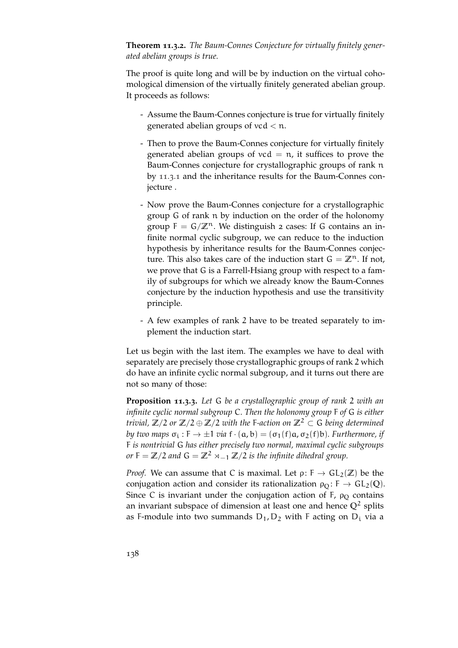**Theorem 11.3.2.** *The Baum-Connes Conjecture for virtually finitely generated abelian groups is true.*

The proof is quite long and will be by induction on the virtual cohomological dimension of the virtually finitely generated abelian group. It proceeds as follows:

- Assume the Baum-Connes conjecture is true for virtually finitely generated abelian groups of  $\text{vcd} < \text{n}$ .
- Then to prove the Baum-Connes conjecture for virtually finitely generated abelian groups of  $vcd = n$ , it suffices to prove the Baum-Connes conjecture for crystallographic groups of rank n by [11](#page-136-0).3.1 and the inheritance results for the Baum-Connes conjecture .
- Now prove the Baum-Connes conjecture for a crystallographic group G of rank n by induction on the order of the holonomy group  $F = G/\mathbb{Z}^n$ . We distinguish 2 cases: If G contains an infinite normal cyclic subgroup, we can reduce to the induction hypothesis by inheritance results for the Baum-Connes conjecture. This also takes care of the induction start  $G = \mathbb{Z}^n$ . If not, we prove that G is a Farrell-Hsiang group with respect to a family of subgroups for which we already know the Baum-Connes conjecture by the induction hypothesis and use the transitivity principle.
- A few examples of rank 2 have to be treated separately to implement the induction start.

Let us begin with the last item. The examples we have to deal with separately are precisely those crystallographic groups of rank 2 which do have an infinite cyclic normal subgroup, and it turns out there are not so many of those:

<span id="page-137-0"></span>**Proposition 11.3.3.** *Let* G *be a crystallographic group of rank* 2 *with an infinite cyclic normal subgroup* C*. Then the holonomy group* F *of* G *is either trivial,*  $\mathbb{Z}/2$  *or*  $\mathbb{Z}/2 \oplus \mathbb{Z}/2$  *with the* F-action on  $\mathbb{Z}^2 \subset G$  *being determined by two maps*  $\sigma_i : F \to \pm 1$  *via*  $f \cdot (a, b) = (\sigma_1(f)a, \sigma_2(f)b)$ *. Furthermore, if* F *is nontrivial* G *has either precisely two normal, maximal cyclic subgroups or* **F** =  $\mathbb{Z}/2$  *and* **G** =  $\mathbb{Z}^2$  × −1  $\mathbb{Z}/2$  *is the infinite dihedral group.* 

*Proof.* We can assume that C is maximal. Let  $\rho: F \to GL_2(\mathbb{Z})$  be the conjugation action and consider its rationalization  $\rho_0$ : F  $\rightarrow$  GL<sub>2</sub>(Q). Since C is invariant under the conjugation action of F,  $\rho_0$  contains an invariant subspace of dimension at least one and hence **Q**<sup>2</sup> splits as F-module into two summands  $D_1, D_2$  with F acting on  $D_i$  via a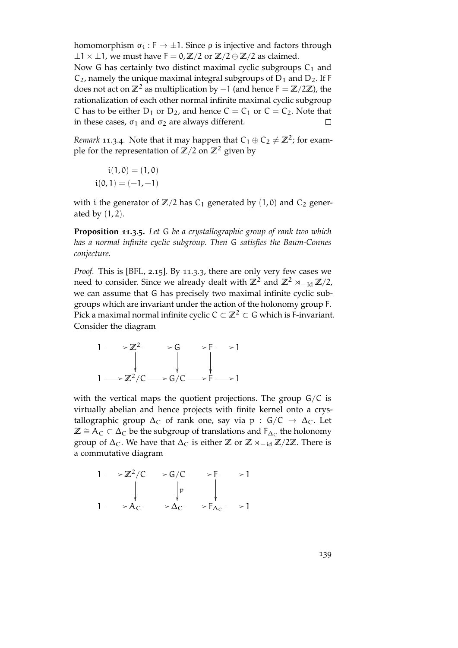homomorphism  $\sigma_i : F \to \pm 1$ . Since  $\rho$  is injective and factors through  $\pm 1 \times \pm 1$ , we must have  $F = 0$ ,  $\mathbb{Z}/2$  or  $\mathbb{Z}/2 \oplus \mathbb{Z}/2$  as claimed.

Now G has certainly two distinct maximal cyclic subgroups  $C_1$  and  $C_2$ , namely the unique maximal integral subgroups of  $D_1$  and  $D_2$ . If F does not act on  $\mathbb{Z}^2$  as multiplication by  $-1$  (and hence  $F = \mathbb{Z}/2\mathbb{Z}$ ), the rationalization of each other normal infinite maximal cyclic subgroup C has to be either  $D_1$  or  $D_2$ , and hence  $C = C_1$  or  $C = C_2$ . Note that in these cases,  $σ₁$  and  $σ₂$  are always different.  $\Box$ 

*Remark* 11.3.4. Note that it may happen that  $C_1 \oplus C_2 \neq \mathbb{Z}^2$ ; for example for the representation of  $\mathbb{Z}/2$  on  $\mathbb{Z}^2$  given by

$$
i(1,0) = (1,0)
$$
  

$$
i(0,1) = (-1,-1)
$$

with i the generator of  $\mathbb{Z}/2$  has  $C_1$  generated by  $(1, 0)$  and  $C_2$  generated by  $(1, 2)$ .

**Proposition 11.3.5.** *Let* G *be a crystallographic group of rank two which has a normal infinite cyclic subgroup. Then* G *satisfies the Baum-Connes conjecture.*

*Proof.* This is [\[BFL,](#page-150-1) 2.15]. By [11](#page-137-0).3.3, there are only very few cases we need to consider. Since we already dealt with  $\mathbb{Z}^2$  and  $\mathbb{Z}^2 \rtimes_{-1d} \mathbb{Z}/2$ , we can assume that G has precisely two maximal infinite cyclic subgroups which are invariant under the action of the holonomy group F. Pick a maximal normal infinite cyclic  $C \subset \mathbb{Z}^2$  ⊂ G which is F-invariant. Consider the diagram



with the vertical maps the quotient projections. The group  $G/C$  is virtually abelian and hence projects with finite kernel onto a crystallographic group  $\Delta_C$  of rank one, say via p : G/C  $\rightarrow \Delta_C$ . Let  $\mathbb{Z} \cong A_C \subset \Delta_C$  be the subgroup of translations and  $F_{\Delta_C}$  the holonomy group of  $\Delta_C$ . We have that  $\Delta_C$  is either **Z** or  $\mathbb{Z} \rtimes_{-1d} \mathbb{Z}/2\mathbb{Z}$ . There is a commutative diagram

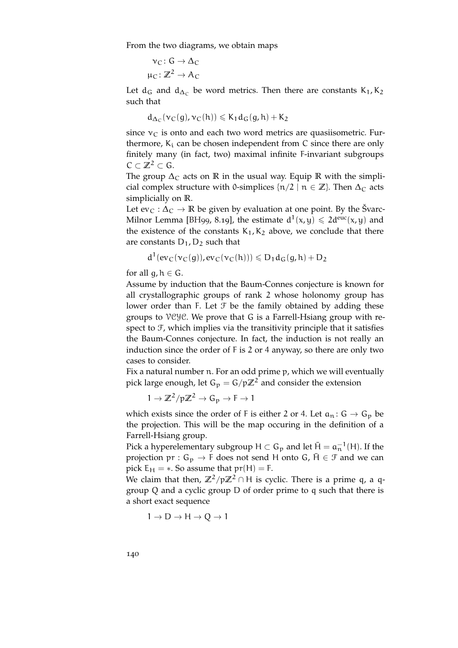From the two diagrams, we obtain maps

$$
\nu_C \colon G \to \Delta_C
$$

$$
\mu_C \colon \mathbb{Z}^2 \to A_C
$$

Let  $d_G$  and  $d_{\Delta_C}$  be word metrics. Then there are constants K<sub>1</sub>, K<sub>2</sub> such that

$$
d_{\Delta_C}(\nu_C(g),\nu_C(h))\leqslant K_1d_G(g,h)+K_2
$$

since  $v<sub>C</sub>$  is onto and each two word metrics are quasiisometric. Furthermore,  $K_i$  can be chosen independent from  $C$  since there are only finitely many (in fact, two) maximal infinite F-invariant subgroups  $C \subset \mathbb{Z}^2 \subset G$ .

The group  $\Delta_C$  acts on **R** in the usual way. Equip **R** with the simplicial complex structure with 0-simplices  $\{n/2 \mid n \in \mathbb{Z}\}\$ . Then  $\Delta_C$  acts simplicially on **R**.

Let  $ev_C : \Delta_C \to \mathbb{R}$  be given by evaluation at one point. By the Švarc-Milnor Lemma [\[BH](#page-150-3)99, 8.19], the estimate  $d^{1}(x,y) \leq 2d^{euc}(x,y)$  and the existence of the constants  $K_1, K_2$  above, we conclude that there are constants  $D_1$ ,  $D_2$  such that

$$
d^1(ev_C(v_C(g)), ev_C(v_C(h))) \leqslant D_1d_G(g,h) + D_2
$$

for all  $q, h \in G$ .

Assume by induction that the Baum-Connes conjecture is known for all crystallographic groups of rank 2 whose holonomy group has lower order than F. Let  $\mathcal F$  be the family obtained by adding these groups to VCYC. We prove that G is a Farrell-Hsiang group with respect to  $F$ , which implies via the transitivity principle that it satisfies the Baum-Connes conjecture. In fact, the induction is not really an induction since the order of F is 2 or 4 anyway, so there are only two cases to consider.

Fix a natural number n. For an odd prime p, which we will eventually pick large enough, let  $G_p = G/p\mathbb{Z}^2$  and consider the extension

 $1 \rightarrow \mathbb{Z}^2 / p \mathbb{Z}^2 \rightarrow G_p \rightarrow F \rightarrow 1$ 

which exists since the order of F is either 2 or 4. Let  $a_n: G \to G_p$  be the projection. This will be the map occuring in the definition of a Farrell-Hsiang group.

Pick a hyperelementary subgroup  $H \subset G_p$  and let  $\bar{H} = a_n^{-1}(H)$ . If the projection  $pr: G_p \to F$  does not send H onto G,  $\overline{H} \in \mathcal{F}$  and we can pick  $E_H = *$ . So assume that  $pr(H) = F$ .

We claim that then,  $\mathbb{Z}^2/p\mathbb{Z}^2 \cap H$  is cyclic. There is a prime q, a qgroup Q and a cyclic group D of order prime to q such that there is a short exact sequence

 $1 \rightarrow D \rightarrow H \rightarrow Q \rightarrow 1$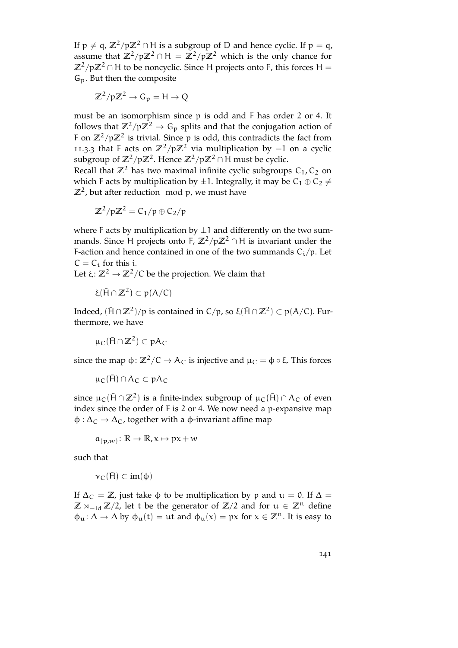If  $p \neq q$ ,  $\mathbb{Z}^2/p\mathbb{Z}^2 \cap H$  is a subgroup of D and hence cyclic. If  $p = q$ , assume that  $\mathbb{Z}^2/p\mathbb{Z}^2 \cap H = \mathbb{Z}^2/p\mathbb{Z}^2$  which is the only chance for  $\mathbb{Z}^2$ /p $\mathbb{Z}^2$  ∩ H to be noncyclic. Since H projects onto F, this forces H =  $G_p$ . But then the composite

$$
\mathbb{Z}^2 / p \mathbb{Z}^2 \to G_p = H \to Q
$$

must be an isomorphism since p is odd and F has order 2 or 4. It follows that  $\mathbb{Z}^2/p\mathbb{Z}^2 \to G_p$  splits and that the conjugation action of F on  $\mathbb{Z}^2/\mathfrak{p}\mathbb{Z}^2$  is trivial. Since p is odd, this contradicts the fact from [11](#page-137-0).3.3 that F acts on  $\mathbb{Z}^2/p\mathbb{Z}^2$  via multiplication by  $-1$  on a cyclic subgroup of  $\mathbb{Z}^2/\mathfrak{p}\mathbb{Z}^2$ . Hence  $\mathbb{Z}^2/\mathfrak{p}\mathbb{Z}^2\cap\mathsf{H}$  must be cyclic.

Recall that  $\mathbb{Z}^2$  has two maximal infinite cyclic subgroups  $C_1$ ,  $C_2$  on which F acts by multiplication by  $\pm 1$ . Integrally, it may be  $C_1 \oplus C_2 \neq$  $\mathbb{Z}^2$ , but after reduction mod p, we must have

$$
\mathbb{Z}^2/p\mathbb{Z}^2=C_1/p\oplus C_2/p
$$

where F acts by multiplication by  $\pm 1$  and differently on the two summands. Since H projects onto F,  $\mathbb{Z}^2/p\mathbb{Z}^2 \cap H$  is invariant under the F-action and hence contained in one of the two summands  $C_i/p$ . Let  $C = C_i$  for this i.

Let  $\xi$ :  $\mathbb{Z}^2 \to \mathbb{Z}^2/\mathbb{C}$  be the projection. We claim that

$$
\xi(\bar{H}\cap\mathbb{Z}^2)\subset p(A/C)
$$

Indeed,  $(મcap \mathbb{Z}^2)/p$  is contained in C/p, so ξ( $H \cap \mathbb{Z}^2$ ) ⊂ p(A/C). Furthermore, we have

 $\mu_C(\bar{H} \cap \mathbb{Z}^2) \subset pA_C$ 

since the map  $\phi$ :  $\mathbb{Z}^2/\mathbb{C} \to \mathbb{A}_{\mathbb{C}}$  is injective and  $\mu_{\mathbb{C}} = \phi \circ \xi$ . This forces

$$
\mu_C(\bar{H})\cap A_C\subset pA_C
$$

since  $\mu_{\mathsf{C}}(\bar{\mathsf{H}} \cap \mathbb{Z}^2)$  is a finite-index subgroup of  $\mu_{\mathsf{C}}(\bar{\mathsf{H}}) \cap \mathsf{A}_{\mathsf{C}}$  of even index since the order of F is 2 or 4. We now need a p-expansive map  $\phi : \Delta_{\rm C} \rightarrow \Delta_{\rm C}$ , together with a  $\phi$ -invariant affine map

$$
\mathfrak{a}_{(p,w)}\colon\mathbb{R}\to\mathbb{R}, x\mapsto px+w
$$

such that

$$
\nu_C(\bar{H})\subset im(\varphi)
$$

If  $\Delta_C = \mathbb{Z}$ , just take  $\phi$  to be multiplication by p and  $\mu = 0$ . If  $\Delta =$ **Z**  $\times$ <sub>−id</sub> **Z**/2, let t be the generator of **Z**/2 and for  $\mu \in \mathbb{Z}^n$  define  $\phi_u: \Delta \to \Delta$  by  $\phi_u(t) = ut$  and  $\phi_u(x) = px$  for  $x \in \mathbb{Z}^n$ . It is easy to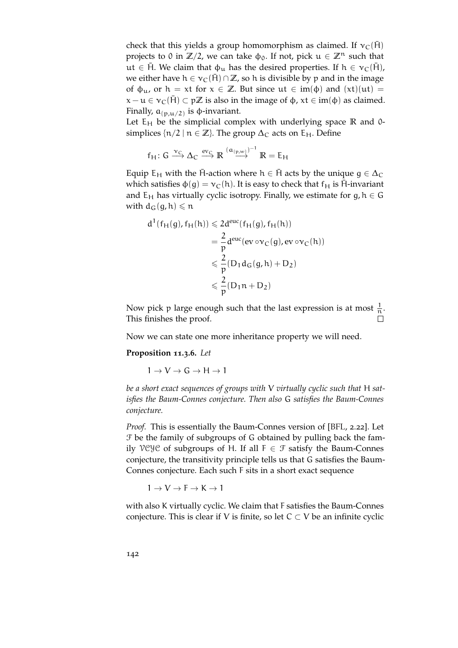check that this yields a group homomorphism as claimed. If  $v_c(H)$ projects to 0 in  $\mathbb{Z}/2$ , we can take  $\phi_0$ . If not, pick  $\mathfrak{u} \in \mathbb{Z}^n$  such that ut  $\in$  H̃. We claim that  $\phi_u$  has the desired properties. If  $h \in \nu_C(\bar{H})$ , we either have  $h \in \nu_C(\bar{H}) \cap \mathbb{Z}$ , so h is divisible by p and in the image of  $\phi_{\mu}$ , or  $h = xt$  for  $x \in \mathbb{Z}$ . But since  $ut \in im(\phi)$  and  $(xt)(ut) =$  $x - u \in v_C(\overline{H}) \subset p\mathbb{Z}$  is also in the image of  $\phi$ ,  $xt \in im(\phi)$  as claimed. Finally,  $\mathfrak{a}_{(\mathfrak{p},\mathfrak{u}/2)}$  is  $\mathfrak{\phi}$ -invariant.

Let  $E_H$  be the simplicial complex with underlying space  $\mathbb R$  and 0simplices  $\{n/2 \mid n \in \mathbb{Z}\}\$ . The group  $\Delta_C$  acts on  $E_H$ . Define

$$
f_H\colon G \xrightarrow{\nu_C} \Delta_C \xrightarrow{ev_C} \mathbb{R} \xrightarrow{(a_{(p,w)})^{-1}} \mathbb{R} = E_H
$$

Equip E<sub>H</sub> with the H-action where  $h \in \overline{H}$  acts by the unique  $q \in \Delta_C$ which satisfies  $\phi(q) = v_C(h)$ . It is easy to check that  $f_H$  is  $\overline{H}$ -invariant and  $E_H$  has virtually cyclic isotropy. Finally, we estimate for g,  $h \in G$ with  $d_G(q, h) \leq n$ 

$$
d^{1}(f_{H}(g), f_{H}(h)) \leq 2d^{euc}(f_{H}(g), f_{H}(h))
$$
  
=  $\frac{2}{p}d^{euc}(ev \circ v_{C}(g), ev \circ v_{C}(h))$   
 $\leq \frac{2}{p}(D_{1}d_{G}(g, h) + D_{2})$   
 $\leq \frac{2}{p}(D_{1}n + D_{2})$ 

Now pick p large enough such that the last expression is at most  $\frac{1}{n}$ . This finishes the proof.  $\Box$ 

Now we can state one more inheritance property we will need.

**Proposition 11.3.6.** *Let*

 $1 \rightarrow V \rightarrow G \rightarrow H \rightarrow 1$ 

*be a short exact sequences of groups with* V *virtually cyclic such that* H *satisfies the Baum-Connes conjecture. Then also* G *satisfies the Baum-Connes conjecture.*

*Proof.* This is essentially the Baum-Connes version of [\[BFL,](#page-150-1) 2.22]. Let F be the family of subgroups of G obtained by pulling back the family VCYC of subgroups of H. If all  $F \in \mathcal{F}$  satisfy the Baum-Connes conjecture, the transitivity principle tells us that G satisfies the Baum-Connes conjecture. Each such F sits in a short exact sequence

 $1 \rightarrow V \rightarrow F \rightarrow K \rightarrow 1$ 

with also K virtually cyclic. We claim that F satisfies the Baum-Connes conjecture. This is clear if V is finite, so let  $C \subset V$  be an infinite cyclic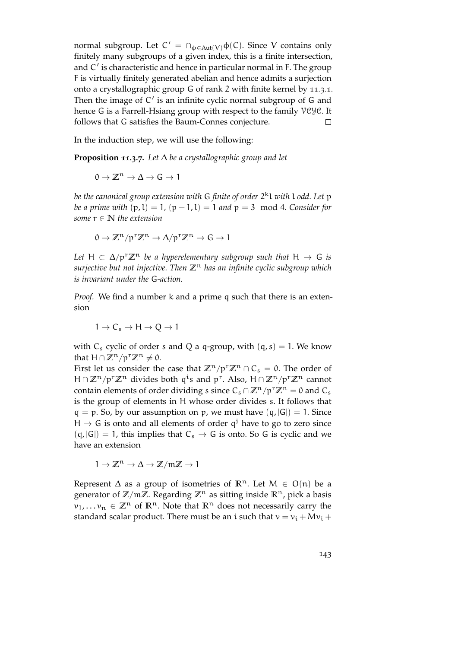normal subgroup. Let  $C' = \bigcap_{\phi \in Aut(V)} \phi(C)$ . Since V contains only finitely many subgroups of a given index, this is a finite intersection, and  $C'$  is characteristic and hence in particular normal in F. The group F is virtually finitely generated abelian and hence admits a surjection onto a crystallographic group G of rank 2 with finite kernel by [11](#page-136-0).3.1. Then the image of  $C'$  is an infinite cyclic normal subgroup of  $G$  and hence G is a Farrell-Hsiang group with respect to the family VCYC. It follows that G satisfies the Baum-Connes conjecture.  $\Box$ 

In the induction step, we will use the following:

**Proposition 11.3.7.** *Let* ∆ *be a crystallographic group and let*

$$
0 \to \mathbb{Z}^n \to \Delta \to G \to 1
$$

*be the canonical group extension with* G *finite of order* 2 <sup>k</sup>l *with* l *odd. Let* p *be a prime with*  $(p, l) = 1$ ,  $(p - 1, l) = 1$  *and*  $p = 3 \mod 4$ *. Consider for some*  $r \in \mathbb{N}$  *the extension* 

$$
0 \to \mathbb{Z}^n / p^r \mathbb{Z}^n \to \Delta / p^r \mathbb{Z}^n \to G \to 1
$$

*Let*  $H \subset \Delta/p^r \mathbb{Z}^n$  *be a hyperelementary subgroup such that*  $H \rightarrow G$  *is surjective but not injective. Then* **Z**<sup>n</sup> *has an infinite cyclic subgroup which is invariant under the* G*-action.*

*Proof.* We find a number k and a prime q such that there is an extension

$$
1 \to C_s \to H \to Q \to 1
$$

with  $C_s$  cyclic of order s and Q a q-group, with  $(q, s) = 1$ . We know that H ∩  $\mathbb{Z}^n/p^r\mathbb{Z}^n \neq 0$ .

First let us consider the case that  $\mathbb{Z}^n/p^r\mathbb{Z}^n \cap C_s = 0$ . The order of H∩ $\mathbb{Z}^n/p^r\mathbb{Z}^n$  divides both q<sup>i</sup>s and p<sup>r</sup>. Also, H∩ $\mathbb{Z}^n/p^r\mathbb{Z}^n$  cannot contain elements of order dividing s since  $C_s \cap \mathbb{Z}^n/p^r \mathbb{Z}^n = 0$  and  $C_s$ is the group of elements in H whose order divides s. It follows that  $q = p$ . So, by our assumption on p, we must have  $(q, |G|) = 1$ . Since  $H \rightarrow G$  is onto and all elements of order  $q^j$  have to go to zero since  $(q, |G|) = 1$ , this implies that  $C_s \rightarrow G$  is onto. So G is cyclic and we have an extension

$$
1\to \mathbb{Z}^n\to \Delta\to \mathbb{Z}/m\mathbb{Z}\to 1
$$

Represent  $\Delta$  as a group of isometries of  $\mathbb{R}^n$ . Let  $M \in O(n)$  be a generator of  $\mathbb{Z}/m\mathbb{Z}$ . Regarding  $\mathbb{Z}^n$  as sitting inside  $\mathbb{R}^n$ , pick a basis  $v_1, \ldots, v_n \in \mathbb{Z}^n$  of  $\mathbb{R}^n$ . Note that  $\mathbb{R}^n$  does not necessarily carry the standard scalar product. There must be an i such that  $v = v_i + Mv_i +$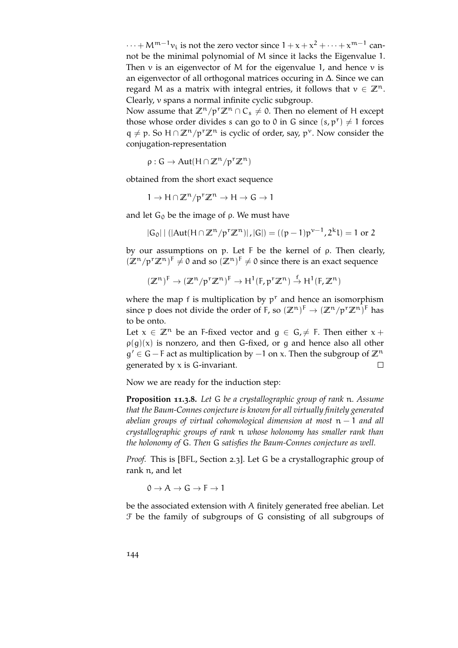$\cdots + M^{m-1}v_i$  is not the zero vector since  $1 + x + x^2 + \cdots + x^{m-1}$  cannot be the minimal polynomial of M since it lacks the Eigenvalue 1. Then  $\nu$  is an eigenvector of M for the eigenvalue 1, and hence  $\nu$  is an eigenvector of all orthogonal matrices occuring in ∆. Since we can regard M as a matrix with integral entries, it follows that  $v \in \mathbb{Z}^n$ . Clearly, v spans a normal infinite cyclic subgroup.

Now assume that  $\mathbb{Z}^n/p^r\mathbb{Z}^n \cap C_s \neq 0$ . Then no element of H except those whose order divides s can go to 0 in G since  $(s, p^r) \neq 1$  forces  $q \neq p$ . So  $H \cap \mathbb{Z}^n / p^r \mathbb{Z}^n$  is cyclic of order, say,  $p^{\nu}$ . Now consider the conjugation-representation

 $\rho: G \to Aut(H \cap \mathbb{Z}^n / p^r \mathbb{Z}^n)$ 

obtained from the short exact sequence

$$
1 \to H \cap \mathbb{Z}^n / p^r \mathbb{Z}^n \to H \to G \to 1
$$

and let  $G_0$  be the image of  $\rho$ . We must have

$$
|G_0| | (|Aut(H \cap \mathbb{Z}^n/p^r \mathbb{Z}^n)|, |G|) = ((p-1)p^{\nu-1}, 2^k l) = 1
$$
 or 2

by our assumptions on p. Let F be the kernel of ρ. Then clearly,  $(\mathbb{Z}^n/p^r\mathbb{Z}^n)^F \neq 0$  and so  $(\mathbb{Z}^n)^F \neq 0$  since there is an exact sequence

$$
(\mathbb{Z}^n)^F \to (\mathbb{Z}^n/p^r\mathbb{Z}^n)^F \to H^1(F,p^r\mathbb{Z}^n) \stackrel{f}{\to} H^1(F,\mathbb{Z}^n)
$$

where the map f is multiplication by  $p<sup>r</sup>$  and hence an isomorphism since p does not divide the order of F, so  $(\mathbb{Z}^n)^\mathsf{F} \to (\mathbb{Z}^n/p^r\mathbb{Z}^n)^\mathsf{F}$  has to be onto.

Let  $x \in \mathbb{Z}^n$  be an F-fixed vector and  $q \in G$ ,  $\neq$  F. Then either  $x +$  $\rho(q)(x)$  is nonzero, and then G-fixed, or g and hence also all other g' ∈ G – F act as multiplication by –1 on x. Then the subgroup of  $\mathbb{Z}^n$ generated by  $x$  is G-invariant.  $\Box$ 

Now we are ready for the induction step:

**Proposition 11.3.8.** *Let* G *be a crystallographic group of rank* n*. Assume that the Baum-Connes conjecture is known for all virtually finitely generated abelian groups of virtual cohomological dimension at most* n − 1 *and all crystallographic groups of rank* n *whose holonomy has smaller rank than the holonomy of* G*. Then* G *satisfies the Baum-Connes conjecture as well.*

*Proof.* This is [\[BFL,](#page-150-1) Section 2.3]. Let G be a crystallographic group of rank n, and let

 $0 \to A \to G \to F \to 1$ 

be the associated extension with A finitely generated free abelian. Let F be the family of subgroups of G consisting of all subgroups of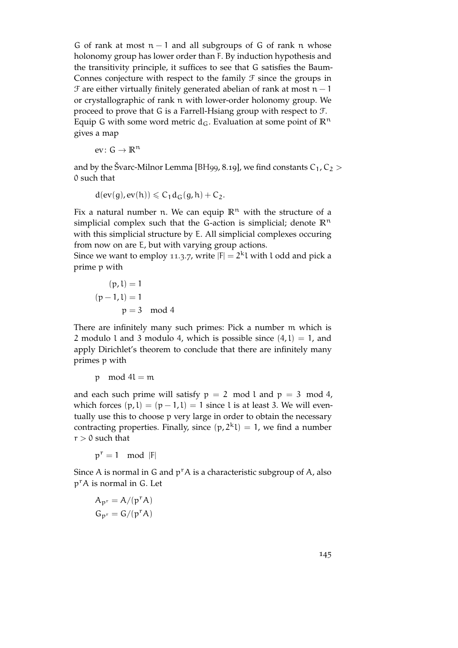G of rank at most  $n - 1$  and all subgroups of G of rank n whose holonomy group has lower order than F. By induction hypothesis and the transitivity principle, it suffices to see that G satisfies the Baum-Connes conjecture with respect to the family  $\mathcal F$  since the groups in  $\mathcal F$  are either virtually finitely generated abelian of rank at most n – 1 or crystallographic of rank n with lower-order holonomy group. We proceed to prove that G is a Farrell-Hsiang group with respect to F. Equip G with some word metric  $d_G$ . Evaluation at some point of  $\mathbb{R}^n$ gives a map

ev:  $G \to \mathbb{R}^n$ 

and by the Švarc-Milnor Lemma [\[BH](#page-150-0)99, 8.19], we find constants  $C_1, C_2$  > 0 such that

$$
d(ev(g), ev(h)) \leqslant C_1 d_G(g, h) + C_2.
$$

Fix a natural number n. We can equip  $\mathbb{R}^n$  with the structure of a simplicial complex such that the G-action is simplicial; denote  $\mathbb{R}^n$ with this simplicial structure by E. All simplicial complexes occuring from now on are E, but with varying group actions.

Since we want to employ [11](#page-142-0).3.7, write  $|F| = 2^k 1$  with l odd and pick a prime p with

$$
(p, l) = 1
$$

$$
(p - 1, l) = 1
$$

$$
p = 3 \mod 4
$$

There are infinitely many such primes: Pick a number m which is 2 modulo 1 and 3 modulo 4, which is possible since  $(4, 1) = 1$ , and apply Dirichlet's theorem to conclude that there are infinitely many primes p with

$$
p \mod{4l} = m
$$

and each such prime will satisfy  $p = 2 \mod 1$  and  $p = 3 \mod 4$ , which forces  $(p, l) = (p - 1, l) = 1$  since l is at least 3. We will eventually use this to choose p very large in order to obtain the necessary contracting properties. Finally, since  $(p, 2^k l) = 1$ , we find a number  $r > 0$  such that

 $p^r = 1 \mod |F|$ 

Since A is normal in G and  $p^r A$  is a characteristic subgroup of A, also p<sup>r</sup>A is normal in G. Let

$$
A_{p^r} = A/(p^r A)
$$

$$
G_{p^r} = G/(p^r A)
$$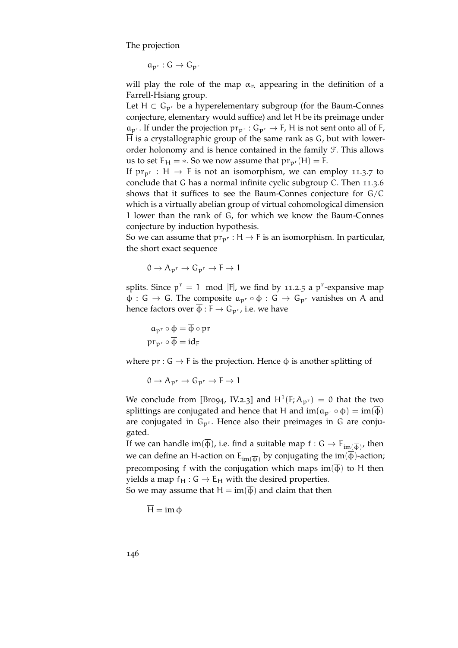The projection

 $a_{p^r}: G \to G_{p^r}$ 

will play the role of the map  $\alpha_n$  appearing in the definition of a Farrell-Hsiang group.

Let  $H \subset G_{p^r}$  be a hyperelementary subgroup (for the Baum-Connes conjecture, elementary would suffice) and let  $\overline{H}$  be its preimage under  $a_{p^r}$ . If under the projection  $pr_{p^r}: G_{p^r} \to F$ , H is not sent onto all of F,  $\overline{H}$  is a crystallographic group of the same rank as G, but with lowerorder holonomy and is hence contained in the family F. This allows us to set  $E_H = *$ . So we now assume that  $pr_{p^r}(H) = F$ .

If  $pr_{p^r}: H \to F$  is not an isomorphism, we can employ [11](#page-142-0).3.7 to conclude that G has a normal infinite cyclic subgroup C. Then [11](#page-141-0).3.6 shows that it suffices to see the Baum-Connes conjecture for G/C which is a virtually abelian group of virtual cohomological dimension 1 lower than the rank of G, for which we know the Baum-Connes conjecture by induction hypothesis.

So we can assume that  $pr_{p^r}: H \to F$  is an isomorphism. In particular, the short exact sequence

$$
0 \to A_{p^r} \to G_{p^r} \to F \to 1
$$

splits. Since  $p^r = 1 \mod |F|$ , we find by [11](#page-134-0).2.5 a  $p^r$ -expansive map  $\phi: G \to G$ . The composite  $a_{p^r} \circ \phi: G \to G_{p^r}$  vanishes on A and hence factors over  $\overline{\Phi}$  : F  $\rightarrow$  G<sub>p<sup>r</sup></sub>, i.e. we have

$$
a_{p^r} \circ \phi = \overline{\phi} \circ pr
$$

$$
pr_{p^r} \circ \overline{\phi} = id_F
$$

where  $pr: G \to F$  is the projection. Hence  $\overline{\Phi}$  is another splitting of

 $0 \to A_{p^r} \to G_{p^r} \to F \to 1$ 

We conclude from [\[Bro](#page-151-0)94, IV.2.3] and  $H^1(F; A_{p^r}) = 0$  that the two splittings are conjugated and hence that H and  $\text{im}(\mathfrak{a}_{p^r} \circ \phi) = \text{im}(\overline{\phi})$ are conjugated in  $G_{p^r}$ . Hence also their preimages in G are conjugated.

If we can handle im( $\phi$ ), i.e. find a suitable map  $f: G \to E_{im(\overline{\varphi})}$ , then we can define an H-action on  $\mathsf{E}_{\mathsf{im}(\overline{\Phi})}$  by conjugating the im( $\varphi$ )-action; precomposing f with the conjugation which maps  $\text{im}(\overline{\phi})$  to H then yields a map  $f_H : G \to E_H$  with the desired properties.

So we may assume that  $H = im(\overline{\phi})$  and claim that then

$$
\overline{H} = im \, \varphi
$$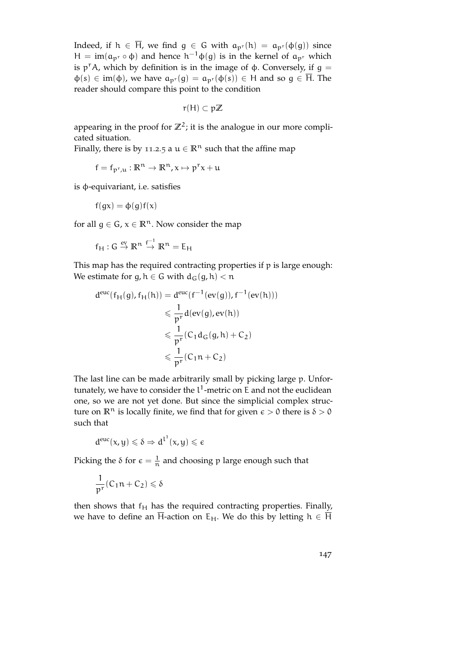Indeed, if  $h \in \overline{H}$ , we find  $g \in G$  with  $a_{p^r}(h) = a_{p^r}(\phi(g))$  since H = im( $a_{p^r} \circ \phi$ ) and hence  $h^{-1}\phi(g)$  is in the kernel of  $a_{p^r}$  which is  $p^r A$ , which by definition is in the image of  $\phi$ . Conversely, if  $g =$  $\varphi(s) \in \text{im}(\varphi)$ , we have  $a_{p^r}(g) = a_{p^r}(\varphi(s)) \in H$  and so  $g \in \overline{H}$ . The reader should compare this point to the condition

$$
r(H)\subset p\mathbb{Z}
$$

appearing in the proof for  $\mathbb{Z}^2$ ; it is the analogue in our more complicated situation.

Finally, there is by [11](#page-134-0).2.5 a  $u \in \mathbb{R}^n$  such that the affine map

 $f = f_{p^r,u}: \mathbb{R}^n \to \mathbb{R}^n, x \mapsto p^r x + u$ 

is φ-equivariant, i.e. satisfies

$$
f(gx) = \varphi(g)f(x)
$$

for all  $g \in G$ ,  $x \in \mathbb{R}^n$ . Now consider the map

$$
f_H:G\stackrel{ev}{\to} \mathbb{R}^n\stackrel{f^{-1}}{\to} \mathbb{R}^n=E_H
$$

This map has the required contracting properties if p is large enough: We estimate for g,  $h \in G$  with  $d_G(g, h) < n$ 

$$
d^{euc}(f_H(g), f_H(h)) = d^{euc}(f^{-1}(ev(g)), f^{-1}(ev(h)))
$$
  

$$
\leq \frac{1}{p^r} d(ev(g), ev(h))
$$
  

$$
\leq \frac{1}{p^r} (C_1 d_G(g, h) + C_2)
$$
  

$$
\leq \frac{1}{p^r} (C_1 n + C_2)
$$

The last line can be made arbitrarily small by picking large p. Unfortunately, we have to consider the  $l^1$ -metric on E and not the euclidean one, so we are not yet done. But since the simplicial complex structure on  $\mathbb{R}^n$  is locally finite, we find that for given  $\epsilon > 0$  there is  $\delta > 0$ such that

$$
d^{euc}(x,y)\leqslant \delta \Rightarrow d^{l^1}(x,y)\leqslant \varepsilon
$$

Picking the  $\delta$  for  $\epsilon = \frac{1}{n}$  $\frac{1}{n}$  and choosing p large enough such that

$$
\frac{1}{p^r}(C_1n+C_2)\leqslant \delta
$$

then shows that  $f_H$  has the required contracting properties. Finally, we have to define an  $\overline{H}$ -action on E<sub>H</sub>. We do this by letting  $h \in \overline{H}$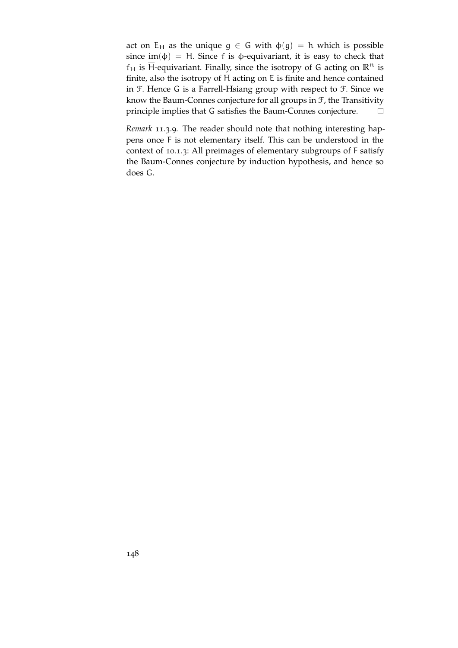act on  $E_H$  as the unique  $g \in G$  with  $\phi(g) = h$  which is possible since im( $\phi$ ) =  $\overline{H}$ . Since f is  $\phi$ -equivariant, it is easy to check that  $f_H$  is  $\overline{H}$ -equivariant. Finally, since the isotropy of G acting on  $\mathbb{R}^n$  is finite, also the isotropy of  $\overline{H}$  acting on E is finite and hence contained in F. Hence G is a Farrell-Hsiang group with respect to F. Since we know the Baum-Connes conjecture for all groups in  $F$ , the Transitivity principle implies that G satisfies the Baum-Connes conjecture.  $\Box$ 

*Remark* 11.3.9*.* The reader should note that nothing interesting happens once F is not elementary itself. This can be understood in the context of [10](#page-125-0).1.3: All preimages of elementary subgroups of F satisfy the Baum-Connes conjecture by induction hypothesis, and hence so does G.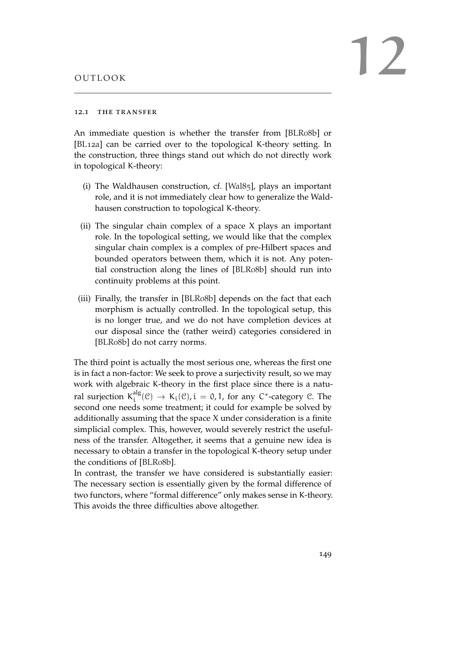## 12.1 THE TRANSFER

An immediate question is whether the transfer from [\[BLR](#page-151-1)08b] or [\[BL](#page-150-1)12a] can be carried over to the topological K-theory setting. In the construction, three things stand out which do not directly work in topological K-theory:

- (i) The Waldhausen construction, cf. [\[Wal](#page-154-0)85], plays an important role, and it is not immediately clear how to generalize the Waldhausen construction to topological K-theory.
- (ii) The singular chain complex of a space X plays an important role. In the topological setting, we would like that the complex singular chain complex is a complex of pre-Hilbert spaces and bounded operators between them, which it is not. Any potential construction along the lines of [\[BLR](#page-151-1)08b] should run into continuity problems at this point.
- (iii) Finally, the transfer in [\[BLR](#page-151-1)08b] depends on the fact that each morphism is actually controlled. In the topological setup, this is no longer true, and we do not have completion devices at our disposal since the (rather weird) categories considered in [\[BLR](#page-151-1)08b] do not carry norms.

The third point is actually the most serious one, whereas the first one is in fact a non-factor: We seek to prove a surjectivity result, so we may work with algebraic K-theory in the first place since there is a natural surjection  $\textsf{K}^\text{alg}_{\textsf{i}}$  $i^{\text{alg}}(\mathcal{C}) \rightarrow K_i(\mathcal{C})$ ,  $i = 0, 1$ , for any C<sup>\*</sup>-category  $\mathcal{C}$ . The second one needs some treatment; it could for example be solved by additionally assuming that the space X under consideration is a finite simplicial complex. This, however, would severely restrict the usefulness of the transfer. Altogether, it seems that a genuine new idea is necessary to obtain a transfer in the topological K-theory setup under the conditions of [\[BLR](#page-151-1)08b].

In contrast, the transfer we have considered is substantially easier: The necessary section is essentially given by the formal difference of two functors, where "formal difference" only makes sense in K-theory. This avoids the three difficulties above altogether.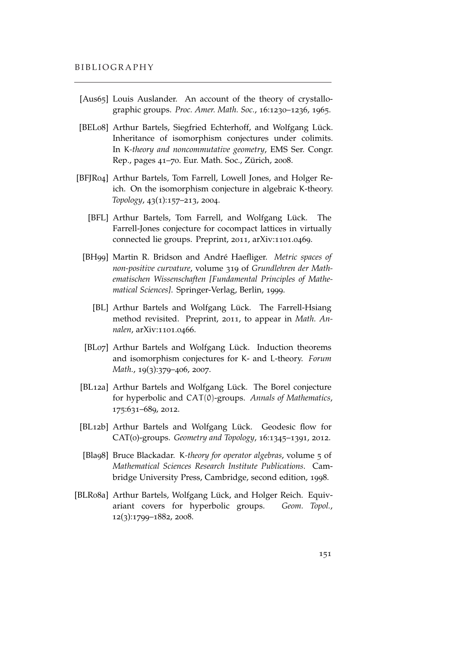- [Aus65] Louis Auslander. An account of the theory of crystallographic groups. *Proc. Amer. Math. Soc.*, 16:1230–1236, 1965.
- [BEL08] Arthur Bartels, Siegfried Echterhoff, and Wolfgang Lück. Inheritance of isomorphism conjectures under colimits. In K*-theory and noncommutative geometry*, EMS Ser. Congr. Rep., pages 41–70. Eur. Math. Soc., Zürich, 2008.
- <span id="page-150-0"></span>[BFJR04] Arthur Bartels, Tom Farrell, Lowell Jones, and Holger Reich. On the isomorphism conjecture in algebraic K-theory. *Topology*, 43(1):157–213, 2004.
	- [BFL] Arthur Bartels, Tom Farrell, and Wolfgang Lück. The Farrell-Jones conjecture for cocompact lattices in virtually connected lie groups. Preprint, 2011, arXiv:1101.0469.
	- [BH99] Martin R. Bridson and André Haefliger. *Metric spaces of non-positive curvature*, volume 319 of *Grundlehren der Mathematischen Wissenschaften [Fundamental Principles of Mathematical Sciences]*. Springer-Verlag, Berlin, 1999.
		- [BL] Arthur Bartels and Wolfgang Lück. The Farrell-Hsiang method revisited. Preprint, 2011, to appear in *Math. Annalen*, arXiv:1101.0466.
	- [BL07] Arthur Bartels and Wolfgang Lück. Induction theorems and isomorphism conjectures for K- and L-theory. *Forum Math.*, 19(3):379–406, 2007.
- <span id="page-150-1"></span>[BL12a] Arthur Bartels and Wolfgang Lück. The Borel conjecture for hyperbolic and CAT(0)-groups. *Annals of Mathematics*, 175:631–689, 2012.
- [BL12b] Arthur Bartels and Wolfgang Lück. Geodesic flow for CAT(0)-groups. *Geometry and Topology*, 16:1345–1391, 2012.
- [Bla98] Bruce Blackadar. K*-theory for operator algebras*, volume 5 of *Mathematical Sciences Research Institute Publications*. Cambridge University Press, Cambridge, second edition, 1998.
- [BLR08a] Arthur Bartels, Wolfgang Lück, and Holger Reich. Equivariant covers for hyperbolic groups. *Geom. Topol.*, 12(3):1799–1882, 2008.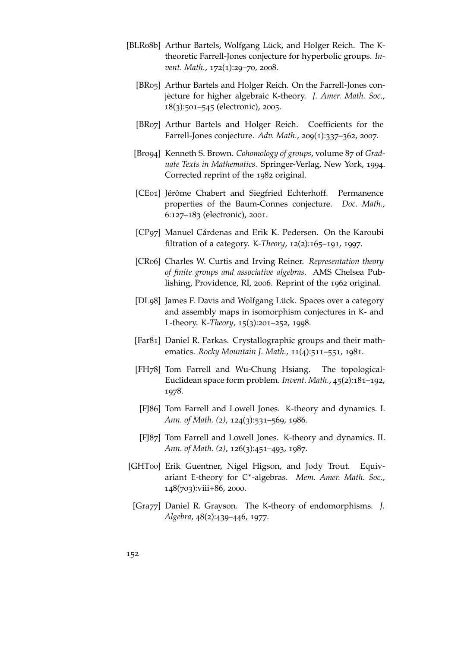- <span id="page-151-1"></span><span id="page-151-0"></span>[BLR08b] Arthur Bartels, Wolfgang Lück, and Holger Reich. The Ktheoretic Farrell-Jones conjecture for hyperbolic groups. *Invent. Math.*, 172(1):29–70, 2008.
	- [BR05] Arthur Bartels and Holger Reich. On the Farrell-Jones conjecture for higher algebraic K-theory. *J. Amer. Math. Soc.*, 18(3):501–545 (electronic), 2005.
	- [BR07] Arthur Bartels and Holger Reich. Coefficients for the Farrell-Jones conjecture. *Adv. Math.*, 209(1):337–362, 2007.
	- [Bro94] Kenneth S. Brown. *Cohomology of groups*, volume 87 of *Graduate Texts in Mathematics*. Springer-Verlag, New York, 1994. Corrected reprint of the 1982 original.
	- [CE01] Jérôme Chabert and Siegfried Echterhoff. Permanence properties of the Baum-Connes conjecture. *Doc. Math.*, 6:127–183 (electronic), 2001.
	- [CP97] Manuel Cárdenas and Erik K. Pedersen. On the Karoubi filtration of a category. K*-Theory*, 12(2):165–191, 1997.
	- [CR06] Charles W. Curtis and Irving Reiner. *Representation theory of finite groups and associative algebras*. AMS Chelsea Publishing, Providence, RI, 2006. Reprint of the 1962 original.
	- [DL98] James F. Davis and Wolfgang Lück. Spaces over a category and assembly maps in isomorphism conjectures in K- and L-theory. K*-Theory*, 15(3):201–252, 1998.
	- [Far81] Daniel R. Farkas. Crystallographic groups and their mathematics. *Rocky Mountain J. Math.*, 11(4):511–551, 1981.
	- [FH78] Tom Farrell and Wu-Chung Hsiang. The topological-Euclidean space form problem. *Invent. Math.*, 45(2):181–192, 1978.
	- [FJ86] Tom Farrell and Lowell Jones. K-theory and dynamics. I. *Ann. of Math. (2)*, 124(3):531–569, 1986.
	- [FJ87] Tom Farrell and Lowell Jones. K-theory and dynamics. II. *Ann. of Math. (2)*, 126(3):451–493, 1987.
- [GHT00] Erik Guentner, Nigel Higson, and Jody Trout. Equivariant E-theory for C<sup>\*</sup>-algebras. Mem. Amer. Math. Soc., 148(703):viii+86, 2000.
- [Gra77] Daniel R. Grayson. The K-theory of endomorphisms. *J. Algebra*, 48(2):439–446, 1977.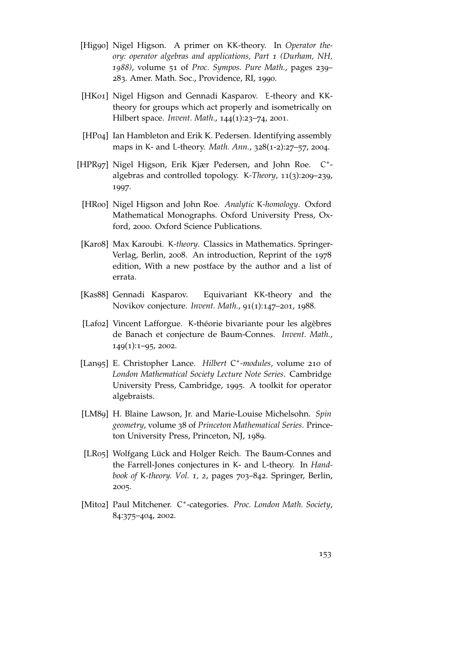- [Hig90] Nigel Higson. A primer on KK-theory. In *Operator theory: operator algebras and applications, Part 1 (Durham, NH, 1988)*, volume 51 of *Proc. Sympos. Pure Math.*, pages 239– 283. Amer. Math. Soc., Providence, RI, 1990.
- [HK01] Nigel Higson and Gennadi Kasparov. E-theory and KKtheory for groups which act properly and isometrically on Hilbert space. *Invent. Math.*, 144(1):23–74, 2001.
- [HP04] Ian Hambleton and Erik K. Pedersen. Identifying assembly maps in K- and L-theory. *Math. Ann.*, 328(1-2):27–57, 2004.
- [HPR97] Nigel Higson, Erik Kjær Pedersen, and John Roe. C\*algebras and controlled topology. K*-Theory*, 11(3):209–239, 1997.
- [HR00] Nigel Higson and John Roe. *Analytic* K*-homology*. Oxford Mathematical Monographs. Oxford University Press, Oxford, 2000. Oxford Science Publications.
- [Kar08] Max Karoubi. K*-theory*. Classics in Mathematics. Springer-Verlag, Berlin, 2008. An introduction, Reprint of the 1978 edition, With a new postface by the author and a list of errata.
- [Kas88] Gennadi Kasparov. Equivariant KK-theory and the Novikov conjecture. *Invent. Math.*, 91(1):147–201, 1988.
- [Laf02] Vincent Lafforgue. K-théorie bivariante pour les algèbres de Banach et conjecture de Baum-Connes. *Invent. Math.*, 149(1):1–95, 2002.
- [Lan95] E. Christopher Lance. *Hilbert* C ∗ *-modules*, volume 210 of *London Mathematical Society Lecture Note Series*. Cambridge University Press, Cambridge, 1995. A toolkit for operator algebraists.
- [LM89] H. Blaine Lawson, Jr. and Marie-Louise Michelsohn. *Spin geometry*, volume 38 of *Princeton Mathematical Series*. Princeton University Press, Princeton, NJ, 1989.
- [LR05] Wolfgang Lück and Holger Reich. The Baum-Connes and the Farrell-Jones conjectures in K- and L-theory. In *Handbook of* K*-theory. Vol. 1, 2*, pages 703–842. Springer, Berlin, 2005.
- [Mit02] Paul Mitchener. C ∗ -categories. *Proc. London Math. Society*, 84:375–404, 2002.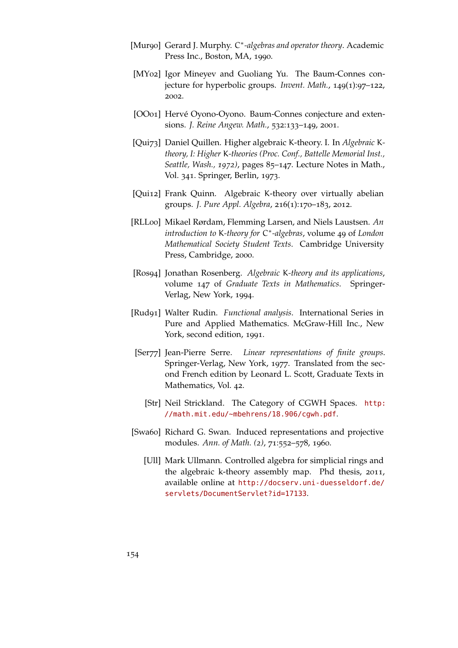- [Mur90] Gerard J. Murphy. C<sup>\*</sup>-algebras and operator theory. Academic Press Inc., Boston, MA, 1990.
- [MY02] Igor Mineyev and Guoliang Yu. The Baum-Connes conjecture for hyperbolic groups. *Invent. Math.*, 149(1):97–122, 2002.
- [OO01] Hervé Oyono-Oyono. Baum-Connes conjecture and extensions. *J. Reine Angew. Math.*, 532:133–149, 2001.
- [Qui73] Daniel Quillen. Higher algebraic K-theory. I. In *Algebraic* K*theory, I: Higher* K*-theories (Proc. Conf., Battelle Memorial Inst., Seattle, Wash., 1972)*, pages 85–147. Lecture Notes in Math., Vol. 341. Springer, Berlin, 1973.
- [Qui12] Frank Quinn. Algebraic K-theory over virtually abelian groups. *J. Pure Appl. Algebra*, 216(1):170–183, 2012.
- [RLL00] Mikael Rørdam, Flemming Larsen, and Niels Laustsen. *An introduction to* K*-theory for* C ∗ *-algebras*, volume 49 of *London Mathematical Society Student Texts*. Cambridge University Press, Cambridge, 2000.
- [Ros94] Jonathan Rosenberg. *Algebraic* K*-theory and its applications*, volume 147 of *Graduate Texts in Mathematics*. Springer-Verlag, New York, 1994.
- [Rud91] Walter Rudin. *Functional analysis*. International Series in Pure and Applied Mathematics. McGraw-Hill Inc., New York, second edition, 1991.
- [Ser77] Jean-Pierre Serre. *Linear representations of finite groups*. Springer-Verlag, New York, 1977. Translated from the second French edition by Leonard L. Scott, Graduate Texts in Mathematics, Vol. 42.
	- [Str] Neil Strickland. The Category of CGWH Spaces. [http:](http://math.mit.edu/~mbehrens/18.906/cgwh.pdf) [//math.mit.edu/~mbehrens/18.906/cgwh.pdf](http://math.mit.edu/~mbehrens/18.906/cgwh.pdf).
- [Swa60] Richard G. Swan. Induced representations and projective modules. *Ann. of Math. (2)*, 71:552–578, 1960.
	- [Ull] Mark Ullmann. Controlled algebra for simplicial rings and the algebraic k-theory assembly map. Phd thesis, 2011, available online at [http://docserv.uni-duesseldorf.de/](http://docserv.uni-duesseldorf.de/servlets/DocumentServlet?id=17133) [servlets/DocumentServlet?id=17133](http://docserv.uni-duesseldorf.de/servlets/DocumentServlet?id=17133).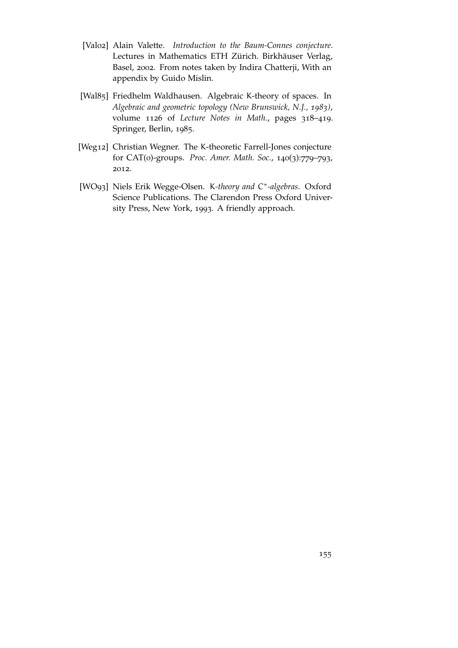- [Val02] Alain Valette. *Introduction to the Baum-Connes conjecture*. Lectures in Mathematics ETH Zürich. Birkhäuser Verlag, Basel, 2002. From notes taken by Indira Chatterji, With an appendix by Guido Mislin.
- <span id="page-154-0"></span>[Wal85] Friedhelm Waldhausen. Algebraic K-theory of spaces. In *Algebraic and geometric topology (New Brunswick, N.J., 1983)*, volume 1126 of *Lecture Notes in Math.*, pages 318–419. Springer, Berlin, 1985.
- [Weg12] Christian Wegner. The K-theoretic Farrell-Jones conjecture for CAT(0)-groups. *Proc. Amer. Math. Soc.*, 140(3):779–793, 2012.
- [WO93] Niels Erik Wegge-Olsen. K*-theory and* C ∗ *-algebras*. Oxford Science Publications. The Clarendon Press Oxford University Press, New York, 1993. A friendly approach.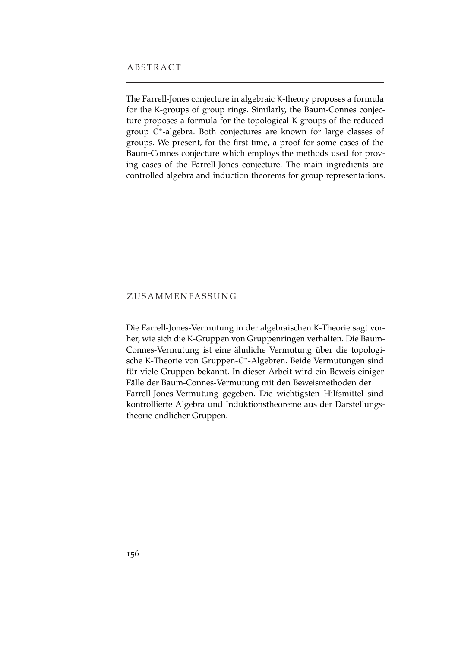The Farrell-Jones conjecture in algebraic K-theory proposes a formula for the K-groups of group rings. Similarly, the Baum-Connes conjecture proposes a formula for the topological K-groups of the reduced group C ∗ -algebra. Both conjectures are known for large classes of groups. We present, for the first time, a proof for some cases of the Baum-Connes conjecture which employs the methods used for proving cases of the Farrell-Jones conjecture. The main ingredients are controlled algebra and induction theorems for group representations.

## **ZUSAMMENFASSUNG**

Die Farrell-Jones-Vermutung in der algebraischen K-Theorie sagt vorher, wie sich die K-Gruppen von Gruppenringen verhalten. Die Baum-Connes-Vermutung ist eine ähnliche Vermutung über die topologische K-Theorie von Gruppen-C<sup>\*</sup>-Algebren. Beide Vermutungen sind für viele Gruppen bekannt. In dieser Arbeit wird ein Beweis einiger Fälle der Baum-Connes-Vermutung mit den Beweismethoden der Farrell-Jones-Vermutung gegeben. Die wichtigsten Hilfsmittel sind kontrollierte Algebra und Induktionstheoreme aus der Darstellungstheorie endlicher Gruppen.